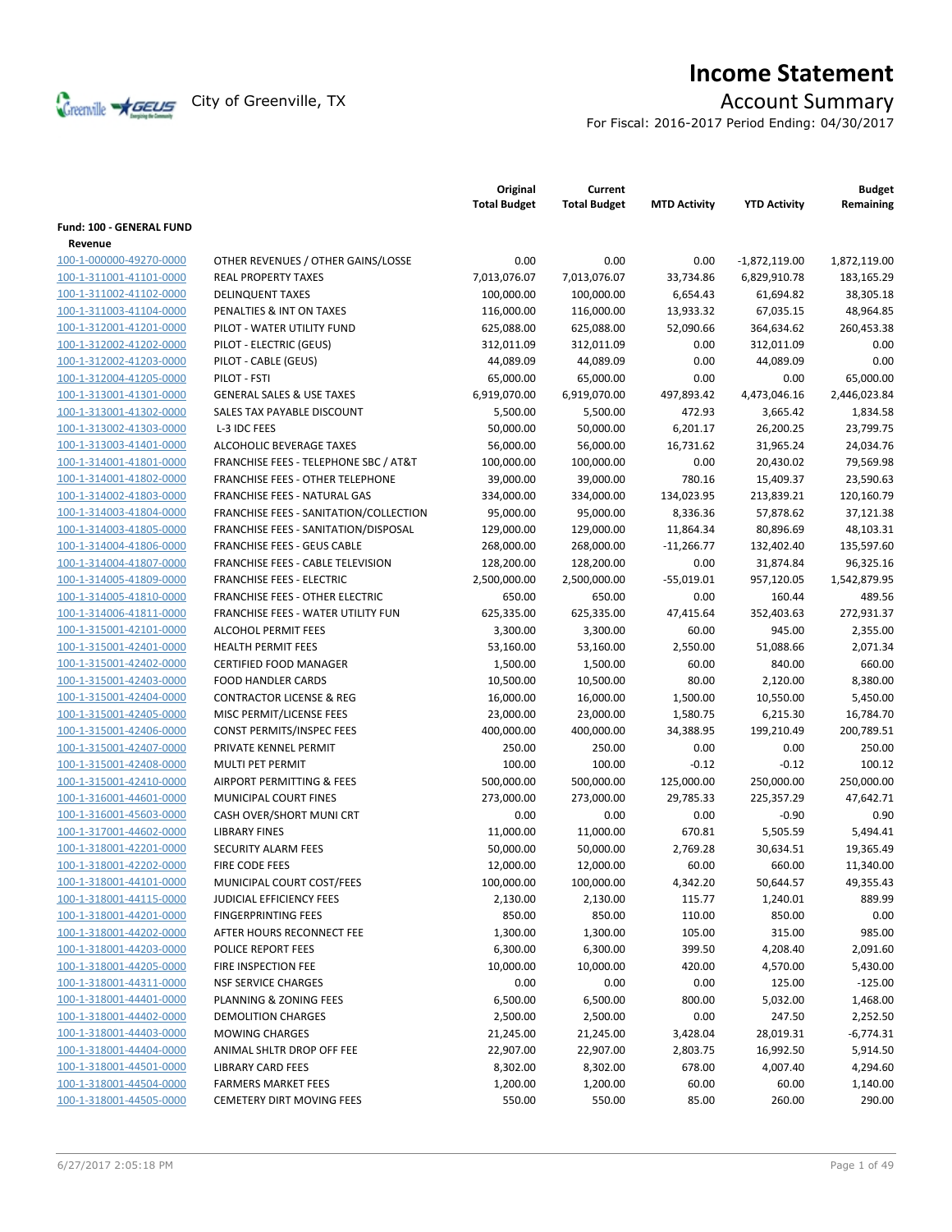

# **Income Statement**

For Fiscal: 2016-2017 Period Ending: 04/30/2017

|                                 |                                          | Original<br><b>Total Budget</b> | Current<br><b>Total Budget</b> | <b>MTD Activity</b> | <b>YTD Activity</b> | <b>Budget</b><br>Remaining |
|---------------------------------|------------------------------------------|---------------------------------|--------------------------------|---------------------|---------------------|----------------------------|
| <b>Fund: 100 - GENERAL FUND</b> |                                          |                                 |                                |                     |                     |                            |
| Revenue                         |                                          |                                 |                                |                     |                     |                            |
| 100-1-000000-49270-0000         | OTHER REVENUES / OTHER GAINS/LOSSE       | 0.00                            | 0.00                           | 0.00                | $-1,872,119.00$     | 1,872,119.00               |
| 100-1-311001-41101-0000         | <b>REAL PROPERTY TAXES</b>               | 7,013,076.07                    | 7,013,076.07                   | 33,734.86           | 6,829,910.78        | 183,165.29                 |
| 100-1-311002-41102-0000         | <b>DELINQUENT TAXES</b>                  | 100,000.00                      | 100,000.00                     | 6,654.43            | 61,694.82           | 38,305.18                  |
| 100-1-311003-41104-0000         | PENALTIES & INT ON TAXES                 | 116,000.00                      | 116,000.00                     | 13,933.32           | 67,035.15           | 48,964.85                  |
| 100-1-312001-41201-0000         | PILOT - WATER UTILITY FUND               | 625,088.00                      | 625,088.00                     | 52,090.66           | 364,634.62          | 260,453.38                 |
| 100-1-312002-41202-0000         | PILOT - ELECTRIC (GEUS)                  | 312,011.09                      | 312,011.09                     | 0.00                | 312,011.09          | 0.00                       |
| 100-1-312002-41203-0000         | PILOT - CABLE (GEUS)                     | 44,089.09                       | 44,089.09                      | 0.00                | 44,089.09           | 0.00                       |
| 100-1-312004-41205-0000         | PILOT - FSTI                             | 65,000.00                       | 65,000.00                      | 0.00                | 0.00                | 65,000.00                  |
| 100-1-313001-41301-0000         | <b>GENERAL SALES &amp; USE TAXES</b>     | 6,919,070.00                    | 6,919,070.00                   | 497,893.42          | 4,473,046.16        | 2,446,023.84               |
| 100-1-313001-41302-0000         | SALES TAX PAYABLE DISCOUNT               | 5,500.00                        | 5,500.00                       | 472.93              | 3,665.42            | 1,834.58                   |
| 100-1-313002-41303-0000         | L-3 IDC FEES                             | 50,000.00                       | 50,000.00                      | 6,201.17            | 26,200.25           | 23,799.75                  |
| 100-1-313003-41401-0000         | ALCOHOLIC BEVERAGE TAXES                 | 56,000.00                       | 56,000.00                      | 16,731.62           | 31,965.24           | 24,034.76                  |
| 100-1-314001-41801-0000         | FRANCHISE FEES - TELEPHONE SBC / AT&T    | 100,000.00                      | 100,000.00                     | 0.00                | 20,430.02           | 79,569.98                  |
| 100-1-314001-41802-0000         | FRANCHISE FEES - OTHER TELEPHONE         | 39,000.00                       | 39,000.00                      | 780.16              | 15,409.37           | 23,590.63                  |
| 100-1-314002-41803-0000         | <b>FRANCHISE FEES - NATURAL GAS</b>      | 334,000.00                      | 334,000.00                     | 134,023.95          | 213,839.21          | 120,160.79                 |
| 100-1-314003-41804-0000         | FRANCHISE FEES - SANITATION/COLLECTION   | 95,000.00                       | 95,000.00                      | 8,336.36            | 57,878.62           | 37,121.38                  |
| 100-1-314003-41805-0000         | FRANCHISE FEES - SANITATION/DISPOSAL     | 129,000.00                      | 129,000.00                     | 11,864.34           | 80,896.69           | 48,103.31                  |
| 100-1-314004-41806-0000         | <b>FRANCHISE FEES - GEUS CABLE</b>       | 268,000.00                      | 268,000.00                     | $-11,266.77$        | 132,402.40          | 135,597.60                 |
| 100-1-314004-41807-0000         | <b>FRANCHISE FEES - CABLE TELEVISION</b> | 128,200.00                      | 128,200.00                     | 0.00                | 31,874.84           | 96,325.16                  |
| 100-1-314005-41809-0000         | <b>FRANCHISE FEES - ELECTRIC</b>         | 2,500,000.00                    | 2,500,000.00                   | $-55,019.01$        | 957,120.05          | 1,542,879.95               |
| 100-1-314005-41810-0000         | <b>FRANCHISE FEES - OTHER ELECTRIC</b>   | 650.00                          | 650.00                         | 0.00                | 160.44              | 489.56                     |
| 100-1-314006-41811-0000         | FRANCHISE FEES - WATER UTILITY FUN       | 625,335.00                      | 625,335.00                     | 47,415.64           | 352,403.63          | 272,931.37                 |
| 100-1-315001-42101-0000         | <b>ALCOHOL PERMIT FEES</b>               | 3,300.00                        | 3,300.00                       | 60.00               | 945.00              | 2,355.00                   |
| 100-1-315001-42401-0000         | <b>HEALTH PERMIT FEES</b>                | 53,160.00                       | 53,160.00                      | 2,550.00            | 51,088.66           | 2,071.34                   |
| 100-1-315001-42402-0000         | CERTIFIED FOOD MANAGER                   | 1,500.00                        | 1,500.00                       | 60.00               | 840.00              | 660.00                     |
| 100-1-315001-42403-0000         | <b>FOOD HANDLER CARDS</b>                | 10,500.00                       | 10,500.00                      | 80.00               | 2,120.00            | 8,380.00                   |
| 100-1-315001-42404-0000         | <b>CONTRACTOR LICENSE &amp; REG</b>      | 16,000.00                       | 16,000.00                      | 1,500.00            | 10,550.00           | 5,450.00                   |
| 100-1-315001-42405-0000         | MISC PERMIT/LICENSE FEES                 | 23,000.00                       | 23,000.00                      | 1,580.75            | 6,215.30            | 16,784.70                  |
| 100-1-315001-42406-0000         | CONST PERMITS/INSPEC FEES                | 400,000.00                      | 400,000.00                     | 34,388.95           | 199,210.49          | 200,789.51                 |
| 100-1-315001-42407-0000         | PRIVATE KENNEL PERMIT                    | 250.00                          | 250.00                         | 0.00                | 0.00                | 250.00                     |
| 100-1-315001-42408-0000         | MULTI PET PERMIT                         | 100.00                          | 100.00                         | $-0.12$             | $-0.12$             | 100.12                     |
| 100-1-315001-42410-0000         | AIRPORT PERMITTING & FEES                | 500,000.00                      | 500,000.00                     | 125,000.00          | 250,000.00          | 250,000.00                 |
| 100-1-316001-44601-0000         | MUNICIPAL COURT FINES                    | 273,000.00                      | 273,000.00                     | 29,785.33           | 225,357.29          | 47,642.71                  |
| 100-1-316001-45603-0000         | CASH OVER/SHORT MUNI CRT                 | 0.00                            | 0.00                           | 0.00                | $-0.90$             | 0.90                       |
| 100-1-317001-44602-0000         | <b>LIBRARY FINES</b>                     | 11,000.00                       | 11,000.00                      | 670.81              | 5,505.59            | 5,494.41                   |
| 100-1-318001-42201-0000         | <b>SECURITY ALARM FEES</b>               | 50,000.00                       | 50,000.00                      | 2,769.28            | 30,634.51           | 19,365.49                  |
| 100-1-318001-42202-0000         | FIRE CODE FEES                           | 12,000.00                       | 12,000.00                      | 60.00               | 660.00              | 11,340.00                  |
| 100-1-318001-44101-0000         | MUNICIPAL COURT COST/FEES                | 100,000.00                      | 100,000.00                     | 4,342.20            | 50,644.57           | 49,355.43                  |
| 100-1-318001-44115-0000         | JUDICIAL EFFICIENCY FEES                 | 2,130.00                        | 2,130.00                       | 115.77              | 1,240.01            | 889.99                     |
| 100-1-318001-44201-0000         | <b>FINGERPRINTING FEES</b>               | 850.00                          | 850.00                         | 110.00              | 850.00              | 0.00                       |
| 100-1-318001-44202-0000         | AFTER HOURS RECONNECT FEE                | 1,300.00                        | 1,300.00                       | 105.00              | 315.00              | 985.00                     |
| 100-1-318001-44203-0000         | POLICE REPORT FEES                       | 6,300.00                        | 6,300.00                       | 399.50              | 4,208.40            | 2,091.60                   |
| 100-1-318001-44205-0000         | FIRE INSPECTION FEE                      | 10,000.00                       | 10,000.00                      | 420.00              | 4,570.00            | 5,430.00                   |
| 100-1-318001-44311-0000         | <b>NSF SERVICE CHARGES</b>               | 0.00                            | 0.00                           | 0.00                | 125.00              | $-125.00$                  |
| 100-1-318001-44401-0000         | PLANNING & ZONING FEES                   | 6,500.00                        | 6,500.00                       | 800.00              | 5,032.00            | 1,468.00                   |
| 100-1-318001-44402-0000         | <b>DEMOLITION CHARGES</b>                | 2,500.00                        | 2,500.00                       | 0.00                | 247.50              | 2,252.50                   |
| 100-1-318001-44403-0000         | <b>MOWING CHARGES</b>                    | 21,245.00                       | 21,245.00                      | 3,428.04            | 28,019.31           | $-6,774.31$                |
| 100-1-318001-44404-0000         | ANIMAL SHLTR DROP OFF FEE                | 22,907.00                       | 22,907.00                      | 2,803.75            | 16,992.50           | 5,914.50                   |
| 100-1-318001-44501-0000         | <b>LIBRARY CARD FEES</b>                 | 8,302.00                        | 8,302.00                       | 678.00              | 4,007.40            | 4,294.60                   |
| 100-1-318001-44504-0000         | <b>FARMERS MARKET FEES</b>               | 1,200.00                        | 1,200.00                       | 60.00               | 60.00               | 1,140.00                   |
| 100-1-318001-44505-0000         | <b>CEMETERY DIRT MOVING FEES</b>         | 550.00                          | 550.00                         | 85.00               | 260.00              | 290.00                     |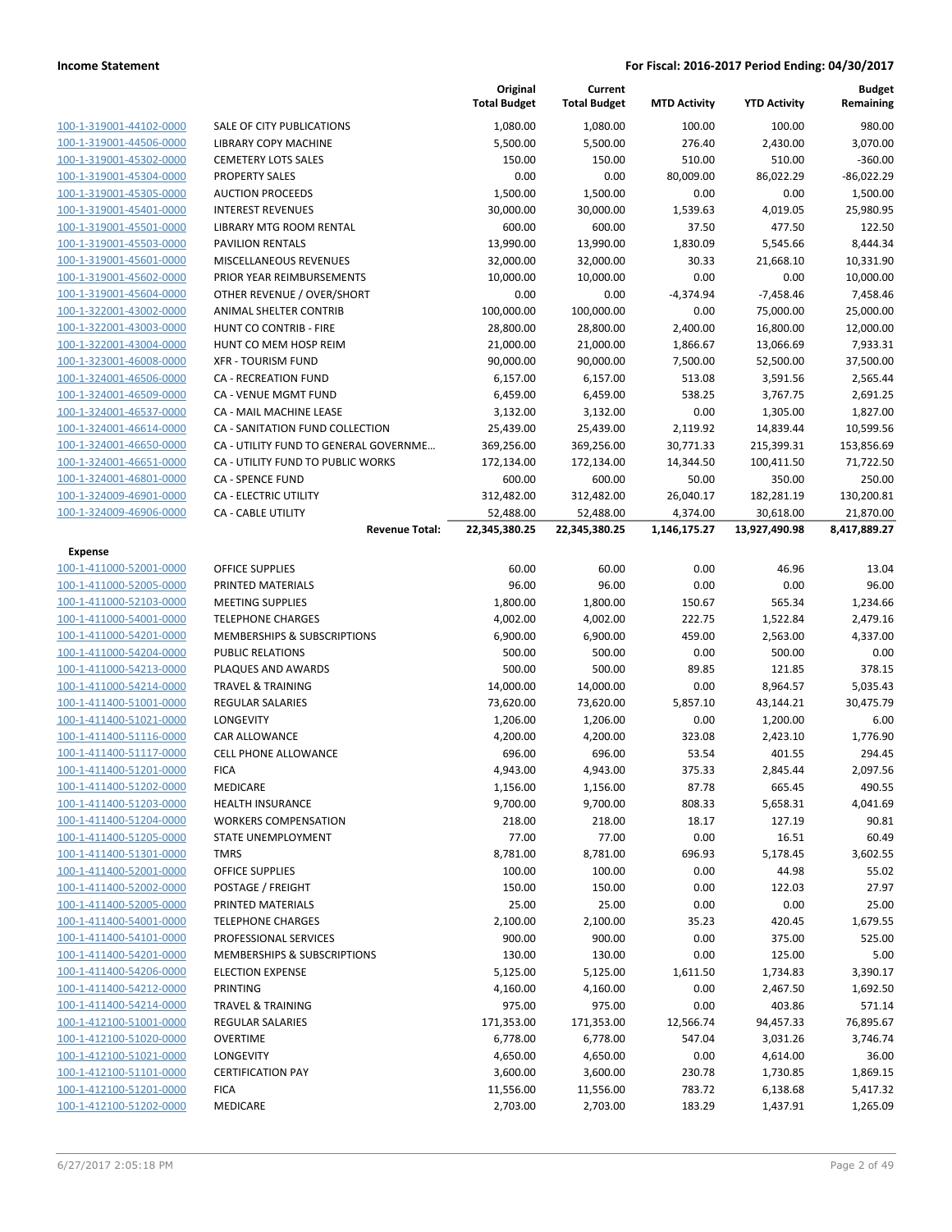|                         |                                        | Original<br><b>Total Budget</b> | Current<br><b>Total Budget</b> | <b>MTD Activity</b> | <b>YTD Activity</b> | <b>Budget</b><br>Remaining |
|-------------------------|----------------------------------------|---------------------------------|--------------------------------|---------------------|---------------------|----------------------------|
| 100-1-319001-44102-0000 | <b>SALE OF CITY PUBLICATIONS</b>       | 1,080.00                        | 1,080.00                       | 100.00              | 100.00              | 980.00                     |
| 100-1-319001-44506-0000 | LIBRARY COPY MACHINE                   | 5,500.00                        | 5,500.00                       | 276.40              | 2,430.00            | 3,070.00                   |
| 100-1-319001-45302-0000 | <b>CEMETERY LOTS SALES</b>             | 150.00                          | 150.00                         | 510.00              | 510.00              | $-360.00$                  |
| 100-1-319001-45304-0000 | <b>PROPERTY SALES</b>                  | 0.00                            | 0.00                           | 80,009.00           | 86,022.29           | $-86,022.29$               |
| 100-1-319001-45305-0000 | <b>AUCTION PROCEEDS</b>                | 1,500.00                        | 1,500.00                       | 0.00                | 0.00                | 1,500.00                   |
| 100-1-319001-45401-0000 | <b>INTEREST REVENUES</b>               | 30,000.00                       | 30,000.00                      | 1,539.63            | 4,019.05            | 25,980.95                  |
| 100-1-319001-45501-0000 | LIBRARY MTG ROOM RENTAL                | 600.00                          | 600.00                         | 37.50               | 477.50              | 122.50                     |
| 100-1-319001-45503-0000 | <b>PAVILION RENTALS</b>                | 13,990.00                       | 13,990.00                      | 1,830.09            | 5,545.66            | 8,444.34                   |
| 100-1-319001-45601-0000 | MISCELLANEOUS REVENUES                 | 32,000.00                       | 32,000.00                      | 30.33               | 21,668.10           | 10,331.90                  |
| 100-1-319001-45602-0000 | PRIOR YEAR REIMBURSEMENTS              | 10,000.00                       | 10,000.00                      | 0.00                | 0.00                | 10,000.00                  |
| 100-1-319001-45604-0000 | OTHER REVENUE / OVER/SHORT             | 0.00                            | 0.00                           | $-4,374.94$         | $-7,458.46$         | 7,458.46                   |
| 100-1-322001-43002-0000 | ANIMAL SHELTER CONTRIB                 | 100,000.00                      | 100,000.00                     | 0.00                | 75,000.00           | 25,000.00                  |
| 100-1-322001-43003-0000 | HUNT CO CONTRIB - FIRE                 | 28,800.00                       | 28,800.00                      | 2,400.00            | 16,800.00           | 12,000.00                  |
| 100-1-322001-43004-0000 | HUNT CO MEM HOSP REIM                  | 21,000.00                       | 21,000.00                      | 1,866.67            | 13,066.69           | 7,933.31                   |
| 100-1-323001-46008-0000 | <b>XFR - TOURISM FUND</b>              | 90,000.00                       | 90,000.00                      | 7,500.00            | 52,500.00           | 37,500.00                  |
| 100-1-324001-46506-0000 | <b>CA - RECREATION FUND</b>            | 6,157.00                        | 6,157.00                       | 513.08              | 3,591.56            | 2,565.44                   |
| 100-1-324001-46509-0000 | <b>CA - VENUE MGMT FUND</b>            | 6,459.00                        | 6,459.00                       | 538.25              | 3,767.75            | 2,691.25                   |
| 100-1-324001-46537-0000 | CA - MAIL MACHINE LEASE                | 3,132.00                        | 3,132.00                       | 0.00                | 1,305.00            | 1,827.00                   |
| 100-1-324001-46614-0000 | CA - SANITATION FUND COLLECTION        | 25,439.00                       | 25,439.00                      | 2,119.92            | 14,839.44           | 10,599.56                  |
| 100-1-324001-46650-0000 | CA - UTILITY FUND TO GENERAL GOVERNME  | 369,256.00                      | 369,256.00                     | 30,771.33           | 215,399.31          | 153,856.69                 |
| 100-1-324001-46651-0000 | CA - UTILITY FUND TO PUBLIC WORKS      | 172,134.00                      | 172,134.00                     | 14,344.50           | 100,411.50          | 71,722.50                  |
| 100-1-324001-46801-0000 | <b>CA - SPENCE FUND</b>                | 600.00                          | 600.00                         | 50.00               | 350.00              | 250.00                     |
| 100-1-324009-46901-0000 | CA - ELECTRIC UTILITY                  | 312,482.00                      | 312,482.00                     | 26,040.17           | 182,281.19          | 130,200.81                 |
| 100-1-324009-46906-0000 | <b>CA - CABLE UTILITY</b>              | 52,488.00                       | 52,488.00                      | 4,374.00            | 30,618.00           | 21,870.00                  |
|                         | <b>Revenue Total:</b>                  | 22,345,380.25                   | 22,345,380.25                  | 1,146,175.27        | 13,927,490.98       | 8,417,889.27               |
| <b>Expense</b>          |                                        |                                 |                                |                     |                     |                            |
| 100-1-411000-52001-0000 | <b>OFFICE SUPPLIES</b>                 | 60.00                           | 60.00                          | 0.00                | 46.96               | 13.04                      |
| 100-1-411000-52005-0000 | PRINTED MATERIALS                      | 96.00                           | 96.00                          | 0.00                | 0.00                | 96.00                      |
| 100-1-411000-52103-0000 | <b>MEETING SUPPLIES</b>                | 1,800.00                        | 1,800.00                       | 150.67              | 565.34              | 1,234.66                   |
| 100-1-411000-54001-0000 | <b>TELEPHONE CHARGES</b>               | 4,002.00                        | 4,002.00                       | 222.75              | 1,522.84            | 2,479.16                   |
| 100-1-411000-54201-0000 | <b>MEMBERSHIPS &amp; SUBSCRIPTIONS</b> | 6,900.00                        | 6,900.00                       | 459.00              | 2,563.00            | 4,337.00                   |
| 100-1-411000-54204-0000 | PUBLIC RELATIONS                       | 500.00                          | 500.00                         | 0.00                | 500.00              | 0.00                       |
| 100-1-411000-54213-0000 | PLAQUES AND AWARDS                     | 500.00                          | 500.00                         | 89.85               | 121.85              | 378.15                     |
| 100-1-411000-54214-0000 | <b>TRAVEL &amp; TRAINING</b>           | 14,000.00                       | 14,000.00                      | 0.00                | 8,964.57            | 5,035.43                   |
| 100-1-411400-51001-0000 | <b>REGULAR SALARIES</b>                | 73,620.00                       | 73,620.00                      | 5,857.10            | 43,144.21           | 30,475.79                  |
| 100-1-411400-51021-0000 | LONGEVITY                              | 1,206.00                        | 1,206.00                       | 0.00                | 1,200.00            | 6.00                       |
| 100-1-411400-51116-0000 | <b>CAR ALLOWANCE</b>                   | 4,200.00                        | 4,200.00                       | 323.08              | 2,423.10            | 1,776.90                   |
| 100-1-411400-51117-0000 | <b>CELL PHONE ALLOWANCE</b>            | 696.00                          | 696.00                         | 53.54               | 401.55              | 294.45                     |
| 100-1-411400-51201-0000 | <b>FICA</b>                            | 4,943.00                        | 4,943.00                       | 375.33              | 2,845.44            | 2.097.56                   |
| 100-1-411400-51202-0000 | MEDICARE                               | 1,156.00                        | 1,156.00                       | 87.78               | 665.45              | 490.55                     |
| 100-1-411400-51203-0000 | <b>HEALTH INSURANCE</b>                | 9,700.00                        | 9,700.00                       | 808.33              | 5,658.31            | 4,041.69                   |
| 100-1-411400-51204-0000 | <b>WORKERS COMPENSATION</b>            | 218.00                          | 218.00                         | 18.17               | 127.19              | 90.81                      |
| 100-1-411400-51205-0000 | <b>STATE UNEMPLOYMENT</b>              | 77.00                           | 77.00                          | 0.00                | 16.51               | 60.49                      |
| 100-1-411400-51301-0000 | <b>TMRS</b>                            | 8,781.00                        | 8,781.00                       | 696.93              | 5,178.45            | 3,602.55                   |
| 100-1-411400-52001-0000 | <b>OFFICE SUPPLIES</b>                 | 100.00                          | 100.00                         | 0.00                | 44.98               | 55.02                      |
| 100-1-411400-52002-0000 | POSTAGE / FREIGHT                      | 150.00                          | 150.00                         | 0.00                | 122.03              | 27.97                      |
| 100-1-411400-52005-0000 | PRINTED MATERIALS                      | 25.00                           | 25.00                          | 0.00                | 0.00                | 25.00                      |
| 100-1-411400-54001-0000 | <b>TELEPHONE CHARGES</b>               | 2,100.00                        | 2,100.00                       | 35.23               | 420.45              | 1,679.55                   |
| 100-1-411400-54101-0000 | PROFESSIONAL SERVICES                  | 900.00                          | 900.00                         | 0.00                | 375.00              | 525.00                     |
| 100-1-411400-54201-0000 | MEMBERSHIPS & SUBSCRIPTIONS            | 130.00                          | 130.00                         | 0.00                | 125.00              | 5.00                       |
| 100-1-411400-54206-0000 | <b>ELECTION EXPENSE</b>                | 5,125.00                        | 5,125.00                       | 1,611.50            | 1,734.83            | 3,390.17                   |
| 100-1-411400-54212-0000 | <b>PRINTING</b>                        | 4,160.00                        | 4,160.00                       | 0.00                | 2,467.50            | 1,692.50                   |
| 100-1-411400-54214-0000 | <b>TRAVEL &amp; TRAINING</b>           | 975.00                          | 975.00                         | 0.00                | 403.86              | 571.14                     |
| 100-1-412100-51001-0000 | <b>REGULAR SALARIES</b>                | 171,353.00                      | 171,353.00                     | 12,566.74           | 94,457.33           | 76,895.67                  |
| 100-1-412100-51020-0000 | <b>OVERTIME</b>                        | 6,778.00                        | 6,778.00                       | 547.04              | 3,031.26            | 3,746.74                   |
| 100-1-412100-51021-0000 | LONGEVITY                              | 4,650.00                        | 4,650.00                       | 0.00                | 4,614.00            | 36.00                      |
| 100-1-412100-51101-0000 | <b>CERTIFICATION PAY</b>               | 3,600.00                        | 3,600.00                       | 230.78              | 1,730.85            | 1,869.15                   |
| 100-1-412100-51201-0000 | <b>FICA</b>                            | 11,556.00                       | 11,556.00                      | 783.72              | 6,138.68            | 5,417.32                   |
| 100-1-412100-51202-0000 | MEDICARE                               | 2,703.00                        | 2,703.00                       | 183.29              | 1,437.91            | 1,265.09                   |
|                         |                                        |                                 |                                |                     |                     |                            |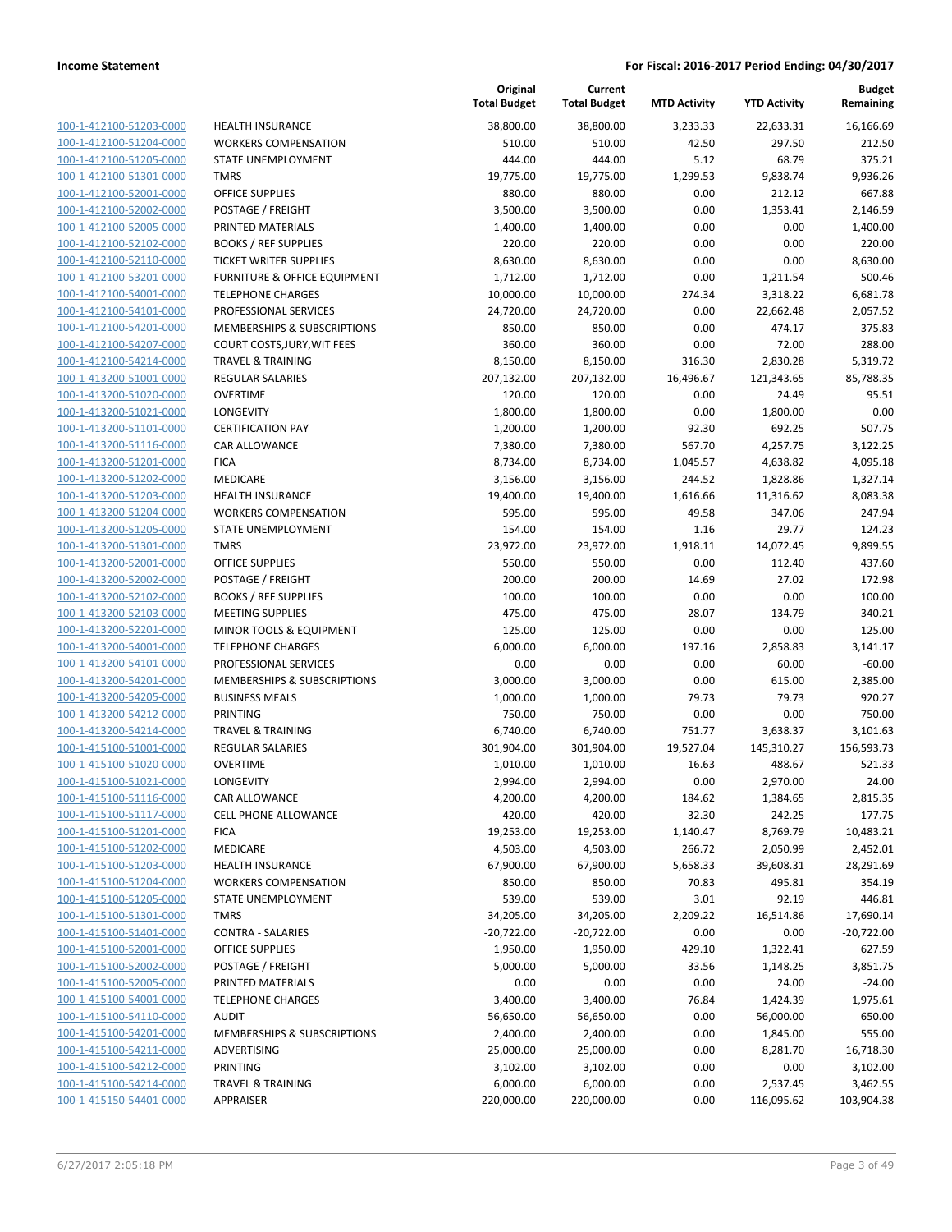| 100-1-412100-51203-0000                            |
|----------------------------------------------------|
| 100-1-412100-51204-0000                            |
| 100-1-412100-51205-0000                            |
| <u>100-1-412100-51301-0000</u>                     |
| 100-1-412100-52001-0000                            |
| 100-1-412100-52002-0000                            |
| 100-1-412100-52005-0000                            |
| 100-1-412100-52102-0000                            |
| <u>100-1-412100-52110-0000</u>                     |
| 100-1-412100-53201-0000                            |
| 100-1-412100-54001-0000                            |
| 100-1-412100-54101-0000                            |
| 100-1-412100-54201-0000                            |
| 100-1-412100-54207-0000                            |
| 100-1-412100-54214-0000                            |
| 100-1-413200-51001-0000                            |
| 100-1-413200-51020-0000                            |
| 100-1-413200-51021-0000                            |
| 100-1-413200-51101-0000                            |
| 100-1-413200-51116-0000                            |
| 100-1-413200-51201-0000<br>100-1-413200-51202-0000 |
|                                                    |
| 100-1-413200-51203-0000                            |
| <u>100-1-413200-51204-0000</u>                     |
| 100-1-413200-51205-0000<br>100-1-413200-51301-0000 |
| 100-1-413200-52001-0000                            |
| 100-1-413200-52002-0000                            |
|                                                    |
| 100-1-413200-52102-0000                            |
| 100-1-413200-52103-0000<br>100-1-413200-52201-0000 |
| 100-1-413200-54001-0000                            |
| 100-1-413200-54101-0000                            |
| <u>100-1-413200-54201-0000</u>                     |
| 100-1-413200-54205-0000                            |
| 100-1-413200-54212-0000                            |
| 100-1-413200-54214-0000                            |
| 100-1-415100-51001-0000                            |
| 100-1-415100-51020-0000                            |
| 100-1-415100-51021-0000                            |
| 100-1-415100-51116-0000                            |
| 100-1-415100-51117-0000                            |
| 100-1-415100-51201-0000                            |
| 100-1-415100-51202-0000                            |
| <u>100-1-415100-51203-0000</u>                     |
| <u>100-1-415100-51204-0000</u>                     |
| <u>100-1-415100-51205-0000</u>                     |
| 100-1-415100-51301-0000                            |
| 100-1-415100-51401-0000                            |
| 100-1-415100-52001-0000                            |
| <u>100-1-415100-52002-0000</u>                     |
| 100-1-415100-52005-0000                            |
| 100-1-415100-54001-0000                            |
| 100-1-415100-54110-0000                            |
| <u>100-1-415100-54201-0000</u>                     |
| 100-1-415100-54211-0000                            |
| <u>100-1-415100-54212-0000</u>                     |
| 100-1-415100-54214-0000                            |
| <u>100-1-415150-54401-0000</u>                     |
|                                                    |

|                         |                               | Original<br><b>Total Budget</b> | Current<br><b>Total Budget</b> | <b>MTD Activity</b> | <b>YTD Activity</b> | <b>Budget</b><br>Remaining |
|-------------------------|-------------------------------|---------------------------------|--------------------------------|---------------------|---------------------|----------------------------|
| 100-1-412100-51203-0000 | <b>HEALTH INSURANCE</b>       | 38,800.00                       | 38,800.00                      | 3,233.33            | 22,633.31           | 16,166.69                  |
| 100-1-412100-51204-0000 | <b>WORKERS COMPENSATION</b>   | 510.00                          | 510.00                         | 42.50               | 297.50              | 212.50                     |
| 100-1-412100-51205-0000 | STATE UNEMPLOYMENT            | 444.00                          | 444.00                         | 5.12                | 68.79               | 375.21                     |
| 100-1-412100-51301-0000 | <b>TMRS</b>                   | 19,775.00                       | 19,775.00                      | 1,299.53            | 9,838.74            | 9,936.26                   |
| 100-1-412100-52001-0000 | <b>OFFICE SUPPLIES</b>        | 880.00                          | 880.00                         | 0.00                | 212.12              | 667.88                     |
| 100-1-412100-52002-0000 | POSTAGE / FREIGHT             | 3,500.00                        | 3,500.00                       | 0.00                | 1,353.41            | 2,146.59                   |
| 100-1-412100-52005-0000 | PRINTED MATERIALS             | 1,400.00                        | 1,400.00                       | 0.00                | 0.00                | 1,400.00                   |
| 100-1-412100-52102-0000 | <b>BOOKS / REF SUPPLIES</b>   | 220.00                          | 220.00                         | 0.00                | 0.00                | 220.00                     |
| 100-1-412100-52110-0000 | <b>TICKET WRITER SUPPLIES</b> | 8,630.00                        | 8,630.00                       | 0.00                | 0.00                | 8,630.00                   |
| 100-1-412100-53201-0000 | FURNITURE & OFFICE EQUIPMENT  | 1,712.00                        | 1,712.00                       | 0.00                | 1,211.54            | 500.46                     |
| 100-1-412100-54001-0000 | <b>TELEPHONE CHARGES</b>      | 10,000.00                       | 10,000.00                      | 274.34              | 3,318.22            | 6,681.78                   |
| 100-1-412100-54101-0000 | PROFESSIONAL SERVICES         | 24,720.00                       | 24,720.00                      | 0.00                | 22,662.48           | 2,057.52                   |
| 100-1-412100-54201-0000 | MEMBERSHIPS & SUBSCRIPTIONS   | 850.00                          | 850.00                         | 0.00                | 474.17              | 375.83                     |
| 100-1-412100-54207-0000 | COURT COSTS, JURY, WIT FEES   | 360.00                          | 360.00                         | 0.00                | 72.00               | 288.00                     |
| 100-1-412100-54214-0000 | <b>TRAVEL &amp; TRAINING</b>  | 8,150.00                        | 8,150.00                       | 316.30              | 2,830.28            | 5,319.72                   |
| 100-1-413200-51001-0000 | REGULAR SALARIES              | 207,132.00                      | 207,132.00                     | 16,496.67           | 121,343.65          | 85,788.35                  |
| 100-1-413200-51020-0000 | <b>OVERTIME</b>               | 120.00                          | 120.00                         | 0.00                | 24.49               | 95.51                      |
| 100-1-413200-51021-0000 | LONGEVITY                     | 1,800.00                        | 1,800.00                       | 0.00                | 1,800.00            | 0.00                       |
| 100-1-413200-51101-0000 | <b>CERTIFICATION PAY</b>      | 1,200.00                        | 1,200.00                       | 92.30               | 692.25              | 507.75                     |
| 100-1-413200-51116-0000 | <b>CAR ALLOWANCE</b>          | 7,380.00                        | 7,380.00                       | 567.70              | 4,257.75            | 3,122.25                   |
| 100-1-413200-51201-0000 | <b>FICA</b>                   | 8,734.00                        | 8,734.00                       | 1,045.57            | 4,638.82            | 4,095.18                   |
| 100-1-413200-51202-0000 | MEDICARE                      | 3,156.00                        | 3,156.00                       | 244.52              | 1,828.86            | 1,327.14                   |
| 100-1-413200-51203-0000 | <b>HEALTH INSURANCE</b>       | 19,400.00                       | 19,400.00                      | 1,616.66            | 11,316.62           | 8,083.38                   |
| 100-1-413200-51204-0000 | <b>WORKERS COMPENSATION</b>   | 595.00                          | 595.00                         | 49.58               | 347.06              | 247.94                     |
| 100-1-413200-51205-0000 | STATE UNEMPLOYMENT            | 154.00                          | 154.00                         | 1.16                | 29.77               | 124.23                     |
| 100-1-413200-51301-0000 | <b>TMRS</b>                   | 23,972.00                       | 23,972.00                      | 1,918.11            | 14,072.45           | 9,899.55                   |
| 100-1-413200-52001-0000 | <b>OFFICE SUPPLIES</b>        | 550.00                          | 550.00                         | 0.00                | 112.40              | 437.60                     |
| 100-1-413200-52002-0000 | POSTAGE / FREIGHT             | 200.00                          | 200.00                         | 14.69               | 27.02               | 172.98                     |
| 100-1-413200-52102-0000 | <b>BOOKS / REF SUPPLIES</b>   | 100.00                          | 100.00                         | 0.00                | 0.00                | 100.00                     |
| 100-1-413200-52103-0000 | <b>MEETING SUPPLIES</b>       | 475.00                          | 475.00                         | 28.07               | 134.79              | 340.21                     |
| 100-1-413200-52201-0000 | MINOR TOOLS & EQUIPMENT       | 125.00                          | 125.00                         | 0.00                | 0.00                | 125.00                     |
| 100-1-413200-54001-0000 | <b>TELEPHONE CHARGES</b>      | 6,000.00                        | 6,000.00                       | 197.16              | 2,858.83            | 3,141.17                   |
| 100-1-413200-54101-0000 | PROFESSIONAL SERVICES         | 0.00                            | 0.00                           | 0.00                | 60.00               | $-60.00$                   |
| 100-1-413200-54201-0000 | MEMBERSHIPS & SUBSCRIPTIONS   | 3,000.00                        | 3,000.00                       | 0.00                | 615.00              | 2,385.00                   |
| 100-1-413200-54205-0000 | <b>BUSINESS MEALS</b>         | 1,000.00                        | 1,000.00                       | 79.73               | 79.73               | 920.27                     |
| 100-1-413200-54212-0000 | <b>PRINTING</b>               | 750.00                          | 750.00                         | 0.00                | 0.00                | 750.00                     |
| 100-1-413200-54214-0000 | <b>TRAVEL &amp; TRAINING</b>  | 6,740.00                        | 6,740.00                       | 751.77              | 3,638.37            | 3,101.63                   |
| 100-1-415100-51001-0000 | REGULAR SALARIES              | 301,904.00                      | 301,904.00                     | 19,527.04           | 145,310.27          | 156,593.73                 |
| 100-1-415100-51020-0000 | <b>OVERTIME</b>               | 1,010.00                        | 1,010.00                       | 16.63               | 488.67              | 521.33                     |
| 100-1-415100-51021-0000 | LONGEVITY                     | 2,994.00                        | 2,994.00                       | 0.00                | 2,970.00            | 24.00                      |
| 100-1-415100-51116-0000 | CAR ALLOWANCE                 | 4,200.00                        | 4,200.00                       | 184.62              | 1,384.65            | 2,815.35                   |
| 100-1-415100-51117-0000 | CELL PHONE ALLOWANCE          | 420.00                          | 420.00                         | 32.30               | 242.25              | 177.75                     |
| 100-1-415100-51201-0000 | <b>FICA</b>                   | 19,253.00                       | 19,253.00                      | 1,140.47            | 8,769.79            | 10,483.21                  |
| 100-1-415100-51202-0000 | MEDICARE                      | 4,503.00                        | 4,503.00                       | 266.72              | 2,050.99            | 2,452.01                   |
| 100-1-415100-51203-0000 | <b>HEALTH INSURANCE</b>       | 67,900.00                       | 67,900.00                      | 5,658.33            | 39,608.31           | 28,291.69                  |
| 100-1-415100-51204-0000 | <b>WORKERS COMPENSATION</b>   | 850.00                          | 850.00                         | 70.83               | 495.81              | 354.19                     |
| 100-1-415100-51205-0000 | STATE UNEMPLOYMENT            | 539.00                          | 539.00                         | 3.01                | 92.19               | 446.81                     |
| 100-1-415100-51301-0000 | <b>TMRS</b>                   | 34,205.00                       | 34,205.00                      | 2,209.22            | 16,514.86           | 17,690.14                  |
| 100-1-415100-51401-0000 | <b>CONTRA - SALARIES</b>      | $-20,722.00$                    | $-20,722.00$                   | 0.00                | 0.00                | $-20,722.00$               |
| 100-1-415100-52001-0000 | <b>OFFICE SUPPLIES</b>        | 1,950.00                        | 1,950.00                       | 429.10              | 1,322.41            | 627.59                     |
| 100-1-415100-52002-0000 | POSTAGE / FREIGHT             | 5,000.00                        | 5,000.00                       | 33.56               | 1,148.25            | 3,851.75                   |
| 100-1-415100-52005-0000 | PRINTED MATERIALS             | 0.00                            | 0.00                           | 0.00                | 24.00               | $-24.00$                   |
| 100-1-415100-54001-0000 | <b>TELEPHONE CHARGES</b>      | 3,400.00                        | 3,400.00                       | 76.84               | 1,424.39            | 1,975.61                   |
| 100-1-415100-54110-0000 | <b>AUDIT</b>                  | 56,650.00                       | 56,650.00                      | 0.00                | 56,000.00           | 650.00                     |
| 100-1-415100-54201-0000 | MEMBERSHIPS & SUBSCRIPTIONS   | 2,400.00                        | 2,400.00                       | 0.00                | 1,845.00            | 555.00                     |
| 100-1-415100-54211-0000 | ADVERTISING                   | 25,000.00                       | 25,000.00                      | 0.00                | 8,281.70            | 16,718.30                  |
| 100-1-415100-54212-0000 | PRINTING                      | 3,102.00                        | 3,102.00                       | 0.00                | 0.00                | 3,102.00                   |
| 100-1-415100-54214-0000 | <b>TRAVEL &amp; TRAINING</b>  | 6,000.00                        |                                | 0.00                |                     |                            |
| 100-1-415150-54401-0000 | APPRAISER                     | 220,000.00                      | 6,000.00<br>220,000.00         | 0.00                | 2,537.45            | 3,462.55<br>103,904.38     |
|                         |                               |                                 |                                |                     | 116,095.62          |                            |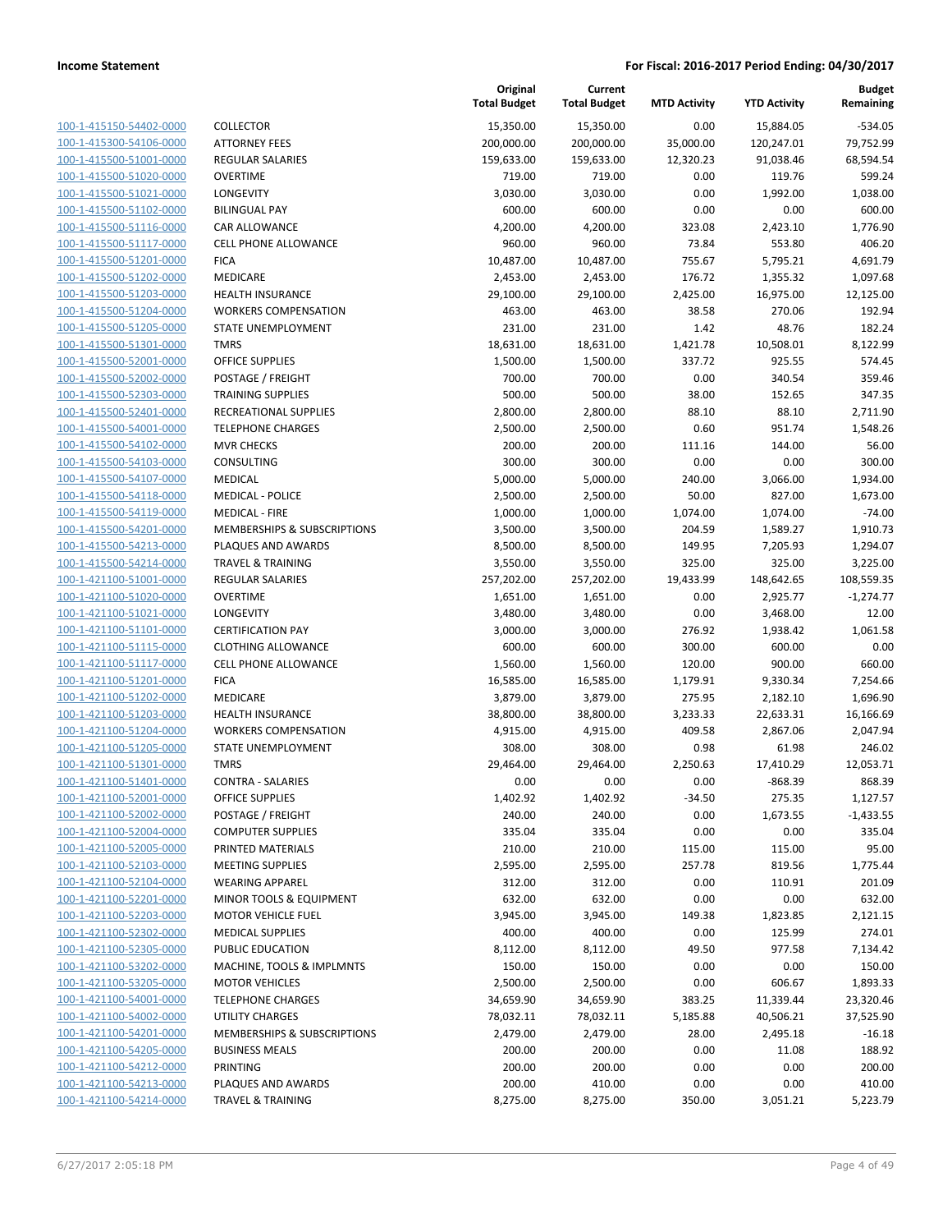| 100-1-415150-54402-0000                                          |
|------------------------------------------------------------------|
| 100-1-415300-54106-0000                                          |
| 100-1-415500-51001-0000                                          |
| 100-1-415500-51020-0000                                          |
| 100-1-415500-51021-0000                                          |
| 100-1-415500-51102-0000                                          |
| 100-1-415500-51116-0000                                          |
| 100-1-415500-51117-0000                                          |
| 100-1-415500-51201-0000                                          |
| 100-1-415500-51202-0000                                          |
| 100-1-415500-51203-0000                                          |
| 100-1-415500-51204-0000                                          |
| 100-1-415500-51205-0000                                          |
| <u>100-1-415500-51301-0000</u>                                   |
| 100-1-415500-52001-0000                                          |
| 100-1-415500-52002-0000                                          |
|                                                                  |
| 100-1-415500-52303-0000                                          |
| 100-1-415500-52401-0000                                          |
| <u>100-1-415500-54001-0000</u>                                   |
| 100-1-415500-54102-0000                                          |
| 100-1-415500-54103-0000                                          |
| 100-1-415500-54107-0000                                          |
| 100-1-415500-54118-0000                                          |
| <u>100-1-415500-54119-0000</u>                                   |
| 100-1-415500-54201-0000                                          |
| 100-1-415500-54213-0000                                          |
| 100-1-415500-54214-0000                                          |
| 100-1-421100-51001-0000                                          |
| 100-1-421100-51020-0000                                          |
| 100-1-421100-51021-0000                                          |
| 100-1-421100-51101-0000                                          |
| 100-1-421100-51115-0000                                          |
| 100-1-421100-51117-0000                                          |
| <u>100-1-421100-51201-0000</u>                                   |
| 100-1-421100-51202-0000                                          |
| 100-1-421100-51203-0000                                          |
| 100-1-421100-51204-0000                                          |
|                                                                  |
| 100-1-421100-51205-0000                                          |
| <u>100-1-421100-51301-0000</u>                                   |
| 100-1-421100-51401-0000                                          |
| 100-1-421100-52001-0000                                          |
| <u>100-1-421100-52002-0000</u>                                   |
| <u>100-1-421100-52004-0000</u>                                   |
| 100-1-421100-52005-0000                                          |
| <u>100-1-421100-52103-0000</u>                                   |
| 100-1-421100-52104-0000                                          |
| 100-1-421100-52201-0000                                          |
| 100-1-421100-52203-0000                                          |
|                                                                  |
| <u>100-1-421100-52302-0000</u>                                   |
| <u>100-1-421100-52305-0000</u>                                   |
| 100-1-421100-53202-0000                                          |
|                                                                  |
| 100-1-421100-53205-0000                                          |
| <u>100-1-421100-54001-0000</u>                                   |
| <u>100-1-421100-54002-0000</u>                                   |
| <u>100-1-421100-54201-0000</u>                                   |
| <u>100-1-421100-54205-0000</u>                                   |
| 100-1-421100-54212-0000                                          |
| <u>100-1-421100-54213-0000</u><br><u>100-1-421100-54214-0000</u> |

|                                                    |                                                              | Original<br><b>Total Budget</b> | Current<br><b>Total Budget</b> | <b>MTD Activity</b> | <b>YTD Activity</b>    | <b>Budget</b><br>Remaining |
|----------------------------------------------------|--------------------------------------------------------------|---------------------------------|--------------------------------|---------------------|------------------------|----------------------------|
| 100-1-415150-54402-0000                            | <b>COLLECTOR</b>                                             | 15,350.00                       | 15,350.00                      | 0.00                | 15,884.05              | $-534.05$                  |
| 100-1-415300-54106-0000                            | <b>ATTORNEY FEES</b>                                         | 200,000.00                      | 200,000.00                     | 35,000.00           | 120,247.01             | 79,752.99                  |
| 100-1-415500-51001-0000                            | REGULAR SALARIES                                             | 159,633.00                      | 159,633.00                     | 12,320.23           | 91,038.46              | 68,594.54                  |
| 100-1-415500-51020-0000                            | <b>OVERTIME</b>                                              | 719.00                          | 719.00                         | 0.00                | 119.76                 | 599.24                     |
| 100-1-415500-51021-0000                            | <b>LONGEVITY</b>                                             | 3,030.00                        | 3,030.00                       | 0.00                | 1,992.00               | 1,038.00                   |
| 100-1-415500-51102-0000                            | <b>BILINGUAL PAY</b>                                         | 600.00                          | 600.00                         | 0.00                | 0.00                   | 600.00                     |
| 100-1-415500-51116-0000                            | CAR ALLOWANCE                                                | 4,200.00                        | 4,200.00                       | 323.08              | 2,423.10               | 1,776.90                   |
| 100-1-415500-51117-0000                            | <b>CELL PHONE ALLOWANCE</b>                                  | 960.00                          | 960.00                         | 73.84               | 553.80                 | 406.20                     |
| 100-1-415500-51201-0000                            | <b>FICA</b>                                                  | 10,487.00                       | 10,487.00                      | 755.67              | 5,795.21               | 4,691.79                   |
| 100-1-415500-51202-0000                            | MEDICARE                                                     | 2,453.00                        | 2,453.00                       | 176.72              | 1,355.32               | 1,097.68                   |
| 100-1-415500-51203-0000                            | <b>HEALTH INSURANCE</b>                                      | 29,100.00                       | 29,100.00                      | 2,425.00            | 16,975.00              | 12,125.00                  |
| 100-1-415500-51204-0000                            | <b>WORKERS COMPENSATION</b>                                  | 463.00                          | 463.00                         | 38.58               | 270.06                 | 192.94                     |
| 100-1-415500-51205-0000                            | STATE UNEMPLOYMENT                                           | 231.00                          | 231.00                         | 1.42                | 48.76                  | 182.24                     |
| 100-1-415500-51301-0000                            | <b>TMRS</b>                                                  | 18,631.00                       | 18,631.00                      | 1,421.78            | 10,508.01              | 8,122.99                   |
| 100-1-415500-52001-0000                            | <b>OFFICE SUPPLIES</b>                                       | 1,500.00                        | 1,500.00                       | 337.72              | 925.55                 | 574.45                     |
| 100-1-415500-52002-0000                            | POSTAGE / FREIGHT                                            | 700.00                          | 700.00                         | 0.00                | 340.54                 | 359.46                     |
| 100-1-415500-52303-0000                            | <b>TRAINING SUPPLIES</b>                                     | 500.00                          | 500.00                         | 38.00               | 152.65                 | 347.35                     |
| 100-1-415500-52401-0000                            | RECREATIONAL SUPPLIES                                        | 2,800.00                        | 2,800.00                       | 88.10               | 88.10                  | 2,711.90                   |
| 100-1-415500-54001-0000                            | <b>TELEPHONE CHARGES</b>                                     | 2,500.00                        | 2,500.00                       | 0.60                | 951.74                 | 1,548.26                   |
| 100-1-415500-54102-0000                            | <b>MVR CHECKS</b>                                            | 200.00                          | 200.00                         | 111.16              | 144.00                 | 56.00                      |
| 100-1-415500-54103-0000                            | CONSULTING                                                   | 300.00                          | 300.00                         | 0.00                | 0.00                   | 300.00                     |
| 100-1-415500-54107-0000                            | <b>MEDICAL</b>                                               | 5,000.00                        | 5,000.00                       | 240.00              | 3,066.00               | 1,934.00                   |
| 100-1-415500-54118-0000                            | <b>MEDICAL - POLICE</b>                                      | 2,500.00                        | 2,500.00                       | 50.00               | 827.00                 | 1,673.00                   |
| 100-1-415500-54119-0000                            | <b>MEDICAL - FIRE</b>                                        | 1,000.00                        | 1,000.00                       | 1,074.00            | 1,074.00               | $-74.00$                   |
| 100-1-415500-54201-0000                            | MEMBERSHIPS & SUBSCRIPTIONS                                  | 3,500.00                        | 3,500.00                       | 204.59              | 1,589.27               | 1,910.73                   |
| 100-1-415500-54213-0000                            | PLAQUES AND AWARDS                                           | 8,500.00                        | 8,500.00                       | 149.95              | 7,205.93               | 1,294.07                   |
| 100-1-415500-54214-0000                            | <b>TRAVEL &amp; TRAINING</b>                                 | 3,550.00                        | 3,550.00                       | 325.00              | 325.00                 | 3,225.00                   |
| 100-1-421100-51001-0000                            | REGULAR SALARIES                                             | 257,202.00                      | 257,202.00                     | 19,433.99           | 148,642.65             | 108,559.35                 |
| 100-1-421100-51020-0000                            | <b>OVERTIME</b>                                              | 1,651.00                        | 1,651.00                       | 0.00                | 2,925.77               | $-1,274.77$                |
| 100-1-421100-51021-0000                            | LONGEVITY                                                    | 3,480.00                        | 3,480.00                       | 0.00                | 3,468.00               | 12.00                      |
| 100-1-421100-51101-0000                            | <b>CERTIFICATION PAY</b>                                     | 3,000.00                        | 3,000.00                       | 276.92              | 1,938.42               | 1,061.58                   |
| 100-1-421100-51115-0000                            | <b>CLOTHING ALLOWANCE</b>                                    | 600.00                          | 600.00                         | 300.00              | 600.00                 | 0.00                       |
| 100-1-421100-51117-0000                            | <b>CELL PHONE ALLOWANCE</b>                                  | 1,560.00                        | 1,560.00                       | 120.00              | 900.00                 | 660.00                     |
| 100-1-421100-51201-0000                            | <b>FICA</b>                                                  | 16,585.00                       | 16,585.00                      | 1,179.91            | 9,330.34               | 7,254.66                   |
| 100-1-421100-51202-0000                            | MEDICARE                                                     | 3,879.00                        | 3,879.00                       | 275.95              | 2,182.10               | 1,696.90                   |
| 100-1-421100-51203-0000                            | <b>HEALTH INSURANCE</b>                                      | 38,800.00                       | 38,800.00                      | 3,233.33            | 22,633.31              | 16,166.69                  |
| 100-1-421100-51204-0000                            | <b>WORKERS COMPENSATION</b>                                  | 4,915.00                        | 4,915.00                       | 409.58              | 2,867.06               | 2,047.94                   |
| 100-1-421100-51205-0000                            | STATE UNEMPLOYMENT                                           | 308.00                          | 308.00                         | 0.98                | 61.98                  | 246.02                     |
| 100-1-421100-51301-0000                            | <b>TMRS</b>                                                  | 29,464.00                       | 29,464.00                      | 2,250.63            | 17,410.29              | 12,053.71                  |
| 100-1-421100-51401-0000                            | <b>CONTRA - SALARIES</b>                                     | 0.00                            | 0.00                           | 0.00                | $-868.39$              | 868.39                     |
| 100-1-421100-52001-0000                            | <b>OFFICE SUPPLIES</b>                                       | 1,402.92                        | 1,402.92                       | $-34.50$            | 275.35                 | 1,127.57                   |
| 100-1-421100-52002-0000                            | POSTAGE / FREIGHT                                            | 240.00                          | 240.00                         | 0.00                | 1,673.55               | $-1,433.55$                |
| 100-1-421100-52004-0000                            | <b>COMPUTER SUPPLIES</b>                                     | 335.04                          | 335.04                         | 0.00                | 0.00                   | 335.04                     |
| 100-1-421100-52005-0000                            | PRINTED MATERIALS                                            | 210.00                          | 210.00                         | 115.00              | 115.00                 | 95.00                      |
| 100-1-421100-52103-0000                            | <b>MEETING SUPPLIES</b>                                      | 2,595.00                        | 2,595.00                       | 257.78              | 819.56                 | 1,775.44<br>201.09         |
| 100-1-421100-52104-0000                            | <b>WEARING APPAREL</b><br><b>MINOR TOOLS &amp; EQUIPMENT</b> | 312.00                          | 312.00                         | 0.00                | 110.91                 |                            |
| 100-1-421100-52201-0000                            | <b>MOTOR VEHICLE FUEL</b>                                    | 632.00                          | 632.00                         | 0.00                | 0.00                   | 632.00                     |
| 100-1-421100-52203-0000<br>100-1-421100-52302-0000 |                                                              | 3,945.00                        | 3,945.00                       | 149.38              | 1,823.85               | 2,121.15                   |
| 100-1-421100-52305-0000                            | <b>MEDICAL SUPPLIES</b><br>PUBLIC EDUCATION                  | 400.00<br>8,112.00              | 400.00<br>8,112.00             | 0.00<br>49.50       | 125.99<br>977.58       | 274.01<br>7,134.42         |
| 100-1-421100-53202-0000                            | MACHINE, TOOLS & IMPLMNTS                                    | 150.00                          | 150.00                         | 0.00                | 0.00                   | 150.00                     |
| 100-1-421100-53205-0000                            | <b>MOTOR VEHICLES</b>                                        | 2,500.00                        |                                | 0.00                | 606.67                 | 1,893.33                   |
| 100-1-421100-54001-0000                            | <b>TELEPHONE CHARGES</b>                                     | 34,659.90                       | 2,500.00<br>34,659.90          | 383.25              |                        | 23,320.46                  |
| 100-1-421100-54002-0000                            | <b>UTILITY CHARGES</b>                                       | 78,032.11                       | 78,032.11                      | 5,185.88            | 11,339.44<br>40,506.21 | 37,525.90                  |
| 100-1-421100-54201-0000                            | MEMBERSHIPS & SUBSCRIPTIONS                                  | 2,479.00                        | 2,479.00                       | 28.00               | 2,495.18               | $-16.18$                   |
| 100-1-421100-54205-0000                            | <b>BUSINESS MEALS</b>                                        | 200.00                          | 200.00                         | 0.00                | 11.08                  | 188.92                     |
| 100-1-421100-54212-0000                            | PRINTING                                                     | 200.00                          | 200.00                         | 0.00                | 0.00                   | 200.00                     |
| 100-1-421100-54213-0000                            | PLAQUES AND AWARDS                                           | 200.00                          | 410.00                         | 0.00                | 0.00                   | 410.00                     |
| 100-1-421100-54214-0000                            | <b>TRAVEL &amp; TRAINING</b>                                 | 8,275.00                        | 8,275.00                       | 350.00              | 3,051.21               | 5,223.79                   |
|                                                    |                                                              |                                 |                                |                     |                        |                            |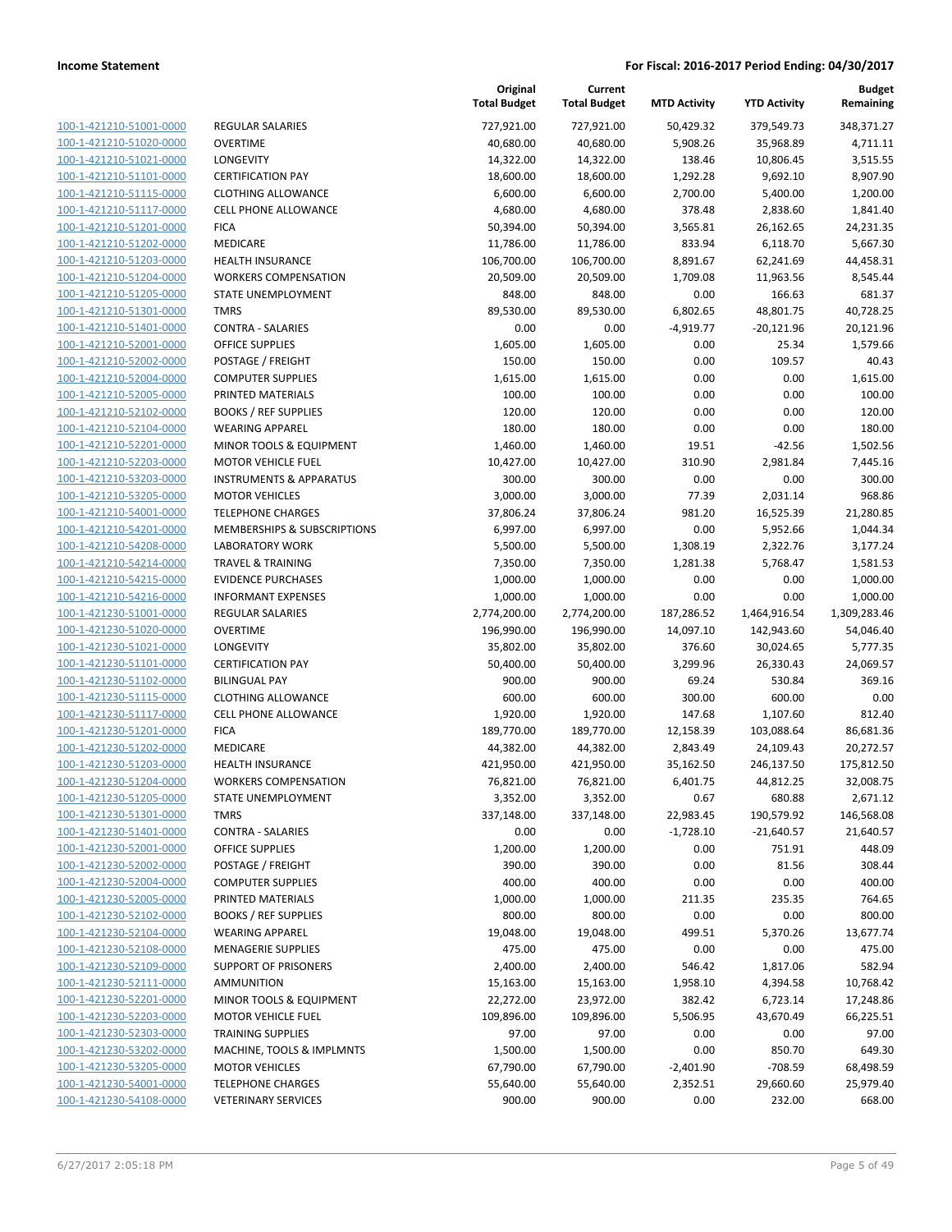| 100-1-421210-51001-0000                 |
|-----------------------------------------|
| 100-1-421210-51020-0000                 |
| 100-1-421210-51021-0000                 |
| 100-1-421210-51101-0000                 |
| 100-1-421210-51115-0000                 |
| 100-1-421210-51117-0000                 |
| 100-1-421210-51201-0000                 |
| 100-1-421210-51202-0000                 |
| 100-1-421210-51203-0000                 |
| 100-1-421210-51204-0000                 |
| 100-1-421210-51205-0000                 |
| $-421210 - 51301$<br>$100 - 1$<br>-0000 |
| 100-1-421210-51401-0000                 |
| 100-1-421210-52001-0000                 |
| <u>100-1-421210-52002-0000</u>          |
| <u>100-1-421210-52004-0000</u>          |
| 100-1-421210-52005-0000                 |
| 100-1-421210-52102-0000                 |
| 100-1-421210-52104-0000                 |
| 100-1-421210-52201-0000                 |
| 100-1-421210-52203-0000                 |
| -421210-53203-0000<br>$100 - 1$         |
| 100-1-421210-53205-0000                 |
| 100-1-421210-54001-0000                 |
| <u>100-1-421210-54201-0000</u>          |
| <u>100-1-421210-54208-0000</u>          |
| 100-1-421210-54214-0000                 |
| 100-1-421210-54215-0000                 |
| 100-1-421210-54216-0000                 |
| 100-1-421230-51001-0000                 |
| 100-1-421230-51020-0000                 |
| 100-1-421230-51021-0000                 |
| 100-1-421230-51101-0000                 |
| 100-1-421230-51102-0000                 |
| 100-1-421230-51115-0000                 |
| 100-1-421230-51117-0000                 |
| 100-1-421230-51201-0000                 |
| 100-1-421230-51202-0000                 |
| 100-1-421230-51203-0000                 |
| 100-1-421230-51204-0000                 |
| 100-1-421230-51205-0000                 |
| 100-1-421230-51301-0000                 |
| 100-1-421230-51401-0000                 |
| <u>100-1-421230-52001-0000</u>          |
| <u>100-1-421230-52002-0000</u>          |
| 100-1-421230-52004-0000                 |
| 100-1-421230-52005-0000                 |
| 100-1-421230-52102-0000                 |
| <u>100-1-421230-52104-0000</u>          |
| <u>100-1-421230-52108-0000</u>          |
| <u>100-1-421230-52109-0000</u>          |
| 100-1-421230-52111-0000                 |
| 100-1-421230-52201-0000                 |
| <u>100-1-421230-52203-0000</u>          |
| <u>100-1-421230-52303-0000</u>          |
| <u>100-1-421230-53202-0000</u>          |
| <u>100-1-421230-53205-0000</u>          |
| 100-1-421230-54001-0000                 |
| 100-1-421230-54108-0000                 |

| REGULAR SALARIES             |
|------------------------------|
| OVERTIME                     |
| LONGEVITY                    |
| <b>CERTIFICATION PAY</b>     |
| CLOTHING ALLOWANCE           |
| <b>CELL PHONE ALLOWANCE</b>  |
| <b>FICA</b>                  |
| MEDICARE                     |
| <b>HEALTH INSURANCE</b>      |
| WORKERS COMPENSATION         |
| STATE UNEMPLOYMENT           |
| <b>TMRS</b>                  |
| <b>CONTRA - SALARIES</b>     |
| OFFICE SUPPLIES              |
| POSTAGE / FREIGHT            |
| COMPUTER SUPPLIES            |
| PRINTED MATERIALS            |
| <b>BOOKS / REF SUPPLIES</b>  |
| <b>WEARING APPAREL</b>       |
| MINOR TOOLS & EQUIPMENT      |
| <b>MOTOR VEHICLE FUEL</b>    |
| INSTRUMENTS & APPARATUS      |
| <b>MOTOR VEHICLES</b>        |
| <b>TELEPHONE CHARGES</b>     |
| MEMBERSHIPS & SUBSCRIPTIONS  |
| LABORATORY WORK              |
| <b>TRAVEL &amp; TRAINING</b> |
| <b>EVIDENCE PURCHASES</b>    |
| <b>INFORMANT EXPENSES</b>    |
| REGULAR SALARIES             |
| OVERTIME                     |
| LONGEVITY                    |
| <b>CERTIFICATION PAY</b>     |
| <b>BILINGUAL PAY</b>         |
| <b>CLOTHING ALLOWANCE</b>    |
| <b>CELL PHONE ALLOWANCE</b>  |
| <b>FICA</b>                  |
| <b>MEDICARE</b>              |
| <b>HEALTH INSURANCE</b>      |
| <b>WORKERS COMPENSATION</b>  |
| <b>STATE UNEMPLOYMENT</b>    |
| <b>TMRS</b>                  |
| CONTRA - SALARIES            |
| OFFICE SUPPLIES              |
| POSTAGE / FREIGHT            |
| <b>COMPUTER SUPPLIES</b>     |
| PRINTED MATERIALS            |
| <b>BOOKS / REF SUPPLIES</b>  |
| <b>WEARING APPAREL</b>       |
| <b>MENAGERIE SUPPLIES</b>    |
| SUPPORT OF PRISONERS         |
| AMMUNITION                   |
| MINOR TOOLS & EQUIPMENT      |
| MOTOR VEHICLE FUEL           |
| TRAINING SUPPLIES            |
| MACHINE, TOOLS & IMPLMNTS    |
| <b>MOTOR VEHICLES</b>        |
| <b>TELEPHONE CHARGES</b>     |

|                         |                                    | Original<br><b>Total Budget</b> | Current<br><b>Total Budget</b> | <b>MTD Activity</b> | <b>YTD Activity</b> | <b>Budget</b><br>Remaining |
|-------------------------|------------------------------------|---------------------------------|--------------------------------|---------------------|---------------------|----------------------------|
| 100-1-421210-51001-0000 | <b>REGULAR SALARIES</b>            | 727,921.00                      | 727,921.00                     | 50,429.32           | 379,549.73          | 348,371.27                 |
| 100-1-421210-51020-0000 | <b>OVERTIME</b>                    | 40,680.00                       | 40,680.00                      | 5,908.26            | 35,968.89           | 4,711.11                   |
| 100-1-421210-51021-0000 | LONGEVITY                          | 14,322.00                       | 14,322.00                      | 138.46              | 10,806.45           | 3,515.55                   |
| 100-1-421210-51101-0000 | <b>CERTIFICATION PAY</b>           | 18,600.00                       | 18,600.00                      | 1,292.28            | 9,692.10            | 8,907.90                   |
| 100-1-421210-51115-0000 | <b>CLOTHING ALLOWANCE</b>          | 6,600.00                        | 6,600.00                       | 2,700.00            | 5,400.00            | 1,200.00                   |
| 100-1-421210-51117-0000 | <b>CELL PHONE ALLOWANCE</b>        | 4,680.00                        | 4,680.00                       | 378.48              | 2,838.60            | 1,841.40                   |
| 100-1-421210-51201-0000 | <b>FICA</b>                        | 50,394.00                       | 50,394.00                      | 3,565.81            | 26,162.65           | 24,231.35                  |
| 100-1-421210-51202-0000 | MEDICARE                           | 11,786.00                       | 11,786.00                      | 833.94              | 6,118.70            | 5,667.30                   |
| 100-1-421210-51203-0000 | <b>HEALTH INSURANCE</b>            | 106,700.00                      | 106,700.00                     | 8,891.67            | 62,241.69           | 44,458.31                  |
| 100-1-421210-51204-0000 | <b>WORKERS COMPENSATION</b>        | 20,509.00                       | 20,509.00                      | 1,709.08            | 11,963.56           | 8,545.44                   |
| 100-1-421210-51205-0000 | STATE UNEMPLOYMENT                 | 848.00                          | 848.00                         | 0.00                | 166.63              | 681.37                     |
| 100-1-421210-51301-0000 | <b>TMRS</b>                        | 89,530.00                       | 89,530.00                      | 6,802.65            | 48,801.75           | 40,728.25                  |
| 100-1-421210-51401-0000 | <b>CONTRA - SALARIES</b>           | 0.00                            | 0.00                           | $-4,919.77$         | $-20,121.96$        | 20,121.96                  |
| 100-1-421210-52001-0000 | <b>OFFICE SUPPLIES</b>             | 1,605.00                        | 1,605.00                       | 0.00                | 25.34               | 1,579.66                   |
| 100-1-421210-52002-0000 | POSTAGE / FREIGHT                  | 150.00                          | 150.00                         | 0.00                | 109.57              | 40.43                      |
| 100-1-421210-52004-0000 | <b>COMPUTER SUPPLIES</b>           | 1,615.00                        | 1,615.00                       | 0.00                | 0.00                | 1,615.00                   |
| 100-1-421210-52005-0000 | PRINTED MATERIALS                  | 100.00                          | 100.00                         | 0.00                | 0.00                | 100.00                     |
| 100-1-421210-52102-0000 | <b>BOOKS / REF SUPPLIES</b>        | 120.00                          | 120.00                         | 0.00                | 0.00                | 120.00                     |
| 100-1-421210-52104-0000 | <b>WEARING APPAREL</b>             | 180.00                          | 180.00                         | 0.00                | 0.00                | 180.00                     |
| 100-1-421210-52201-0000 | MINOR TOOLS & EQUIPMENT            | 1,460.00                        | 1,460.00                       | 19.51               | $-42.56$            | 1,502.56                   |
| 100-1-421210-52203-0000 | <b>MOTOR VEHICLE FUEL</b>          | 10,427.00                       | 10,427.00                      | 310.90              | 2,981.84            | 7,445.16                   |
| 100-1-421210-53203-0000 | <b>INSTRUMENTS &amp; APPARATUS</b> | 300.00                          | 300.00                         | 0.00                | 0.00                | 300.00                     |
| 100-1-421210-53205-0000 | <b>MOTOR VEHICLES</b>              | 3,000.00                        | 3,000.00                       | 77.39               | 2,031.14            | 968.86                     |
| 100-1-421210-54001-0000 | <b>TELEPHONE CHARGES</b>           | 37,806.24                       | 37,806.24                      | 981.20              | 16,525.39           | 21,280.85                  |
| 100-1-421210-54201-0000 | MEMBERSHIPS & SUBSCRIPTIONS        | 6,997.00                        | 6,997.00                       | 0.00                | 5,952.66            | 1,044.34                   |
| 100-1-421210-54208-0000 | <b>LABORATORY WORK</b>             | 5,500.00                        | 5,500.00                       | 1,308.19            | 2,322.76            | 3,177.24                   |
| 100-1-421210-54214-0000 | <b>TRAVEL &amp; TRAINING</b>       | 7,350.00                        | 7,350.00                       | 1,281.38            | 5,768.47            | 1,581.53                   |
| 100-1-421210-54215-0000 | <b>EVIDENCE PURCHASES</b>          | 1,000.00                        | 1,000.00                       | 0.00                | 0.00                | 1,000.00                   |
| 100-1-421210-54216-0000 | <b>INFORMANT EXPENSES</b>          | 1,000.00                        | 1,000.00                       | 0.00                | 0.00                | 1,000.00                   |
| 100-1-421230-51001-0000 | REGULAR SALARIES                   | 2,774,200.00                    | 2,774,200.00                   | 187,286.52          | 1,464,916.54        | 1,309,283.46               |
| 100-1-421230-51020-0000 | <b>OVERTIME</b>                    | 196,990.00                      | 196,990.00                     | 14,097.10           | 142,943.60          | 54,046.40                  |
| 100-1-421230-51021-0000 | LONGEVITY                          | 35,802.00                       | 35,802.00                      | 376.60              | 30,024.65           | 5,777.35                   |
| 100-1-421230-51101-0000 | <b>CERTIFICATION PAY</b>           | 50,400.00                       | 50,400.00                      | 3,299.96            | 26,330.43           | 24,069.57                  |
| 100-1-421230-51102-0000 | <b>BILINGUAL PAY</b>               | 900.00                          | 900.00                         | 69.24               | 530.84              | 369.16                     |
| 100-1-421230-51115-0000 | <b>CLOTHING ALLOWANCE</b>          | 600.00                          | 600.00                         | 300.00              | 600.00              | 0.00                       |
| 100-1-421230-51117-0000 | <b>CELL PHONE ALLOWANCE</b>        | 1,920.00                        | 1,920.00                       | 147.68              | 1,107.60            | 812.40                     |
| 100-1-421230-51201-0000 | <b>FICA</b>                        | 189,770.00                      | 189,770.00                     | 12,158.39           | 103,088.64          | 86,681.36                  |
| 100-1-421230-51202-0000 | <b>MEDICARE</b>                    | 44,382.00                       | 44,382.00                      | 2,843.49            | 24,109.43           | 20,272.57                  |
| 100-1-421230-51203-0000 | <b>HEALTH INSURANCE</b>            | 421,950.00                      | 421,950.00                     | 35,162.50           | 246,137.50          | 175,812.50                 |
| 100-1-421230-51204-0000 | <b>WORKERS COMPENSATION</b>        | 76,821.00                       | 76,821.00                      | 6,401.75            | 44,812.25           | 32,008.75                  |
| 100-1-421230-51205-0000 | STATE UNEMPLOYMENT                 | 3,352.00                        | 3,352.00                       | 0.67                | 680.88              | 2,671.12                   |
| 100-1-421230-51301-0000 | <b>TMRS</b>                        | 337,148.00                      | 337,148.00                     | 22,983.45           | 190,579.92          | 146,568.08                 |
| 100-1-421230-51401-0000 | <b>CONTRA - SALARIES</b>           | 0.00                            | 0.00                           | $-1,728.10$         | $-21,640.57$        | 21,640.57                  |
| 100-1-421230-52001-0000 | <b>OFFICE SUPPLIES</b>             | 1,200.00                        | 1,200.00                       | 0.00                | 751.91              | 448.09                     |
| 100-1-421230-52002-0000 | POSTAGE / FREIGHT                  | 390.00                          | 390.00                         | 0.00                | 81.56               | 308.44                     |
| 100-1-421230-52004-0000 | <b>COMPUTER SUPPLIES</b>           | 400.00                          | 400.00                         | 0.00                | 0.00                | 400.00                     |
| 100-1-421230-52005-0000 | PRINTED MATERIALS                  | 1,000.00                        | 1,000.00                       | 211.35              | 235.35              | 764.65                     |
| 100-1-421230-52102-0000 | <b>BOOKS / REF SUPPLIES</b>        | 800.00                          | 800.00                         | 0.00                | 0.00                | 800.00                     |
| 100-1-421230-52104-0000 | <b>WEARING APPAREL</b>             | 19,048.00                       | 19,048.00                      | 499.51              | 5,370.26            | 13,677.74                  |
| 100-1-421230-52108-0000 | <b>MENAGERIE SUPPLIES</b>          | 475.00                          | 475.00                         | 0.00                | 0.00                | 475.00                     |
| 100-1-421230-52109-0000 | <b>SUPPORT OF PRISONERS</b>        | 2,400.00                        | 2,400.00                       | 546.42              | 1,817.06            | 582.94                     |
| 100-1-421230-52111-0000 | AMMUNITION                         | 15,163.00                       | 15,163.00                      | 1,958.10            | 4,394.58            | 10,768.42                  |
| 100-1-421230-52201-0000 | MINOR TOOLS & EQUIPMENT            | 22,272.00                       | 23,972.00                      | 382.42              | 6,723.14            | 17,248.86                  |
| 100-1-421230-52203-0000 | <b>MOTOR VEHICLE FUEL</b>          | 109,896.00                      | 109,896.00                     | 5,506.95            | 43,670.49           | 66,225.51                  |
| 100-1-421230-52303-0000 | <b>TRAINING SUPPLIES</b>           | 97.00                           | 97.00                          | 0.00                | 0.00                | 97.00                      |
| 100-1-421230-53202-0000 | MACHINE, TOOLS & IMPLMNTS          | 1,500.00                        | 1,500.00                       | 0.00                | 850.70              | 649.30                     |
| 100-1-421230-53205-0000 | <b>MOTOR VEHICLES</b>              | 67,790.00                       | 67,790.00                      | $-2,401.90$         | $-708.59$           | 68,498.59                  |
| 100-1-421230-54001-0000 | <b>TELEPHONE CHARGES</b>           | 55,640.00                       | 55,640.00                      | 2,352.51            | 29,660.60           | 25,979.40                  |
| 100-1-421230-54108-0000 | <b>VETERINARY SERVICES</b>         | 900.00                          | 900.00                         | 0.00                | 232.00              | 668.00                     |
|                         |                                    |                                 |                                |                     |                     |                            |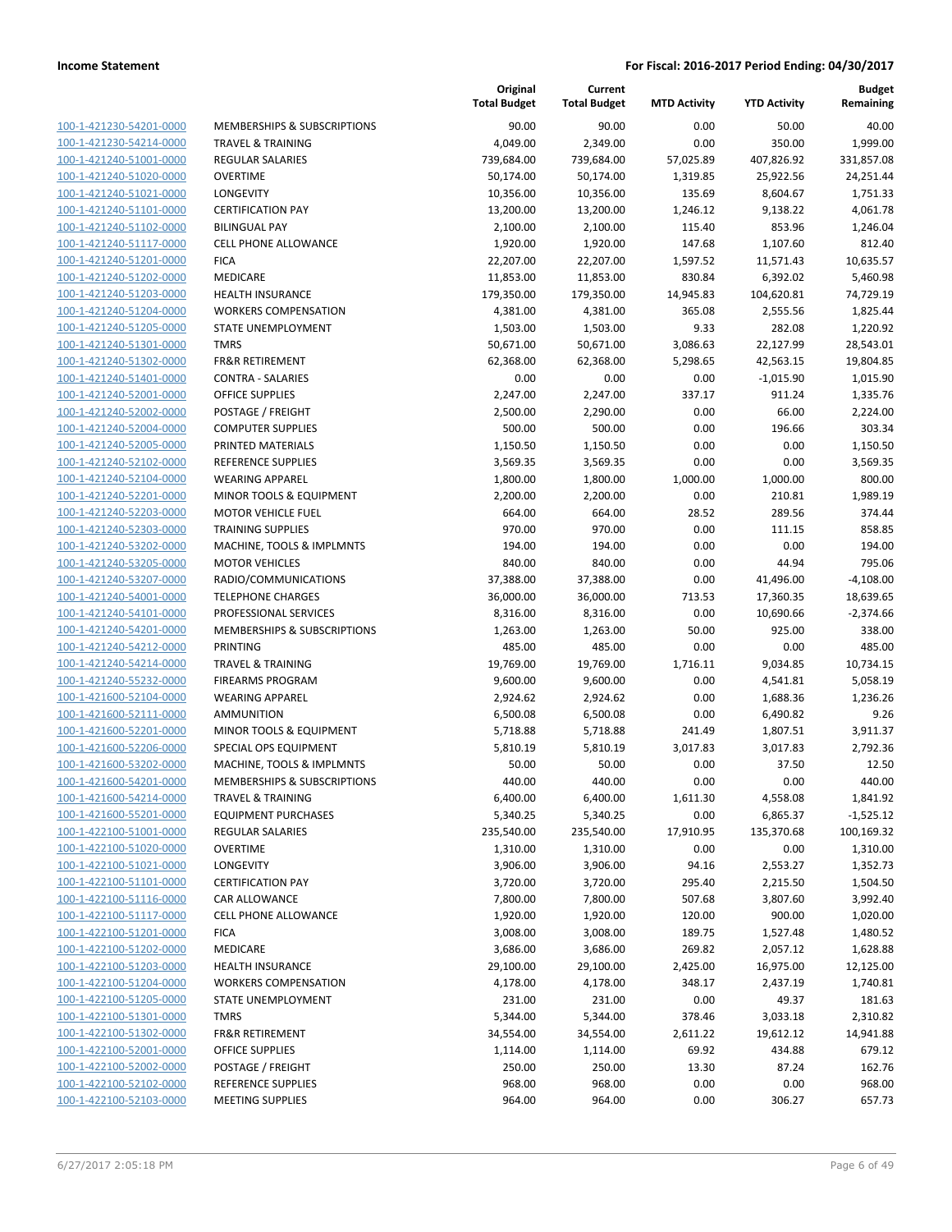**Budget Remaining**

| 100-1-421230-54201-0000        |
|--------------------------------|
| 100-1-421230-54214-0000        |
| 100-1-421240-51001-0000        |
| 100-1-421240-51020-0000        |
| 100-1-421240-51021-0000        |
| 100-1-421240-51101-0000        |
| 100-1-421240-51102-0000        |
| 100-1-421240-51117-0000        |
| 100-1-421240-51201-0000        |
| 100-1-421240-51202-0000        |
| 100-1-421240-51203-0000        |
| 100-1-421240-51204-0000        |
| 100-1-421240-51205-0000        |
| 100-1-421240-51301-0000        |
| <u>100-1-421240-51302-0000</u> |
| 100-1-421240-51401-0000        |
| 100-1-421240-52001-0000        |
| 100-1-421240-52002-0000        |
| 100-1-421240-52004-0000        |
| <u>100-1-421240-52005-0000</u> |
| 100-1-421240-52102-0000        |
| 100-1-421240-52104-0000        |
| 100-1-421240-52201-0000        |
| 100-1-421240-52203-0000        |
| <u>100-1-421240-52303-0000</u> |
| 100-1-421240-53202-0000        |
| 100-1-421240-53205-0000        |
|                                |
| 100-1-421240-53207-0000        |
| 100-1-421240-54001-0000        |
| 100-1-421240-54101-0000        |
| 100-1-421240-54201-0000        |
| 100-1-421240-54212-0000        |
| 100-1-421240-54214-0000        |
| 100-1-421240-55232-0000        |
| 100-1-421600-52104-0000        |
| 100-1-421600-52111-0000        |
| 100-1-421600-52201-0000        |
| 100-1-421600-52206-0000        |
| 100-1-421600-53202-0000        |
| 100-1-421600-54201-0000        |
| 100-1-421600-54214-0000        |
| <u>100-1-421600-55201-0000</u> |
| 100-1-422100-51001-0000        |
| <u>100-1-422100-51020-0000</u> |
| 100-1-422100-51021-0000        |
| 100-1-422100-51101-0000        |
| 100-1-422100-51116-0000        |
| 100-1-422100-51117-0000        |
| <u>100-1-422100-51201-0000</u> |
| <u>100-1-422100-51202-0000</u> |
| <u>100-1-422100-51203-0000</u> |
| 100-1-422100-51204-0000        |
| 100-1-422100-51205-0000        |
| <u>100-1-422100-51301-0000</u> |
| <u>100-1-422100-51302-0000</u> |
| <u>100-1-422100-52001-0000</u> |
| <u>100-1-422100-52002-0000</u> |
| 100-1-422100-52102-0000        |
| <u>100-1-422100-52103-0000</u> |
|                                |

|                         |                              | Original<br><b>Total Budget</b> | Current<br><b>Total Budget</b> | <b>MTD Activity</b> | <b>YTD Activity</b> | <b>Budget</b><br>Remaining |
|-------------------------|------------------------------|---------------------------------|--------------------------------|---------------------|---------------------|----------------------------|
| 100-1-421230-54201-0000 | MEMBERSHIPS & SUBSCRIPTIONS  | 90.00                           | 90.00                          | 0.00                | 50.00               | 40.00                      |
| 100-1-421230-54214-0000 | <b>TRAVEL &amp; TRAINING</b> | 4,049.00                        | 2,349.00                       | 0.00                | 350.00              | 1,999.00                   |
| 100-1-421240-51001-0000 | REGULAR SALARIES             | 739,684.00                      | 739,684.00                     | 57,025.89           | 407,826.92          | 331,857.08                 |
| 100-1-421240-51020-0000 | <b>OVERTIME</b>              | 50,174.00                       | 50,174.00                      | 1,319.85            | 25,922.56           | 24,251.44                  |
| 100-1-421240-51021-0000 | LONGEVITY                    | 10,356.00                       | 10,356.00                      | 135.69              | 8,604.67            | 1,751.33                   |
| 100-1-421240-51101-0000 | <b>CERTIFICATION PAY</b>     | 13,200.00                       | 13,200.00                      | 1,246.12            | 9,138.22            | 4,061.78                   |
| 100-1-421240-51102-0000 | <b>BILINGUAL PAY</b>         | 2,100.00                        | 2,100.00                       | 115.40              | 853.96              | 1,246.04                   |
| 100-1-421240-51117-0000 | <b>CELL PHONE ALLOWANCE</b>  | 1,920.00                        | 1,920.00                       | 147.68              | 1,107.60            | 812.40                     |
| 100-1-421240-51201-0000 | <b>FICA</b>                  | 22,207.00                       | 22,207.00                      | 1,597.52            | 11,571.43           | 10,635.57                  |
| 100-1-421240-51202-0000 | MEDICARE                     | 11,853.00                       | 11,853.00                      | 830.84              | 6,392.02            | 5,460.98                   |
| 100-1-421240-51203-0000 | HEALTH INSURANCE             | 179,350.00                      | 179,350.00                     | 14,945.83           | 104,620.81          | 74,729.19                  |
| 100-1-421240-51204-0000 | <b>WORKERS COMPENSATION</b>  | 4,381.00                        | 4,381.00                       | 365.08              | 2,555.56            | 1,825.44                   |
| 100-1-421240-51205-0000 | STATE UNEMPLOYMENT           | 1,503.00                        | 1,503.00                       | 9.33                | 282.08              | 1,220.92                   |
| 100-1-421240-51301-0000 | <b>TMRS</b>                  | 50,671.00                       | 50,671.00                      | 3,086.63            | 22,127.99           | 28,543.01                  |
| 100-1-421240-51302-0000 | <b>FR&amp;R RETIREMENT</b>   | 62,368.00                       | 62,368.00                      | 5,298.65            | 42,563.15           | 19,804.85                  |
| 100-1-421240-51401-0000 | <b>CONTRA - SALARIES</b>     | 0.00                            | 0.00                           | 0.00                | $-1,015.90$         | 1,015.90                   |
| 100-1-421240-52001-0000 | <b>OFFICE SUPPLIES</b>       | 2,247.00                        | 2,247.00                       | 337.17              | 911.24              | 1,335.76                   |
| 100-1-421240-52002-0000 | POSTAGE / FREIGHT            | 2,500.00                        | 2,290.00                       | 0.00                | 66.00               | 2,224.00                   |
| 100-1-421240-52004-0000 | <b>COMPUTER SUPPLIES</b>     | 500.00                          | 500.00                         | 0.00                | 196.66              | 303.34                     |
| 100-1-421240-52005-0000 | PRINTED MATERIALS            | 1,150.50                        | 1,150.50                       | 0.00                | 0.00                | 1,150.50                   |
| 100-1-421240-52102-0000 | REFERENCE SUPPLIES           | 3,569.35                        | 3,569.35                       | 0.00                | 0.00                | 3,569.35                   |
| 100-1-421240-52104-0000 | <b>WEARING APPAREL</b>       | 1,800.00                        | 1,800.00                       | 1,000.00            | 1,000.00            | 800.00                     |
| 100-1-421240-52201-0000 | MINOR TOOLS & EQUIPMENT      | 2,200.00                        | 2,200.00                       | 0.00                | 210.81              | 1,989.19                   |
| 100-1-421240-52203-0000 | <b>MOTOR VEHICLE FUEL</b>    | 664.00                          | 664.00                         | 28.52               | 289.56              | 374.44                     |
| 100-1-421240-52303-0000 | <b>TRAINING SUPPLIES</b>     | 970.00                          | 970.00                         | 0.00                | 111.15              | 858.85                     |
| 100-1-421240-53202-0000 | MACHINE, TOOLS & IMPLMNTS    | 194.00                          | 194.00                         | 0.00                | 0.00                | 194.00                     |
| 100-1-421240-53205-0000 | <b>MOTOR VEHICLES</b>        | 840.00                          | 840.00                         | 0.00                | 44.94               | 795.06                     |
| 100-1-421240-53207-0000 | RADIO/COMMUNICATIONS         | 37,388.00                       | 37,388.00                      | 0.00                | 41,496.00           | $-4,108.00$                |
| 100-1-421240-54001-0000 | <b>TELEPHONE CHARGES</b>     | 36,000.00                       | 36,000.00                      | 713.53              | 17,360.35           | 18,639.65                  |
| 100-1-421240-54101-0000 | PROFESSIONAL SERVICES        | 8,316.00                        | 8,316.00                       | 0.00                | 10,690.66           | $-2,374.66$                |
| 100-1-421240-54201-0000 | MEMBERSHIPS & SUBSCRIPTIONS  | 1,263.00                        | 1,263.00                       | 50.00               | 925.00              | 338.00                     |
| 100-1-421240-54212-0000 | PRINTING                     | 485.00                          | 485.00                         | 0.00                | 0.00                | 485.00                     |
| 100-1-421240-54214-0000 | <b>TRAVEL &amp; TRAINING</b> | 19,769.00                       | 19,769.00                      | 1,716.11            | 9,034.85            | 10,734.15                  |
| 100-1-421240-55232-0000 | <b>FIREARMS PROGRAM</b>      | 9,600.00                        | 9,600.00                       | 0.00                | 4,541.81            | 5,058.19                   |
| 100-1-421600-52104-0000 | <b>WEARING APPAREL</b>       | 2,924.62                        | 2,924.62                       | 0.00                | 1,688.36            | 1,236.26                   |
| 100-1-421600-52111-0000 | AMMUNITION                   | 6,500.08                        | 6,500.08                       | 0.00                | 6,490.82            | 9.26                       |
| 100-1-421600-52201-0000 | MINOR TOOLS & EQUIPMENT      | 5,718.88                        | 5,718.88                       | 241.49              | 1,807.51            | 3,911.37                   |
| 100-1-421600-52206-0000 | SPECIAL OPS EQUIPMENT        | 5,810.19                        | 5,810.19                       | 3,017.83            | 3,017.83            | 2,792.36                   |
| 100-1-421600-53202-0000 | MACHINE, TOOLS & IMPLMNTS    | 50.00                           | 50.00                          | 0.00                | 37.50               | 12.50                      |
| 100-1-421600-54201-0000 | MEMBERSHIPS & SUBSCRIPTIONS  | 440.00                          | 440.00                         | 0.00                | 0.00                | 440.00                     |
| 100-1-421600-54214-0000 | <b>TRAVEL &amp; TRAINING</b> | 6,400.00                        | 6,400.00                       | 1,611.30            | 4,558.08            | 1,841.92                   |
| 100-1-421600-55201-0000 | <b>EQUIPMENT PURCHASES</b>   | 5,340.25                        | 5,340.25                       | 0.00                | 6,865.37            | $-1,525.12$                |
| 100-1-422100-51001-0000 | <b>REGULAR SALARIES</b>      | 235,540.00                      | 235,540.00                     | 17,910.95           | 135,370.68          | 100,169.32                 |
| 100-1-422100-51020-0000 | <b>OVERTIME</b>              | 1,310.00                        | 1,310.00                       | 0.00                | 0.00                | 1,310.00                   |
| 100-1-422100-51021-0000 | LONGEVITY                    | 3,906.00                        | 3,906.00                       | 94.16               | 2,553.27            | 1,352.73                   |
| 100-1-422100-51101-0000 | <b>CERTIFICATION PAY</b>     | 3,720.00                        | 3,720.00                       | 295.40              | 2,215.50            | 1,504.50                   |
| 100-1-422100-51116-0000 | CAR ALLOWANCE                | 7,800.00                        | 7,800.00                       | 507.68              | 3,807.60            | 3,992.40                   |
| 100-1-422100-51117-0000 | <b>CELL PHONE ALLOWANCE</b>  | 1,920.00                        | 1,920.00                       | 120.00              | 900.00              | 1,020.00                   |
| 100-1-422100-51201-0000 | <b>FICA</b>                  | 3,008.00                        | 3,008.00                       | 189.75              | 1,527.48            | 1,480.52                   |
| 100-1-422100-51202-0000 | MEDICARE                     | 3,686.00                        | 3,686.00                       | 269.82              | 2,057.12            | 1,628.88                   |
| 100-1-422100-51203-0000 | <b>HEALTH INSURANCE</b>      | 29,100.00                       | 29,100.00                      | 2,425.00            | 16,975.00           | 12,125.00                  |
| 100-1-422100-51204-0000 | <b>WORKERS COMPENSATION</b>  | 4,178.00                        | 4,178.00                       | 348.17              | 2,437.19            | 1,740.81                   |
| 100-1-422100-51205-0000 | STATE UNEMPLOYMENT           | 231.00                          | 231.00                         | 0.00                | 49.37               | 181.63                     |
| 100-1-422100-51301-0000 | <b>TMRS</b>                  | 5,344.00                        | 5,344.00                       | 378.46              | 3,033.18            | 2,310.82                   |
| 100-1-422100-51302-0000 | FR&R RETIREMENT              | 34,554.00                       | 34,554.00                      | 2,611.22            | 19,612.12           | 14,941.88                  |
| 100-1-422100-52001-0000 | OFFICE SUPPLIES              | 1,114.00                        | 1,114.00                       | 69.92               | 434.88              | 679.12                     |
| 100-1-422100-52002-0000 | POSTAGE / FREIGHT            | 250.00                          | 250.00                         | 13.30               | 87.24               | 162.76                     |
| 100-1-422100-52102-0000 | REFERENCE SUPPLIES           | 968.00                          | 968.00                         | 0.00                | 0.00                | 968.00                     |
| 100-1-422100-52103-0000 | <b>MEETING SUPPLIES</b>      | 964.00                          | 964.00                         | 0.00                | 306.27              | 657.73                     |

**Original**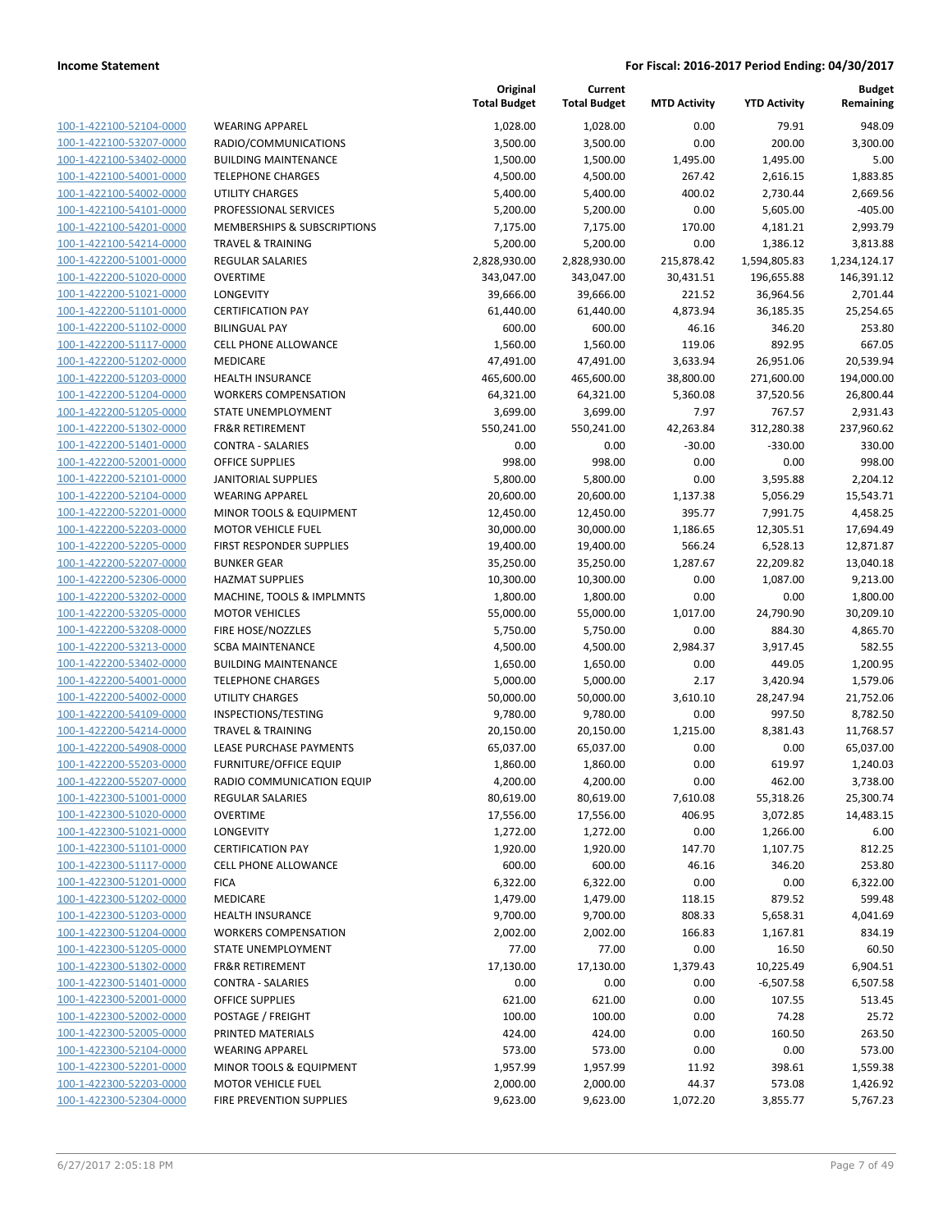| 100-1-422100-52104-0000        | N              |
|--------------------------------|----------------|
| 100-1-422100-53207-0000        | R.             |
| 100-1-422100-53402-0000        | B              |
| 100-1-422100-54001-0000        | TI             |
| 100-1-422100-54002-0000        | U              |
| 100-1-422100-54101-0000        | P              |
|                                |                |
| 100-1-422100-54201-0000        | N              |
| 100-1-422100-54214-0000        | TI             |
| 100-1-422200-51001-0000        | $\overline{R}$ |
| 100-1-422200-51020-0000        | О              |
| 100-1-422200-51021-0000        | L(             |
| 100-1-422200-51101-0000        | C              |
| 100-1-422200-51102-0000        | B              |
| 100-1-422200-51117-0000        | C              |
| 100-1-422200-51202-0000        | N              |
| 100-1-422200-51203-0000        | н              |
| 100-1-422200-51204-0000        | N              |
| 100-1-422200-51205-0000        | S.             |
| 100-1-422200-51302-0000        | FI             |
| 100-1-422200-51401-0000        | C              |
| 100-1-422200-52001-0000        | O              |
|                                |                |
| 100-1-422200-52101-0000        | J/             |
| 100-1-422200-52104-0000        | N              |
| 100-1-422200-52201-0000        | N              |
| <u>100-1-422200-52203-0000</u> | M              |
| 100-1-422200-52205-0000        | FI             |
| 100-1-422200-52207-0000        | B              |
| 100-1-422200-52306-0000        | н              |
| 100-1-422200-53202-0000        | M              |
| 100-1-422200-53205-0000        | N              |
| 100-1-422200-53208-0000        | FI             |
| 100-1-422200-53213-0000        | S(             |
| 100-1-422200-53402-0000        | B              |
| 100-1-422200-54001-0000        | TI             |
| 100-1-422200-54002-0000        | U              |
| 100-1-422200-54109-0000        | I٨             |
| 100-1-422200-54214-0000        | TI             |
| 100-1-422200-54908-0000        | LE             |
|                                | FI             |
| 100-1-422200-55203-0000        |                |
| 100-1-422200-55207-0000        | R,             |
| 100-1-422300-51001-0000        | R              |
| 100-1-422300-51020-0000        | Ο              |
| 100-1-422300-51021-0000        | L(             |
| 100-1-422300-51101-0000        | C              |
| <u>100-1-422300-51117-0000</u> | C              |
| 100-1-422300-51201-0000        | FI             |
| 100-1-422300-51202-0000        | N              |
| 100-1-422300-51203-0000        | н              |
| 100-1-422300-51204-0000        |                |
| 100-1-422300-51205-0000        | ς.             |
| 100-1-422300-51302-0000        | FI             |
| 100-1-422300-51401-0000        | C١             |
| 100-1-422300-52001-0000        | O              |
|                                | P١             |
| <u>100-1-422300-52002-0000</u> |                |
| 100-1-422300-52005-0000        | PI             |
| <u>100-1-422300-52104-0000</u> | N              |
| 100-1-422300-52201-0000        | N              |
| 100-1-422300-52203-0000        | N              |
| 100-1-422300-52304-0000        | FI             |
|                                |                |

|                                                  | і отаі  |
|--------------------------------------------------|---------|
| WEARING APPAREL                                  | 1       |
| RADIO/COMMUNICATIONS                             | 3       |
| <b>BUILDING MAINTENANCE</b>                      | 1       |
| <b>TELEPHONE CHARGES</b>                         | 4       |
| UTILITY CHARGES                                  | 5       |
| PROFESSIONAL SERVICES                            | 5       |
| MEMBERSHIPS & SUBSCRIPTIONS                      | 7       |
| TRAVEL & TRAINING                                | 5       |
| REGULAR SALARIES                                 | 2,828   |
| OVERTIME                                         | 343     |
| LONGEVITY                                        | 39      |
| CERTIFICATION PAY                                | 61      |
| BILINGUAL PAY<br>CELL PHONE ALLOWANCE            |         |
| MEDICARE                                         | 1<br>47 |
| HEALTH INSURANCE                                 | 465     |
| WORKERS COMPENSATION                             | 64      |
| STATE UNEMPLOYMENT                               | З       |
| <b>FR&amp;R RETIREMENT</b>                       | 55C     |
| CONTRA - SALARIES                                |         |
| <b>OFFICE SUPPLIES</b>                           |         |
| <b>JANITORIAL SUPPLIES</b>                       | 5       |
| WEARING APPAREL                                  | 20      |
| MINOR TOOLS & EQUIPMENT                          | 12      |
| <b>MOTOR VEHICLE FUEL</b>                        | 30      |
| FIRST RESPONDER SUPPLIES                         | 19      |
| BUNKER GEAR                                      | 35      |
| HAZMAT SUPPLIES                                  | 10      |
| MACHINE, TOOLS & IMPLMNTS                        | 1       |
| MOTOR VEHICLES                                   | 55      |
| FIRE HOSE/NOZZLES                                | 5       |
| SCBA MAINTENANCE                                 | 4       |
| <b>BUILDING MAINTENANCE</b>                      | 1       |
| <b>TELEPHONE CHARGES</b>                         | 5       |
| UTILITY CHARGES                                  | 50      |
| <b>INSPECTIONS/TESTING</b>                       | S       |
| TRAVEL & TRAINING                                | 20      |
| LEASE PURCHASE PAYMENTS                          | 65      |
| FURNITURE/OFFICE EQUIP                           | 1       |
| RADIO COMMUNICATION EQUIP                        | 4       |
| REGULAR SALARIES                                 | 80      |
| OVERTIME                                         | 17      |
| LONGEVITY                                        | 1       |
| <b>CERTIFICATION PAY</b><br>CELL PHONE ALLOWANCE | 1       |
| <b>FICA</b>                                      | Е       |
| MEDICARE                                         | 1       |
| HEALTH INSURANCE                                 | S       |
| <b>WORKERS COMPENSATION</b>                      | 2       |
| STATE UNEMPLOYMENT                               |         |
| FR&R RETIREMENT                                  | 17      |
| CONTRA - SALARIES                                |         |
| OFFICE SUPPLIES                                  |         |
| POSTAGE / FREIGHT                                |         |
| PRINTED MATERIALS                                |         |
| WEARING APPAREL                                  |         |
| MINOR TOOLS & EQUIPMENT                          | 1       |
| MOTOR VEHICLE FUEL                               | 2       |
|                                                  |         |

|                         |                                | Original<br><b>Total Budget</b> | Current<br><b>Total Budget</b> | <b>MTD Activity</b> | <b>YTD Activity</b> | <b>Budget</b><br>Remaining |
|-------------------------|--------------------------------|---------------------------------|--------------------------------|---------------------|---------------------|----------------------------|
| 100-1-422100-52104-0000 | <b>WEARING APPAREL</b>         | 1,028.00                        | 1,028.00                       | 0.00                | 79.91               | 948.09                     |
| 100-1-422100-53207-0000 | RADIO/COMMUNICATIONS           | 3,500.00                        | 3,500.00                       | 0.00                | 200.00              | 3,300.00                   |
| 100-1-422100-53402-0000 | <b>BUILDING MAINTENANCE</b>    | 1,500.00                        | 1,500.00                       | 1,495.00            | 1,495.00            | 5.00                       |
| 100-1-422100-54001-0000 | <b>TELEPHONE CHARGES</b>       | 4,500.00                        | 4,500.00                       | 267.42              | 2,616.15            | 1,883.85                   |
| 100-1-422100-54002-0000 | <b>UTILITY CHARGES</b>         | 5,400.00                        | 5,400.00                       | 400.02              | 2,730.44            | 2,669.56                   |
| 100-1-422100-54101-0000 | PROFESSIONAL SERVICES          | 5,200.00                        | 5,200.00                       | 0.00                | 5,605.00            | $-405.00$                  |
| 100-1-422100-54201-0000 | MEMBERSHIPS & SUBSCRIPTIONS    | 7,175.00                        | 7,175.00                       | 170.00              | 4,181.21            | 2,993.79                   |
| 100-1-422100-54214-0000 | <b>TRAVEL &amp; TRAINING</b>   | 5,200.00                        | 5,200.00                       | 0.00                | 1,386.12            | 3,813.88                   |
| 100-1-422200-51001-0000 | <b>REGULAR SALARIES</b>        | 2,828,930.00                    | 2,828,930.00                   | 215,878.42          | 1,594,805.83        | 1,234,124.17               |
| 100-1-422200-51020-0000 | <b>OVERTIME</b>                | 343,047.00                      | 343,047.00                     | 30,431.51           | 196,655.88          | 146,391.12                 |
| 100-1-422200-51021-0000 | LONGEVITY                      | 39,666.00                       | 39,666.00                      | 221.52              | 36,964.56           | 2,701.44                   |
| 100-1-422200-51101-0000 | <b>CERTIFICATION PAY</b>       | 61,440.00                       | 61,440.00                      | 4,873.94            | 36,185.35           | 25,254.65                  |
| 100-1-422200-51102-0000 | <b>BILINGUAL PAY</b>           | 600.00                          | 600.00                         | 46.16               | 346.20              | 253.80                     |
| 100-1-422200-51117-0000 | <b>CELL PHONE ALLOWANCE</b>    | 1,560.00                        | 1,560.00                       | 119.06              | 892.95              | 667.05                     |
| 100-1-422200-51202-0000 | MEDICARE                       | 47,491.00                       | 47,491.00                      | 3,633.94            | 26,951.06           | 20,539.94                  |
| 100-1-422200-51203-0000 | <b>HEALTH INSURANCE</b>        | 465,600.00                      | 465,600.00                     | 38,800.00           | 271,600.00          | 194,000.00                 |
| 100-1-422200-51204-0000 | <b>WORKERS COMPENSATION</b>    | 64,321.00                       | 64,321.00                      | 5,360.08            | 37,520.56           | 26,800.44                  |
| 100-1-422200-51205-0000 | STATE UNEMPLOYMENT             | 3,699.00                        | 3,699.00                       | 7.97                | 767.57              | 2,931.43                   |
| 100-1-422200-51302-0000 | <b>FR&amp;R RETIREMENT</b>     | 550,241.00                      | 550,241.00                     | 42,263.84           | 312,280.38          | 237,960.62                 |
| 100-1-422200-51401-0000 | <b>CONTRA - SALARIES</b>       | 0.00                            | 0.00                           | $-30.00$            | $-330.00$           | 330.00                     |
| 100-1-422200-52001-0000 | <b>OFFICE SUPPLIES</b>         | 998.00                          | 998.00                         | 0.00                | 0.00                | 998.00                     |
| 100-1-422200-52101-0000 | <b>JANITORIAL SUPPLIES</b>     | 5,800.00                        | 5,800.00                       | 0.00                | 3,595.88            | 2,204.12                   |
| 100-1-422200-52104-0000 | <b>WEARING APPAREL</b>         | 20,600.00                       | 20,600.00                      | 1,137.38            | 5,056.29            | 15,543.71                  |
| 100-1-422200-52201-0000 | MINOR TOOLS & EQUIPMENT        | 12,450.00                       | 12,450.00                      | 395.77              | 7,991.75            | 4,458.25                   |
| 100-1-422200-52203-0000 | <b>MOTOR VEHICLE FUEL</b>      | 30,000.00                       | 30,000.00                      | 1,186.65            | 12,305.51           | 17,694.49                  |
| 100-1-422200-52205-0000 | FIRST RESPONDER SUPPLIES       | 19,400.00                       | 19,400.00                      | 566.24              | 6,528.13            | 12,871.87                  |
| 100-1-422200-52207-0000 | <b>BUNKER GEAR</b>             | 35,250.00                       | 35,250.00                      | 1,287.67            | 22,209.82           | 13,040.18                  |
| 100-1-422200-52306-0000 | <b>HAZMAT SUPPLIES</b>         | 10,300.00                       | 10,300.00                      | 0.00                | 1,087.00            | 9,213.00                   |
| 100-1-422200-53202-0000 | MACHINE, TOOLS & IMPLMNTS      | 1,800.00                        | 1,800.00                       | 0.00                | 0.00                | 1,800.00                   |
| 100-1-422200-53205-0000 | <b>MOTOR VEHICLES</b>          | 55,000.00                       | 55,000.00                      | 1,017.00            | 24,790.90           | 30,209.10                  |
| 100-1-422200-53208-0000 | FIRE HOSE/NOZZLES              | 5,750.00                        | 5,750.00                       | 0.00                | 884.30              | 4,865.70                   |
| 100-1-422200-53213-0000 | <b>SCBA MAINTENANCE</b>        | 4,500.00                        | 4,500.00                       | 2,984.37            | 3,917.45            | 582.55                     |
| 100-1-422200-53402-0000 | <b>BUILDING MAINTENANCE</b>    | 1,650.00                        | 1,650.00                       | 0.00                | 449.05              | 1,200.95                   |
| 100-1-422200-54001-0000 | <b>TELEPHONE CHARGES</b>       | 5,000.00                        | 5,000.00                       | 2.17                | 3,420.94            | 1,579.06                   |
| 100-1-422200-54002-0000 | <b>UTILITY CHARGES</b>         | 50,000.00                       | 50,000.00                      | 3,610.10            | 28,247.94           | 21,752.06                  |
| 100-1-422200-54109-0000 | INSPECTIONS/TESTING            | 9,780.00                        | 9,780.00                       | 0.00                | 997.50              | 8,782.50                   |
| 100-1-422200-54214-0000 | <b>TRAVEL &amp; TRAINING</b>   | 20,150.00                       | 20,150.00                      | 1,215.00            | 8,381.43            | 11,768.57                  |
| 100-1-422200-54908-0000 | <b>LEASE PURCHASE PAYMENTS</b> | 65,037.00                       | 65,037.00                      | 0.00                | 0.00                | 65,037.00                  |
| 100-1-422200-55203-0000 | <b>FURNITURE/OFFICE EQUIP</b>  | 1,860.00                        | 1,860.00                       | 0.00                | 619.97              | 1,240.03                   |
| 100-1-422200-55207-0000 | RADIO COMMUNICATION EQUIP      | 4,200.00                        | 4,200.00                       | 0.00                | 462.00              | 3,738.00                   |
| 100-1-422300-51001-0000 | REGULAR SALARIES               | 80,619.00                       | 80,619.00                      | 7,610.08            | 55,318.26           | 25,300.74                  |
| 100-1-422300-51020-0000 | <b>OVERTIME</b>                | 17,556.00                       | 17,556.00                      | 406.95              | 3,072.85            | 14,483.15                  |
| 100-1-422300-51021-0000 | LONGEVITY                      | 1,272.00                        | 1,272.00                       | 0.00                | 1,266.00            | 6.00                       |
| 100-1-422300-51101-0000 | <b>CERTIFICATION PAY</b>       | 1,920.00                        | 1,920.00                       | 147.70              | 1,107.75            | 812.25                     |
| 100-1-422300-51117-0000 | <b>CELL PHONE ALLOWANCE</b>    | 600.00                          | 600.00                         | 46.16               | 346.20              | 253.80                     |
| 100-1-422300-51201-0000 | <b>FICA</b>                    | 6,322.00                        | 6,322.00                       | 0.00                | 0.00                | 6,322.00                   |
| 100-1-422300-51202-0000 | MEDICARE                       | 1,479.00                        | 1,479.00                       | 118.15              | 879.52              | 599.48                     |
| 100-1-422300-51203-0000 | HEALTH INSURANCE               | 9,700.00                        | 9,700.00                       | 808.33              | 5,658.31            | 4,041.69                   |
| 100-1-422300-51204-0000 | <b>WORKERS COMPENSATION</b>    | 2,002.00                        | 2,002.00                       | 166.83              | 1,167.81            | 834.19                     |
| 100-1-422300-51205-0000 | STATE UNEMPLOYMENT             | 77.00                           | 77.00                          | 0.00                | 16.50               | 60.50                      |
| 100-1-422300-51302-0000 | <b>FR&amp;R RETIREMENT</b>     | 17,130.00                       | 17,130.00                      | 1,379.43            | 10,225.49           | 6,904.51                   |
| 100-1-422300-51401-0000 | <b>CONTRA - SALARIES</b>       | 0.00                            | 0.00                           | 0.00                | $-6,507.58$         | 6,507.58                   |
| 100-1-422300-52001-0000 | <b>OFFICE SUPPLIES</b>         | 621.00                          | 621.00                         | 0.00                | 107.55              | 513.45                     |
| 100-1-422300-52002-0000 | POSTAGE / FREIGHT              | 100.00                          | 100.00                         | 0.00                | 74.28               | 25.72                      |
| 100-1-422300-52005-0000 | PRINTED MATERIALS              | 424.00                          | 424.00                         | 0.00                | 160.50              | 263.50                     |
| 100-1-422300-52104-0000 | <b>WEARING APPAREL</b>         | 573.00                          | 573.00                         | 0.00                | 0.00                | 573.00                     |
| 100-1-422300-52201-0000 | MINOR TOOLS & EQUIPMENT        | 1,957.99                        | 1,957.99                       | 11.92               | 398.61              | 1,559.38                   |
| 100-1-422300-52203-0000 | MOTOR VEHICLE FUEL             | 2,000.00                        | 2,000.00                       | 44.37               | 573.08              | 1,426.92                   |
| 100-1-422300-52304-0000 | FIRE PREVENTION SUPPLIES       | 9,623.00                        | 9,623.00                       | 1,072.20            | 3,855.77            | 5,767.23                   |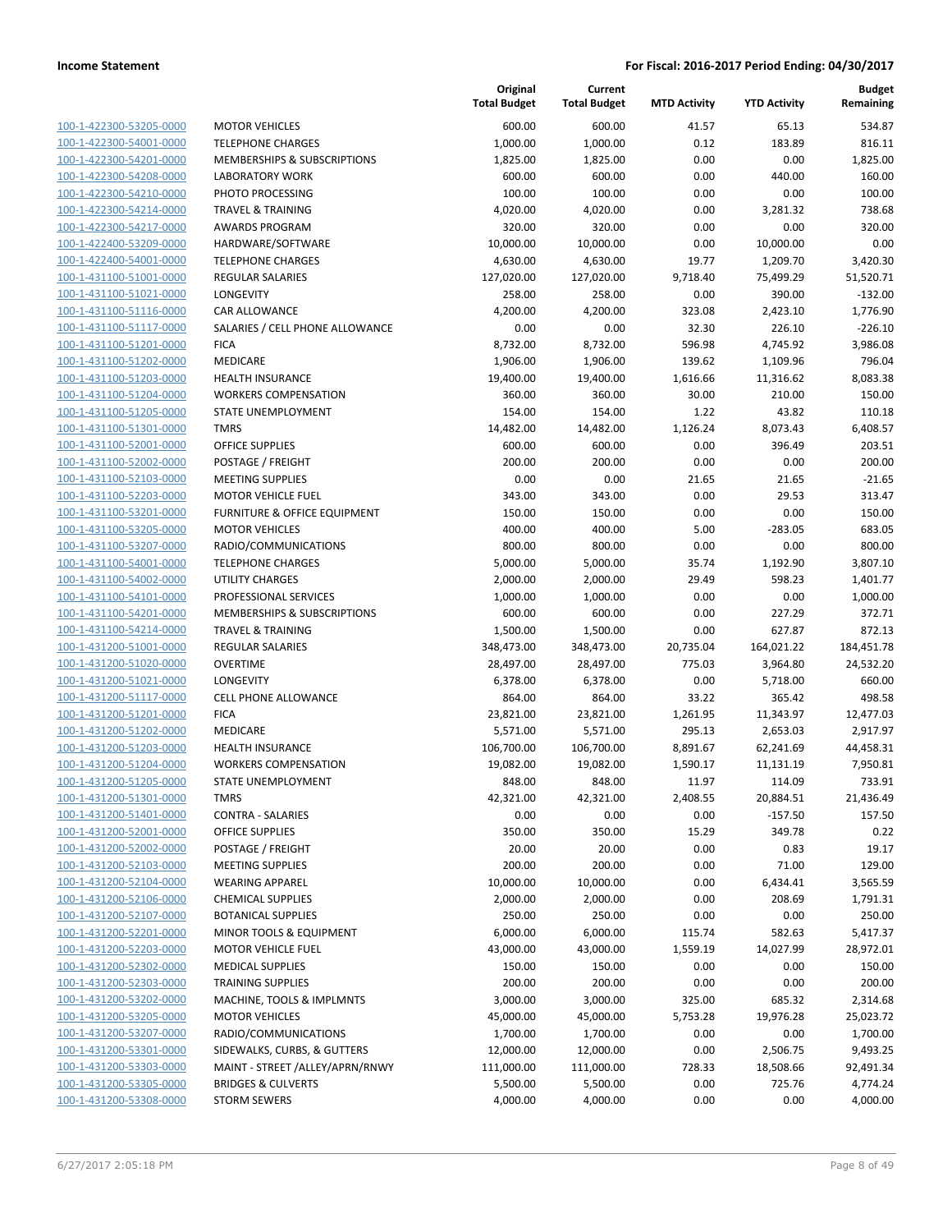|                                                    |                                                                 | Original<br><b>Total Budget</b> | Current<br><b>Total Budget</b> | <b>MTD Activity</b> | <b>YTD Activity</b> | Budget<br>Remaining |
|----------------------------------------------------|-----------------------------------------------------------------|---------------------------------|--------------------------------|---------------------|---------------------|---------------------|
| 100-1-422300-53205-0000                            | <b>MOTOR VEHICLES</b>                                           | 600.00                          | 600.00                         | 41.57               | 65.13               | 534.87              |
| 100-1-422300-54001-0000                            | <b>TELEPHONE CHARGES</b>                                        | 1,000.00                        | 1,000.00                       | 0.12                | 183.89              | 816.11              |
| 100-1-422300-54201-0000                            | <b>MEMBERSHIPS &amp; SUBSCRIPTIONS</b>                          | 1,825.00                        | 1,825.00                       | 0.00                | 0.00                | 1,825.00            |
| 100-1-422300-54208-0000                            | <b>LABORATORY WORK</b>                                          | 600.00                          | 600.00                         | 0.00                | 440.00              | 160.00              |
| 100-1-422300-54210-0000                            | PHOTO PROCESSING                                                | 100.00                          | 100.00                         | 0.00                | 0.00                | 100.00              |
| 100-1-422300-54214-0000                            | <b>TRAVEL &amp; TRAINING</b>                                    | 4,020.00                        | 4,020.00                       | 0.00                | 3,281.32            | 738.68              |
| 100-1-422300-54217-0000                            | AWARDS PROGRAM                                                  | 320.00                          | 320.00                         | 0.00                | 0.00                | 320.00              |
| 100-1-422400-53209-0000                            | HARDWARE/SOFTWARE                                               | 10,000.00                       | 10,000.00                      | 0.00                | 10,000.00           | 0.00                |
| 100-1-422400-54001-0000                            | <b>TELEPHONE CHARGES</b>                                        | 4,630.00                        | 4,630.00                       | 19.77               | 1,209.70            | 3,420.30            |
| 100-1-431100-51001-0000                            | <b>REGULAR SALARIES</b>                                         | 127,020.00                      | 127,020.00                     | 9,718.40            | 75,499.29           | 51,520.71           |
| 100-1-431100-51021-0000                            | LONGEVITY                                                       | 258.00                          | 258.00                         | 0.00                | 390.00              | $-132.00$           |
| 100-1-431100-51116-0000                            | CAR ALLOWANCE                                                   | 4,200.00                        | 4,200.00                       | 323.08              | 2,423.10            | 1,776.90            |
| 100-1-431100-51117-0000                            | SALARIES / CELL PHONE ALLOWANCE                                 | 0.00                            | 0.00                           | 32.30               | 226.10              | $-226.10$           |
| 100-1-431100-51201-0000                            | <b>FICA</b>                                                     | 8,732.00                        | 8,732.00                       | 596.98              | 4,745.92            | 3,986.08            |
| 100-1-431100-51202-0000                            | MEDICARE                                                        | 1,906.00                        | 1,906.00                       | 139.62              | 1,109.96            | 796.04              |
| 100-1-431100-51203-0000                            | <b>HEALTH INSURANCE</b>                                         | 19,400.00                       | 19,400.00                      | 1,616.66            | 11,316.62           | 8,083.38            |
| 100-1-431100-51204-0000                            | <b>WORKERS COMPENSATION</b>                                     | 360.00                          | 360.00                         | 30.00               | 210.00              | 150.00              |
| 100-1-431100-51205-0000                            | STATE UNEMPLOYMENT                                              | 154.00                          | 154.00                         | 1.22                | 43.82               | 110.18              |
| 100-1-431100-51301-0000                            | <b>TMRS</b>                                                     | 14,482.00                       | 14,482.00                      | 1,126.24            | 8,073.43            | 6,408.57            |
| 100-1-431100-52001-0000                            | <b>OFFICE SUPPLIES</b>                                          | 600.00                          | 600.00                         | 0.00                | 396.49              | 203.51              |
| 100-1-431100-52002-0000                            | POSTAGE / FREIGHT                                               | 200.00                          | 200.00                         | 0.00                | 0.00                | 200.00              |
| 100-1-431100-52103-0000                            | <b>MEETING SUPPLIES</b>                                         | 0.00                            | 0.00                           | 21.65               | 21.65               | $-21.65$            |
| 100-1-431100-52203-0000                            | <b>MOTOR VEHICLE FUEL</b>                                       | 343.00                          | 343.00                         | 0.00                | 29.53               | 313.47              |
| 100-1-431100-53201-0000                            | FURNITURE & OFFICE EQUIPMENT                                    | 150.00                          | 150.00                         | 0.00                | 0.00                | 150.00              |
| 100-1-431100-53205-0000                            | <b>MOTOR VEHICLES</b>                                           | 400.00                          | 400.00                         | 5.00                | $-283.05$           | 683.05              |
| 100-1-431100-53207-0000                            | RADIO/COMMUNICATIONS                                            | 800.00                          | 800.00                         | 0.00                | 0.00                | 800.00              |
| 100-1-431100-54001-0000                            | <b>TELEPHONE CHARGES</b>                                        | 5,000.00                        | 5,000.00                       | 35.74               | 1,192.90            | 3,807.10            |
| 100-1-431100-54002-0000                            | <b>UTILITY CHARGES</b>                                          | 2,000.00                        | 2,000.00                       | 29.49               | 598.23              | 1,401.77            |
| 100-1-431100-54101-0000<br>100-1-431100-54201-0000 | PROFESSIONAL SERVICES<br><b>MEMBERSHIPS &amp; SUBSCRIPTIONS</b> | 1,000.00<br>600.00              | 1,000.00<br>600.00             | 0.00<br>0.00        | 0.00<br>227.29      | 1,000.00<br>372.71  |
| 100-1-431100-54214-0000                            | <b>TRAVEL &amp; TRAINING</b>                                    | 1,500.00                        | 1,500.00                       | 0.00                | 627.87              | 872.13              |
| 100-1-431200-51001-0000                            | REGULAR SALARIES                                                | 348,473.00                      | 348,473.00                     | 20,735.04           | 164,021.22          | 184,451.78          |
| 100-1-431200-51020-0000                            | <b>OVERTIME</b>                                                 | 28,497.00                       | 28,497.00                      | 775.03              | 3,964.80            | 24,532.20           |
| 100-1-431200-51021-0000                            | LONGEVITY                                                       | 6,378.00                        | 6,378.00                       | 0.00                | 5,718.00            | 660.00              |
| 100-1-431200-51117-0000                            | <b>CELL PHONE ALLOWANCE</b>                                     | 864.00                          | 864.00                         | 33.22               | 365.42              | 498.58              |
| 100-1-431200-51201-0000                            | <b>FICA</b>                                                     | 23,821.00                       | 23,821.00                      | 1,261.95            | 11,343.97           | 12,477.03           |
| 100-1-431200-51202-0000                            | MEDICARE                                                        | 5,571.00                        | 5,571.00                       | 295.13              | 2,653.03            | 2,917.97            |
| 100-1-431200-51203-0000                            | <b>HEALTH INSURANCE</b>                                         | 106,700.00                      | 106,700.00                     | 8,891.67            | 62,241.69           | 44,458.31           |
| 100-1-431200-51204-0000                            | <b>WORKERS COMPENSATION</b>                                     | 19,082.00                       | 19,082.00                      | 1,590.17            | 11,131.19           | 7,950.81            |
| 100-1-431200-51205-0000                            | STATE UNEMPLOYMENT                                              | 848.00                          | 848.00                         | 11.97               | 114.09              | 733.91              |
| 100-1-431200-51301-0000                            | <b>TMRS</b>                                                     | 42,321.00                       | 42,321.00                      | 2,408.55            | 20,884.51           | 21,436.49           |
| 100-1-431200-51401-0000                            | <b>CONTRA - SALARIES</b>                                        | 0.00                            | 0.00                           | 0.00                | $-157.50$           | 157.50              |
| 100-1-431200-52001-0000                            | OFFICE SUPPLIES                                                 | 350.00                          | 350.00                         | 15.29               | 349.78              | 0.22                |
| 100-1-431200-52002-0000                            | POSTAGE / FREIGHT                                               | 20.00                           | 20.00                          | 0.00                | 0.83                | 19.17               |
| 100-1-431200-52103-0000                            | <b>MEETING SUPPLIES</b>                                         | 200.00                          | 200.00                         | 0.00                | 71.00               | 129.00              |
| 100-1-431200-52104-0000                            | <b>WEARING APPAREL</b>                                          | 10,000.00                       | 10,000.00                      | 0.00                | 6,434.41            | 3,565.59            |
| 100-1-431200-52106-0000                            | <b>CHEMICAL SUPPLIES</b>                                        | 2,000.00                        | 2,000.00                       | 0.00                | 208.69              | 1,791.31            |
| 100-1-431200-52107-0000                            | <b>BOTANICAL SUPPLIES</b>                                       | 250.00                          | 250.00                         | 0.00                | 0.00                | 250.00              |
| 100-1-431200-52201-0000<br>100-1-431200-52203-0000 | MINOR TOOLS & EQUIPMENT<br><b>MOTOR VEHICLE FUEL</b>            | 6,000.00                        | 6,000.00                       | 115.74              | 582.63<br>14,027.99 | 5,417.37            |
| 100-1-431200-52302-0000                            | <b>MEDICAL SUPPLIES</b>                                         | 43,000.00<br>150.00             | 43,000.00<br>150.00            | 1,559.19<br>0.00    | 0.00                | 28,972.01<br>150.00 |
| 100-1-431200-52303-0000                            | <b>TRAINING SUPPLIES</b>                                        | 200.00                          | 200.00                         | 0.00                | 0.00                | 200.00              |
| 100-1-431200-53202-0000                            | MACHINE, TOOLS & IMPLMNTS                                       | 3,000.00                        | 3,000.00                       | 325.00              | 685.32              | 2,314.68            |
| 100-1-431200-53205-0000                            | <b>MOTOR VEHICLES</b>                                           | 45,000.00                       | 45,000.00                      | 5,753.28            | 19,976.28           | 25,023.72           |
| 100-1-431200-53207-0000                            | RADIO/COMMUNICATIONS                                            | 1,700.00                        | 1,700.00                       | 0.00                | 0.00                | 1,700.00            |
| 100-1-431200-53301-0000                            | SIDEWALKS, CURBS, & GUTTERS                                     | 12,000.00                       | 12,000.00                      | 0.00                | 2,506.75            | 9,493.25            |
| 100-1-431200-53303-0000                            | MAINT - STREET /ALLEY/APRN/RNWY                                 | 111,000.00                      | 111,000.00                     | 728.33              | 18,508.66           | 92,491.34           |
| 100-1-431200-53305-0000                            | <b>BRIDGES &amp; CULVERTS</b>                                   | 5,500.00                        | 5,500.00                       | 0.00                | 725.76              | 4,774.24            |
| 100-1-431200-53308-0000                            | <b>STORM SEWERS</b>                                             | 4,000.00                        | 4,000.00                       | 0.00                | 0.00                | 4,000.00            |
|                                                    |                                                                 |                                 |                                |                     |                     |                     |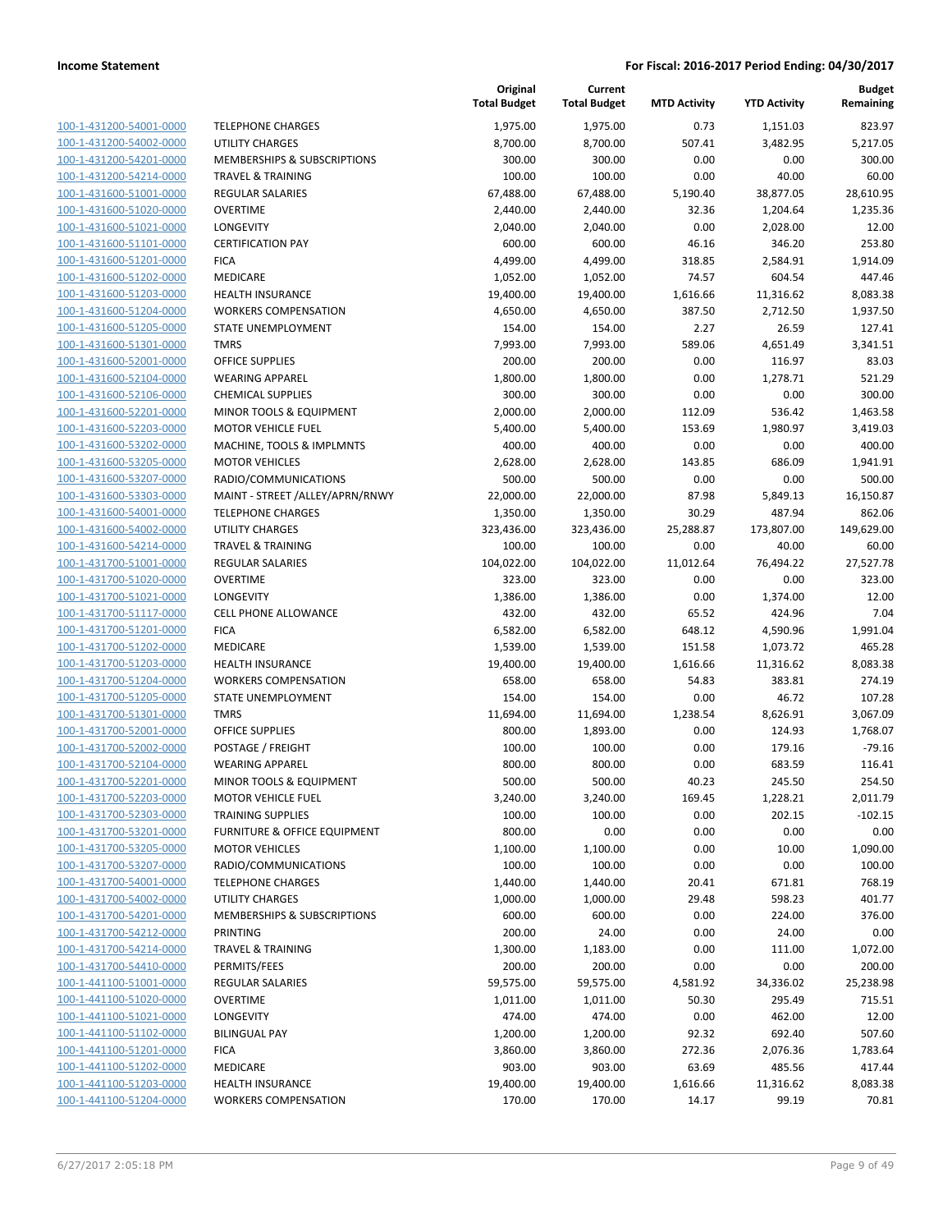| 100-1-431200-54001-0000        |
|--------------------------------|
| 100-1-431200-54002-0000        |
| 100-1-431200-54201-0000        |
|                                |
| <u>100-1-431200-54214-0000</u> |
| <u>100-1-431600-51001-0000</u> |
| <u>100-1-431600-51020-0000</u> |
| 100-1-431600-51021-0000        |
| 100-1-431600-51101-0000        |
| <u>100-1-431600-51201-0000</u> |
|                                |
| 100-1-431600-51202-0000        |
| 100-1-431600-51203-0000        |
| 100-1-431600-51204-0000        |
| 100-1-431600-51205-0000        |
| <u>100-1-431600-51301-0000</u> |
| <u>100-1-431600-52001-0000</u> |
| 100-1-431600-52104-0000        |
|                                |
| 100-1-431600-52106-0000        |
| 100-1-431600-52201-0000        |
| 100-1-431600-52203-0000        |
| <u>100-1-431600-53202-0000</u> |
| <u>100-1-431600-53205-0000</u> |
| 100-1-431600-53207-0000        |
| 100-1-431600-53303-0000        |
|                                |
| 100-1-431600-54001-0000        |
| <u>100-1-431600-54002-0000</u> |
| 100-1-431600-54214-0000        |
| 100-1-431700-51001-0000        |
| 100-1-431700-51020-0000        |
| <u>100-1-431700-51021-0000</u> |
|                                |
| 100-1-431700-51117-0000        |
| 100-1-431700-51201-0000        |
| 100-1-431700-51202-0000        |
| 100-1-431700-51203-0000        |
| <u>100-1-431700-51204-0000</u> |
| <u>100-1-431700-51205-0000</u> |
| 100-1-431700-51301-0000        |
| 100-1-431700-52001-0000        |
| 100-1-431700-52002-0000        |
| 100-1-431700-52104-0000        |
|                                |
| 100-1-431700-52201-0000        |
| 100-1-431700-52203-0000        |
| 100-1-431700-52303-0000        |
| 100-1-431700-53201-0000        |
| 100-1-431700-53205-0000        |
| 100-1-431700-53207-0000        |
| <u>100-1-431700-54001-0000</u> |
| 100-1-431700-54002-0000        |
| 100-1-431700-54201-0000        |
|                                |
| 100-1-431700-54212-0000        |
| 100-1-431700-54214-0000        |
| <u>100-1-431700-54410-0000</u> |
| 100-1-441100-51001-0000        |
| 100-1-441100-51020-0000        |
| <u>100-1-441100-51021-0000</u> |
|                                |
| <u>100-1-441100-51102-0000</u> |
| <u>100-1-441100-51201-0000</u> |
| 100-1-441100-51202-0000        |
| 100-1-441100-51203-0000        |
| <u>100-1-441100-51204-0000</u> |
|                                |

|                                                    |                                             | Original<br><b>Total Budget</b> | Current<br><b>Total Budget</b> | <b>MTD Activity</b> | <b>YTD Activity</b> | <b>Budget</b><br>Remaining |
|----------------------------------------------------|---------------------------------------------|---------------------------------|--------------------------------|---------------------|---------------------|----------------------------|
| 100-1-431200-54001-0000                            | <b>TELEPHONE CHARGES</b>                    | 1,975.00                        | 1,975.00                       | 0.73                | 1,151.03            | 823.97                     |
| 100-1-431200-54002-0000                            | <b>UTILITY CHARGES</b>                      | 8,700.00                        | 8,700.00                       | 507.41              | 3,482.95            | 5,217.05                   |
| 100-1-431200-54201-0000                            | <b>MEMBERSHIPS &amp; SUBSCRIPTIONS</b>      | 300.00                          | 300.00                         | 0.00                | 0.00                | 300.00                     |
| 100-1-431200-54214-0000                            | <b>TRAVEL &amp; TRAINING</b>                | 100.00                          | 100.00                         | 0.00                | 40.00               | 60.00                      |
| 100-1-431600-51001-0000                            | <b>REGULAR SALARIES</b>                     | 67,488.00                       | 67,488.00                      | 5,190.40            | 38,877.05           | 28,610.95                  |
| 100-1-431600-51020-0000                            | <b>OVERTIME</b>                             | 2,440.00                        | 2,440.00                       | 32.36               | 1,204.64            | 1,235.36                   |
| 100-1-431600-51021-0000                            | <b>LONGEVITY</b>                            | 2,040.00                        | 2,040.00                       | 0.00                | 2,028.00            | 12.00                      |
| 100-1-431600-51101-0000                            | <b>CERTIFICATION PAY</b>                    | 600.00                          | 600.00                         | 46.16               | 346.20              | 253.80                     |
| 100-1-431600-51201-0000                            | <b>FICA</b>                                 | 4,499.00                        | 4,499.00                       | 318.85              | 2,584.91            | 1,914.09                   |
| 100-1-431600-51202-0000                            | MEDICARE                                    | 1,052.00                        | 1,052.00                       | 74.57               | 604.54              | 447.46                     |
| 100-1-431600-51203-0000                            | <b>HEALTH INSURANCE</b>                     | 19,400.00                       | 19,400.00                      | 1,616.66            | 11,316.62           | 8,083.38                   |
| 100-1-431600-51204-0000                            | <b>WORKERS COMPENSATION</b>                 | 4,650.00                        | 4,650.00                       | 387.50              | 2,712.50            | 1,937.50                   |
| 100-1-431600-51205-0000                            | STATE UNEMPLOYMENT                          | 154.00                          | 154.00                         | 2.27                | 26.59               | 127.41                     |
| 100-1-431600-51301-0000                            | <b>TMRS</b>                                 | 7,993.00                        | 7,993.00                       | 589.06              | 4,651.49            | 3,341.51                   |
| 100-1-431600-52001-0000                            | <b>OFFICE SUPPLIES</b>                      | 200.00                          | 200.00                         | 0.00                | 116.97              | 83.03                      |
| 100-1-431600-52104-0000                            | <b>WEARING APPAREL</b>                      | 1,800.00                        | 1,800.00                       | 0.00                | 1,278.71            | 521.29                     |
| 100-1-431600-52106-0000                            | <b>CHEMICAL SUPPLIES</b>                    | 300.00                          | 300.00                         | 0.00                | 0.00                | 300.00                     |
| 100-1-431600-52201-0000                            | MINOR TOOLS & EQUIPMENT                     | 2,000.00                        | 2,000.00                       | 112.09              | 536.42              | 1,463.58                   |
| 100-1-431600-52203-0000                            | <b>MOTOR VEHICLE FUEL</b>                   | 5,400.00                        | 5,400.00                       | 153.69              | 1,980.97            | 3,419.03                   |
| 100-1-431600-53202-0000                            | MACHINE, TOOLS & IMPLMNTS                   | 400.00                          | 400.00                         | 0.00                | 0.00                | 400.00                     |
| 100-1-431600-53205-0000                            | <b>MOTOR VEHICLES</b>                       | 2,628.00                        | 2,628.00                       | 143.85              | 686.09              | 1,941.91                   |
| 100-1-431600-53207-0000                            | RADIO/COMMUNICATIONS                        | 500.00                          | 500.00                         | 0.00                | 0.00                | 500.00                     |
| 100-1-431600-53303-0000                            | MAINT - STREET /ALLEY/APRN/RNWY             | 22,000.00                       | 22,000.00                      | 87.98               | 5,849.13            | 16,150.87                  |
| 100-1-431600-54001-0000                            | <b>TELEPHONE CHARGES</b>                    | 1,350.00                        | 1,350.00                       | 30.29               | 487.94              | 862.06                     |
| 100-1-431600-54002-0000                            | UTILITY CHARGES                             | 323,436.00                      | 323,436.00                     | 25,288.87           | 173,807.00          | 149,629.00                 |
| 100-1-431600-54214-0000                            | <b>TRAVEL &amp; TRAINING</b>                | 100.00                          | 100.00                         | 0.00                | 40.00               | 60.00                      |
| 100-1-431700-51001-0000                            | REGULAR SALARIES                            | 104,022.00                      | 104,022.00                     | 11,012.64           | 76,494.22           | 27,527.78                  |
| 100-1-431700-51020-0000                            | <b>OVERTIME</b>                             | 323.00                          | 323.00                         | 0.00                | 0.00                | 323.00                     |
| 100-1-431700-51021-0000                            | LONGEVITY                                   | 1,386.00                        | 1,386.00                       | 0.00                | 1,374.00            | 12.00                      |
| 100-1-431700-51117-0000                            | CELL PHONE ALLOWANCE                        | 432.00                          | 432.00                         | 65.52               | 424.96              | 7.04                       |
| 100-1-431700-51201-0000                            | <b>FICA</b>                                 | 6,582.00                        | 6,582.00                       | 648.12              | 4,590.96            | 1,991.04                   |
| 100-1-431700-51202-0000                            | MEDICARE                                    | 1,539.00                        | 1,539.00                       | 151.58              | 1,073.72            | 465.28                     |
| 100-1-431700-51203-0000                            | <b>HEALTH INSURANCE</b>                     | 19,400.00                       | 19,400.00                      | 1,616.66            | 11,316.62           | 8,083.38                   |
| 100-1-431700-51204-0000                            | <b>WORKERS COMPENSATION</b>                 | 658.00                          | 658.00                         | 54.83               | 383.81              | 274.19                     |
| 100-1-431700-51205-0000                            | STATE UNEMPLOYMENT                          | 154.00                          | 154.00                         | 0.00                | 46.72               | 107.28                     |
| 100-1-431700-51301-0000                            | <b>TMRS</b>                                 | 11,694.00                       | 11,694.00                      | 1,238.54            | 8,626.91            | 3,067.09                   |
| 100-1-431700-52001-0000                            | <b>OFFICE SUPPLIES</b>                      | 800.00                          | 1,893.00                       | 0.00                | 124.93              | 1,768.07                   |
| 100-1-431700-52002-0000<br>100-1-431700-52104-0000 | POSTAGE / FREIGHT<br><b>WEARING APPAREL</b> | 100.00<br>800.00                | 100.00<br>800.00               | 0.00<br>0.00        | 179.16<br>683.59    | $-79.16$<br>116.41         |
| 100-1-431700-52201-0000                            | MINOR TOOLS & EQUIPMENT                     | 500.00                          | 500.00                         | 40.23               | 245.50              | 254.50                     |
| 100-1-431700-52203-0000                            | <b>MOTOR VEHICLE FUEL</b>                   | 3,240.00                        | 3,240.00                       | 169.45              | 1,228.21            | 2,011.79                   |
| 100-1-431700-52303-0000                            | <b>TRAINING SUPPLIES</b>                    | 100.00                          | 100.00                         | 0.00                | 202.15              | $-102.15$                  |
| 100-1-431700-53201-0000                            | FURNITURE & OFFICE EQUIPMENT                | 800.00                          | 0.00                           | 0.00                | 0.00                | 0.00                       |
| 100-1-431700-53205-0000                            | <b>MOTOR VEHICLES</b>                       | 1,100.00                        | 1,100.00                       | 0.00                | 10.00               | 1,090.00                   |
| 100-1-431700-53207-0000                            | RADIO/COMMUNICATIONS                        | 100.00                          | 100.00                         | 0.00                | 0.00                | 100.00                     |
| 100-1-431700-54001-0000                            | <b>TELEPHONE CHARGES</b>                    | 1,440.00                        | 1,440.00                       | 20.41               | 671.81              | 768.19                     |
| 100-1-431700-54002-0000                            | <b>UTILITY CHARGES</b>                      | 1,000.00                        | 1,000.00                       | 29.48               | 598.23              | 401.77                     |
| 100-1-431700-54201-0000                            | <b>MEMBERSHIPS &amp; SUBSCRIPTIONS</b>      | 600.00                          | 600.00                         | 0.00                | 224.00              | 376.00                     |
| 100-1-431700-54212-0000                            | PRINTING                                    | 200.00                          | 24.00                          | 0.00                | 24.00               | 0.00                       |
| 100-1-431700-54214-0000                            | <b>TRAVEL &amp; TRAINING</b>                | 1,300.00                        | 1,183.00                       | 0.00                | 111.00              | 1,072.00                   |
| 100-1-431700-54410-0000                            | PERMITS/FEES                                | 200.00                          | 200.00                         | 0.00                | 0.00                | 200.00                     |
| 100-1-441100-51001-0000                            | REGULAR SALARIES                            | 59,575.00                       | 59,575.00                      | 4,581.92            | 34,336.02           | 25,238.98                  |
| 100-1-441100-51020-0000                            | <b>OVERTIME</b>                             | 1,011.00                        | 1,011.00                       | 50.30               | 295.49              | 715.51                     |
| 100-1-441100-51021-0000                            | LONGEVITY                                   | 474.00                          | 474.00                         | 0.00                | 462.00              | 12.00                      |
| 100-1-441100-51102-0000                            | <b>BILINGUAL PAY</b>                        | 1,200.00                        | 1,200.00                       | 92.32               | 692.40              | 507.60                     |
| 100-1-441100-51201-0000                            | <b>FICA</b>                                 | 3,860.00                        | 3,860.00                       | 272.36              | 2,076.36            | 1,783.64                   |
| 100-1-441100-51202-0000                            | MEDICARE                                    | 903.00                          | 903.00                         | 63.69               | 485.56              | 417.44                     |
| 100-1-441100-51203-0000                            | <b>HEALTH INSURANCE</b>                     | 19,400.00                       | 19,400.00                      | 1,616.66            | 11,316.62           | 8,083.38                   |
| 100-1-441100-51204-0000                            | <b>WORKERS COMPENSATION</b>                 | 170.00                          | 170.00                         | 14.17               | 99.19               | 70.81                      |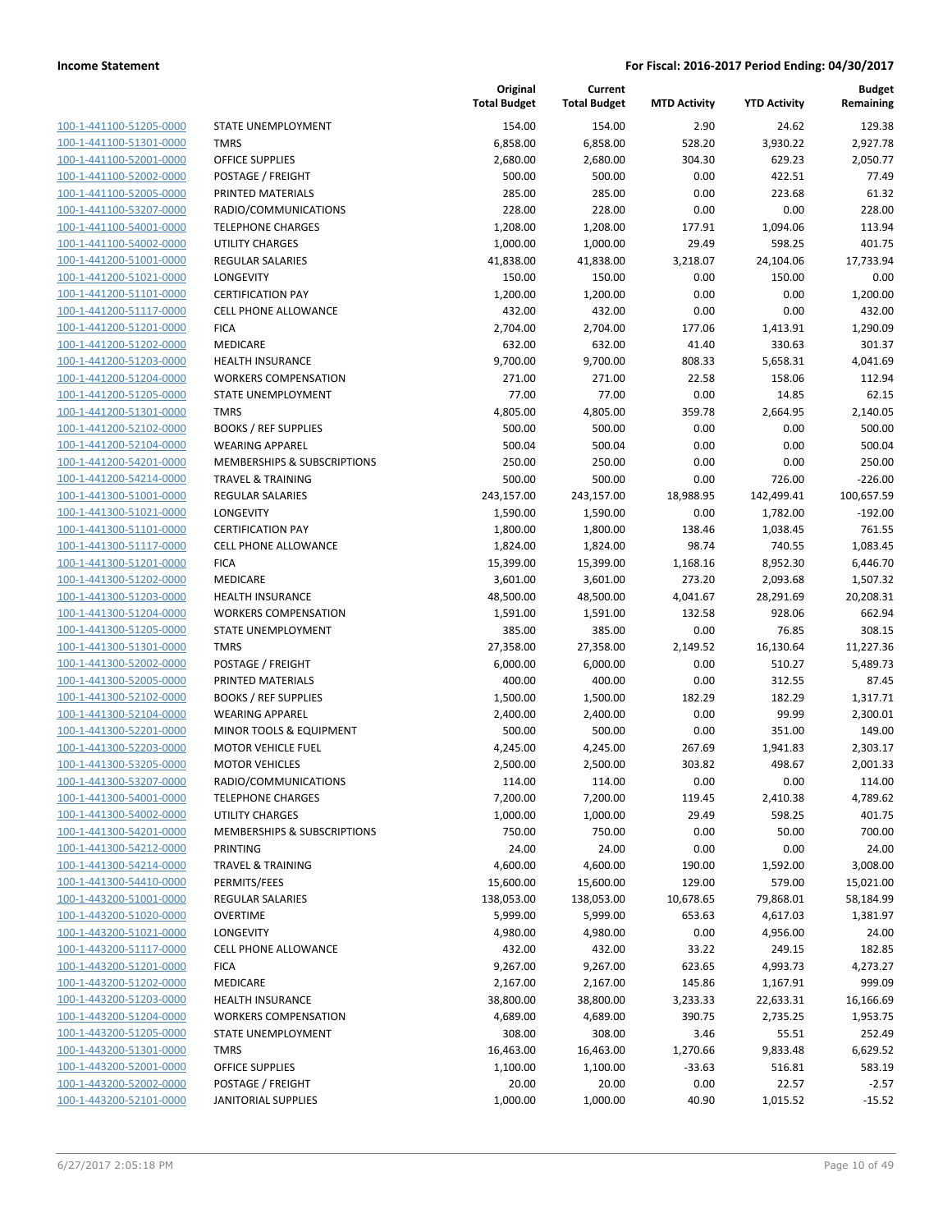100-1-441100-51205-0000 100-1-441100-51301-0000 100-1-441100-52001-0000 100-1-441100-52002-0000 100-1-441100-52005-0000 PRINTED MATERIALS 285.00 285.00 0.00 223.68 61.32 100-1-441100-53207-0000 100-1-441100-54001-0000 100-1-441100-54002-0000 100-1-441200-51001-0000 100-1-441200-51021-0000 100-1-441200-51101-0000 100-1-441200-51117-0000 100-1-441200-51201-0000 100-1-441200-51202-0000 100-1-441200-51203-0000 100-1-441200-51204-0000 100-1-441200-51205-0000 100-1-441200-51301-0000 100-1-441200-52102-0000 100-1-441200-52104-0000 100-1-441200-54201-0000 100-1-441200-54214-0000 100-1-441300-51001-0000 100-1-441300-51021-0000 LONGEVITY 1,590.00 1,590.00 0.00 1,782.00 -192.00 100-1-441300-51101-0000 100-1-441300-51117-0000 100-1-441300-51201-0000 100-1-441300-51202-0000 100-1-441300-51203-0000 100-1-441300-51204-0000 100-1-441300-51205-0000 100-1-441300-51301-0000 100-1-441300-52002-0000 100-1-441300-52005-0000 PRINTED MATERIALS 400.00 400.00 0.00 312.55 87.45 100-1-441300-52102-0000 100-1-441300-52104-0000 100-1-441300-52201-0000 100-1-441300-52203-0000 100-1-441300-53205-0000 100-1-441300-53207-0000 100-1-441300-54001-0000 100-1-441300-54002-0000 100-1-441300-54201-0000 100-1-441300-54212-0000 100-1-441300-54214-0000 100-1-441300-54410-0000 100-1-443200-51001-0000 100-1-443200-51020-0000 100-1-443200-51021-0000 100-1-443200-51117-0000 100-1-443200-51201-0000 100-1-443200-51202-0000 MEDICARE 2,167.00 2,167.00 145.86 1,167.91 999.09 100-1-443200-51203-0000 100-1-443200-51204-0000 100-1-443200-51205-0000 100-1-443200-51301-0000 100-1-443200-52001-0000 100-1-443200-52002-0000 100-1-443200-52101-0000

|                                          | Original<br><b>Total Budget</b> | Current<br><b>Total Budget</b> | <b>MTD Activity</b> | <b>YTD Activity</b>   | <b>Budget</b><br>Remaining |
|------------------------------------------|---------------------------------|--------------------------------|---------------------|-----------------------|----------------------------|
| <b>STATE UNEMPLOYMENT</b>                | 154.00                          | 154.00                         | 2.90                | 24.62                 | 129.38                     |
| <b>TMRS</b>                              | 6,858.00                        | 6,858.00                       | 528.20              | 3,930.22              | 2,927.78                   |
| OFFICE SUPPLIES                          | 2,680.00                        | 2,680.00                       | 304.30              | 629.23                | 2,050.77                   |
| POSTAGE / FREIGHT                        | 500.00                          | 500.00                         | 0.00                | 422.51                | 77.49                      |
| PRINTED MATERIALS                        | 285.00                          | 285.00                         | 0.00                | 223.68                | 61.32                      |
| RADIO/COMMUNICATIONS                     | 228.00                          | 228.00                         | 0.00                | 0.00                  | 228.00                     |
| <b>TELEPHONE CHARGES</b>                 | 1,208.00                        | 1,208.00                       | 177.91              | 1,094.06              | 113.94                     |
| <b>UTILITY CHARGES</b>                   | 1,000.00                        | 1,000.00                       | 29.49               | 598.25                | 401.75                     |
| <b>REGULAR SALARIES</b>                  | 41,838.00                       | 41,838.00                      | 3,218.07            | 24,104.06             | 17,733.94                  |
| LONGEVITY                                | 150.00                          | 150.00                         | 0.00                | 150.00                | 0.00                       |
| <b>CERTIFICATION PAY</b>                 | 1,200.00                        | 1,200.00                       | 0.00                | 0.00                  | 1,200.00                   |
| <b>CELL PHONE ALLOWANCE</b>              | 432.00                          | 432.00                         | 0.00                | 0.00                  | 432.00                     |
| <b>FICA</b>                              | 2,704.00                        | 2,704.00                       | 177.06              | 1,413.91              | 1,290.09                   |
| <b>MEDICARE</b>                          | 632.00                          | 632.00                         | 41.40               | 330.63                | 301.37                     |
| <b>HEALTH INSURANCE</b>                  | 9,700.00                        | 9,700.00                       | 808.33              | 5,658.31              | 4,041.69                   |
| <b>WORKERS COMPENSATION</b>              | 271.00                          | 271.00                         | 22.58               | 158.06                | 112.94                     |
| STATE UNEMPLOYMENT                       | 77.00                           | 77.00                          | 0.00                | 14.85                 | 62.15                      |
| <b>TMRS</b>                              | 4,805.00                        | 4,805.00                       | 359.78              | 2,664.95              | 2,140.05                   |
| <b>BOOKS / REF SUPPLIES</b>              | 500.00                          | 500.00                         | 0.00                | 0.00                  | 500.00                     |
| <b>WEARING APPAREL</b>                   | 500.04                          | 500.04                         | 0.00                | 0.00                  | 500.04                     |
| <b>MEMBERSHIPS &amp; SUBSCRIPTIONS</b>   | 250.00                          | 250.00                         | 0.00                | 0.00                  | 250.00                     |
| <b>TRAVEL &amp; TRAINING</b>             | 500.00                          | 500.00                         | 0.00                | 726.00                | $-226.00$                  |
| <b>REGULAR SALARIES</b>                  | 243,157.00                      | 243,157.00                     | 18,988.95           | 142,499.41            | 100,657.59                 |
| <b>LONGEVITY</b>                         | 1,590.00                        | 1,590.00                       | 0.00                | 1,782.00              | $-192.00$                  |
| <b>CERTIFICATION PAY</b>                 | 1,800.00                        | 1,800.00                       | 138.46              | 1,038.45              | 761.55                     |
| <b>CELL PHONE ALLOWANCE</b>              | 1,824.00                        | 1,824.00                       | 98.74               | 740.55                | 1,083.45                   |
| <b>FICA</b>                              | 15,399.00                       | 15,399.00                      | 1,168.16            | 8,952.30              | 6,446.70                   |
| <b>MEDICARE</b>                          | 3,601.00                        | 3,601.00                       | 273.20              | 2,093.68              | 1,507.32                   |
| <b>HEALTH INSURANCE</b>                  | 48,500.00                       | 48,500.00                      | 4,041.67            | 28,291.69             | 20,208.31                  |
| <b>WORKERS COMPENSATION</b>              | 1,591.00                        | 1,591.00                       | 132.58              | 928.06                | 662.94                     |
| STATE UNEMPLOYMENT                       | 385.00                          | 385.00                         | 0.00                | 76.85                 | 308.15                     |
| <b>TMRS</b>                              | 27,358.00                       | 27,358.00                      | 2,149.52            | 16,130.64             | 11,227.36                  |
| POSTAGE / FREIGHT                        | 6,000.00                        | 6,000.00                       | 0.00                | 510.27                | 5,489.73                   |
| PRINTED MATERIALS                        | 400.00                          | 400.00                         | 0.00                | 312.55                | 87.45                      |
| <b>BOOKS / REF SUPPLIES</b>              | 1,500.00                        | 1,500.00                       | 182.29              | 182.29                | 1,317.71                   |
| <b>WEARING APPAREL</b>                   | 2,400.00                        | 2,400.00                       | 0.00                | 99.99                 | 2,300.01                   |
| MINOR TOOLS & EQUIPMENT                  | 500.00                          | 500.00                         | 0.00                | 351.00                | 149.00                     |
| <b>MOTOR VEHICLE FUEL</b>                | 4,245.00                        | 4,245.00                       | 267.69              | 1,941.83              | 2,303.17                   |
| <b>MOTOR VEHICLES</b>                    | 2,500.00                        | 2,500.00                       | 303.82              | 498.67                | 2,001.33                   |
| RADIO/COMMUNICATIONS                     | 114.00                          | 114.00                         | 0.00                | 0.00                  | 114.00                     |
| <b>TELEPHONE CHARGES</b>                 | 7,200.00                        | 7,200.00                       | 119.45              | 2,410.38              | 4,789.62                   |
| UTILITY CHARGES                          | 1,000.00                        | 1,000.00                       | 29.49               | 598.25                | 401.75                     |
| MEMBERSHIPS & SUBSCRIPTIONS              | 750.00                          | 750.00                         | 0.00                | 50.00                 | 700.00                     |
| PRINTING<br><b>TRAVEL &amp; TRAINING</b> | 24.00                           | 24.00                          | 0.00                | 0.00<br>1,592.00      | 24.00                      |
| PERMITS/FEES                             | 4,600.00                        | 4,600.00                       | 190.00              | 579.00                | 3,008.00                   |
| <b>REGULAR SALARIES</b>                  | 15,600.00                       | 15,600.00                      | 129.00              |                       | 15,021.00                  |
| <b>OVERTIME</b>                          | 138,053.00<br>5,999.00          | 138,053.00<br>5,999.00         | 10,678.65<br>653.63 | 79,868.01<br>4,617.03 | 58,184.99<br>1,381.97      |
| <b>LONGEVITY</b>                         | 4,980.00                        | 4,980.00                       | 0.00                | 4,956.00              | 24.00                      |
| <b>CELL PHONE ALLOWANCE</b>              | 432.00                          | 432.00                         | 33.22               | 249.15                | 182.85                     |
| <b>FICA</b>                              | 9,267.00                        | 9,267.00                       | 623.65              | 4,993.73              | 4,273.27                   |
| <b>MEDICARE</b>                          | 2,167.00                        | 2,167.00                       | 145.86              | 1,167.91              | 999.09                     |
| <b>HEALTH INSURANCE</b>                  | 38,800.00                       | 38,800.00                      | 3,233.33            | 22,633.31             | 16,166.69                  |
| <b>WORKERS COMPENSATION</b>              | 4,689.00                        | 4,689.00                       | 390.75              | 2,735.25              | 1,953.75                   |
| STATE UNEMPLOYMENT                       | 308.00                          | 308.00                         | 3.46                | 55.51                 | 252.49                     |
| <b>TMRS</b>                              | 16,463.00                       | 16,463.00                      | 1,270.66            | 9,833.48              | 6,629.52                   |
| OFFICE SUPPLIES                          | 1,100.00                        | 1,100.00                       | $-33.63$            | 516.81                | 583.19                     |
| POSTAGE / FREIGHT                        | 20.00                           | 20.00                          | 0.00                | 22.57                 | $-2.57$                    |
| <b>JANITORIAL SUPPLIES</b>               | 1,000.00                        | 1,000.00                       | 40.90               | 1,015.52              | $-15.52$                   |
|                                          |                                 |                                |                     |                       |                            |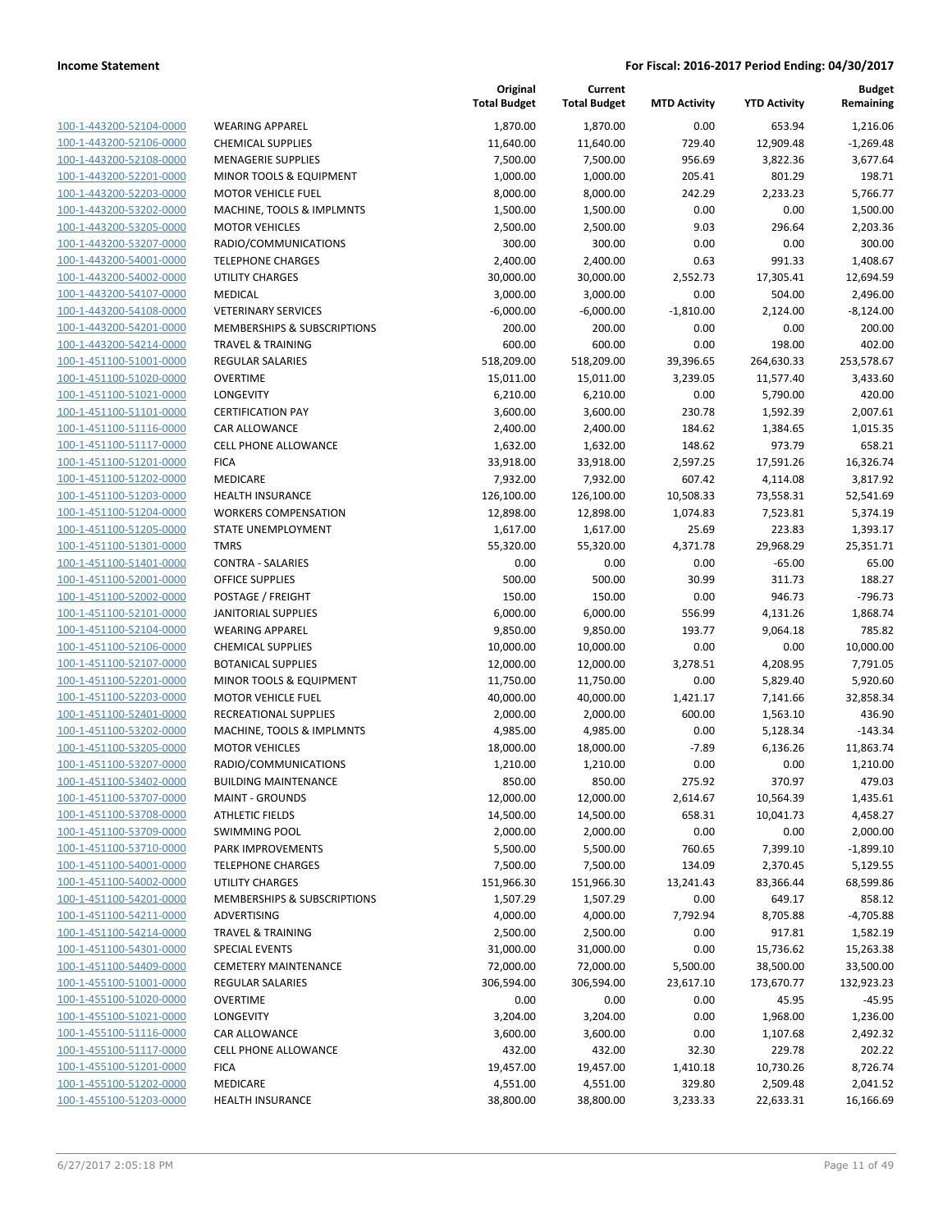| 100-1-443200-52104-0000        |
|--------------------------------|
| 100-1-443200-52106-0000        |
| 100-1-443200-52108-0000        |
| 100-1-443200-52201-0000        |
| 100-1-443200-52203-0000        |
| 100-1-443200-53202-0000        |
| 100-1-443200-53205-0000        |
| 100-1-443200-53207-0000        |
| 100-1-443200-54001-0000        |
| 100-1-443200-54002-0000        |
| 100-1-443200-54107-0000        |
| 100-1-443200-54108-0000        |
| 100-1-443200-54201-0000        |
| 100-1-443200-54214-0000        |
| 100-1-451100-51001-0000        |
| 100-1-451100-51020-0000        |
| 100-1-451100-51021-0000        |
| 100-1-451100-51101-0000        |
| 100-1-451100-51116-0000        |
| 100-1-451100-51117-0000        |
| 100-1-451100-51201-0000        |
|                                |
| 100-1-451100-51202-0000        |
| 100-1-451100-51203-0000        |
| 100-1-451100-51204-0000        |
| 100-1-451100-51205-0000        |
| 100-1-451100-51301-0000        |
| 100-1-451100-51401-0000        |
| 100-1-451100-52001-0000        |
| 100-1-451100-52002-0000        |
| 100-1-451100-52101-0000        |
| 100-1-451100-52104-0000        |
| 100-1-451100-52106-0000        |
| 100-1-451100-52107-0000        |
| 100-1-451100-52201-0000        |
| 100-1-451100-52203-0000        |
| 100-1-451100-52401-0000        |
| 100-1-451100-53202-0000        |
| 100-1-451100-53205-0000        |
| 100-1-451100-53207-0000        |
| 100-1-451100-53402-0000        |
| 100-1-451100-53707-0000        |
| 100-1-451100-53708-0000        |
| 100-1-451100-53709-0000        |
| <u>100-1-451100-53710-0000</u> |
| 100-1-451100-54001-0000        |
| 100-1-451100-54002-0000        |
| 100-1-451100-54201-0000        |
| 100-1-451100-54211-0000        |
| 100-1-451100-54214-0000        |
| 100-1-451100-54301-0000        |
| 100-1-451100-54409-0000        |
| 100-1-455100-51001-0000        |
| 100-1-455100-51020-0000        |
| <u>100-1-455100-51021-0000</u> |
| <u>100-1-455100-51116-0000</u> |
| 100-1-455100-51117-0000        |
| 100-1-455100-51201-0000        |
| <u>100-1-455100-51202-0000</u> |
| 100-1-455100-51203-0000        |
|                                |

|                         |                              | Original<br><b>Total Budget</b> | Current<br><b>Total Budget</b> | <b>MTD Activity</b> | <b>YTD Activity</b> | <b>Budget</b><br>Remaining |
|-------------------------|------------------------------|---------------------------------|--------------------------------|---------------------|---------------------|----------------------------|
| 100-1-443200-52104-0000 | <b>WEARING APPAREL</b>       | 1,870.00                        | 1,870.00                       | 0.00                | 653.94              | 1,216.06                   |
| 100-1-443200-52106-0000 | <b>CHEMICAL SUPPLIES</b>     | 11,640.00                       | 11,640.00                      | 729.40              | 12,909.48           | $-1,269.48$                |
| 100-1-443200-52108-0000 | <b>MENAGERIE SUPPLIES</b>    | 7,500.00                        | 7,500.00                       | 956.69              | 3,822.36            | 3,677.64                   |
| 100-1-443200-52201-0000 | MINOR TOOLS & EQUIPMENT      | 1,000.00                        | 1,000.00                       | 205.41              | 801.29              | 198.71                     |
| 100-1-443200-52203-0000 | <b>MOTOR VEHICLE FUEL</b>    | 8,000.00                        | 8,000.00                       | 242.29              | 2,233.23            | 5,766.77                   |
| 100-1-443200-53202-0000 | MACHINE, TOOLS & IMPLMNTS    | 1,500.00                        | 1,500.00                       | 0.00                | 0.00                | 1,500.00                   |
| 100-1-443200-53205-0000 | <b>MOTOR VEHICLES</b>        | 2,500.00                        | 2,500.00                       | 9.03                | 296.64              | 2,203.36                   |
| 100-1-443200-53207-0000 | RADIO/COMMUNICATIONS         | 300.00                          | 300.00                         | 0.00                | 0.00                | 300.00                     |
| 100-1-443200-54001-0000 | <b>TELEPHONE CHARGES</b>     | 2,400.00                        | 2,400.00                       | 0.63                | 991.33              | 1,408.67                   |
| 100-1-443200-54002-0000 | <b>UTILITY CHARGES</b>       | 30,000.00                       | 30,000.00                      | 2,552.73            | 17,305.41           | 12,694.59                  |
| 100-1-443200-54107-0000 | MEDICAL                      | 3,000.00                        | 3,000.00                       | 0.00                | 504.00              | 2,496.00                   |
| 100-1-443200-54108-0000 | <b>VETERINARY SERVICES</b>   | $-6,000.00$                     | $-6,000.00$                    | $-1,810.00$         | 2,124.00            | $-8,124.00$                |
| 100-1-443200-54201-0000 | MEMBERSHIPS & SUBSCRIPTIONS  | 200.00                          | 200.00                         | 0.00                | 0.00                | 200.00                     |
| 100-1-443200-54214-0000 | <b>TRAVEL &amp; TRAINING</b> | 600.00                          | 600.00                         | 0.00                | 198.00              | 402.00                     |
| 100-1-451100-51001-0000 | <b>REGULAR SALARIES</b>      | 518,209.00                      | 518,209.00                     | 39,396.65           | 264,630.33          | 253,578.67                 |
| 100-1-451100-51020-0000 | <b>OVERTIME</b>              | 15,011.00                       | 15,011.00                      | 3,239.05            | 11,577.40           | 3,433.60                   |
| 100-1-451100-51021-0000 | LONGEVITY                    | 6,210.00                        | 6,210.00                       | 0.00                | 5,790.00            | 420.00                     |
| 100-1-451100-51101-0000 | <b>CERTIFICATION PAY</b>     | 3,600.00                        | 3,600.00                       | 230.78              | 1,592.39            | 2,007.61                   |
| 100-1-451100-51116-0000 | <b>CAR ALLOWANCE</b>         | 2,400.00                        | 2,400.00                       | 184.62              | 1,384.65            | 1,015.35                   |
| 100-1-451100-51117-0000 | <b>CELL PHONE ALLOWANCE</b>  | 1,632.00                        | 1,632.00                       | 148.62              | 973.79              | 658.21                     |
| 100-1-451100-51201-0000 | <b>FICA</b>                  | 33,918.00                       | 33,918.00                      | 2,597.25            | 17,591.26           | 16,326.74                  |
| 100-1-451100-51202-0000 | MEDICARE                     | 7,932.00                        | 7,932.00                       | 607.42              | 4,114.08            | 3,817.92                   |
| 100-1-451100-51203-0000 | HEALTH INSURANCE             | 126,100.00                      | 126,100.00                     | 10,508.33           | 73,558.31           | 52,541.69                  |
| 100-1-451100-51204-0000 | <b>WORKERS COMPENSATION</b>  | 12,898.00                       | 12,898.00                      | 1,074.83            | 7,523.81            | 5,374.19                   |
| 100-1-451100-51205-0000 | STATE UNEMPLOYMENT           | 1,617.00                        | 1,617.00                       | 25.69               | 223.83              | 1,393.17                   |
| 100-1-451100-51301-0000 | <b>TMRS</b>                  | 55,320.00                       | 55,320.00                      | 4,371.78            | 29,968.29           | 25,351.71                  |
| 100-1-451100-51401-0000 | <b>CONTRA - SALARIES</b>     | 0.00                            | 0.00                           | 0.00                | $-65.00$            | 65.00                      |
| 100-1-451100-52001-0000 | OFFICE SUPPLIES              | 500.00                          | 500.00                         | 30.99               | 311.73              | 188.27                     |
| 100-1-451100-52002-0000 | POSTAGE / FREIGHT            | 150.00                          | 150.00                         | 0.00                | 946.73              | $-796.73$                  |
| 100-1-451100-52101-0000 | <b>JANITORIAL SUPPLIES</b>   | 6,000.00                        | 6,000.00                       | 556.99              | 4,131.26            | 1,868.74                   |
| 100-1-451100-52104-0000 | <b>WEARING APPAREL</b>       | 9,850.00                        | 9,850.00                       | 193.77              | 9,064.18            | 785.82                     |
| 100-1-451100-52106-0000 | <b>CHEMICAL SUPPLIES</b>     | 10,000.00                       | 10,000.00                      | 0.00                | 0.00                | 10,000.00                  |
| 100-1-451100-52107-0000 | <b>BOTANICAL SUPPLIES</b>    | 12,000.00                       | 12,000.00                      | 3,278.51            | 4,208.95            | 7,791.05                   |
| 100-1-451100-52201-0000 | MINOR TOOLS & EQUIPMENT      | 11,750.00                       | 11,750.00                      | 0.00                | 5,829.40            | 5,920.60                   |
| 100-1-451100-52203-0000 | <b>MOTOR VEHICLE FUEL</b>    | 40,000.00                       | 40,000.00                      | 1,421.17            | 7,141.66            | 32,858.34                  |
| 100-1-451100-52401-0000 | RECREATIONAL SUPPLIES        | 2,000.00                        | 2,000.00                       | 600.00              | 1,563.10            | 436.90                     |
| 100-1-451100-53202-0000 | MACHINE, TOOLS & IMPLMNTS    | 4,985.00                        | 4,985.00                       | 0.00                | 5,128.34            | $-143.34$                  |
| 100-1-451100-53205-0000 | <b>MOTOR VEHICLES</b>        | 18,000.00                       | 18,000.00                      | $-7.89$             | 6,136.26            | 11,863.74                  |
| 100-1-451100-53207-0000 | RADIO/COMMUNICATIONS         | 1,210.00                        | 1,210.00                       | 0.00                | 0.00                | 1,210.00                   |
| 100-1-451100-53402-0000 | <b>BUILDING MAINTENANCE</b>  | 850.00                          | 850.00                         | 275.92              | 370.97              | 479.03                     |
| 100-1-451100-53707-0000 | <b>MAINT - GROUNDS</b>       | 12,000.00                       | 12,000.00                      | 2,614.67            | 10,564.39           | 1,435.61                   |
| 100-1-451100-53708-0000 | <b>ATHLETIC FIELDS</b>       | 14,500.00                       | 14,500.00                      | 658.31              | 10,041.73           | 4,458.27                   |
| 100-1-451100-53709-0000 | <b>SWIMMING POOL</b>         | 2,000.00                        | 2,000.00                       | 0.00                | 0.00                | 2,000.00                   |
| 100-1-451100-53710-0000 | <b>PARK IMPROVEMENTS</b>     | 5,500.00                        | 5,500.00                       | 760.65              | 7,399.10            | $-1,899.10$                |
| 100-1-451100-54001-0000 | <b>TELEPHONE CHARGES</b>     | 7,500.00                        | 7,500.00                       | 134.09              | 2,370.45            | 5,129.55                   |
| 100-1-451100-54002-0000 | UTILITY CHARGES              | 151,966.30                      | 151,966.30                     | 13,241.43           | 83,366.44           | 68,599.86                  |
| 100-1-451100-54201-0000 | MEMBERSHIPS & SUBSCRIPTIONS  | 1,507.29                        | 1,507.29                       | 0.00                | 649.17              | 858.12                     |
| 100-1-451100-54211-0000 | ADVERTISING                  | 4,000.00                        | 4,000.00                       | 7,792.94            | 8,705.88            | $-4,705.88$                |
| 100-1-451100-54214-0000 | <b>TRAVEL &amp; TRAINING</b> | 2,500.00                        | 2,500.00                       | 0.00                | 917.81              | 1,582.19                   |
| 100-1-451100-54301-0000 | SPECIAL EVENTS               | 31,000.00                       | 31,000.00                      | 0.00                | 15,736.62           | 15,263.38                  |
| 100-1-451100-54409-0000 | <b>CEMETERY MAINTENANCE</b>  | 72,000.00                       | 72,000.00                      | 5,500.00            | 38,500.00           | 33,500.00                  |
| 100-1-455100-51001-0000 | <b>REGULAR SALARIES</b>      | 306,594.00                      | 306,594.00                     | 23,617.10           | 173,670.77          | 132,923.23                 |
| 100-1-455100-51020-0000 | <b>OVERTIME</b>              | 0.00                            | 0.00                           | 0.00                | 45.95               | $-45.95$                   |
| 100-1-455100-51021-0000 | LONGEVITY                    | 3,204.00                        | 3,204.00                       | 0.00                | 1,968.00            | 1,236.00                   |
| 100-1-455100-51116-0000 | <b>CAR ALLOWANCE</b>         | 3,600.00                        | 3,600.00                       | 0.00                | 1,107.68            | 2,492.32                   |
| 100-1-455100-51117-0000 | CELL PHONE ALLOWANCE         | 432.00                          | 432.00                         | 32.30               | 229.78              | 202.22                     |
| 100-1-455100-51201-0000 | <b>FICA</b>                  | 19,457.00                       | 19,457.00                      | 1,410.18            | 10,730.26           | 8,726.74                   |
| 100-1-455100-51202-0000 | MEDICARE                     | 4,551.00                        | 4,551.00                       | 329.80              | 2,509.48            | 2,041.52                   |
| 100-1-455100-51203-0000 | HEALTH INSURANCE             | 38,800.00                       | 38,800.00                      | 3,233.33            | 22,633.31           | 16,166.69                  |
|                         |                              |                                 |                                |                     |                     |                            |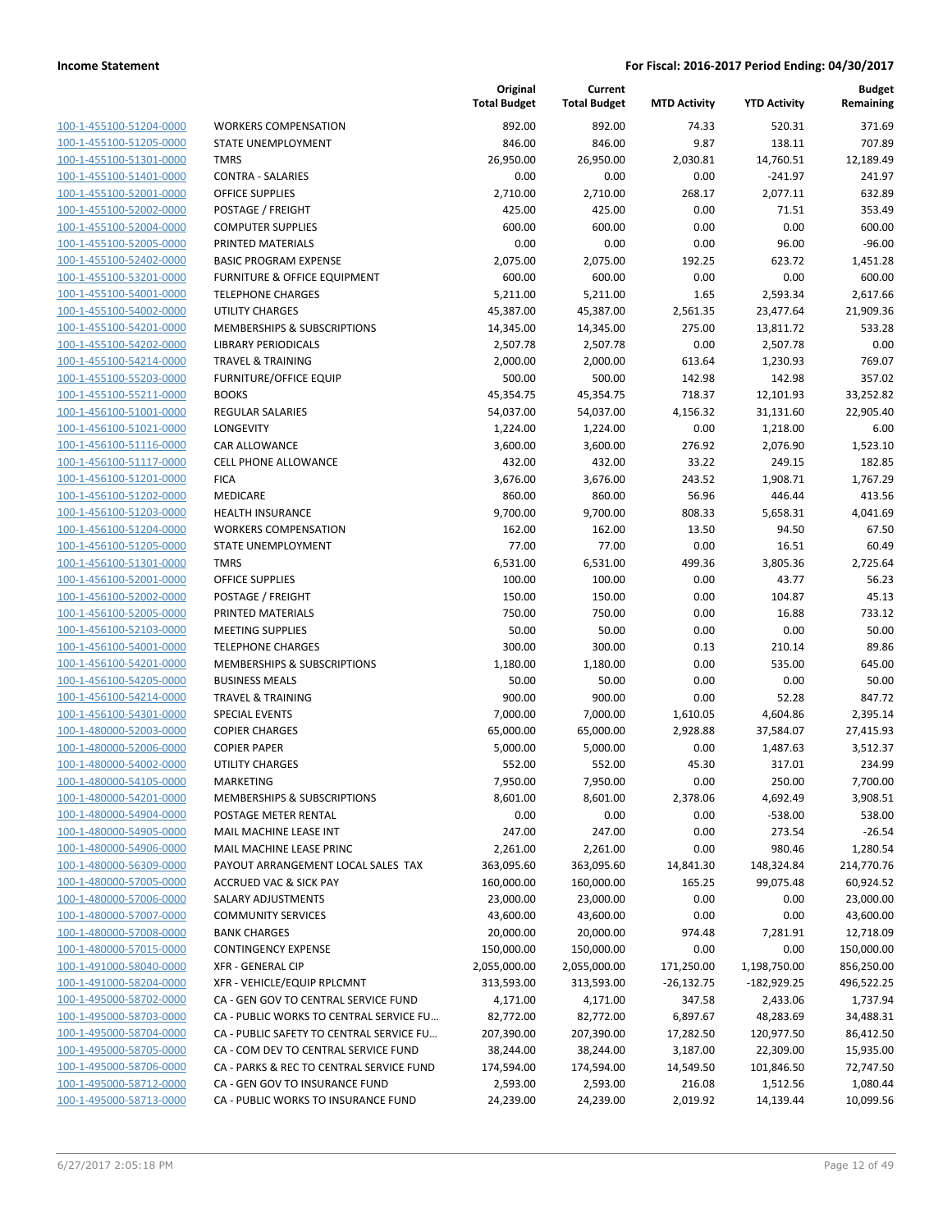| <u>100-1-455100-51204-0000</u> |
|--------------------------------|
| 100-1-455100-51205-0000        |
| 100-1-455100-51301-0000        |
| <u>100-1-455100-51401-0000</u> |
| 100-1-455100-52001-0000        |
| 100-1-455100-52002-0000        |
| 100-1-455100-52004-0000        |
| 100-1-455100-52005-0000        |
| 100-1-455100-52402-0000        |
| 100-1-455100-53201-0000        |
| 100-1-455100-54001-0000        |
| 100-1-455100-54002-0000        |
| 100-1-455100-54201-0000        |
| 100-1-455100-54202-0000        |
| 100-1-455100-54214-0000        |
| 100-1-455100-55203-0000        |
| 100-1-455100-55211-0000        |
|                                |
| <u>100-1-456100-51001-0000</u> |
| 100-1-456100-51021-0000        |
| 100-1-456100-51116-0000        |
| 100-1-456100-51117-0000        |
| <u>100-1-456100-51201-0000</u> |
| 100-1-456100-51202-0000        |
| <u>100-1-456100-51203-0000</u> |
| 100-1-456100-51204-0000        |
| 100-1-456100-51205-0000        |
| 100-1-456100-51301-0000        |
| 100-1-456100-52001-0000        |
| 100-1-456100-52002-0000        |
| 100-1-456100-52005-0000        |
| 100-1-456100-52103-0000        |
| 100-1-456100-54001-0000        |
| <u>100-1-456100-54201-0000</u> |
| <u>100-1-456100-54205-0000</u> |
| 100-1-456100-54214-0000        |
| 100-1-456100-54301-0000        |
| 100-1-480000-52003-0000        |
| 100-1-480000-52006-0000        |
| 100-1-480000-54002-0000        |
| 100-1-480000-54105-0000        |
| 100-1-480000-54201-0000        |
| <u>100-1-480000-54904-0000</u> |
| 100-1-480000-54905-0000        |
| 100-1-480000-54906-0000        |
| 100-1-480000-56309-0000        |
| 100-1-480000-57005-0000        |
| 100-1-480000-57006-0000        |
| <u>100-1-480000-57007-0000</u> |
| 100-1-480000-57008-0000        |
| 100-1-480000-57015-0000        |
| 100-1-491000-58040-0000        |
|                                |
| 100-1-491000-58204-0000        |
| 100-1-495000-58702-0000        |
| 100-1-495000-58703-0000        |
| 100-1-495000-58704-0000        |
| 100-1-495000-58705-0000        |
| 100-1-495000-58706-0000        |
| <u>100-1-495000-58712-0000</u> |
| 100-1-495000-58713-0000        |
|                                |

|                                                    |                                              | Original<br><b>Total Budget</b> | Current<br><b>Total Budget</b> | <b>MTD Activity</b> | <b>YTD Activity</b> | <b>Budget</b><br>Remaining |
|----------------------------------------------------|----------------------------------------------|---------------------------------|--------------------------------|---------------------|---------------------|----------------------------|
| 100-1-455100-51204-0000                            | <b>WORKERS COMPENSATION</b>                  | 892.00                          | 892.00                         | 74.33               | 520.31              | 371.69                     |
| 100-1-455100-51205-0000                            | STATE UNEMPLOYMENT                           | 846.00                          | 846.00                         | 9.87                | 138.11              | 707.89                     |
| 100-1-455100-51301-0000                            | <b>TMRS</b>                                  | 26,950.00                       | 26,950.00                      | 2,030.81            | 14,760.51           | 12,189.49                  |
| 100-1-455100-51401-0000                            | <b>CONTRA - SALARIES</b>                     | 0.00                            | 0.00                           | 0.00                | $-241.97$           | 241.97                     |
| 100-1-455100-52001-0000                            | <b>OFFICE SUPPLIES</b>                       | 2,710.00                        | 2,710.00                       | 268.17              | 2,077.11            | 632.89                     |
| 100-1-455100-52002-0000                            | POSTAGE / FREIGHT                            | 425.00                          | 425.00                         | 0.00                | 71.51               | 353.49                     |
| 100-1-455100-52004-0000                            | <b>COMPUTER SUPPLIES</b>                     | 600.00                          | 600.00                         | 0.00                | 0.00                | 600.00                     |
| 100-1-455100-52005-0000                            | PRINTED MATERIALS                            | 0.00                            | 0.00                           | 0.00                | 96.00               | $-96.00$                   |
| 100-1-455100-52402-0000                            | <b>BASIC PROGRAM EXPENSE</b>                 | 2,075.00                        | 2,075.00                       | 192.25              | 623.72              | 1,451.28                   |
| 100-1-455100-53201-0000                            | FURNITURE & OFFICE EQUIPMENT                 | 600.00                          | 600.00                         | 0.00                | 0.00                | 600.00                     |
| 100-1-455100-54001-0000                            | <b>TELEPHONE CHARGES</b>                     | 5,211.00                        | 5,211.00                       | 1.65                | 2,593.34            | 2,617.66                   |
| 100-1-455100-54002-0000                            | <b>UTILITY CHARGES</b>                       | 45,387.00                       | 45,387.00                      | 2,561.35            | 23,477.64           | 21,909.36                  |
| 100-1-455100-54201-0000                            | MEMBERSHIPS & SUBSCRIPTIONS                  | 14,345.00                       | 14,345.00                      | 275.00              | 13,811.72           | 533.28                     |
| 100-1-455100-54202-0000                            | <b>LIBRARY PERIODICALS</b>                   | 2,507.78                        | 2,507.78                       | 0.00                | 2,507.78            | 0.00                       |
| 100-1-455100-54214-0000                            | <b>TRAVEL &amp; TRAINING</b>                 | 2,000.00                        | 2,000.00                       | 613.64              | 1,230.93            | 769.07                     |
| 100-1-455100-55203-0000                            | <b>FURNITURE/OFFICE EQUIP</b>                | 500.00                          | 500.00                         | 142.98              | 142.98              | 357.02                     |
| 100-1-455100-55211-0000                            | <b>BOOKS</b>                                 | 45,354.75                       | 45,354.75                      | 718.37              | 12,101.93           | 33,252.82                  |
| 100-1-456100-51001-0000                            | <b>REGULAR SALARIES</b>                      | 54,037.00                       | 54,037.00                      | 4,156.32            | 31,131.60           | 22,905.40                  |
| 100-1-456100-51021-0000                            | LONGEVITY                                    | 1,224.00                        | 1,224.00                       | 0.00                | 1,218.00            | 6.00                       |
| 100-1-456100-51116-0000                            | CAR ALLOWANCE                                | 3,600.00                        | 3,600.00                       | 276.92              | 2,076.90            | 1,523.10                   |
| 100-1-456100-51117-0000                            | <b>CELL PHONE ALLOWANCE</b>                  | 432.00                          | 432.00                         | 33.22               | 249.15              | 182.85                     |
| 100-1-456100-51201-0000                            | <b>FICA</b>                                  | 3,676.00                        | 3,676.00                       | 243.52              | 1,908.71            | 1,767.29                   |
| 100-1-456100-51202-0000                            | MEDICARE                                     | 860.00                          | 860.00                         | 56.96               | 446.44              | 413.56                     |
| 100-1-456100-51203-0000                            | <b>HEALTH INSURANCE</b>                      | 9,700.00                        | 9,700.00                       | 808.33              | 5,658.31            | 4,041.69                   |
| 100-1-456100-51204-0000                            | <b>WORKERS COMPENSATION</b>                  | 162.00                          | 162.00                         | 13.50               | 94.50               | 67.50                      |
| 100-1-456100-51205-0000                            | STATE UNEMPLOYMENT                           | 77.00                           | 77.00                          | 0.00                | 16.51               | 60.49                      |
| 100-1-456100-51301-0000                            | <b>TMRS</b>                                  | 6,531.00                        | 6,531.00                       | 499.36              | 3,805.36            | 2,725.64                   |
| 100-1-456100-52001-0000                            | OFFICE SUPPLIES                              | 100.00                          | 100.00                         | 0.00                | 43.77               | 56.23                      |
| 100-1-456100-52002-0000                            | POSTAGE / FREIGHT                            | 150.00                          | 150.00                         | 0.00                | 104.87              | 45.13                      |
| 100-1-456100-52005-0000<br>100-1-456100-52103-0000 | PRINTED MATERIALS<br><b>MEETING SUPPLIES</b> | 750.00<br>50.00                 | 750.00<br>50.00                | 0.00<br>0.00        | 16.88<br>0.00       | 733.12<br>50.00            |
| 100-1-456100-54001-0000                            | <b>TELEPHONE CHARGES</b>                     | 300.00                          | 300.00                         | 0.13                | 210.14              | 89.86                      |
| 100-1-456100-54201-0000                            | MEMBERSHIPS & SUBSCRIPTIONS                  | 1,180.00                        | 1,180.00                       | 0.00                | 535.00              | 645.00                     |
| 100-1-456100-54205-0000                            | <b>BUSINESS MEALS</b>                        | 50.00                           | 50.00                          | 0.00                | 0.00                | 50.00                      |
| 100-1-456100-54214-0000                            | <b>TRAVEL &amp; TRAINING</b>                 | 900.00                          | 900.00                         | 0.00                | 52.28               | 847.72                     |
| 100-1-456100-54301-0000                            | <b>SPECIAL EVENTS</b>                        | 7,000.00                        | 7,000.00                       | 1,610.05            | 4,604.86            | 2,395.14                   |
| 100-1-480000-52003-0000                            | <b>COPIER CHARGES</b>                        | 65,000.00                       | 65,000.00                      | 2,928.88            | 37,584.07           | 27,415.93                  |
| 100-1-480000-52006-0000                            | <b>COPIER PAPER</b>                          | 5,000.00                        | 5,000.00                       | 0.00                | 1,487.63            | 3,512.37                   |
| 100-1-480000-54002-0000                            | <b>UTILITY CHARGES</b>                       | 552.00                          | 552.00                         | 45.30               | 317.01              | 234.99                     |
| 100-1-480000-54105-0000                            | MARKETING                                    | 7,950.00                        | 7,950.00                       | 0.00                | 250.00              | 7,700.00                   |
| 100-1-480000-54201-0000                            | MEMBERSHIPS & SUBSCRIPTIONS                  | 8,601.00                        | 8,601.00                       | 2,378.06            | 4,692.49            | 3,908.51                   |
| 100-1-480000-54904-0000                            | POSTAGE METER RENTAL                         | 0.00                            | 0.00                           | 0.00                | $-538.00$           | 538.00                     |
| 100-1-480000-54905-0000                            | MAIL MACHINE LEASE INT                       | 247.00                          | 247.00                         | 0.00                | 273.54              | $-26.54$                   |
| 100-1-480000-54906-0000                            | MAIL MACHINE LEASE PRINC                     | 2,261.00                        | 2,261.00                       | 0.00                | 980.46              | 1,280.54                   |
| 100-1-480000-56309-0000                            | PAYOUT ARRANGEMENT LOCAL SALES TAX           | 363,095.60                      | 363,095.60                     | 14,841.30           | 148,324.84          | 214,770.76                 |
| 100-1-480000-57005-0000                            | <b>ACCRUED VAC &amp; SICK PAY</b>            | 160,000.00                      | 160,000.00                     | 165.25              | 99,075.48           | 60,924.52                  |
| 100-1-480000-57006-0000                            | SALARY ADJUSTMENTS                           | 23,000.00                       | 23,000.00                      | 0.00                | 0.00                | 23,000.00                  |
| 100-1-480000-57007-0000                            | <b>COMMUNITY SERVICES</b>                    | 43,600.00                       | 43,600.00                      | 0.00                | 0.00                | 43,600.00                  |
| 100-1-480000-57008-0000                            | <b>BANK CHARGES</b>                          | 20,000.00                       | 20,000.00                      | 974.48              | 7,281.91            | 12,718.09                  |
| 100-1-480000-57015-0000                            | <b>CONTINGENCY EXPENSE</b>                   | 150,000.00                      | 150,000.00                     | 0.00                | 0.00                | 150,000.00                 |
| 100-1-491000-58040-0000                            | <b>XFR - GENERAL CIP</b>                     | 2,055,000.00                    | 2,055,000.00                   | 171,250.00          | 1,198,750.00        | 856,250.00                 |
| 100-1-491000-58204-0000                            | XFR - VEHICLE/EQUIP RPLCMNT                  | 313,593.00                      | 313,593.00                     | $-26,132.75$        | $-182,929.25$       | 496,522.25                 |
| 100-1-495000-58702-0000                            | CA - GEN GOV TO CENTRAL SERVICE FUND         | 4,171.00                        | 4,171.00                       | 347.58              | 2,433.06            | 1,737.94                   |
| 100-1-495000-58703-0000                            | CA - PUBLIC WORKS TO CENTRAL SERVICE FU      | 82,772.00                       | 82,772.00                      | 6,897.67            | 48,283.69           | 34,488.31                  |
| 100-1-495000-58704-0000                            | CA - PUBLIC SAFETY TO CENTRAL SERVICE FU     | 207,390.00                      | 207,390.00                     | 17,282.50           | 120,977.50          | 86,412.50                  |
| 100-1-495000-58705-0000                            | CA - COM DEV TO CENTRAL SERVICE FUND         | 38,244.00                       | 38,244.00                      | 3,187.00            | 22,309.00           | 15,935.00                  |
| 100-1-495000-58706-0000                            | CA - PARKS & REC TO CENTRAL SERVICE FUND     | 174,594.00                      | 174,594.00                     | 14,549.50           | 101,846.50          | 72,747.50                  |
| 100-1-495000-58712-0000<br>100-1-495000-58713-0000 | CA - GEN GOV TO INSURANCE FUND               | 2,593.00                        | 2,593.00                       | 216.08              | 1,512.56            | 1,080.44                   |
|                                                    | CA - PUBLIC WORKS TO INSURANCE FUND          | 24,239.00                       | 24,239.00                      | 2,019.92            | 14,139.44           | 10,099.56                  |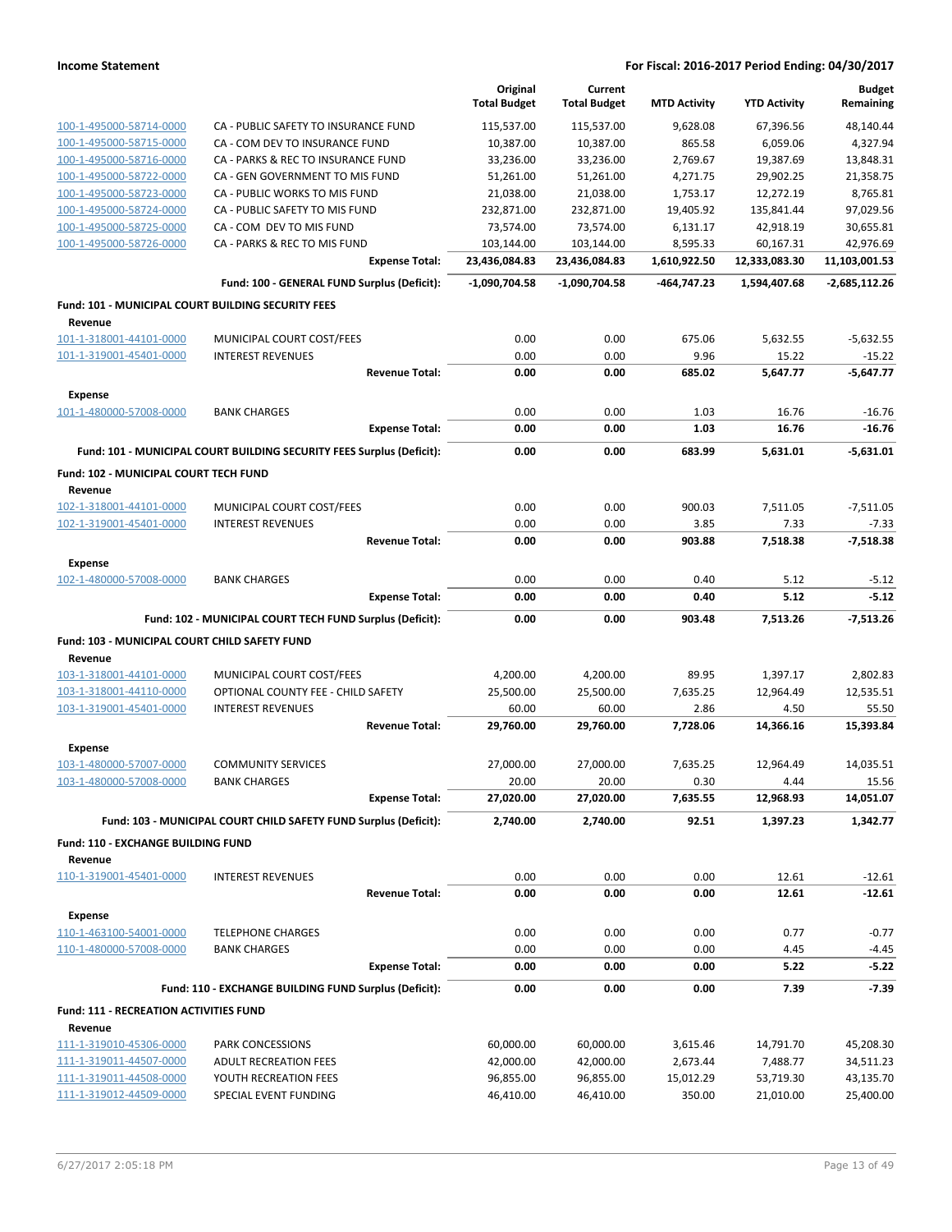|                                                           |                                                                       | Original<br><b>Total Budget</b> | Current<br><b>Total Budget</b> | <b>MTD Activity</b> | <b>YTD Activity</b> | <b>Budget</b><br>Remaining |
|-----------------------------------------------------------|-----------------------------------------------------------------------|---------------------------------|--------------------------------|---------------------|---------------------|----------------------------|
| 100-1-495000-58714-0000                                   | CA - PUBLIC SAFETY TO INSURANCE FUND                                  | 115,537.00                      | 115,537.00                     | 9,628.08            | 67,396.56           | 48,140.44                  |
| 100-1-495000-58715-0000                                   | CA - COM DEV TO INSURANCE FUND                                        | 10,387.00                       | 10,387.00                      | 865.58              | 6,059.06            | 4,327.94                   |
| 100-1-495000-58716-0000                                   | CA - PARKS & REC TO INSURANCE FUND                                    | 33,236.00                       | 33,236.00                      | 2,769.67            | 19,387.69           | 13,848.31                  |
| 100-1-495000-58722-0000                                   | CA - GEN GOVERNMENT TO MIS FUND                                       | 51,261.00                       | 51,261.00                      | 4,271.75            | 29,902.25           | 21,358.75                  |
| 100-1-495000-58723-0000                                   | CA - PUBLIC WORKS TO MIS FUND                                         | 21,038.00                       | 21,038.00                      | 1,753.17            | 12,272.19           | 8,765.81                   |
| 100-1-495000-58724-0000                                   | CA - PUBLIC SAFETY TO MIS FUND                                        | 232,871.00                      | 232,871.00                     | 19,405.92           | 135,841.44          | 97,029.56                  |
| 100-1-495000-58725-0000                                   | CA - COM DEV TO MIS FUND                                              | 73,574.00                       | 73,574.00                      | 6,131.17            | 42,918.19           | 30,655.81                  |
| 100-1-495000-58726-0000                                   | CA - PARKS & REC TO MIS FUND                                          | 103,144.00                      | 103,144.00                     | 8,595.33            | 60,167.31           | 42,976.69                  |
|                                                           | <b>Expense Total:</b>                                                 | 23,436,084.83                   | 23,436,084.83                  | 1,610,922.50        | 12,333,083.30       | 11,103,001.53              |
|                                                           | Fund: 100 - GENERAL FUND Surplus (Deficit):                           | -1,090,704.58                   | -1,090,704.58                  | -464,747.23         | 1,594,407.68        | $-2,685,112.26$            |
| <b>Fund: 101 - MUNICIPAL COURT BUILDING SECURITY FEES</b> |                                                                       |                                 |                                |                     |                     |                            |
| Revenue                                                   |                                                                       |                                 |                                |                     |                     |                            |
| 101-1-318001-44101-0000                                   | MUNICIPAL COURT COST/FEES                                             | 0.00                            | 0.00                           | 675.06              | 5,632.55            | $-5,632.55$                |
| 101-1-319001-45401-0000                                   | <b>INTEREST REVENUES</b>                                              | 0.00                            | 0.00                           | 9.96                | 15.22               | $-15.22$                   |
|                                                           | <b>Revenue Total:</b>                                                 | 0.00                            | 0.00                           | 685.02              | 5,647.77            | $-5,647.77$                |
| <b>Expense</b>                                            |                                                                       |                                 |                                |                     |                     |                            |
| 101-1-480000-57008-0000                                   | <b>BANK CHARGES</b>                                                   | 0.00                            | 0.00                           | 1.03                | 16.76               | $-16.76$                   |
|                                                           | <b>Expense Total:</b>                                                 | 0.00                            | 0.00                           | 1.03                | 16.76               | $-16.76$                   |
|                                                           | Fund: 101 - MUNICIPAL COURT BUILDING SECURITY FEES Surplus (Deficit): | 0.00                            | 0.00                           | 683.99              | 5,631.01            | $-5,631.01$                |
| Fund: 102 - MUNICIPAL COURT TECH FUND                     |                                                                       |                                 |                                |                     |                     |                            |
| Revenue<br>102-1-318001-44101-0000                        | MUNICIPAL COURT COST/FEES                                             | 0.00                            | 0.00                           | 900.03              | 7,511.05            | $-7,511.05$                |
| 102-1-319001-45401-0000                                   | <b>INTEREST REVENUES</b>                                              | 0.00                            | 0.00                           | 3.85                | 7.33                | $-7.33$                    |
|                                                           | <b>Revenue Total:</b>                                                 | 0.00                            | 0.00                           | 903.88              | 7,518.38            | $-7,518.38$                |
|                                                           |                                                                       |                                 |                                |                     |                     |                            |
| <b>Expense</b>                                            |                                                                       |                                 |                                |                     |                     |                            |
| 102-1-480000-57008-0000                                   | <b>BANK CHARGES</b>                                                   | 0.00                            | 0.00                           | 0.40                | 5.12                | $-5.12$                    |
|                                                           | <b>Expense Total:</b>                                                 | 0.00                            | 0.00                           | 0.40                | 5.12                | $-5.12$                    |
|                                                           | Fund: 102 - MUNICIPAL COURT TECH FUND Surplus (Deficit):              | 0.00                            | 0.00                           | 903.48              | 7,513.26            | $-7,513.26$                |
| Fund: 103 - MUNICIPAL COURT CHILD SAFETY FUND             |                                                                       |                                 |                                |                     |                     |                            |
| Revenue                                                   |                                                                       |                                 |                                |                     |                     |                            |
| 103-1-318001-44101-0000                                   | MUNICIPAL COURT COST/FEES                                             | 4,200.00                        | 4,200.00                       | 89.95               | 1,397.17            | 2,802.83                   |
| 103-1-318001-44110-0000                                   | OPTIONAL COUNTY FEE - CHILD SAFETY                                    | 25,500.00                       | 25,500.00                      | 7,635.25            | 12,964.49           | 12,535.51                  |
| 103-1-319001-45401-0000                                   | <b>INTEREST REVENUES</b><br><b>Revenue Total:</b>                     | 60.00<br>29,760.00              | 60.00<br>29,760.00             | 2.86<br>7,728.06    | 4.50<br>14,366.16   | 55.50<br>15,393.84         |
|                                                           |                                                                       |                                 |                                |                     |                     |                            |
| <b>Expense</b><br>103-1-480000-57007-0000                 | <b>COMMUNITY SERVICES</b>                                             | 27,000.00                       | 27,000.00                      | 7,635.25            | 12,964.49           | 14,035.51                  |
| 103-1-480000-57008-0000                                   | <b>BANK CHARGES</b>                                                   | 20.00                           | 20.00                          | 0.30                | 4.44                | 15.56                      |
|                                                           | <b>Expense Total:</b>                                                 | 27,020.00                       | 27,020.00                      | 7,635.55            | 12,968.93           | 14,051.07                  |
|                                                           | Fund: 103 - MUNICIPAL COURT CHILD SAFETY FUND Surplus (Deficit):      | 2,740.00                        | 2,740.00                       | 92.51               | 1,397.23            | 1,342.77                   |
|                                                           |                                                                       |                                 |                                |                     |                     |                            |
| Fund: 110 - EXCHANGE BUILDING FUND<br>Revenue             |                                                                       |                                 |                                |                     |                     |                            |
| 110-1-319001-45401-0000                                   | <b>INTEREST REVENUES</b>                                              | 0.00                            | 0.00                           | 0.00                | 12.61               | $-12.61$                   |
|                                                           | <b>Revenue Total:</b>                                                 | 0.00                            | 0.00                           | 0.00                | 12.61               | $-12.61$                   |
| <b>Expense</b>                                            |                                                                       |                                 |                                |                     |                     |                            |
| 110-1-463100-54001-0000                                   | <b>TELEPHONE CHARGES</b>                                              | 0.00                            | 0.00                           | 0.00                | 0.77                | $-0.77$                    |
| 110-1-480000-57008-0000                                   | <b>BANK CHARGES</b>                                                   | 0.00                            | 0.00                           | 0.00                | 4.45                | $-4.45$                    |
|                                                           | <b>Expense Total:</b>                                                 | 0.00                            | 0.00                           | 0.00                | 5.22                | $-5.22$                    |
|                                                           | Fund: 110 - EXCHANGE BUILDING FUND Surplus (Deficit):                 | 0.00                            | 0.00                           | 0.00                | 7.39                | $-7.39$                    |
| <b>Fund: 111 - RECREATION ACTIVITIES FUND</b>             |                                                                       |                                 |                                |                     |                     |                            |
| Revenue                                                   |                                                                       |                                 |                                |                     |                     |                            |
| 111-1-319010-45306-0000                                   | PARK CONCESSIONS                                                      | 60,000.00                       | 60,000.00                      | 3,615.46            | 14,791.70           | 45,208.30                  |
| 111-1-319011-44507-0000                                   | ADULT RECREATION FEES                                                 | 42,000.00                       | 42,000.00                      | 2,673.44            | 7,488.77            | 34,511.23                  |
| 111-1-319011-44508-0000                                   | YOUTH RECREATION FEES                                                 | 96,855.00                       | 96,855.00                      | 15,012.29           | 53,719.30           | 43,135.70                  |
| 111-1-319012-44509-0000                                   | SPECIAL EVENT FUNDING                                                 | 46,410.00                       | 46,410.00                      | 350.00              | 21,010.00           | 25,400.00                  |
|                                                           |                                                                       |                                 |                                |                     |                     |                            |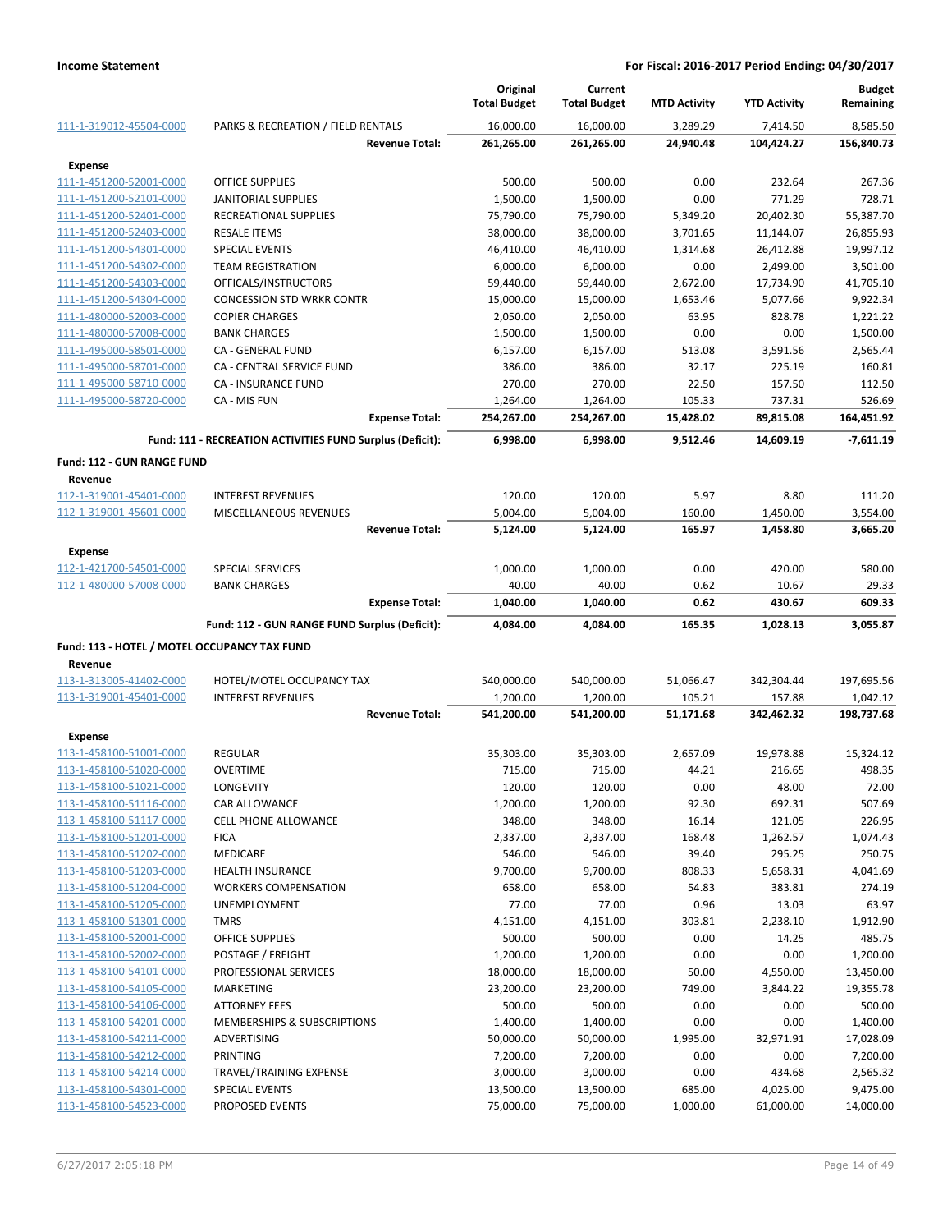|                                                    |                                                           | Original<br><b>Total Budget</b> | Current<br><b>Total Budget</b> | <b>MTD Activity</b> | <b>YTD Activity</b>  | <b>Budget</b><br>Remaining |
|----------------------------------------------------|-----------------------------------------------------------|---------------------------------|--------------------------------|---------------------|----------------------|----------------------------|
| 111-1-319012-45504-0000                            | PARKS & RECREATION / FIELD RENTALS                        | 16,000.00                       | 16,000.00                      | 3,289.29            | 7,414.50             | 8,585.50                   |
|                                                    | <b>Revenue Total:</b>                                     | 261,265.00                      | 261,265.00                     | 24,940.48           | 104,424.27           | 156,840.73                 |
| <b>Expense</b>                                     |                                                           |                                 |                                |                     |                      |                            |
| 111-1-451200-52001-0000                            | <b>OFFICE SUPPLIES</b>                                    | 500.00                          | 500.00                         | 0.00                | 232.64               | 267.36                     |
| 111-1-451200-52101-0000                            | <b>JANITORIAL SUPPLIES</b>                                | 1,500.00                        | 1,500.00                       | 0.00                | 771.29               | 728.71                     |
| 111-1-451200-52401-0000                            | RECREATIONAL SUPPLIES                                     | 75,790.00                       | 75,790.00                      | 5,349.20            | 20,402.30            | 55,387.70                  |
| 111-1-451200-52403-0000                            | <b>RESALE ITEMS</b>                                       | 38,000.00                       | 38,000.00                      | 3,701.65            | 11,144.07            | 26,855.93                  |
| 111-1-451200-54301-0000                            | SPECIAL EVENTS                                            | 46,410.00                       | 46,410.00                      | 1,314.68            | 26,412.88            | 19,997.12                  |
| 111-1-451200-54302-0000                            | <b>TEAM REGISTRATION</b>                                  | 6,000.00                        | 6,000.00                       | 0.00                | 2,499.00             | 3,501.00                   |
| 111-1-451200-54303-0000                            | OFFICALS/INSTRUCTORS                                      | 59,440.00                       | 59,440.00                      | 2,672.00            | 17,734.90            | 41,705.10                  |
| 111-1-451200-54304-0000                            | <b>CONCESSION STD WRKR CONTR</b>                          | 15,000.00                       | 15,000.00                      | 1,653.46            | 5,077.66             | 9,922.34                   |
| 111-1-480000-52003-0000                            | <b>COPIER CHARGES</b>                                     | 2,050.00                        | 2,050.00                       | 63.95               | 828.78               | 1,221.22                   |
| 111-1-480000-57008-0000                            | <b>BANK CHARGES</b>                                       | 1,500.00                        | 1,500.00                       | 0.00                | 0.00                 | 1,500.00                   |
| 111-1-495000-58501-0000                            | CA - GENERAL FUND                                         | 6,157.00                        | 6,157.00                       | 513.08              | 3,591.56             | 2,565.44                   |
| 111-1-495000-58701-0000                            | CA - CENTRAL SERVICE FUND                                 | 386.00                          | 386.00                         | 32.17               | 225.19               | 160.81                     |
| 111-1-495000-58710-0000                            | CA - INSURANCE FUND                                       | 270.00                          | 270.00                         | 22.50               | 157.50               | 112.50                     |
| 111-1-495000-58720-0000                            | CA - MIS FUN                                              | 1,264.00                        | 1,264.00                       | 105.33              | 737.31               | 526.69                     |
|                                                    | <b>Expense Total:</b>                                     | 254,267.00                      | 254,267.00                     | 15,428.02           | 89,815.08            | 164,451.92                 |
|                                                    | Fund: 111 - RECREATION ACTIVITIES FUND Surplus (Deficit): | 6,998.00                        | 6,998.00                       | 9,512.46            | 14,609.19            | $-7,611.19$                |
| <b>Fund: 112 - GUN RANGE FUND</b>                  |                                                           |                                 |                                |                     |                      |                            |
| Revenue                                            |                                                           |                                 |                                |                     |                      |                            |
| 112-1-319001-45401-0000                            | <b>INTEREST REVENUES</b>                                  | 120.00                          | 120.00                         | 5.97                | 8.80                 | 111.20                     |
| 112-1-319001-45601-0000                            | MISCELLANEOUS REVENUES                                    | 5,004.00                        | 5,004.00                       | 160.00              | 1,450.00             | 3,554.00                   |
|                                                    | <b>Revenue Total:</b>                                     | 5,124.00                        | 5,124.00                       | 165.97              | 1,458.80             | 3,665.20                   |
| <b>Expense</b>                                     |                                                           |                                 |                                |                     |                      |                            |
| 112-1-421700-54501-0000                            | <b>SPECIAL SERVICES</b>                                   | 1,000.00                        | 1,000.00                       | 0.00                | 420.00               | 580.00                     |
| 112-1-480000-57008-0000                            | <b>BANK CHARGES</b>                                       | 40.00                           | 40.00                          | 0.62                | 10.67                | 29.33                      |
|                                                    | <b>Expense Total:</b>                                     | 1,040.00                        | 1,040.00                       | 0.62                | 430.67               | 609.33                     |
|                                                    | Fund: 112 - GUN RANGE FUND Surplus (Deficit):             | 4,084.00                        | 4,084.00                       | 165.35              | 1,028.13             | 3,055.87                   |
| Fund: 113 - HOTEL / MOTEL OCCUPANCY TAX FUND       |                                                           |                                 |                                |                     |                      |                            |
| Revenue                                            |                                                           |                                 |                                |                     |                      |                            |
| 113-1-313005-41402-0000                            | HOTEL/MOTEL OCCUPANCY TAX                                 | 540,000.00                      | 540,000.00                     | 51,066.47           | 342,304.44           | 197,695.56                 |
| 113-1-319001-45401-0000                            | <b>INTEREST REVENUES</b>                                  | 1,200.00                        | 1,200.00                       | 105.21              | 157.88               | 1,042.12                   |
|                                                    | <b>Revenue Total:</b>                                     | 541,200.00                      | 541,200.00                     | 51,171.68           | 342,462.32           | 198,737.68                 |
| <b>Expense</b>                                     |                                                           |                                 |                                |                     |                      |                            |
| 113-1-458100-51001-0000                            | <b>REGULAR</b>                                            | 35,303.00                       | 35,303.00                      | 2,657.09            | 19,978.88            | 15,324.12                  |
| 113-1-458100-51020-0000                            | <b>OVERTIME</b>                                           | 715.00                          | 715.00                         | 44.21               | 216.65               | 498.35                     |
| 113-1-458100-51021-0000                            | <b>LONGEVITY</b>                                          | 120.00                          | 120.00                         | 0.00                | 48.00                | 72.00                      |
| 113-1-458100-51116-0000                            | <b>CAR ALLOWANCE</b>                                      | 1,200.00                        | 1,200.00                       | 92.30               | 692.31               | 507.69                     |
| 113-1-458100-51117-0000                            | <b>CELL PHONE ALLOWANCE</b>                               | 348.00                          | 348.00                         | 16.14               | 121.05               | 226.95                     |
| 113-1-458100-51201-0000                            | <b>FICA</b>                                               | 2,337.00                        | 2,337.00                       | 168.48              | 1,262.57             | 1,074.43                   |
| 113-1-458100-51202-0000                            | MEDICARE                                                  | 546.00                          | 546.00                         | 39.40               | 295.25               | 250.75                     |
| 113-1-458100-51203-0000                            | <b>HEALTH INSURANCE</b>                                   | 9,700.00                        | 9,700.00                       | 808.33              | 5,658.31             | 4,041.69                   |
| 113-1-458100-51204-0000                            | <b>WORKERS COMPENSATION</b>                               | 658.00                          | 658.00                         | 54.83               | 383.81               | 274.19                     |
| 113-1-458100-51205-0000                            | <b>UNEMPLOYMENT</b>                                       | 77.00                           | 77.00                          | 0.96                | 13.03                | 63.97                      |
| 113-1-458100-51301-0000                            | <b>TMRS</b>                                               | 4,151.00                        | 4,151.00                       | 303.81              | 2,238.10             | 1,912.90                   |
| 113-1-458100-52001-0000                            | OFFICE SUPPLIES                                           | 500.00                          | 500.00                         | 0.00                | 14.25                | 485.75                     |
| 113-1-458100-52002-0000                            | POSTAGE / FREIGHT                                         | 1,200.00                        | 1,200.00                       | 0.00                | 0.00                 | 1,200.00                   |
| 113-1-458100-54101-0000<br>113-1-458100-54105-0000 | PROFESSIONAL SERVICES<br><b>MARKETING</b>                 | 18,000.00<br>23,200.00          | 18,000.00<br>23,200.00         | 50.00<br>749.00     | 4,550.00<br>3,844.22 | 13,450.00<br>19,355.78     |
| 113-1-458100-54106-0000                            | ATTORNEY FEES                                             | 500.00                          | 500.00                         | 0.00                | 0.00                 | 500.00                     |
| 113-1-458100-54201-0000                            | MEMBERSHIPS & SUBSCRIPTIONS                               | 1,400.00                        | 1,400.00                       | 0.00                | 0.00                 | 1,400.00                   |
| 113-1-458100-54211-0000                            | ADVERTISING                                               | 50,000.00                       | 50,000.00                      | 1,995.00            | 32,971.91            | 17,028.09                  |
| 113-1-458100-54212-0000                            | <b>PRINTING</b>                                           | 7,200.00                        | 7,200.00                       | 0.00                | 0.00                 | 7,200.00                   |
| 113-1-458100-54214-0000                            | TRAVEL/TRAINING EXPENSE                                   | 3,000.00                        | 3,000.00                       | 0.00                | 434.68               | 2,565.32                   |
| 113-1-458100-54301-0000                            | SPECIAL EVENTS                                            | 13,500.00                       | 13,500.00                      | 685.00              | 4,025.00             | 9,475.00                   |
| 113-1-458100-54523-0000                            | PROPOSED EVENTS                                           | 75,000.00                       | 75,000.00                      | 1,000.00            | 61,000.00            | 14,000.00                  |
|                                                    |                                                           |                                 |                                |                     |                      |                            |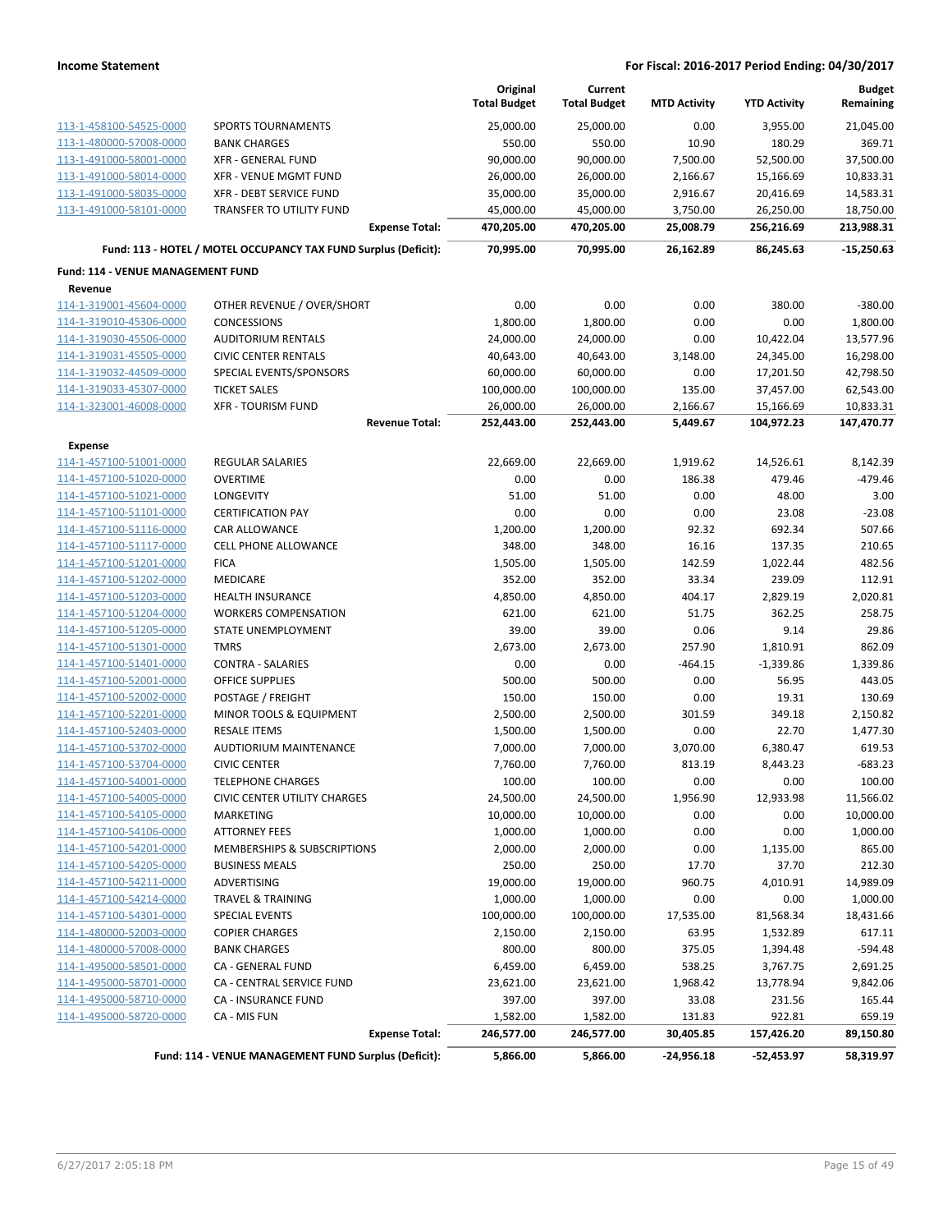|                                   |                                                                 | Original<br><b>Total Budget</b> | Current<br><b>Total Budget</b> | <b>MTD Activity</b> | <b>YTD Activity</b> | <b>Budget</b><br>Remaining |
|-----------------------------------|-----------------------------------------------------------------|---------------------------------|--------------------------------|---------------------|---------------------|----------------------------|
| 113-1-458100-54525-0000           | <b>SPORTS TOURNAMENTS</b>                                       | 25,000.00                       | 25,000.00                      | 0.00                | 3,955.00            | 21,045.00                  |
| 113-1-480000-57008-0000           | <b>BANK CHARGES</b>                                             | 550.00                          | 550.00                         | 10.90               | 180.29              | 369.71                     |
| 113-1-491000-58001-0000           | <b>XFR - GENERAL FUND</b>                                       | 90,000.00                       | 90,000.00                      | 7,500.00            | 52,500.00           | 37,500.00                  |
| 113-1-491000-58014-0000           | <b>XFR - VENUE MGMT FUND</b>                                    | 26,000.00                       | 26,000.00                      | 2,166.67            | 15,166.69           | 10,833.31                  |
| 113-1-491000-58035-0000           | XFR - DEBT SERVICE FUND                                         | 35,000.00                       | 35,000.00                      | 2,916.67            | 20,416.69           | 14,583.31                  |
| 113-1-491000-58101-0000           | TRANSFER TO UTILITY FUND                                        | 45,000.00                       | 45,000.00                      | 3,750.00            | 26,250.00           | 18,750.00                  |
|                                   | <b>Expense Total:</b>                                           | 470,205.00                      | 470,205.00                     | 25,008.79           | 256,216.69          | 213,988.31                 |
|                                   | Fund: 113 - HOTEL / MOTEL OCCUPANCY TAX FUND Surplus (Deficit): | 70,995.00                       | 70,995.00                      | 26,162.89           | 86,245.63           | $-15,250.63$               |
| Fund: 114 - VENUE MANAGEMENT FUND |                                                                 |                                 |                                |                     |                     |                            |
| Revenue                           |                                                                 |                                 |                                |                     |                     |                            |
| 114-1-319001-45604-0000           | OTHER REVENUE / OVER/SHORT                                      | 0.00                            | 0.00                           | 0.00                | 380.00              | $-380.00$                  |
| 114-1-319010-45306-0000           | <b>CONCESSIONS</b>                                              | 1,800.00                        | 1,800.00                       | 0.00                | 0.00                | 1,800.00                   |
| 114-1-319030-45506-0000           | <b>AUDITORIUM RENTALS</b>                                       | 24,000.00                       | 24,000.00                      | 0.00                | 10,422.04           | 13,577.96                  |
| 114-1-319031-45505-0000           | <b>CIVIC CENTER RENTALS</b>                                     | 40,643.00                       | 40,643.00                      | 3,148.00            | 24,345.00           | 16,298.00                  |
| 114-1-319032-44509-0000           | SPECIAL EVENTS/SPONSORS                                         | 60,000.00                       | 60,000.00                      | 0.00                | 17,201.50           | 42,798.50                  |
| 114-1-319033-45307-0000           | <b>TICKET SALES</b>                                             | 100,000.00                      | 100,000.00                     | 135.00              | 37,457.00           | 62,543.00                  |
| 114-1-323001-46008-0000           | <b>XFR - TOURISM FUND</b>                                       | 26,000.00                       | 26,000.00                      | 2,166.67            | 15,166.69           | 10,833.31                  |
|                                   | <b>Revenue Total:</b>                                           | 252,443.00                      | 252,443.00                     | 5,449.67            | 104,972.23          | 147,470.77                 |
| <b>Expense</b>                    |                                                                 |                                 |                                |                     |                     |                            |
| 114-1-457100-51001-0000           | <b>REGULAR SALARIES</b>                                         | 22,669.00                       | 22,669.00                      | 1,919.62            | 14,526.61           | 8,142.39                   |
| 114-1-457100-51020-0000           | <b>OVERTIME</b>                                                 | 0.00                            | 0.00                           | 186.38              | 479.46              | $-479.46$                  |
| 114-1-457100-51021-0000           | LONGEVITY                                                       | 51.00                           | 51.00                          | 0.00                | 48.00               | 3.00                       |
| 114-1-457100-51101-0000           | <b>CERTIFICATION PAY</b>                                        | 0.00                            | 0.00                           | 0.00                | 23.08               | $-23.08$                   |
| 114-1-457100-51116-0000           | CAR ALLOWANCE                                                   | 1,200.00                        | 1,200.00                       | 92.32               | 692.34              | 507.66                     |
| 114-1-457100-51117-0000           | <b>CELL PHONE ALLOWANCE</b>                                     | 348.00                          | 348.00                         | 16.16               | 137.35              | 210.65                     |
| 114-1-457100-51201-0000           | <b>FICA</b>                                                     | 1,505.00                        | 1,505.00                       | 142.59              | 1,022.44            | 482.56                     |
| 114-1-457100-51202-0000           | <b>MEDICARE</b>                                                 | 352.00                          | 352.00                         | 33.34               | 239.09              | 112.91                     |
| 114-1-457100-51203-0000           | <b>HEALTH INSURANCE</b>                                         | 4,850.00                        | 4,850.00                       | 404.17              | 2,829.19            | 2,020.81                   |
| 114-1-457100-51204-0000           | <b>WORKERS COMPENSATION</b>                                     | 621.00                          | 621.00                         | 51.75               | 362.25              | 258.75                     |
| 114-1-457100-51205-0000           | STATE UNEMPLOYMENT                                              | 39.00                           | 39.00                          | 0.06                | 9.14                | 29.86                      |
| 114-1-457100-51301-0000           | <b>TMRS</b>                                                     | 2,673.00                        | 2,673.00                       | 257.90              | 1,810.91            | 862.09                     |
| 114-1-457100-51401-0000           | <b>CONTRA - SALARIES</b>                                        | 0.00                            | 0.00                           | $-464.15$           | $-1,339.86$         | 1,339.86                   |
| 114-1-457100-52001-0000           | <b>OFFICE SUPPLIES</b>                                          | 500.00                          | 500.00                         | 0.00                | 56.95               | 443.05                     |
| 114-1-457100-52002-0000           | POSTAGE / FREIGHT                                               | 150.00                          | 150.00                         | 0.00                | 19.31               | 130.69                     |
| 114-1-457100-52201-0000           | MINOR TOOLS & EQUIPMENT                                         | 2,500.00                        | 2,500.00                       | 301.59              | 349.18              | 2,150.82                   |
| 114-1-457100-52403-0000           | <b>RESALE ITEMS</b>                                             | 1,500.00                        | 1,500.00                       | 0.00                | 22.70               | 1,477.30                   |
| 114-1-457100-53702-0000           | <b>AUDTIORIUM MAINTENANCE</b>                                   | 7,000.00                        | 7,000.00                       | 3,070.00            | 6,380.47            | 619.53                     |
| 114-1-457100-53704-0000           | <b>CIVIC CENTER</b>                                             | 7,760.00                        | 7,760.00                       | 813.19              | 8,443.23            | $-683.23$                  |
| 114-1-457100-54001-0000           | <b>TELEPHONE CHARGES</b>                                        | 100.00                          | 100.00                         | 0.00                | 0.00                | 100.00                     |
| 114-1-457100-54005-0000           | CIVIC CENTER UTILITY CHARGES                                    | 24,500.00                       | 24,500.00                      | 1,956.90            | 12,933.98           | 11,566.02                  |
| 114-1-457100-54105-0000           | <b>MARKETING</b>                                                | 10,000.00                       | 10,000.00                      | 0.00                | 0.00                | 10,000.00                  |
| 114-1-457100-54106-0000           | <b>ATTORNEY FEES</b>                                            | 1,000.00                        | 1,000.00                       | 0.00                | 0.00                | 1,000.00                   |
| 114-1-457100-54201-0000           | MEMBERSHIPS & SUBSCRIPTIONS                                     | 2,000.00                        | 2,000.00                       | 0.00                | 1,135.00            | 865.00                     |
| 114-1-457100-54205-0000           | <b>BUSINESS MEALS</b>                                           | 250.00                          | 250.00                         | 17.70               | 37.70               | 212.30                     |
| 114-1-457100-54211-0000           | ADVERTISING                                                     | 19,000.00                       | 19,000.00                      | 960.75              | 4,010.91            | 14,989.09                  |
| 114-1-457100-54214-0000           | <b>TRAVEL &amp; TRAINING</b>                                    | 1,000.00                        | 1,000.00                       | 0.00                | 0.00                | 1,000.00                   |
| 114-1-457100-54301-0000           | SPECIAL EVENTS                                                  | 100,000.00                      | 100,000.00                     | 17,535.00           | 81,568.34           | 18,431.66                  |
| 114-1-480000-52003-0000           | <b>COPIER CHARGES</b>                                           | 2,150.00                        | 2,150.00                       | 63.95               | 1,532.89            | 617.11                     |
| 114-1-480000-57008-0000           | <b>BANK CHARGES</b>                                             | 800.00                          | 800.00                         | 375.05              | 1,394.48            | $-594.48$                  |
| 114-1-495000-58501-0000           | CA - GENERAL FUND                                               | 6,459.00                        | 6,459.00                       | 538.25              | 3,767.75            | 2,691.25                   |
| 114-1-495000-58701-0000           | CA - CENTRAL SERVICE FUND                                       | 23,621.00                       | 23,621.00                      | 1,968.42            | 13,778.94           | 9,842.06                   |
| 114-1-495000-58710-0000           | CA - INSURANCE FUND                                             | 397.00                          | 397.00                         | 33.08               | 231.56              | 165.44                     |
| 114-1-495000-58720-0000           | CA - MIS FUN                                                    | 1,582.00                        | 1,582.00                       | 131.83              | 922.81              | 659.19                     |
|                                   | <b>Expense Total:</b>                                           | 246,577.00                      | 246,577.00                     | 30,405.85           | 157,426.20          | 89,150.80                  |
|                                   | Fund: 114 - VENUE MANAGEMENT FUND Surplus (Deficit):            | 5,866.00                        | 5,866.00                       | $-24,956.18$        | -52,453.97          | 58,319.97                  |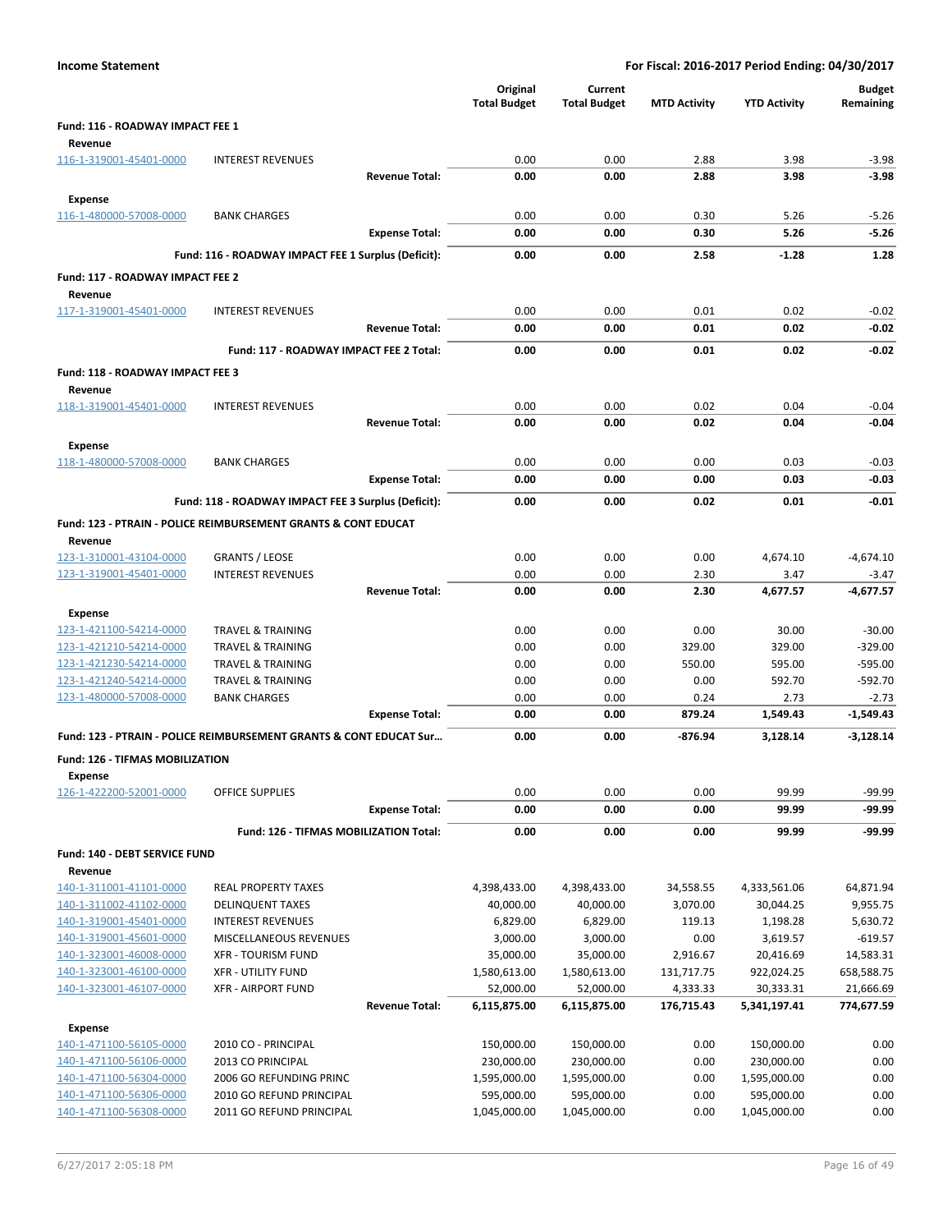| <b>Income Statement</b>                            |                                                                           |                       |                                 |                                |                     | For Fiscal: 2016-2017 Period Ending: 04/30/2017 |                        |
|----------------------------------------------------|---------------------------------------------------------------------------|-----------------------|---------------------------------|--------------------------------|---------------------|-------------------------------------------------|------------------------|
|                                                    |                                                                           |                       | Original<br><b>Total Budget</b> | Current<br><b>Total Budget</b> | <b>MTD Activity</b> | <b>YTD Activity</b>                             | Budget<br>Remaining    |
| Fund: 116 - ROADWAY IMPACT FEE 1                   |                                                                           |                       |                                 |                                |                     |                                                 |                        |
| Revenue<br>116-1-319001-45401-0000                 | <b>INTEREST REVENUES</b>                                                  |                       | 0.00                            | 0.00                           | 2.88                | 3.98                                            | $-3.98$                |
|                                                    |                                                                           | <b>Revenue Total:</b> | 0.00                            | 0.00                           | 2.88                | 3.98                                            | $-3.98$                |
| <b>Expense</b>                                     |                                                                           |                       |                                 |                                |                     |                                                 |                        |
| 116-1-480000-57008-0000                            | <b>BANK CHARGES</b>                                                       |                       | 0.00                            | 0.00                           | 0.30                | 5.26                                            | $-5.26$                |
|                                                    |                                                                           | <b>Expense Total:</b> | 0.00                            | 0.00                           | 0.30                | 5.26                                            | $-5.26$                |
|                                                    | Fund: 116 - ROADWAY IMPACT FEE 1 Surplus (Deficit):                       |                       | 0.00                            | 0.00                           | 2.58                | $-1.28$                                         | 1.28                   |
| Fund: 117 - ROADWAY IMPACT FEE 2<br>Revenue        |                                                                           |                       |                                 |                                |                     |                                                 |                        |
| 117-1-319001-45401-0000                            | <b>INTEREST REVENUES</b>                                                  |                       | 0.00                            | 0.00                           | 0.01                | 0.02                                            | $-0.02$                |
|                                                    |                                                                           | <b>Revenue Total:</b> | 0.00                            | 0.00                           | 0.01                | 0.02                                            | $-0.02$                |
|                                                    | Fund: 117 - ROADWAY IMPACT FEE 2 Total:                                   |                       | 0.00                            | 0.00                           | 0.01                | 0.02                                            | $-0.02$                |
| Fund: 118 - ROADWAY IMPACT FEE 3<br>Revenue        |                                                                           |                       |                                 |                                |                     |                                                 |                        |
| 118-1-319001-45401-0000                            | <b>INTEREST REVENUES</b>                                                  |                       | 0.00                            | 0.00                           | 0.02                | 0.04                                            | $-0.04$                |
|                                                    |                                                                           | <b>Revenue Total:</b> | 0.00                            | 0.00                           | 0.02                | 0.04                                            | $-0.04$                |
| <b>Expense</b>                                     |                                                                           |                       |                                 |                                |                     |                                                 |                        |
| 118-1-480000-57008-0000                            | <b>BANK CHARGES</b>                                                       |                       | 0.00                            | 0.00                           | 0.00                | 0.03                                            | $-0.03$                |
|                                                    |                                                                           | <b>Expense Total:</b> | 0.00                            | 0.00                           | 0.00                | 0.03                                            | $-0.03$                |
|                                                    | Fund: 118 - ROADWAY IMPACT FEE 3 Surplus (Deficit):                       |                       | 0.00                            | 0.00                           | 0.02                | 0.01                                            | $-0.01$                |
| Revenue                                            | <b>Fund: 123 - PTRAIN - POLICE REIMBURSEMENT GRANTS &amp; CONT EDUCAT</b> |                       |                                 |                                |                     |                                                 |                        |
| 123-1-310001-43104-0000                            | <b>GRANTS / LEOSE</b>                                                     |                       | 0.00                            | 0.00                           | 0.00                | 4,674.10                                        | $-4,674.10$            |
| 123-1-319001-45401-0000                            | <b>INTEREST REVENUES</b>                                                  |                       | 0.00                            | 0.00                           | 2.30                | 3.47                                            | $-3.47$                |
|                                                    |                                                                           | <b>Revenue Total:</b> | 0.00                            | 0.00                           | 2.30                | 4,677.57                                        | $-4,677.57$            |
| Expense                                            |                                                                           |                       |                                 |                                |                     |                                                 |                        |
| 123-1-421100-54214-0000                            | TRAVEL & TRAINING                                                         |                       | 0.00                            | 0.00                           | 0.00                | 30.00                                           | $-30.00$               |
| 123-1-421210-54214-0000                            | <b>TRAVEL &amp; TRAINING</b>                                              |                       | 0.00                            | 0.00                           | 329.00              | 329.00                                          | $-329.00$              |
| 123-1-421230-54214-0000<br>123-1-421240-54214-0000 | <b>TRAVEL &amp; TRAINING</b><br><b>TRAVEL &amp; TRAINING</b>              |                       | 0.00<br>0.00                    | 0.00<br>0.00                   | 550.00<br>0.00      | 595.00<br>592.70                                | $-595.00$<br>$-592.70$ |
| 123-1-480000-57008-0000                            | <b>BANK CHARGES</b>                                                       |                       | 0.00                            | 0.00                           | 0.24                | 2.73                                            | $-2.73$                |
|                                                    |                                                                           | <b>Expense Total:</b> | 0.00                            | 0.00                           | 879.24              | 1,549.43                                        | $-1,549.43$            |
|                                                    | Fund: 123 - PTRAIN - POLICE REIMBURSEMENT GRANTS & CONT EDUCAT Sur        |                       | 0.00                            | 0.00                           | -876.94             | 3.128.14                                        | $-3,128.14$            |
| Fund: 126 - TIFMAS MOBILIZATION<br><b>Expense</b>  |                                                                           |                       |                                 |                                |                     |                                                 |                        |
| 126-1-422200-52001-0000                            | <b>OFFICE SUPPLIES</b>                                                    |                       | 0.00                            | 0.00                           | 0.00                | 99.99                                           | $-99.99$               |
|                                                    |                                                                           | <b>Expense Total:</b> | 0.00                            | 0.00                           | 0.00                | 99.99                                           | $-99.99$               |
|                                                    | Fund: 126 - TIFMAS MOBILIZATION Total:                                    |                       | 0.00                            | 0.00                           | 0.00                | 99.99                                           | -99.99                 |
| Fund: 140 - DEBT SERVICE FUND                      |                                                                           |                       |                                 |                                |                     |                                                 |                        |
| Revenue                                            |                                                                           |                       |                                 |                                |                     |                                                 |                        |
| 140-1-311001-41101-0000                            | <b>REAL PROPERTY TAXES</b>                                                |                       | 4,398,433.00                    | 4,398,433.00                   | 34,558.55           | 4,333,561.06                                    | 64,871.94              |
| 140-1-311002-41102-0000                            | <b>DELINQUENT TAXES</b>                                                   |                       | 40,000.00                       | 40,000.00                      | 3,070.00            | 30,044.25                                       | 9,955.75               |
| 140-1-319001-45401-0000                            | <b>INTEREST REVENUES</b>                                                  |                       | 6,829.00                        | 6,829.00                       | 119.13              | 1,198.28                                        | 5,630.72               |
| 140-1-319001-45601-0000<br>140-1-323001-46008-0000 | MISCELLANEOUS REVENUES<br><b>XFR - TOURISM FUND</b>                       |                       | 3,000.00<br>35,000.00           | 3,000.00<br>35,000.00          | 0.00<br>2,916.67    | 3,619.57<br>20,416.69                           | $-619.57$<br>14,583.31 |
| 140-1-323001-46100-0000                            | <b>XFR - UTILITY FUND</b>                                                 |                       | 1,580,613.00                    | 1,580,613.00                   | 131,717.75          | 922,024.25                                      | 658,588.75             |
| 140-1-323001-46107-0000                            | <b>XFR - AIRPORT FUND</b>                                                 |                       | 52,000.00                       | 52,000.00                      | 4,333.33            | 30,333.31                                       | 21,666.69              |
|                                                    |                                                                           | <b>Revenue Total:</b> | 6,115,875.00                    | 6,115,875.00                   | 176,715.43          | 5,341,197.41                                    | 774,677.59             |
| <b>Expense</b>                                     |                                                                           |                       |                                 |                                |                     |                                                 |                        |
| 140-1-471100-56105-0000                            | 2010 CO - PRINCIPAL                                                       |                       | 150,000.00                      | 150,000.00                     | 0.00                | 150,000.00                                      | 0.00                   |
| 140-1-471100-56106-0000                            | 2013 CO PRINCIPAL                                                         |                       | 230,000.00                      | 230,000.00                     | 0.00                | 230,000.00                                      | 0.00                   |
| 140-1-471100-56304-0000                            | 2006 GO REFUNDING PRINC                                                   |                       | 1,595,000.00                    | 1,595,000.00                   | 0.00                | 1,595,000.00                                    | 0.00                   |
| 140-1-471100-56306-0000                            | 2010 GO REFUND PRINCIPAL                                                  |                       | 595,000.00                      | 595,000.00                     | 0.00                | 595,000.00                                      | 0.00                   |
| 140-1-471100-56308-0000                            | 2011 GO REFUND PRINCIPAL                                                  |                       | 1,045,000.00                    | 1,045,000.00                   | 0.00                | 1,045,000.00                                    | 0.00                   |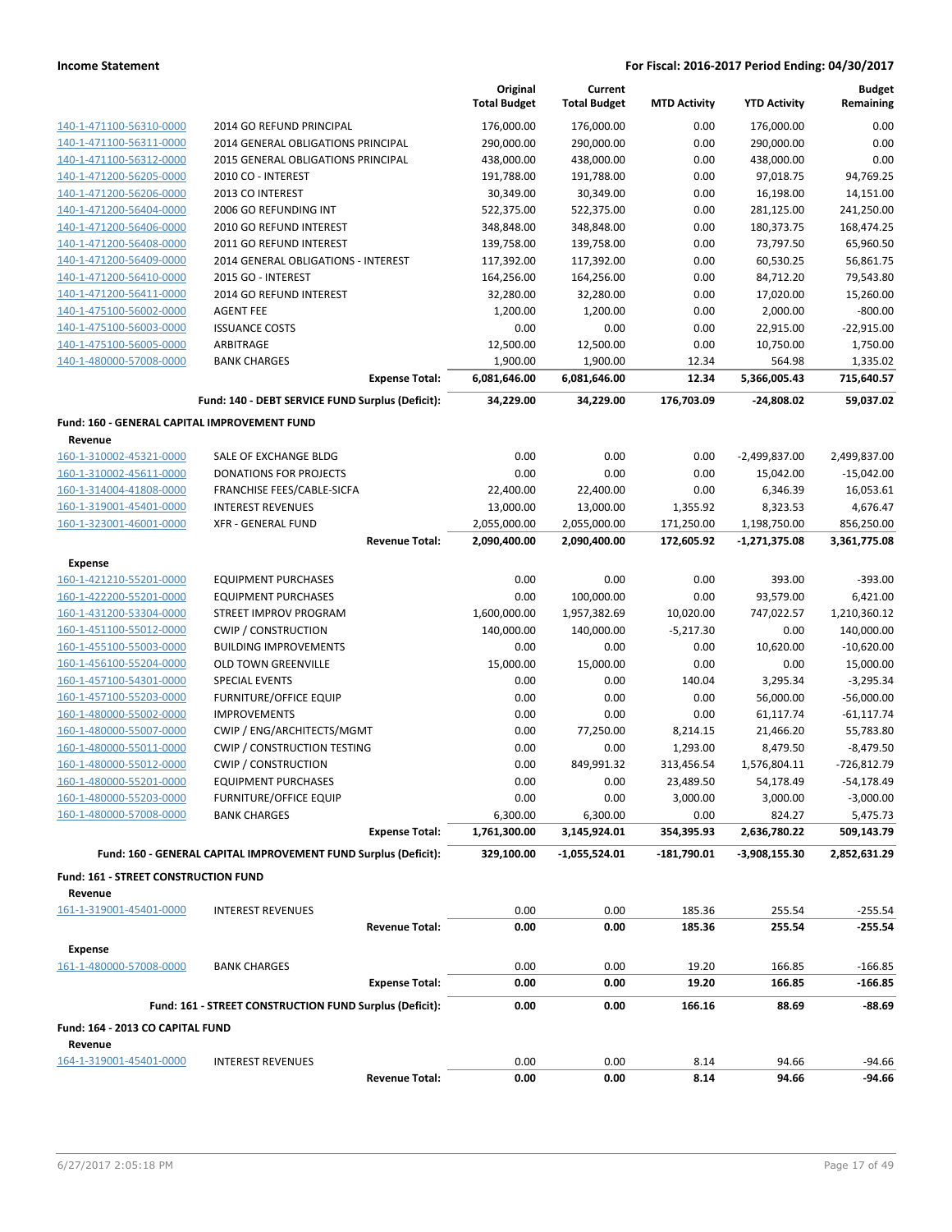| 2014 GO REFUND PRINCIPAL<br>176,000.00<br>176,000.00<br>0.00<br>176,000.00<br>0.00<br>140-1-471100-56310-0000<br>0.00<br>0.00<br>140-1-471100-56311-0000<br>2014 GENERAL OBLIGATIONS PRINCIPAL<br>290,000.00<br>290,000.00<br>290,000.00<br>0.00<br>0.00<br>140-1-471100-56312-0000<br>2015 GENERAL OBLIGATIONS PRINCIPAL<br>438,000.00<br>438,000.00<br>438,000.00<br>191,788.00<br>140-1-471200-56205-0000<br>2010 CO - INTEREST<br>191,788.00<br>0.00<br>97,018.75<br>94,769.25<br>2013 CO INTEREST<br>30,349.00<br>30,349.00<br>0.00<br>16,198.00<br>14,151.00<br>140-1-471200-56206-0000<br>140-1-471200-56404-0000<br>2006 GO REFUNDING INT<br>522,375.00<br>522,375.00<br>0.00<br>281,125.00<br>241,250.00<br>140-1-471200-56406-0000<br>2010 GO REFUND INTEREST<br>348,848.00<br>348,848.00<br>0.00<br>180,373.75<br>168,474.25<br>139,758.00<br>139,758.00<br>0.00<br>73,797.50<br>65,960.50<br>140-1-471200-56408-0000<br>2011 GO REFUND INTEREST<br>117,392.00<br>56,861.75<br>140-1-471200-56409-0000<br>2014 GENERAL OBLIGATIONS - INTEREST<br>117,392.00<br>0.00<br>60,530.25<br>2015 GO - INTEREST<br>164,256.00<br>164,256.00<br>0.00<br>84,712.20<br>79,543.80<br>140-1-471200-56410-0000<br>140-1-471200-56411-0000<br>2014 GO REFUND INTEREST<br>32,280.00<br>32,280.00<br>0.00<br>17,020.00<br>15,260.00<br>0.00<br>2,000.00<br>$-800.00$<br>140-1-475100-56002-0000<br><b>AGENT FEE</b><br>1,200.00<br>1,200.00<br><b>ISSUANCE COSTS</b><br>0.00<br>0.00<br>0.00<br>22,915.00<br>$-22,915.00$<br>140-1-475100-56003-0000<br>140-1-475100-56005-0000<br>ARBITRAGE<br>10,750.00<br>1,750.00<br>12,500.00<br>12,500.00<br>0.00<br>140-1-480000-57008-0000<br><b>BANK CHARGES</b><br>1,900.00<br>1,900.00<br>12.34<br>564.98<br>1,335.02<br>5,366,005.43<br>715,640.57<br><b>Expense Total:</b><br>6,081,646.00<br>6,081,646.00<br>12.34<br>59,037.02<br>Fund: 140 - DEBT SERVICE FUND Surplus (Deficit):<br>34,229.00<br>34,229.00<br>176,703.09<br>-24,808.02<br>Fund: 160 - GENERAL CAPITAL IMPROVEMENT FUND<br>Revenue<br>0.00<br>160-1-310002-45321-0000<br>SALE OF EXCHANGE BLDG<br>0.00<br>0.00<br>$-2,499,837.00$<br>2,499,837.00<br>0.00<br>0.00<br>0.00<br>160-1-310002-45611-0000<br>DONATIONS FOR PROJECTS<br>15,042.00<br>$-15,042.00$<br>160-1-314004-41808-0000<br>FRANCHISE FEES/CABLE-SICFA<br>22,400.00<br>22,400.00<br>0.00<br>6,346.39<br>16,053.61<br>160-1-319001-45401-0000<br><b>INTEREST REVENUES</b><br>13,000.00<br>13,000.00<br>1,355.92<br>8,323.53<br>4,676.47<br>160-1-323001-46001-0000<br><b>XFR - GENERAL FUND</b><br>2,055,000.00<br>2,055,000.00<br>171,250.00<br>1,198,750.00<br>856,250.00<br>3,361,775.08<br><b>Revenue Total:</b><br>2,090,400.00<br>2,090,400.00<br>172,605.92<br>$-1,271,375.08$<br>Expense<br>0.00<br>0.00<br>0.00<br>393.00<br>$-393.00$<br>160-1-421210-55201-0000<br><b>EQUIPMENT PURCHASES</b><br>100,000.00<br>6,421.00<br>160-1-422200-55201-0000<br><b>EQUIPMENT PURCHASES</b><br>0.00<br>0.00<br>93,579.00<br>STREET IMPROV PROGRAM<br>1,600,000.00<br>1,957,382.69<br>10,020.00<br>747,022.57<br>1,210,360.12<br>160-1-431200-53304-0000<br>160-1-451100-55012-0000<br><b>CWIP / CONSTRUCTION</b><br>140,000.00<br>140,000.00<br>$-5,217.30$<br>0.00<br>140,000.00<br>10,620.00<br>$-10,620.00$<br>160-1-455100-55003-0000<br><b>BUILDING IMPROVEMENTS</b><br>0.00<br>0.00<br>0.00<br>15,000.00<br>15,000.00<br>0.00<br>0.00<br>15,000.00<br>160-1-456100-55204-0000<br><b>OLD TOWN GREENVILLE</b><br><b>SPECIAL EVENTS</b><br>$-3,295.34$<br>160-1-457100-54301-0000<br>0.00<br>0.00<br>140.04<br>3,295.34<br><b>FURNITURE/OFFICE EQUIP</b><br>0.00<br>0.00<br>0.00<br>56,000.00<br>$-56,000.00$<br>160-1-457100-55203-0000<br>160-1-480000-55002-0000<br><b>IMPROVEMENTS</b><br>0.00<br>0.00<br>0.00<br>61,117.74<br>$-61,117.74$<br>160-1-480000-55007-0000<br>CWIP / ENG/ARCHITECTS/MGMT<br>0.00<br>77,250.00<br>8,214.15<br>21,466.20<br>55,783.80<br><b>CWIP / CONSTRUCTION TESTING</b><br>8,479.50<br>$-8,479.50$<br>160-1-480000-55011-0000<br>0.00<br>0.00<br>1,293.00<br>160-1-480000-55012-0000<br><b>CWIP / CONSTRUCTION</b><br>$-726,812.79$<br>0.00<br>849,991.32<br>313,456.54<br>1,576,804.11<br>160-1-480000-55201-0000<br><b>EQUIPMENT PURCHASES</b><br>0.00<br>0.00<br>23,489.50<br>54,178.49<br>-54,178.49<br><b>FURNITURE/OFFICE EQUIP</b><br>0.00<br>0.00<br>3,000.00<br>3,000.00<br>$-3,000.00$<br>160-1-480000-55203-0000<br>160-1-480000-57008-0000<br><b>BANK CHARGES</b><br>6,300.00<br>6,300.00<br>0.00<br>824.27<br>5,475.73<br><b>Expense Total:</b><br>1,761,300.00<br>354,395.93<br>509,143.79<br>3,145,924.01<br>2,636,780.22<br>Fund: 160 - GENERAL CAPITAL IMPROVEMENT FUND Surplus (Deficit):<br>329,100.00<br>$-1,055,524.01$<br>$-181,790.01$<br>$-3,908,155.30$<br>2,852,631.29<br>Fund: 161 - STREET CONSTRUCTION FUND<br>Revenue<br>161-1-319001-45401-0000<br>0.00<br>0.00<br>185.36<br>255.54<br>$-255.54$<br><b>INTEREST REVENUES</b><br><b>Revenue Total:</b><br>0.00<br>0.00<br>185.36<br>255.54<br>$-255.54$<br><b>Expense</b><br>161-1-480000-57008-0000<br>0.00<br>0.00<br>19.20<br><b>BANK CHARGES</b><br>166.85<br>$-166.85$<br><b>Expense Total:</b><br>0.00<br>0.00<br>19.20<br>166.85<br>$-166.85$<br>Fund: 161 - STREET CONSTRUCTION FUND Surplus (Deficit):<br>0.00<br>0.00<br>166.16<br>88.69<br>-88.69<br>Fund: 164 - 2013 CO CAPITAL FUND<br>Revenue<br>164-1-319001-45401-0000<br><b>INTEREST REVENUES</b><br>0.00<br>0.00<br>8.14<br>94.66<br>-94.66<br><b>Revenue Total:</b><br>0.00<br>0.00<br>8.14<br>94.66<br>$-94.66$ |  | Original            | Current             |                     |                     | <b>Budget</b> |
|------------------------------------------------------------------------------------------------------------------------------------------------------------------------------------------------------------------------------------------------------------------------------------------------------------------------------------------------------------------------------------------------------------------------------------------------------------------------------------------------------------------------------------------------------------------------------------------------------------------------------------------------------------------------------------------------------------------------------------------------------------------------------------------------------------------------------------------------------------------------------------------------------------------------------------------------------------------------------------------------------------------------------------------------------------------------------------------------------------------------------------------------------------------------------------------------------------------------------------------------------------------------------------------------------------------------------------------------------------------------------------------------------------------------------------------------------------------------------------------------------------------------------------------------------------------------------------------------------------------------------------------------------------------------------------------------------------------------------------------------------------------------------------------------------------------------------------------------------------------------------------------------------------------------------------------------------------------------------------------------------------------------------------------------------------------------------------------------------------------------------------------------------------------------------------------------------------------------------------------------------------------------------------------------------------------------------------------------------------------------------------------------------------------------------------------------------------------------------------------------------------------------------------------------------------------------------------------------------------------------------------------------------------------------------------------------------------------------------------------------------------------------------------------------------------------------------------------------------------------------------------------------------------------------------------------------------------------------------------------------------------------------------------------------------------------------------------------------------------------------------------------------------------------------------------------------------------------------------------------------------------------------------------------------------------------------------------------------------------------------------------------------------------------------------------------------------------------------------------------------------------------------------------------------------------------------------------------------------------------------------------------------------------------------------------------------------------------------------------------------------------------------------------------------------------------------------------------------------------------------------------------------------------------------------------------------------------------------------------------------------------------------------------------------------------------------------------------------------------------------------------------------------------------------------------------------------------------------------------------------------------------------------------------------------------------------------------------------------------------------------------------------------------------------------------------------------------------------------------------------------------------------------------------------------------------------------------------------------------------------------------------------------------------------------------------------------------------------------------------------------------------------------------------------------------------------------------------------------------------------------------------------------------------------------------------------------------------------------------------------------------------------------------------------------------------------------------------------------------------------------------------------------------------------------------------------------------------------------------------------------------------------------------------------------------------------------------------------------------------------------------------------------------------------------------------------------------------------------------------------------------------------------------------------------------------------------|--|---------------------|---------------------|---------------------|---------------------|---------------|
|                                                                                                                                                                                                                                                                                                                                                                                                                                                                                                                                                                                                                                                                                                                                                                                                                                                                                                                                                                                                                                                                                                                                                                                                                                                                                                                                                                                                                                                                                                                                                                                                                                                                                                                                                                                                                                                                                                                                                                                                                                                                                                                                                                                                                                                                                                                                                                                                                                                                                                                                                                                                                                                                                                                                                                                                                                                                                                                                                                                                                                                                                                                                                                                                                                                                                                                                                                                                                                                                                                                                                                                                                                                                                                                                                                                                                                                                                                                                                                                                                                                                                                                                                                                                                                                                                                                                                                                                                                                                                                                                                                                                                                                                                                                                                                                                                                                                                                                                                                                                                                                                                                                                                                                                                                                                                                                                                                                                                                                                                                                                                                              |  | <b>Total Budget</b> | <b>Total Budget</b> | <b>MTD Activity</b> | <b>YTD Activity</b> | Remaining     |
|                                                                                                                                                                                                                                                                                                                                                                                                                                                                                                                                                                                                                                                                                                                                                                                                                                                                                                                                                                                                                                                                                                                                                                                                                                                                                                                                                                                                                                                                                                                                                                                                                                                                                                                                                                                                                                                                                                                                                                                                                                                                                                                                                                                                                                                                                                                                                                                                                                                                                                                                                                                                                                                                                                                                                                                                                                                                                                                                                                                                                                                                                                                                                                                                                                                                                                                                                                                                                                                                                                                                                                                                                                                                                                                                                                                                                                                                                                                                                                                                                                                                                                                                                                                                                                                                                                                                                                                                                                                                                                                                                                                                                                                                                                                                                                                                                                                                                                                                                                                                                                                                                                                                                                                                                                                                                                                                                                                                                                                                                                                                                                              |  |                     |                     |                     |                     |               |
|                                                                                                                                                                                                                                                                                                                                                                                                                                                                                                                                                                                                                                                                                                                                                                                                                                                                                                                                                                                                                                                                                                                                                                                                                                                                                                                                                                                                                                                                                                                                                                                                                                                                                                                                                                                                                                                                                                                                                                                                                                                                                                                                                                                                                                                                                                                                                                                                                                                                                                                                                                                                                                                                                                                                                                                                                                                                                                                                                                                                                                                                                                                                                                                                                                                                                                                                                                                                                                                                                                                                                                                                                                                                                                                                                                                                                                                                                                                                                                                                                                                                                                                                                                                                                                                                                                                                                                                                                                                                                                                                                                                                                                                                                                                                                                                                                                                                                                                                                                                                                                                                                                                                                                                                                                                                                                                                                                                                                                                                                                                                                                              |  |                     |                     |                     |                     |               |
|                                                                                                                                                                                                                                                                                                                                                                                                                                                                                                                                                                                                                                                                                                                                                                                                                                                                                                                                                                                                                                                                                                                                                                                                                                                                                                                                                                                                                                                                                                                                                                                                                                                                                                                                                                                                                                                                                                                                                                                                                                                                                                                                                                                                                                                                                                                                                                                                                                                                                                                                                                                                                                                                                                                                                                                                                                                                                                                                                                                                                                                                                                                                                                                                                                                                                                                                                                                                                                                                                                                                                                                                                                                                                                                                                                                                                                                                                                                                                                                                                                                                                                                                                                                                                                                                                                                                                                                                                                                                                                                                                                                                                                                                                                                                                                                                                                                                                                                                                                                                                                                                                                                                                                                                                                                                                                                                                                                                                                                                                                                                                                              |  |                     |                     |                     |                     |               |
|                                                                                                                                                                                                                                                                                                                                                                                                                                                                                                                                                                                                                                                                                                                                                                                                                                                                                                                                                                                                                                                                                                                                                                                                                                                                                                                                                                                                                                                                                                                                                                                                                                                                                                                                                                                                                                                                                                                                                                                                                                                                                                                                                                                                                                                                                                                                                                                                                                                                                                                                                                                                                                                                                                                                                                                                                                                                                                                                                                                                                                                                                                                                                                                                                                                                                                                                                                                                                                                                                                                                                                                                                                                                                                                                                                                                                                                                                                                                                                                                                                                                                                                                                                                                                                                                                                                                                                                                                                                                                                                                                                                                                                                                                                                                                                                                                                                                                                                                                                                                                                                                                                                                                                                                                                                                                                                                                                                                                                                                                                                                                                              |  |                     |                     |                     |                     |               |
|                                                                                                                                                                                                                                                                                                                                                                                                                                                                                                                                                                                                                                                                                                                                                                                                                                                                                                                                                                                                                                                                                                                                                                                                                                                                                                                                                                                                                                                                                                                                                                                                                                                                                                                                                                                                                                                                                                                                                                                                                                                                                                                                                                                                                                                                                                                                                                                                                                                                                                                                                                                                                                                                                                                                                                                                                                                                                                                                                                                                                                                                                                                                                                                                                                                                                                                                                                                                                                                                                                                                                                                                                                                                                                                                                                                                                                                                                                                                                                                                                                                                                                                                                                                                                                                                                                                                                                                                                                                                                                                                                                                                                                                                                                                                                                                                                                                                                                                                                                                                                                                                                                                                                                                                                                                                                                                                                                                                                                                                                                                                                                              |  |                     |                     |                     |                     |               |
|                                                                                                                                                                                                                                                                                                                                                                                                                                                                                                                                                                                                                                                                                                                                                                                                                                                                                                                                                                                                                                                                                                                                                                                                                                                                                                                                                                                                                                                                                                                                                                                                                                                                                                                                                                                                                                                                                                                                                                                                                                                                                                                                                                                                                                                                                                                                                                                                                                                                                                                                                                                                                                                                                                                                                                                                                                                                                                                                                                                                                                                                                                                                                                                                                                                                                                                                                                                                                                                                                                                                                                                                                                                                                                                                                                                                                                                                                                                                                                                                                                                                                                                                                                                                                                                                                                                                                                                                                                                                                                                                                                                                                                                                                                                                                                                                                                                                                                                                                                                                                                                                                                                                                                                                                                                                                                                                                                                                                                                                                                                                                                              |  |                     |                     |                     |                     |               |
|                                                                                                                                                                                                                                                                                                                                                                                                                                                                                                                                                                                                                                                                                                                                                                                                                                                                                                                                                                                                                                                                                                                                                                                                                                                                                                                                                                                                                                                                                                                                                                                                                                                                                                                                                                                                                                                                                                                                                                                                                                                                                                                                                                                                                                                                                                                                                                                                                                                                                                                                                                                                                                                                                                                                                                                                                                                                                                                                                                                                                                                                                                                                                                                                                                                                                                                                                                                                                                                                                                                                                                                                                                                                                                                                                                                                                                                                                                                                                                                                                                                                                                                                                                                                                                                                                                                                                                                                                                                                                                                                                                                                                                                                                                                                                                                                                                                                                                                                                                                                                                                                                                                                                                                                                                                                                                                                                                                                                                                                                                                                                                              |  |                     |                     |                     |                     |               |
|                                                                                                                                                                                                                                                                                                                                                                                                                                                                                                                                                                                                                                                                                                                                                                                                                                                                                                                                                                                                                                                                                                                                                                                                                                                                                                                                                                                                                                                                                                                                                                                                                                                                                                                                                                                                                                                                                                                                                                                                                                                                                                                                                                                                                                                                                                                                                                                                                                                                                                                                                                                                                                                                                                                                                                                                                                                                                                                                                                                                                                                                                                                                                                                                                                                                                                                                                                                                                                                                                                                                                                                                                                                                                                                                                                                                                                                                                                                                                                                                                                                                                                                                                                                                                                                                                                                                                                                                                                                                                                                                                                                                                                                                                                                                                                                                                                                                                                                                                                                                                                                                                                                                                                                                                                                                                                                                                                                                                                                                                                                                                                              |  |                     |                     |                     |                     |               |
|                                                                                                                                                                                                                                                                                                                                                                                                                                                                                                                                                                                                                                                                                                                                                                                                                                                                                                                                                                                                                                                                                                                                                                                                                                                                                                                                                                                                                                                                                                                                                                                                                                                                                                                                                                                                                                                                                                                                                                                                                                                                                                                                                                                                                                                                                                                                                                                                                                                                                                                                                                                                                                                                                                                                                                                                                                                                                                                                                                                                                                                                                                                                                                                                                                                                                                                                                                                                                                                                                                                                                                                                                                                                                                                                                                                                                                                                                                                                                                                                                                                                                                                                                                                                                                                                                                                                                                                                                                                                                                                                                                                                                                                                                                                                                                                                                                                                                                                                                                                                                                                                                                                                                                                                                                                                                                                                                                                                                                                                                                                                                                              |  |                     |                     |                     |                     |               |
|                                                                                                                                                                                                                                                                                                                                                                                                                                                                                                                                                                                                                                                                                                                                                                                                                                                                                                                                                                                                                                                                                                                                                                                                                                                                                                                                                                                                                                                                                                                                                                                                                                                                                                                                                                                                                                                                                                                                                                                                                                                                                                                                                                                                                                                                                                                                                                                                                                                                                                                                                                                                                                                                                                                                                                                                                                                                                                                                                                                                                                                                                                                                                                                                                                                                                                                                                                                                                                                                                                                                                                                                                                                                                                                                                                                                                                                                                                                                                                                                                                                                                                                                                                                                                                                                                                                                                                                                                                                                                                                                                                                                                                                                                                                                                                                                                                                                                                                                                                                                                                                                                                                                                                                                                                                                                                                                                                                                                                                                                                                                                                              |  |                     |                     |                     |                     |               |
|                                                                                                                                                                                                                                                                                                                                                                                                                                                                                                                                                                                                                                                                                                                                                                                                                                                                                                                                                                                                                                                                                                                                                                                                                                                                                                                                                                                                                                                                                                                                                                                                                                                                                                                                                                                                                                                                                                                                                                                                                                                                                                                                                                                                                                                                                                                                                                                                                                                                                                                                                                                                                                                                                                                                                                                                                                                                                                                                                                                                                                                                                                                                                                                                                                                                                                                                                                                                                                                                                                                                                                                                                                                                                                                                                                                                                                                                                                                                                                                                                                                                                                                                                                                                                                                                                                                                                                                                                                                                                                                                                                                                                                                                                                                                                                                                                                                                                                                                                                                                                                                                                                                                                                                                                                                                                                                                                                                                                                                                                                                                                                              |  |                     |                     |                     |                     |               |
|                                                                                                                                                                                                                                                                                                                                                                                                                                                                                                                                                                                                                                                                                                                                                                                                                                                                                                                                                                                                                                                                                                                                                                                                                                                                                                                                                                                                                                                                                                                                                                                                                                                                                                                                                                                                                                                                                                                                                                                                                                                                                                                                                                                                                                                                                                                                                                                                                                                                                                                                                                                                                                                                                                                                                                                                                                                                                                                                                                                                                                                                                                                                                                                                                                                                                                                                                                                                                                                                                                                                                                                                                                                                                                                                                                                                                                                                                                                                                                                                                                                                                                                                                                                                                                                                                                                                                                                                                                                                                                                                                                                                                                                                                                                                                                                                                                                                                                                                                                                                                                                                                                                                                                                                                                                                                                                                                                                                                                                                                                                                                                              |  |                     |                     |                     |                     |               |
|                                                                                                                                                                                                                                                                                                                                                                                                                                                                                                                                                                                                                                                                                                                                                                                                                                                                                                                                                                                                                                                                                                                                                                                                                                                                                                                                                                                                                                                                                                                                                                                                                                                                                                                                                                                                                                                                                                                                                                                                                                                                                                                                                                                                                                                                                                                                                                                                                                                                                                                                                                                                                                                                                                                                                                                                                                                                                                                                                                                                                                                                                                                                                                                                                                                                                                                                                                                                                                                                                                                                                                                                                                                                                                                                                                                                                                                                                                                                                                                                                                                                                                                                                                                                                                                                                                                                                                                                                                                                                                                                                                                                                                                                                                                                                                                                                                                                                                                                                                                                                                                                                                                                                                                                                                                                                                                                                                                                                                                                                                                                                                              |  |                     |                     |                     |                     |               |
|                                                                                                                                                                                                                                                                                                                                                                                                                                                                                                                                                                                                                                                                                                                                                                                                                                                                                                                                                                                                                                                                                                                                                                                                                                                                                                                                                                                                                                                                                                                                                                                                                                                                                                                                                                                                                                                                                                                                                                                                                                                                                                                                                                                                                                                                                                                                                                                                                                                                                                                                                                                                                                                                                                                                                                                                                                                                                                                                                                                                                                                                                                                                                                                                                                                                                                                                                                                                                                                                                                                                                                                                                                                                                                                                                                                                                                                                                                                                                                                                                                                                                                                                                                                                                                                                                                                                                                                                                                                                                                                                                                                                                                                                                                                                                                                                                                                                                                                                                                                                                                                                                                                                                                                                                                                                                                                                                                                                                                                                                                                                                                              |  |                     |                     |                     |                     |               |
|                                                                                                                                                                                                                                                                                                                                                                                                                                                                                                                                                                                                                                                                                                                                                                                                                                                                                                                                                                                                                                                                                                                                                                                                                                                                                                                                                                                                                                                                                                                                                                                                                                                                                                                                                                                                                                                                                                                                                                                                                                                                                                                                                                                                                                                                                                                                                                                                                                                                                                                                                                                                                                                                                                                                                                                                                                                                                                                                                                                                                                                                                                                                                                                                                                                                                                                                                                                                                                                                                                                                                                                                                                                                                                                                                                                                                                                                                                                                                                                                                                                                                                                                                                                                                                                                                                                                                                                                                                                                                                                                                                                                                                                                                                                                                                                                                                                                                                                                                                                                                                                                                                                                                                                                                                                                                                                                                                                                                                                                                                                                                                              |  |                     |                     |                     |                     |               |
|                                                                                                                                                                                                                                                                                                                                                                                                                                                                                                                                                                                                                                                                                                                                                                                                                                                                                                                                                                                                                                                                                                                                                                                                                                                                                                                                                                                                                                                                                                                                                                                                                                                                                                                                                                                                                                                                                                                                                                                                                                                                                                                                                                                                                                                                                                                                                                                                                                                                                                                                                                                                                                                                                                                                                                                                                                                                                                                                                                                                                                                                                                                                                                                                                                                                                                                                                                                                                                                                                                                                                                                                                                                                                                                                                                                                                                                                                                                                                                                                                                                                                                                                                                                                                                                                                                                                                                                                                                                                                                                                                                                                                                                                                                                                                                                                                                                                                                                                                                                                                                                                                                                                                                                                                                                                                                                                                                                                                                                                                                                                                                              |  |                     |                     |                     |                     |               |
|                                                                                                                                                                                                                                                                                                                                                                                                                                                                                                                                                                                                                                                                                                                                                                                                                                                                                                                                                                                                                                                                                                                                                                                                                                                                                                                                                                                                                                                                                                                                                                                                                                                                                                                                                                                                                                                                                                                                                                                                                                                                                                                                                                                                                                                                                                                                                                                                                                                                                                                                                                                                                                                                                                                                                                                                                                                                                                                                                                                                                                                                                                                                                                                                                                                                                                                                                                                                                                                                                                                                                                                                                                                                                                                                                                                                                                                                                                                                                                                                                                                                                                                                                                                                                                                                                                                                                                                                                                                                                                                                                                                                                                                                                                                                                                                                                                                                                                                                                                                                                                                                                                                                                                                                                                                                                                                                                                                                                                                                                                                                                                              |  |                     |                     |                     |                     |               |
|                                                                                                                                                                                                                                                                                                                                                                                                                                                                                                                                                                                                                                                                                                                                                                                                                                                                                                                                                                                                                                                                                                                                                                                                                                                                                                                                                                                                                                                                                                                                                                                                                                                                                                                                                                                                                                                                                                                                                                                                                                                                                                                                                                                                                                                                                                                                                                                                                                                                                                                                                                                                                                                                                                                                                                                                                                                                                                                                                                                                                                                                                                                                                                                                                                                                                                                                                                                                                                                                                                                                                                                                                                                                                                                                                                                                                                                                                                                                                                                                                                                                                                                                                                                                                                                                                                                                                                                                                                                                                                                                                                                                                                                                                                                                                                                                                                                                                                                                                                                                                                                                                                                                                                                                                                                                                                                                                                                                                                                                                                                                                                              |  |                     |                     |                     |                     |               |
|                                                                                                                                                                                                                                                                                                                                                                                                                                                                                                                                                                                                                                                                                                                                                                                                                                                                                                                                                                                                                                                                                                                                                                                                                                                                                                                                                                                                                                                                                                                                                                                                                                                                                                                                                                                                                                                                                                                                                                                                                                                                                                                                                                                                                                                                                                                                                                                                                                                                                                                                                                                                                                                                                                                                                                                                                                                                                                                                                                                                                                                                                                                                                                                                                                                                                                                                                                                                                                                                                                                                                                                                                                                                                                                                                                                                                                                                                                                                                                                                                                                                                                                                                                                                                                                                                                                                                                                                                                                                                                                                                                                                                                                                                                                                                                                                                                                                                                                                                                                                                                                                                                                                                                                                                                                                                                                                                                                                                                                                                                                                                                              |  |                     |                     |                     |                     |               |
|                                                                                                                                                                                                                                                                                                                                                                                                                                                                                                                                                                                                                                                                                                                                                                                                                                                                                                                                                                                                                                                                                                                                                                                                                                                                                                                                                                                                                                                                                                                                                                                                                                                                                                                                                                                                                                                                                                                                                                                                                                                                                                                                                                                                                                                                                                                                                                                                                                                                                                                                                                                                                                                                                                                                                                                                                                                                                                                                                                                                                                                                                                                                                                                                                                                                                                                                                                                                                                                                                                                                                                                                                                                                                                                                                                                                                                                                                                                                                                                                                                                                                                                                                                                                                                                                                                                                                                                                                                                                                                                                                                                                                                                                                                                                                                                                                                                                                                                                                                                                                                                                                                                                                                                                                                                                                                                                                                                                                                                                                                                                                                              |  |                     |                     |                     |                     |               |
|                                                                                                                                                                                                                                                                                                                                                                                                                                                                                                                                                                                                                                                                                                                                                                                                                                                                                                                                                                                                                                                                                                                                                                                                                                                                                                                                                                                                                                                                                                                                                                                                                                                                                                                                                                                                                                                                                                                                                                                                                                                                                                                                                                                                                                                                                                                                                                                                                                                                                                                                                                                                                                                                                                                                                                                                                                                                                                                                                                                                                                                                                                                                                                                                                                                                                                                                                                                                                                                                                                                                                                                                                                                                                                                                                                                                                                                                                                                                                                                                                                                                                                                                                                                                                                                                                                                                                                                                                                                                                                                                                                                                                                                                                                                                                                                                                                                                                                                                                                                                                                                                                                                                                                                                                                                                                                                                                                                                                                                                                                                                                                              |  |                     |                     |                     |                     |               |
|                                                                                                                                                                                                                                                                                                                                                                                                                                                                                                                                                                                                                                                                                                                                                                                                                                                                                                                                                                                                                                                                                                                                                                                                                                                                                                                                                                                                                                                                                                                                                                                                                                                                                                                                                                                                                                                                                                                                                                                                                                                                                                                                                                                                                                                                                                                                                                                                                                                                                                                                                                                                                                                                                                                                                                                                                                                                                                                                                                                                                                                                                                                                                                                                                                                                                                                                                                                                                                                                                                                                                                                                                                                                                                                                                                                                                                                                                                                                                                                                                                                                                                                                                                                                                                                                                                                                                                                                                                                                                                                                                                                                                                                                                                                                                                                                                                                                                                                                                                                                                                                                                                                                                                                                                                                                                                                                                                                                                                                                                                                                                                              |  |                     |                     |                     |                     |               |
|                                                                                                                                                                                                                                                                                                                                                                                                                                                                                                                                                                                                                                                                                                                                                                                                                                                                                                                                                                                                                                                                                                                                                                                                                                                                                                                                                                                                                                                                                                                                                                                                                                                                                                                                                                                                                                                                                                                                                                                                                                                                                                                                                                                                                                                                                                                                                                                                                                                                                                                                                                                                                                                                                                                                                                                                                                                                                                                                                                                                                                                                                                                                                                                                                                                                                                                                                                                                                                                                                                                                                                                                                                                                                                                                                                                                                                                                                                                                                                                                                                                                                                                                                                                                                                                                                                                                                                                                                                                                                                                                                                                                                                                                                                                                                                                                                                                                                                                                                                                                                                                                                                                                                                                                                                                                                                                                                                                                                                                                                                                                                                              |  |                     |                     |                     |                     |               |
|                                                                                                                                                                                                                                                                                                                                                                                                                                                                                                                                                                                                                                                                                                                                                                                                                                                                                                                                                                                                                                                                                                                                                                                                                                                                                                                                                                                                                                                                                                                                                                                                                                                                                                                                                                                                                                                                                                                                                                                                                                                                                                                                                                                                                                                                                                                                                                                                                                                                                                                                                                                                                                                                                                                                                                                                                                                                                                                                                                                                                                                                                                                                                                                                                                                                                                                                                                                                                                                                                                                                                                                                                                                                                                                                                                                                                                                                                                                                                                                                                                                                                                                                                                                                                                                                                                                                                                                                                                                                                                                                                                                                                                                                                                                                                                                                                                                                                                                                                                                                                                                                                                                                                                                                                                                                                                                                                                                                                                                                                                                                                                              |  |                     |                     |                     |                     |               |
|                                                                                                                                                                                                                                                                                                                                                                                                                                                                                                                                                                                                                                                                                                                                                                                                                                                                                                                                                                                                                                                                                                                                                                                                                                                                                                                                                                                                                                                                                                                                                                                                                                                                                                                                                                                                                                                                                                                                                                                                                                                                                                                                                                                                                                                                                                                                                                                                                                                                                                                                                                                                                                                                                                                                                                                                                                                                                                                                                                                                                                                                                                                                                                                                                                                                                                                                                                                                                                                                                                                                                                                                                                                                                                                                                                                                                                                                                                                                                                                                                                                                                                                                                                                                                                                                                                                                                                                                                                                                                                                                                                                                                                                                                                                                                                                                                                                                                                                                                                                                                                                                                                                                                                                                                                                                                                                                                                                                                                                                                                                                                                              |  |                     |                     |                     |                     |               |
|                                                                                                                                                                                                                                                                                                                                                                                                                                                                                                                                                                                                                                                                                                                                                                                                                                                                                                                                                                                                                                                                                                                                                                                                                                                                                                                                                                                                                                                                                                                                                                                                                                                                                                                                                                                                                                                                                                                                                                                                                                                                                                                                                                                                                                                                                                                                                                                                                                                                                                                                                                                                                                                                                                                                                                                                                                                                                                                                                                                                                                                                                                                                                                                                                                                                                                                                                                                                                                                                                                                                                                                                                                                                                                                                                                                                                                                                                                                                                                                                                                                                                                                                                                                                                                                                                                                                                                                                                                                                                                                                                                                                                                                                                                                                                                                                                                                                                                                                                                                                                                                                                                                                                                                                                                                                                                                                                                                                                                                                                                                                                                              |  |                     |                     |                     |                     |               |
|                                                                                                                                                                                                                                                                                                                                                                                                                                                                                                                                                                                                                                                                                                                                                                                                                                                                                                                                                                                                                                                                                                                                                                                                                                                                                                                                                                                                                                                                                                                                                                                                                                                                                                                                                                                                                                                                                                                                                                                                                                                                                                                                                                                                                                                                                                                                                                                                                                                                                                                                                                                                                                                                                                                                                                                                                                                                                                                                                                                                                                                                                                                                                                                                                                                                                                                                                                                                                                                                                                                                                                                                                                                                                                                                                                                                                                                                                                                                                                                                                                                                                                                                                                                                                                                                                                                                                                                                                                                                                                                                                                                                                                                                                                                                                                                                                                                                                                                                                                                                                                                                                                                                                                                                                                                                                                                                                                                                                                                                                                                                                                              |  |                     |                     |                     |                     |               |
|                                                                                                                                                                                                                                                                                                                                                                                                                                                                                                                                                                                                                                                                                                                                                                                                                                                                                                                                                                                                                                                                                                                                                                                                                                                                                                                                                                                                                                                                                                                                                                                                                                                                                                                                                                                                                                                                                                                                                                                                                                                                                                                                                                                                                                                                                                                                                                                                                                                                                                                                                                                                                                                                                                                                                                                                                                                                                                                                                                                                                                                                                                                                                                                                                                                                                                                                                                                                                                                                                                                                                                                                                                                                                                                                                                                                                                                                                                                                                                                                                                                                                                                                                                                                                                                                                                                                                                                                                                                                                                                                                                                                                                                                                                                                                                                                                                                                                                                                                                                                                                                                                                                                                                                                                                                                                                                                                                                                                                                                                                                                                                              |  |                     |                     |                     |                     |               |
|                                                                                                                                                                                                                                                                                                                                                                                                                                                                                                                                                                                                                                                                                                                                                                                                                                                                                                                                                                                                                                                                                                                                                                                                                                                                                                                                                                                                                                                                                                                                                                                                                                                                                                                                                                                                                                                                                                                                                                                                                                                                                                                                                                                                                                                                                                                                                                                                                                                                                                                                                                                                                                                                                                                                                                                                                                                                                                                                                                                                                                                                                                                                                                                                                                                                                                                                                                                                                                                                                                                                                                                                                                                                                                                                                                                                                                                                                                                                                                                                                                                                                                                                                                                                                                                                                                                                                                                                                                                                                                                                                                                                                                                                                                                                                                                                                                                                                                                                                                                                                                                                                                                                                                                                                                                                                                                                                                                                                                                                                                                                                                              |  |                     |                     |                     |                     |               |
|                                                                                                                                                                                                                                                                                                                                                                                                                                                                                                                                                                                                                                                                                                                                                                                                                                                                                                                                                                                                                                                                                                                                                                                                                                                                                                                                                                                                                                                                                                                                                                                                                                                                                                                                                                                                                                                                                                                                                                                                                                                                                                                                                                                                                                                                                                                                                                                                                                                                                                                                                                                                                                                                                                                                                                                                                                                                                                                                                                                                                                                                                                                                                                                                                                                                                                                                                                                                                                                                                                                                                                                                                                                                                                                                                                                                                                                                                                                                                                                                                                                                                                                                                                                                                                                                                                                                                                                                                                                                                                                                                                                                                                                                                                                                                                                                                                                                                                                                                                                                                                                                                                                                                                                                                                                                                                                                                                                                                                                                                                                                                                              |  |                     |                     |                     |                     |               |
|                                                                                                                                                                                                                                                                                                                                                                                                                                                                                                                                                                                                                                                                                                                                                                                                                                                                                                                                                                                                                                                                                                                                                                                                                                                                                                                                                                                                                                                                                                                                                                                                                                                                                                                                                                                                                                                                                                                                                                                                                                                                                                                                                                                                                                                                                                                                                                                                                                                                                                                                                                                                                                                                                                                                                                                                                                                                                                                                                                                                                                                                                                                                                                                                                                                                                                                                                                                                                                                                                                                                                                                                                                                                                                                                                                                                                                                                                                                                                                                                                                                                                                                                                                                                                                                                                                                                                                                                                                                                                                                                                                                                                                                                                                                                                                                                                                                                                                                                                                                                                                                                                                                                                                                                                                                                                                                                                                                                                                                                                                                                                                              |  |                     |                     |                     |                     |               |
|                                                                                                                                                                                                                                                                                                                                                                                                                                                                                                                                                                                                                                                                                                                                                                                                                                                                                                                                                                                                                                                                                                                                                                                                                                                                                                                                                                                                                                                                                                                                                                                                                                                                                                                                                                                                                                                                                                                                                                                                                                                                                                                                                                                                                                                                                                                                                                                                                                                                                                                                                                                                                                                                                                                                                                                                                                                                                                                                                                                                                                                                                                                                                                                                                                                                                                                                                                                                                                                                                                                                                                                                                                                                                                                                                                                                                                                                                                                                                                                                                                                                                                                                                                                                                                                                                                                                                                                                                                                                                                                                                                                                                                                                                                                                                                                                                                                                                                                                                                                                                                                                                                                                                                                                                                                                                                                                                                                                                                                                                                                                                                              |  |                     |                     |                     |                     |               |
|                                                                                                                                                                                                                                                                                                                                                                                                                                                                                                                                                                                                                                                                                                                                                                                                                                                                                                                                                                                                                                                                                                                                                                                                                                                                                                                                                                                                                                                                                                                                                                                                                                                                                                                                                                                                                                                                                                                                                                                                                                                                                                                                                                                                                                                                                                                                                                                                                                                                                                                                                                                                                                                                                                                                                                                                                                                                                                                                                                                                                                                                                                                                                                                                                                                                                                                                                                                                                                                                                                                                                                                                                                                                                                                                                                                                                                                                                                                                                                                                                                                                                                                                                                                                                                                                                                                                                                                                                                                                                                                                                                                                                                                                                                                                                                                                                                                                                                                                                                                                                                                                                                                                                                                                                                                                                                                                                                                                                                                                                                                                                                              |  |                     |                     |                     |                     |               |
|                                                                                                                                                                                                                                                                                                                                                                                                                                                                                                                                                                                                                                                                                                                                                                                                                                                                                                                                                                                                                                                                                                                                                                                                                                                                                                                                                                                                                                                                                                                                                                                                                                                                                                                                                                                                                                                                                                                                                                                                                                                                                                                                                                                                                                                                                                                                                                                                                                                                                                                                                                                                                                                                                                                                                                                                                                                                                                                                                                                                                                                                                                                                                                                                                                                                                                                                                                                                                                                                                                                                                                                                                                                                                                                                                                                                                                                                                                                                                                                                                                                                                                                                                                                                                                                                                                                                                                                                                                                                                                                                                                                                                                                                                                                                                                                                                                                                                                                                                                                                                                                                                                                                                                                                                                                                                                                                                                                                                                                                                                                                                                              |  |                     |                     |                     |                     |               |
|                                                                                                                                                                                                                                                                                                                                                                                                                                                                                                                                                                                                                                                                                                                                                                                                                                                                                                                                                                                                                                                                                                                                                                                                                                                                                                                                                                                                                                                                                                                                                                                                                                                                                                                                                                                                                                                                                                                                                                                                                                                                                                                                                                                                                                                                                                                                                                                                                                                                                                                                                                                                                                                                                                                                                                                                                                                                                                                                                                                                                                                                                                                                                                                                                                                                                                                                                                                                                                                                                                                                                                                                                                                                                                                                                                                                                                                                                                                                                                                                                                                                                                                                                                                                                                                                                                                                                                                                                                                                                                                                                                                                                                                                                                                                                                                                                                                                                                                                                                                                                                                                                                                                                                                                                                                                                                                                                                                                                                                                                                                                                                              |  |                     |                     |                     |                     |               |
|                                                                                                                                                                                                                                                                                                                                                                                                                                                                                                                                                                                                                                                                                                                                                                                                                                                                                                                                                                                                                                                                                                                                                                                                                                                                                                                                                                                                                                                                                                                                                                                                                                                                                                                                                                                                                                                                                                                                                                                                                                                                                                                                                                                                                                                                                                                                                                                                                                                                                                                                                                                                                                                                                                                                                                                                                                                                                                                                                                                                                                                                                                                                                                                                                                                                                                                                                                                                                                                                                                                                                                                                                                                                                                                                                                                                                                                                                                                                                                                                                                                                                                                                                                                                                                                                                                                                                                                                                                                                                                                                                                                                                                                                                                                                                                                                                                                                                                                                                                                                                                                                                                                                                                                                                                                                                                                                                                                                                                                                                                                                                                              |  |                     |                     |                     |                     |               |
|                                                                                                                                                                                                                                                                                                                                                                                                                                                                                                                                                                                                                                                                                                                                                                                                                                                                                                                                                                                                                                                                                                                                                                                                                                                                                                                                                                                                                                                                                                                                                                                                                                                                                                                                                                                                                                                                                                                                                                                                                                                                                                                                                                                                                                                                                                                                                                                                                                                                                                                                                                                                                                                                                                                                                                                                                                                                                                                                                                                                                                                                                                                                                                                                                                                                                                                                                                                                                                                                                                                                                                                                                                                                                                                                                                                                                                                                                                                                                                                                                                                                                                                                                                                                                                                                                                                                                                                                                                                                                                                                                                                                                                                                                                                                                                                                                                                                                                                                                                                                                                                                                                                                                                                                                                                                                                                                                                                                                                                                                                                                                                              |  |                     |                     |                     |                     |               |
|                                                                                                                                                                                                                                                                                                                                                                                                                                                                                                                                                                                                                                                                                                                                                                                                                                                                                                                                                                                                                                                                                                                                                                                                                                                                                                                                                                                                                                                                                                                                                                                                                                                                                                                                                                                                                                                                                                                                                                                                                                                                                                                                                                                                                                                                                                                                                                                                                                                                                                                                                                                                                                                                                                                                                                                                                                                                                                                                                                                                                                                                                                                                                                                                                                                                                                                                                                                                                                                                                                                                                                                                                                                                                                                                                                                                                                                                                                                                                                                                                                                                                                                                                                                                                                                                                                                                                                                                                                                                                                                                                                                                                                                                                                                                                                                                                                                                                                                                                                                                                                                                                                                                                                                                                                                                                                                                                                                                                                                                                                                                                                              |  |                     |                     |                     |                     |               |
|                                                                                                                                                                                                                                                                                                                                                                                                                                                                                                                                                                                                                                                                                                                                                                                                                                                                                                                                                                                                                                                                                                                                                                                                                                                                                                                                                                                                                                                                                                                                                                                                                                                                                                                                                                                                                                                                                                                                                                                                                                                                                                                                                                                                                                                                                                                                                                                                                                                                                                                                                                                                                                                                                                                                                                                                                                                                                                                                                                                                                                                                                                                                                                                                                                                                                                                                                                                                                                                                                                                                                                                                                                                                                                                                                                                                                                                                                                                                                                                                                                                                                                                                                                                                                                                                                                                                                                                                                                                                                                                                                                                                                                                                                                                                                                                                                                                                                                                                                                                                                                                                                                                                                                                                                                                                                                                                                                                                                                                                                                                                                                              |  |                     |                     |                     |                     |               |
|                                                                                                                                                                                                                                                                                                                                                                                                                                                                                                                                                                                                                                                                                                                                                                                                                                                                                                                                                                                                                                                                                                                                                                                                                                                                                                                                                                                                                                                                                                                                                                                                                                                                                                                                                                                                                                                                                                                                                                                                                                                                                                                                                                                                                                                                                                                                                                                                                                                                                                                                                                                                                                                                                                                                                                                                                                                                                                                                                                                                                                                                                                                                                                                                                                                                                                                                                                                                                                                                                                                                                                                                                                                                                                                                                                                                                                                                                                                                                                                                                                                                                                                                                                                                                                                                                                                                                                                                                                                                                                                                                                                                                                                                                                                                                                                                                                                                                                                                                                                                                                                                                                                                                                                                                                                                                                                                                                                                                                                                                                                                                                              |  |                     |                     |                     |                     |               |
|                                                                                                                                                                                                                                                                                                                                                                                                                                                                                                                                                                                                                                                                                                                                                                                                                                                                                                                                                                                                                                                                                                                                                                                                                                                                                                                                                                                                                                                                                                                                                                                                                                                                                                                                                                                                                                                                                                                                                                                                                                                                                                                                                                                                                                                                                                                                                                                                                                                                                                                                                                                                                                                                                                                                                                                                                                                                                                                                                                                                                                                                                                                                                                                                                                                                                                                                                                                                                                                                                                                                                                                                                                                                                                                                                                                                                                                                                                                                                                                                                                                                                                                                                                                                                                                                                                                                                                                                                                                                                                                                                                                                                                                                                                                                                                                                                                                                                                                                                                                                                                                                                                                                                                                                                                                                                                                                                                                                                                                                                                                                                                              |  |                     |                     |                     |                     |               |
|                                                                                                                                                                                                                                                                                                                                                                                                                                                                                                                                                                                                                                                                                                                                                                                                                                                                                                                                                                                                                                                                                                                                                                                                                                                                                                                                                                                                                                                                                                                                                                                                                                                                                                                                                                                                                                                                                                                                                                                                                                                                                                                                                                                                                                                                                                                                                                                                                                                                                                                                                                                                                                                                                                                                                                                                                                                                                                                                                                                                                                                                                                                                                                                                                                                                                                                                                                                                                                                                                                                                                                                                                                                                                                                                                                                                                                                                                                                                                                                                                                                                                                                                                                                                                                                                                                                                                                                                                                                                                                                                                                                                                                                                                                                                                                                                                                                                                                                                                                                                                                                                                                                                                                                                                                                                                                                                                                                                                                                                                                                                                                              |  |                     |                     |                     |                     |               |
|                                                                                                                                                                                                                                                                                                                                                                                                                                                                                                                                                                                                                                                                                                                                                                                                                                                                                                                                                                                                                                                                                                                                                                                                                                                                                                                                                                                                                                                                                                                                                                                                                                                                                                                                                                                                                                                                                                                                                                                                                                                                                                                                                                                                                                                                                                                                                                                                                                                                                                                                                                                                                                                                                                                                                                                                                                                                                                                                                                                                                                                                                                                                                                                                                                                                                                                                                                                                                                                                                                                                                                                                                                                                                                                                                                                                                                                                                                                                                                                                                                                                                                                                                                                                                                                                                                                                                                                                                                                                                                                                                                                                                                                                                                                                                                                                                                                                                                                                                                                                                                                                                                                                                                                                                                                                                                                                                                                                                                                                                                                                                                              |  |                     |                     |                     |                     |               |
|                                                                                                                                                                                                                                                                                                                                                                                                                                                                                                                                                                                                                                                                                                                                                                                                                                                                                                                                                                                                                                                                                                                                                                                                                                                                                                                                                                                                                                                                                                                                                                                                                                                                                                                                                                                                                                                                                                                                                                                                                                                                                                                                                                                                                                                                                                                                                                                                                                                                                                                                                                                                                                                                                                                                                                                                                                                                                                                                                                                                                                                                                                                                                                                                                                                                                                                                                                                                                                                                                                                                                                                                                                                                                                                                                                                                                                                                                                                                                                                                                                                                                                                                                                                                                                                                                                                                                                                                                                                                                                                                                                                                                                                                                                                                                                                                                                                                                                                                                                                                                                                                                                                                                                                                                                                                                                                                                                                                                                                                                                                                                                              |  |                     |                     |                     |                     |               |
|                                                                                                                                                                                                                                                                                                                                                                                                                                                                                                                                                                                                                                                                                                                                                                                                                                                                                                                                                                                                                                                                                                                                                                                                                                                                                                                                                                                                                                                                                                                                                                                                                                                                                                                                                                                                                                                                                                                                                                                                                                                                                                                                                                                                                                                                                                                                                                                                                                                                                                                                                                                                                                                                                                                                                                                                                                                                                                                                                                                                                                                                                                                                                                                                                                                                                                                                                                                                                                                                                                                                                                                                                                                                                                                                                                                                                                                                                                                                                                                                                                                                                                                                                                                                                                                                                                                                                                                                                                                                                                                                                                                                                                                                                                                                                                                                                                                                                                                                                                                                                                                                                                                                                                                                                                                                                                                                                                                                                                                                                                                                                                              |  |                     |                     |                     |                     |               |
|                                                                                                                                                                                                                                                                                                                                                                                                                                                                                                                                                                                                                                                                                                                                                                                                                                                                                                                                                                                                                                                                                                                                                                                                                                                                                                                                                                                                                                                                                                                                                                                                                                                                                                                                                                                                                                                                                                                                                                                                                                                                                                                                                                                                                                                                                                                                                                                                                                                                                                                                                                                                                                                                                                                                                                                                                                                                                                                                                                                                                                                                                                                                                                                                                                                                                                                                                                                                                                                                                                                                                                                                                                                                                                                                                                                                                                                                                                                                                                                                                                                                                                                                                                                                                                                                                                                                                                                                                                                                                                                                                                                                                                                                                                                                                                                                                                                                                                                                                                                                                                                                                                                                                                                                                                                                                                                                                                                                                                                                                                                                                                              |  |                     |                     |                     |                     |               |
|                                                                                                                                                                                                                                                                                                                                                                                                                                                                                                                                                                                                                                                                                                                                                                                                                                                                                                                                                                                                                                                                                                                                                                                                                                                                                                                                                                                                                                                                                                                                                                                                                                                                                                                                                                                                                                                                                                                                                                                                                                                                                                                                                                                                                                                                                                                                                                                                                                                                                                                                                                                                                                                                                                                                                                                                                                                                                                                                                                                                                                                                                                                                                                                                                                                                                                                                                                                                                                                                                                                                                                                                                                                                                                                                                                                                                                                                                                                                                                                                                                                                                                                                                                                                                                                                                                                                                                                                                                                                                                                                                                                                                                                                                                                                                                                                                                                                                                                                                                                                                                                                                                                                                                                                                                                                                                                                                                                                                                                                                                                                                                              |  |                     |                     |                     |                     |               |
|                                                                                                                                                                                                                                                                                                                                                                                                                                                                                                                                                                                                                                                                                                                                                                                                                                                                                                                                                                                                                                                                                                                                                                                                                                                                                                                                                                                                                                                                                                                                                                                                                                                                                                                                                                                                                                                                                                                                                                                                                                                                                                                                                                                                                                                                                                                                                                                                                                                                                                                                                                                                                                                                                                                                                                                                                                                                                                                                                                                                                                                                                                                                                                                                                                                                                                                                                                                                                                                                                                                                                                                                                                                                                                                                                                                                                                                                                                                                                                                                                                                                                                                                                                                                                                                                                                                                                                                                                                                                                                                                                                                                                                                                                                                                                                                                                                                                                                                                                                                                                                                                                                                                                                                                                                                                                                                                                                                                                                                                                                                                                                              |  |                     |                     |                     |                     |               |
|                                                                                                                                                                                                                                                                                                                                                                                                                                                                                                                                                                                                                                                                                                                                                                                                                                                                                                                                                                                                                                                                                                                                                                                                                                                                                                                                                                                                                                                                                                                                                                                                                                                                                                                                                                                                                                                                                                                                                                                                                                                                                                                                                                                                                                                                                                                                                                                                                                                                                                                                                                                                                                                                                                                                                                                                                                                                                                                                                                                                                                                                                                                                                                                                                                                                                                                                                                                                                                                                                                                                                                                                                                                                                                                                                                                                                                                                                                                                                                                                                                                                                                                                                                                                                                                                                                                                                                                                                                                                                                                                                                                                                                                                                                                                                                                                                                                                                                                                                                                                                                                                                                                                                                                                                                                                                                                                                                                                                                                                                                                                                                              |  |                     |                     |                     |                     |               |
|                                                                                                                                                                                                                                                                                                                                                                                                                                                                                                                                                                                                                                                                                                                                                                                                                                                                                                                                                                                                                                                                                                                                                                                                                                                                                                                                                                                                                                                                                                                                                                                                                                                                                                                                                                                                                                                                                                                                                                                                                                                                                                                                                                                                                                                                                                                                                                                                                                                                                                                                                                                                                                                                                                                                                                                                                                                                                                                                                                                                                                                                                                                                                                                                                                                                                                                                                                                                                                                                                                                                                                                                                                                                                                                                                                                                                                                                                                                                                                                                                                                                                                                                                                                                                                                                                                                                                                                                                                                                                                                                                                                                                                                                                                                                                                                                                                                                                                                                                                                                                                                                                                                                                                                                                                                                                                                                                                                                                                                                                                                                                                              |  |                     |                     |                     |                     |               |
|                                                                                                                                                                                                                                                                                                                                                                                                                                                                                                                                                                                                                                                                                                                                                                                                                                                                                                                                                                                                                                                                                                                                                                                                                                                                                                                                                                                                                                                                                                                                                                                                                                                                                                                                                                                                                                                                                                                                                                                                                                                                                                                                                                                                                                                                                                                                                                                                                                                                                                                                                                                                                                                                                                                                                                                                                                                                                                                                                                                                                                                                                                                                                                                                                                                                                                                                                                                                                                                                                                                                                                                                                                                                                                                                                                                                                                                                                                                                                                                                                                                                                                                                                                                                                                                                                                                                                                                                                                                                                                                                                                                                                                                                                                                                                                                                                                                                                                                                                                                                                                                                                                                                                                                                                                                                                                                                                                                                                                                                                                                                                                              |  |                     |                     |                     |                     |               |
|                                                                                                                                                                                                                                                                                                                                                                                                                                                                                                                                                                                                                                                                                                                                                                                                                                                                                                                                                                                                                                                                                                                                                                                                                                                                                                                                                                                                                                                                                                                                                                                                                                                                                                                                                                                                                                                                                                                                                                                                                                                                                                                                                                                                                                                                                                                                                                                                                                                                                                                                                                                                                                                                                                                                                                                                                                                                                                                                                                                                                                                                                                                                                                                                                                                                                                                                                                                                                                                                                                                                                                                                                                                                                                                                                                                                                                                                                                                                                                                                                                                                                                                                                                                                                                                                                                                                                                                                                                                                                                                                                                                                                                                                                                                                                                                                                                                                                                                                                                                                                                                                                                                                                                                                                                                                                                                                                                                                                                                                                                                                                                              |  |                     |                     |                     |                     |               |
|                                                                                                                                                                                                                                                                                                                                                                                                                                                                                                                                                                                                                                                                                                                                                                                                                                                                                                                                                                                                                                                                                                                                                                                                                                                                                                                                                                                                                                                                                                                                                                                                                                                                                                                                                                                                                                                                                                                                                                                                                                                                                                                                                                                                                                                                                                                                                                                                                                                                                                                                                                                                                                                                                                                                                                                                                                                                                                                                                                                                                                                                                                                                                                                                                                                                                                                                                                                                                                                                                                                                                                                                                                                                                                                                                                                                                                                                                                                                                                                                                                                                                                                                                                                                                                                                                                                                                                                                                                                                                                                                                                                                                                                                                                                                                                                                                                                                                                                                                                                                                                                                                                                                                                                                                                                                                                                                                                                                                                                                                                                                                                              |  |                     |                     |                     |                     |               |
|                                                                                                                                                                                                                                                                                                                                                                                                                                                                                                                                                                                                                                                                                                                                                                                                                                                                                                                                                                                                                                                                                                                                                                                                                                                                                                                                                                                                                                                                                                                                                                                                                                                                                                                                                                                                                                                                                                                                                                                                                                                                                                                                                                                                                                                                                                                                                                                                                                                                                                                                                                                                                                                                                                                                                                                                                                                                                                                                                                                                                                                                                                                                                                                                                                                                                                                                                                                                                                                                                                                                                                                                                                                                                                                                                                                                                                                                                                                                                                                                                                                                                                                                                                                                                                                                                                                                                                                                                                                                                                                                                                                                                                                                                                                                                                                                                                                                                                                                                                                                                                                                                                                                                                                                                                                                                                                                                                                                                                                                                                                                                                              |  |                     |                     |                     |                     |               |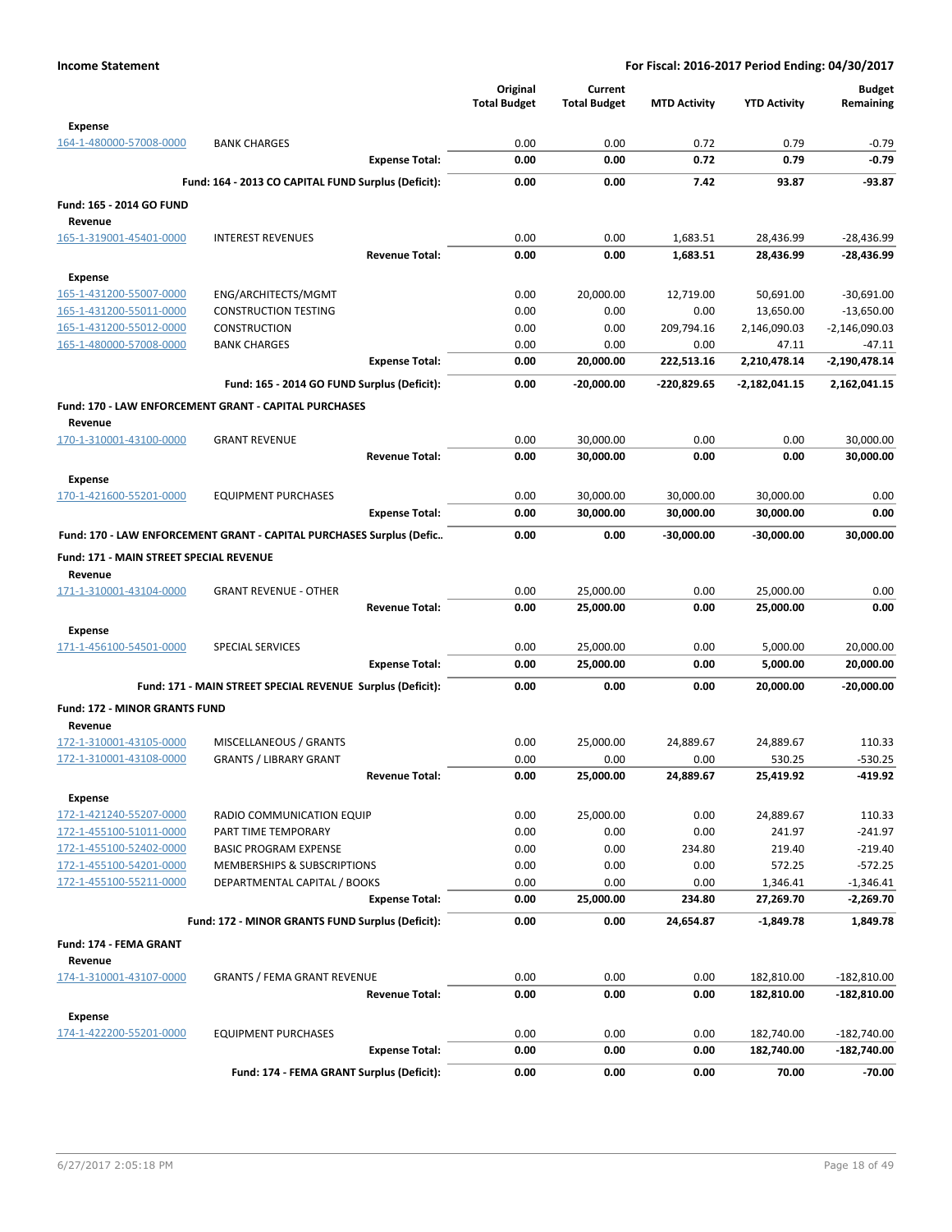|                                                    |                                                                      | Original<br><b>Total Budget</b> | Current<br><b>Total Budget</b> | <b>MTD Activity</b> | <b>YTD Activity</b>       | <b>Budget</b><br>Remaining      |
|----------------------------------------------------|----------------------------------------------------------------------|---------------------------------|--------------------------------|---------------------|---------------------------|---------------------------------|
| <b>Expense</b>                                     |                                                                      |                                 |                                |                     |                           |                                 |
| 164-1-480000-57008-0000                            | <b>BANK CHARGES</b><br><b>Expense Total:</b>                         | 0.00<br>0.00                    | 0.00<br>0.00                   | 0.72<br>0.72        | 0.79<br>0.79              | $-0.79$<br>$-0.79$              |
|                                                    |                                                                      |                                 |                                |                     |                           |                                 |
| Fund: 165 - 2014 GO FUND                           | Fund: 164 - 2013 CO CAPITAL FUND Surplus (Deficit):                  | 0.00                            | 0.00                           | 7.42                | 93.87                     | $-93.87$                        |
| Revenue                                            |                                                                      |                                 |                                |                     |                           |                                 |
| 165-1-319001-45401-0000                            | <b>INTEREST REVENUES</b><br><b>Revenue Total:</b>                    | 0.00                            | 0.00                           | 1,683.51            | 28,436.99                 | $-28,436.99$                    |
|                                                    |                                                                      | 0.00                            | 0.00                           | 1,683.51            | 28,436.99                 | -28,436.99                      |
| Expense                                            |                                                                      |                                 |                                |                     |                           |                                 |
| 165-1-431200-55007-0000                            | ENG/ARCHITECTS/MGMT                                                  | 0.00                            | 20,000.00                      | 12,719.00           | 50,691.00                 | $-30,691.00$                    |
| 165-1-431200-55011-0000<br>165-1-431200-55012-0000 | <b>CONSTRUCTION TESTING</b><br><b>CONSTRUCTION</b>                   | 0.00<br>0.00                    | 0.00<br>0.00                   | 0.00<br>209,794.16  | 13,650.00<br>2,146,090.03 | $-13,650.00$<br>$-2,146,090.03$ |
| 165-1-480000-57008-0000                            | <b>BANK CHARGES</b>                                                  | 0.00                            | 0.00                           | 0.00                | 47.11                     | -47.11                          |
|                                                    | <b>Expense Total:</b>                                                | 0.00                            | 20,000.00                      | 222,513.16          | 2,210,478.14              | $-2,190,478.14$                 |
|                                                    |                                                                      |                                 |                                |                     |                           |                                 |
|                                                    | Fund: 165 - 2014 GO FUND Surplus (Deficit):                          | 0.00                            | $-20,000.00$                   | -220,829.65         | -2,182,041.15             | 2,162,041.15                    |
| Revenue                                            | Fund: 170 - LAW ENFORCEMENT GRANT - CAPITAL PURCHASES                |                                 |                                |                     |                           |                                 |
| 170-1-310001-43100-0000                            | <b>GRANT REVENUE</b>                                                 | 0.00                            | 30,000.00                      | 0.00                | 0.00                      | 30,000.00                       |
|                                                    | <b>Revenue Total:</b>                                                | 0.00                            | 30,000.00                      | 0.00                | 0.00                      | 30,000.00                       |
| Expense<br>170-1-421600-55201-0000                 | <b>EQUIPMENT PURCHASES</b>                                           | 0.00                            | 30,000.00                      | 30,000.00           | 30,000.00                 | 0.00                            |
|                                                    | <b>Expense Total:</b>                                                | 0.00                            | 30,000.00                      | 30,000.00           | 30,000.00                 | 0.00                            |
|                                                    | Fund: 170 - LAW ENFORCEMENT GRANT - CAPITAL PURCHASES Surplus (Defic | 0.00                            | 0.00                           | -30,000.00          | $-30,000.00$              | 30,000.00                       |
|                                                    |                                                                      |                                 |                                |                     |                           |                                 |
| Fund: 171 - MAIN STREET SPECIAL REVENUE            |                                                                      |                                 |                                |                     |                           |                                 |
| Revenue                                            | <b>GRANT REVENUE - OTHER</b>                                         | 0.00                            |                                | 0.00                |                           | 0.00                            |
| 171-1-310001-43104-0000                            | <b>Revenue Total:</b>                                                | 0.00                            | 25,000.00<br>25,000.00         | 0.00                | 25,000.00<br>25,000.00    | 0.00                            |
|                                                    |                                                                      |                                 |                                |                     |                           |                                 |
| <b>Expense</b>                                     |                                                                      |                                 |                                |                     |                           |                                 |
| 171-1-456100-54501-0000                            | <b>SPECIAL SERVICES</b>                                              | 0.00                            | 25,000.00                      | 0.00                | 5,000.00                  | 20,000.00                       |
|                                                    | <b>Expense Total:</b>                                                | 0.00                            | 25,000.00                      | 0.00                | 5,000.00                  | 20,000.00                       |
|                                                    | Fund: 171 - MAIN STREET SPECIAL REVENUE Surplus (Deficit):           | 0.00                            | 0.00                           | 0.00                | 20,000.00                 | $-20,000.00$                    |
| <b>Fund: 172 - MINOR GRANTS FUND</b>               |                                                                      |                                 |                                |                     |                           |                                 |
| Revenue                                            |                                                                      |                                 |                                |                     |                           |                                 |
| 172-1-310001-43105-0000                            | MISCELLANEOUS / GRANTS                                               | 0.00                            | 25,000.00                      | 24,889.67           | 24,889.67                 | 110.33                          |
| 172-1-310001-43108-0000                            | <b>GRANTS / LIBRARY GRANT</b>                                        | 0.00                            | 0.00                           | 0.00                | 530.25                    | $-530.25$                       |
|                                                    | <b>Revenue Total:</b>                                                | 0.00                            | 25,000.00                      | 24,889.67           | 25,419.92                 | -419.92                         |
| <b>Expense</b>                                     |                                                                      |                                 |                                |                     |                           |                                 |
| 172-1-421240-55207-0000                            | RADIO COMMUNICATION EQUIP                                            | 0.00                            | 25,000.00                      | 0.00                | 24,889.67                 | 110.33                          |
| 172-1-455100-51011-0000                            | PART TIME TEMPORARY                                                  | 0.00                            | 0.00                           | 0.00                | 241.97                    | $-241.97$                       |
| 172-1-455100-52402-0000                            | <b>BASIC PROGRAM EXPENSE</b>                                         | 0.00<br>0.00                    | 0.00                           | 234.80<br>0.00      | 219.40                    | $-219.40$                       |
| 172-1-455100-54201-0000<br>172-1-455100-55211-0000 | MEMBERSHIPS & SUBSCRIPTIONS<br>DEPARTMENTAL CAPITAL / BOOKS          | 0.00                            | 0.00<br>0.00                   | 0.00                | 572.25<br>1,346.41        | $-572.25$<br>$-1,346.41$        |
|                                                    | <b>Expense Total:</b>                                                | 0.00                            | 25,000.00                      | 234.80              | 27,269.70                 | $-2,269.70$                     |
|                                                    |                                                                      |                                 |                                |                     |                           |                                 |
|                                                    | Fund: 172 - MINOR GRANTS FUND Surplus (Deficit):                     | 0.00                            | 0.00                           | 24.654.87           | $-1,849.78$               | 1,849.78                        |
| Fund: 174 - FEMA GRANT<br>Revenue                  |                                                                      |                                 |                                |                     |                           |                                 |
| 174-1-310001-43107-0000                            | <b>GRANTS / FEMA GRANT REVENUE</b>                                   | 0.00                            | 0.00                           | 0.00                | 182,810.00                | $-182,810.00$                   |
|                                                    | <b>Revenue Total:</b>                                                | 0.00                            | 0.00                           | 0.00                | 182,810.00                | -182,810.00                     |
| <b>Expense</b>                                     |                                                                      |                                 |                                |                     |                           |                                 |
| 174-1-422200-55201-0000                            | <b>EQUIPMENT PURCHASES</b>                                           | 0.00                            | 0.00                           | 0.00                | 182,740.00                | $-182,740.00$                   |
|                                                    | <b>Expense Total:</b>                                                | 0.00                            | 0.00                           | 0.00                | 182,740.00                | -182,740.00                     |
|                                                    | Fund: 174 - FEMA GRANT Surplus (Deficit):                            | 0.00                            | 0.00                           | 0.00                | 70.00                     | $-70.00$                        |
|                                                    |                                                                      |                                 |                                |                     |                           |                                 |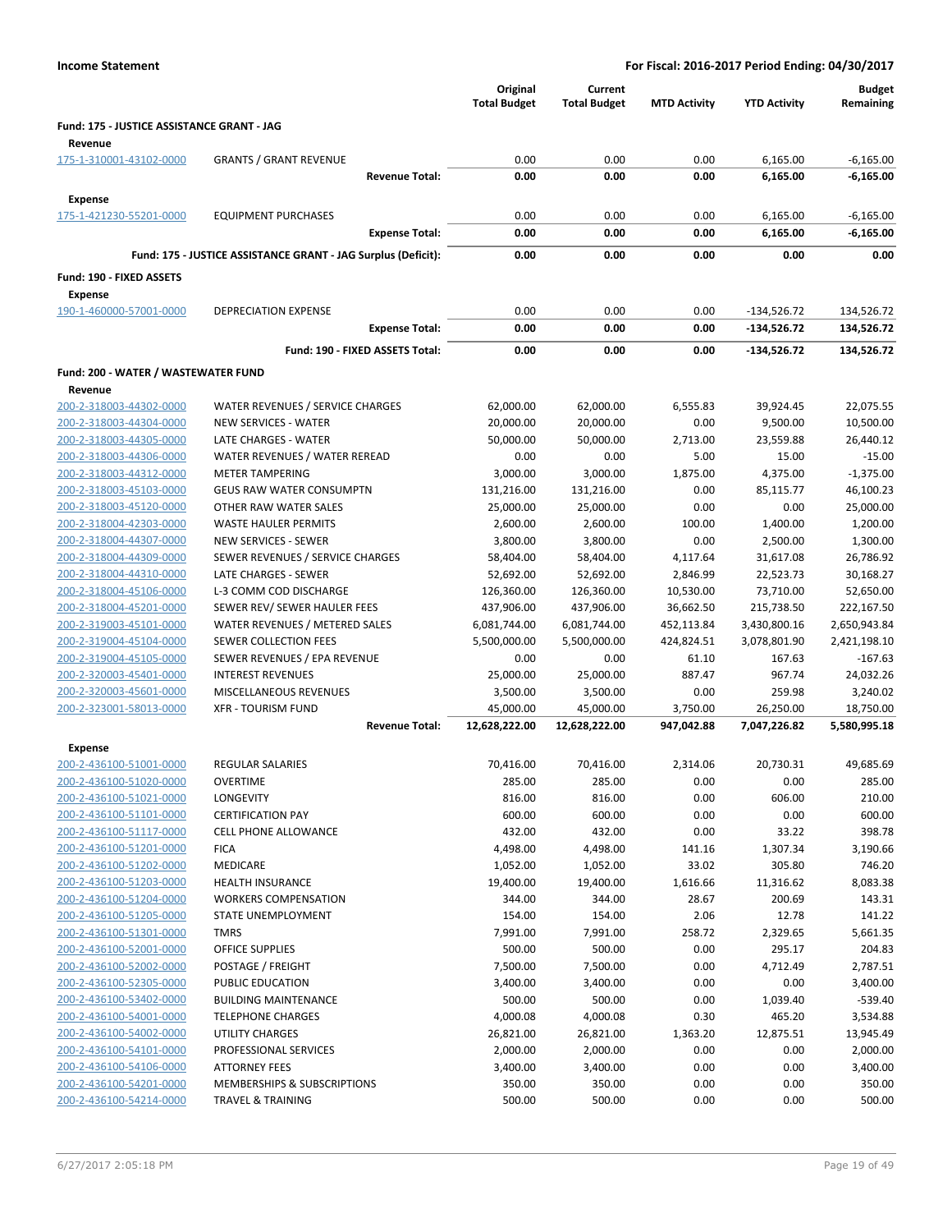| <b>Income Statement</b>                               |                                                               | For Fiscal: 2016-2017 Period Ending: 04/30/2017 |                                |                        |                                |                            |
|-------------------------------------------------------|---------------------------------------------------------------|-------------------------------------------------|--------------------------------|------------------------|--------------------------------|----------------------------|
|                                                       |                                                               | Original<br><b>Total Budget</b>                 | Current<br><b>Total Budget</b> | <b>MTD Activity</b>    | <b>YTD Activity</b>            | <b>Budget</b><br>Remaining |
| Fund: 175 - JUSTICE ASSISTANCE GRANT - JAG<br>Revenue |                                                               |                                                 |                                |                        |                                |                            |
| 175-1-310001-43102-0000                               | <b>GRANTS / GRANT REVENUE</b>                                 | 0.00                                            | 0.00                           | 0.00                   | 6,165.00                       | $-6,165.00$                |
|                                                       | <b>Revenue Total:</b>                                         | 0.00                                            | 0.00                           | 0.00                   | 6,165.00                       | $-6,165.00$                |
| <b>Expense</b>                                        |                                                               |                                                 |                                |                        |                                |                            |
| 175-1-421230-55201-0000                               | <b>EQUIPMENT PURCHASES</b>                                    | 0.00                                            | 0.00                           | 0.00                   | 6,165.00                       | $-6,165.00$                |
|                                                       | <b>Expense Total:</b>                                         | 0.00                                            | 0.00                           | 0.00                   | 6,165.00                       | $-6,165.00$                |
|                                                       | Fund: 175 - JUSTICE ASSISTANCE GRANT - JAG Surplus (Deficit): | 0.00                                            | 0.00                           | 0.00                   | 0.00                           | 0.00                       |
|                                                       |                                                               |                                                 |                                |                        |                                |                            |
| Fund: 190 - FIXED ASSETS                              |                                                               |                                                 |                                |                        |                                |                            |
| <b>Expense</b>                                        |                                                               |                                                 |                                |                        |                                |                            |
| 190-1-460000-57001-0000                               | DEPRECIATION EXPENSE<br><b>Expense Total:</b>                 | 0.00<br>0.00                                    | 0.00<br>0.00                   | 0.00<br>0.00           | $-134,526.72$<br>$-134,526.72$ | 134,526.72<br>134,526.72   |
|                                                       |                                                               |                                                 |                                |                        |                                |                            |
|                                                       | Fund: 190 - FIXED ASSETS Total:                               | 0.00                                            | 0.00                           | 0.00                   | -134,526.72                    | 134,526.72                 |
| Fund: 200 - WATER / WASTEWATER FUND                   |                                                               |                                                 |                                |                        |                                |                            |
| Revenue                                               |                                                               |                                                 |                                |                        |                                |                            |
| 200-2-318003-44302-0000                               | WATER REVENUES / SERVICE CHARGES                              | 62,000.00                                       | 62,000.00                      | 6,555.83               | 39,924.45                      | 22,075.55                  |
| 200-2-318003-44304-0000                               | NEW SERVICES - WATER                                          | 20,000.00                                       | 20,000.00                      | 0.00                   | 9,500.00                       | 10,500.00                  |
| 200-2-318003-44305-0000                               | LATE CHARGES - WATER                                          | 50,000.00                                       | 50,000.00                      | 2,713.00               | 23,559.88                      | 26,440.12                  |
| 200-2-318003-44306-0000<br>200-2-318003-44312-0000    | WATER REVENUES / WATER REREAD<br><b>METER TAMPERING</b>       | 0.00<br>3,000.00                                | 0.00<br>3,000.00               | 5.00<br>1,875.00       | 15.00<br>4,375.00              | $-15.00$<br>$-1,375.00$    |
| 200-2-318003-45103-0000                               | <b>GEUS RAW WATER CONSUMPTN</b>                               | 131,216.00                                      | 131,216.00                     | 0.00                   | 85,115.77                      | 46,100.23                  |
| 200-2-318003-45120-0000                               | OTHER RAW WATER SALES                                         | 25,000.00                                       | 25,000.00                      | 0.00                   | 0.00                           | 25,000.00                  |
| 200-2-318004-42303-0000                               | <b>WASTE HAULER PERMITS</b>                                   | 2,600.00                                        | 2,600.00                       | 100.00                 | 1,400.00                       | 1,200.00                   |
| 200-2-318004-44307-0000                               | <b>NEW SERVICES - SEWER</b>                                   | 3,800.00                                        | 3,800.00                       | 0.00                   | 2,500.00                       | 1,300.00                   |
| 200-2-318004-44309-0000                               | SEWER REVENUES / SERVICE CHARGES                              | 58,404.00                                       | 58,404.00                      | 4,117.64               | 31,617.08                      | 26,786.92                  |
| 200-2-318004-44310-0000                               | LATE CHARGES - SEWER                                          | 52,692.00                                       | 52,692.00                      | 2,846.99               | 22,523.73                      | 30,168.27                  |
| 200-2-318004-45106-0000                               | L-3 COMM COD DISCHARGE                                        | 126,360.00                                      | 126,360.00                     | 10,530.00              | 73,710.00                      | 52,650.00                  |
| 200-2-318004-45201-0000                               | SEWER REV/ SEWER HAULER FEES                                  | 437,906.00                                      | 437,906.00                     | 36,662.50              | 215,738.50                     | 222,167.50                 |
| 200-2-319003-45101-0000                               | WATER REVENUES / METERED SALES                                | 6,081,744.00                                    | 6,081,744.00                   | 452,113.84             | 3,430,800.16                   | 2,650,943.84               |
| 200-2-319004-45104-0000                               | SEWER COLLECTION FEES                                         | 5,500,000.00                                    | 5,500,000.00                   | 424,824.51             | 3,078,801.90                   | 2,421,198.10               |
| 200-2-319004-45105-0000                               | SEWER REVENUES / EPA REVENUE                                  | 0.00                                            | 0.00                           | 61.10                  | 167.63                         | $-167.63$                  |
| 200-2-320003-45401-0000                               | <b>INTEREST REVENUES</b>                                      | 25,000.00                                       | 25,000.00                      | 887.47                 | 967.74                         | 24,032.26                  |
| 200-2-320003-45601-0000                               | <b>MISCELLANEOUS REVENUES</b>                                 | 3,500.00                                        | 3,500.00                       | 0.00                   | 259.98                         | 3,240.02                   |
| 200-2-323001-58013-0000                               | <b>XFR - TOURISM FUND</b><br><b>Revenue Total:</b>            | 45,000.00<br>12,628,222.00                      | 45,000.00<br>12,628,222.00     | 3,750.00<br>947,042.88 | 26,250.00<br>7,047,226.82      | 18,750.00<br>5,580,995.18  |
|                                                       |                                                               |                                                 |                                |                        |                                |                            |
| <b>Expense</b>                                        |                                                               |                                                 |                                |                        |                                |                            |
| 200-2-436100-51001-0000                               | <b>REGULAR SALARIES</b>                                       | 70,416.00                                       | 70,416.00                      | 2,314.06               | 20,730.31                      | 49,685.69                  |
| 200-2-436100-51020-0000<br>200-2-436100-51021-0000    | <b>OVERTIME</b><br>LONGEVITY                                  | 285.00<br>816.00                                | 285.00<br>816.00               | 0.00<br>0.00           | 0.00<br>606.00                 | 285.00<br>210.00           |
| 200-2-436100-51101-0000                               | <b>CERTIFICATION PAY</b>                                      | 600.00                                          | 600.00                         | 0.00                   | 0.00                           | 600.00                     |
| 200-2-436100-51117-0000                               | <b>CELL PHONE ALLOWANCE</b>                                   | 432.00                                          | 432.00                         | 0.00                   | 33.22                          | 398.78                     |
| 200-2-436100-51201-0000                               | <b>FICA</b>                                                   | 4,498.00                                        | 4,498.00                       | 141.16                 | 1,307.34                       | 3,190.66                   |
| 200-2-436100-51202-0000                               | MEDICARE                                                      | 1,052.00                                        | 1,052.00                       | 33.02                  | 305.80                         | 746.20                     |
| 200-2-436100-51203-0000                               | <b>HEALTH INSURANCE</b>                                       | 19,400.00                                       | 19,400.00                      | 1,616.66               | 11,316.62                      | 8,083.38                   |
| 200-2-436100-51204-0000                               | <b>WORKERS COMPENSATION</b>                                   | 344.00                                          | 344.00                         | 28.67                  | 200.69                         | 143.31                     |
| 200-2-436100-51205-0000                               | <b>STATE UNEMPLOYMENT</b>                                     | 154.00                                          | 154.00                         | 2.06                   | 12.78                          | 141.22                     |
| 200-2-436100-51301-0000                               | <b>TMRS</b>                                                   | 7,991.00                                        | 7,991.00                       | 258.72                 | 2,329.65                       | 5,661.35                   |
| 200-2-436100-52001-0000                               | <b>OFFICE SUPPLIES</b>                                        | 500.00                                          | 500.00                         | 0.00                   | 295.17                         | 204.83                     |
| 200-2-436100-52002-0000                               | POSTAGE / FREIGHT                                             | 7,500.00                                        | 7,500.00                       | 0.00                   | 4,712.49                       | 2,787.51                   |
| 200-2-436100-52305-0000                               | PUBLIC EDUCATION                                              | 3,400.00                                        | 3,400.00                       | 0.00                   | 0.00                           | 3,400.00                   |
| 200-2-436100-53402-0000                               | <b>BUILDING MAINTENANCE</b>                                   | 500.00                                          | 500.00                         | 0.00                   | 1,039.40                       | $-539.40$                  |
| 200-2-436100-54001-0000<br>200-2-436100-54002-0000    | <b>TELEPHONE CHARGES</b><br>UTILITY CHARGES                   | 4,000.08<br>26,821.00                           | 4,000.08<br>26,821.00          | 0.30<br>1,363.20       | 465.20<br>12,875.51            | 3,534.88<br>13,945.49      |
| 200-2-436100-54101-0000                               | PROFESSIONAL SERVICES                                         | 2,000.00                                        | 2,000.00                       | 0.00                   | 0.00                           | 2,000.00                   |
| 200-2-436100-54106-0000                               | <b>ATTORNEY FEES</b>                                          | 3,400.00                                        | 3,400.00                       | 0.00                   | 0.00                           | 3,400.00                   |
| 200-2-436100-54201-0000                               | MEMBERSHIPS & SUBSCRIPTIONS                                   | 350.00                                          | 350.00                         | 0.00                   | 0.00                           | 350.00                     |
| 200-2-436100-54214-0000                               | <b>TRAVEL &amp; TRAINING</b>                                  | 500.00                                          | 500.00                         | 0.00                   | 0.00                           | 500.00                     |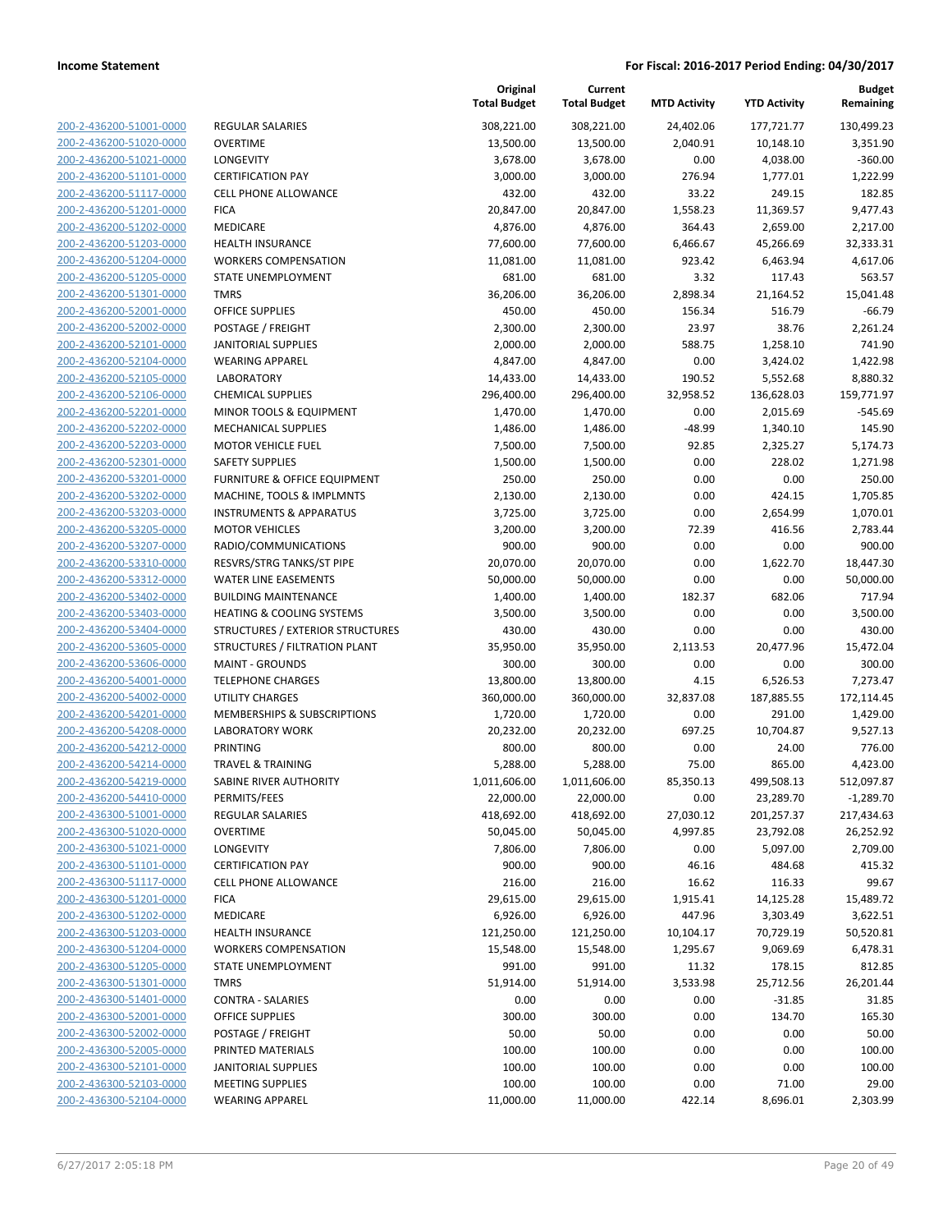| 200-2-436200-51001-0000        |
|--------------------------------|
| 200-2-436200-51020-0000        |
| 200-2-436200-51021-0000        |
| 200-2-436200-51101-0000        |
| 200-2-436200-51117-0000        |
| 200-2-436200-51201-0000        |
| 200-2-436200-51202-0000        |
| 200-2-436200-51203-0000        |
| 200-2-436200-51204-0000        |
| 200-2-436200-51205-0000        |
| 200-2-436200-51301-0000        |
| 200-2-436200-52001-0000        |
| 200-2-436200-52002-0000        |
| 200-2-436200-52101-0000        |
| 200-2-436200-52104-0000        |
|                                |
| 200-2-436200-52105-0000        |
| 200-2-436200-52106-0000        |
| 200-2-436200-52201-0000        |
| 200-2-436200-52202-0000        |
| 200-2-436200-52203-0000        |
| 200-2-436200-52301-0000        |
| 200-2-436200-53201-0000        |
| 200-2-436200-53202-0000        |
| 200-2-436200-53203-0000        |
| 200-2-436200-53205-0000        |
| 200-2-436200-53207-0000        |
| 200-2-436200-53310-0000        |
| 200-2-436200-53312-0000        |
| 200-2-436200-53402-0000        |
| 200-2-436200-53403-0000        |
| 200-2-436200-53404-0000        |
| 200-2-436200-53605-0000        |
| 200-2-436200-53606-0000        |
| 200-2-436200-54001-0000        |
| 200-2-436200-54002-0000        |
| 200-2-436200-54201-0000        |
|                                |
| 200-2-436200-54208-0000        |
| 200-2-436200-54212-0000        |
| 200-2-436200-54214-0000        |
| 200-2-436200-54219-0000        |
| 200-2-436200-54410-0000        |
| 200-2-436300-51001-0000        |
| <u>200-2-436300-51020-0000</u> |
| <u>200-2-436300-51021-0000</u> |
| 200-2-436300-51101-0000        |
| 200-2-436300-51117-0000        |
| 200-2-436300-51201-0000        |
| <u>200-2-436300-51202-0000</u> |
| <u>200-2-436300-51203-0000</u> |
| 200-2-436300-51204-0000        |
| 200-2-436300-51205-0000        |
| 200-2-436300-51301-0000        |
|                                |
| 200-2-436300-51401-0000        |
| <u>200-2-436300-52001-0000</u> |
| 200-2-436300-52002-0000        |
| 200-2-436300-52005-0000        |
| 200-2-436300-52101-0000        |
| 200-2-436300-52103-0000        |
| 200-2-436300-52104-0000        |
|                                |

|                                                    |                                                        | Original<br><b>Total Budget</b> | Current<br><b>Total Budget</b> | <b>MTD Activity</b> | <b>YTD Activity</b> | Budget<br>Remaining   |
|----------------------------------------------------|--------------------------------------------------------|---------------------------------|--------------------------------|---------------------|---------------------|-----------------------|
| 200-2-436200-51001-0000                            | <b>REGULAR SALARIES</b>                                | 308,221.00                      | 308,221.00                     | 24,402.06           | 177,721.77          | 130,499.23            |
| 200-2-436200-51020-0000                            | <b>OVERTIME</b>                                        | 13,500.00                       | 13,500.00                      | 2,040.91            | 10,148.10           | 3,351.90              |
| 200-2-436200-51021-0000                            | LONGEVITY                                              | 3,678.00                        | 3,678.00                       | 0.00                | 4,038.00            | $-360.00$             |
| 200-2-436200-51101-0000                            | <b>CERTIFICATION PAY</b>                               | 3,000.00                        | 3,000.00                       | 276.94              | 1,777.01            | 1,222.99              |
| 200-2-436200-51117-0000                            | <b>CELL PHONE ALLOWANCE</b>                            | 432.00                          | 432.00                         | 33.22               | 249.15              | 182.85                |
| 200-2-436200-51201-0000                            | <b>FICA</b>                                            | 20,847.00                       | 20,847.00                      | 1,558.23            | 11,369.57           | 9,477.43              |
| 200-2-436200-51202-0000                            | MEDICARE                                               | 4,876.00                        | 4,876.00                       | 364.43              | 2,659.00            | 2,217.00              |
| 200-2-436200-51203-0000                            | HEALTH INSURANCE                                       | 77,600.00                       | 77,600.00                      | 6,466.67            | 45,266.69           | 32,333.31             |
| 200-2-436200-51204-0000                            | <b>WORKERS COMPENSATION</b>                            | 11,081.00                       | 11,081.00                      | 923.42              | 6,463.94            | 4,617.06              |
| 200-2-436200-51205-0000                            | STATE UNEMPLOYMENT                                     | 681.00                          | 681.00                         | 3.32                | 117.43              | 563.57                |
| 200-2-436200-51301-0000                            | <b>TMRS</b>                                            | 36,206.00                       | 36,206.00                      | 2,898.34            | 21,164.52           | 15,041.48             |
| 200-2-436200-52001-0000                            | OFFICE SUPPLIES                                        | 450.00                          | 450.00                         | 156.34              | 516.79              | $-66.79$              |
| 200-2-436200-52002-0000                            | POSTAGE / FREIGHT                                      | 2,300.00                        | 2,300.00                       | 23.97               | 38.76               | 2,261.24              |
| 200-2-436200-52101-0000                            | <b>JANITORIAL SUPPLIES</b>                             | 2,000.00                        | 2,000.00                       | 588.75              | 1,258.10            | 741.90                |
| 200-2-436200-52104-0000                            | <b>WEARING APPAREL</b>                                 | 4,847.00                        | 4,847.00                       | 0.00                | 3,424.02            | 1,422.98              |
| 200-2-436200-52105-0000                            | <b>LABORATORY</b>                                      | 14,433.00                       | 14,433.00                      | 190.52              | 5,552.68            | 8,880.32              |
| 200-2-436200-52106-0000                            | <b>CHEMICAL SUPPLIES</b>                               | 296,400.00                      | 296,400.00                     | 32,958.52           | 136,628.03          | 159,771.97            |
| 200-2-436200-52201-0000                            | MINOR TOOLS & EQUIPMENT                                | 1,470.00                        | 1,470.00                       | 0.00                | 2,015.69            | $-545.69$             |
| 200-2-436200-52202-0000                            | <b>MECHANICAL SUPPLIES</b>                             | 1,486.00                        | 1,486.00                       | -48.99              | 1,340.10            | 145.90                |
| 200-2-436200-52203-0000                            | <b>MOTOR VEHICLE FUEL</b>                              | 7,500.00                        | 7,500.00                       | 92.85               | 2,325.27            | 5,174.73              |
| 200-2-436200-52301-0000                            | <b>SAFETY SUPPLIES</b>                                 | 1,500.00                        | 1,500.00                       | 0.00                | 228.02              | 1,271.98              |
| 200-2-436200-53201-0000                            | <b>FURNITURE &amp; OFFICE EQUIPMENT</b>                | 250.00                          | 250.00                         | 0.00                | 0.00                | 250.00                |
| 200-2-436200-53202-0000                            | MACHINE, TOOLS & IMPLMNTS                              | 2,130.00                        | 2,130.00                       | 0.00                | 424.15              | 1,705.85              |
| 200-2-436200-53203-0000                            | <b>INSTRUMENTS &amp; APPARATUS</b>                     | 3,725.00<br>3,200.00            | 3,725.00                       | 0.00                | 2,654.99<br>416.56  | 1,070.01              |
| 200-2-436200-53205-0000<br>200-2-436200-53207-0000 | <b>MOTOR VEHICLES</b><br>RADIO/COMMUNICATIONS          | 900.00                          | 3,200.00<br>900.00             | 72.39<br>0.00       | 0.00                | 2,783.44<br>900.00    |
| 200-2-436200-53310-0000                            | RESVRS/STRG TANKS/ST PIPE                              | 20,070.00                       | 20,070.00                      | 0.00                | 1,622.70            | 18,447.30             |
| 200-2-436200-53312-0000                            | WATER LINE EASEMENTS                                   | 50,000.00                       | 50,000.00                      | 0.00                | 0.00                | 50,000.00             |
| 200-2-436200-53402-0000                            | <b>BUILDING MAINTENANCE</b>                            | 1,400.00                        | 1,400.00                       | 182.37              | 682.06              | 717.94                |
| 200-2-436200-53403-0000                            | <b>HEATING &amp; COOLING SYSTEMS</b>                   | 3,500.00                        | 3,500.00                       | 0.00                | 0.00                | 3,500.00              |
| 200-2-436200-53404-0000                            | STRUCTURES / EXTERIOR STRUCTURES                       | 430.00                          | 430.00                         | 0.00                | 0.00                | 430.00                |
| 200-2-436200-53605-0000                            | STRUCTURES / FILTRATION PLANT                          | 35,950.00                       | 35,950.00                      | 2,113.53            | 20,477.96           | 15,472.04             |
| 200-2-436200-53606-0000                            | <b>MAINT - GROUNDS</b>                                 | 300.00                          | 300.00                         | 0.00                | 0.00                | 300.00                |
| 200-2-436200-54001-0000                            | <b>TELEPHONE CHARGES</b>                               | 13,800.00                       | 13,800.00                      | 4.15                | 6,526.53            | 7,273.47              |
| 200-2-436200-54002-0000                            | <b>UTILITY CHARGES</b>                                 | 360,000.00                      | 360,000.00                     | 32,837.08           | 187,885.55          | 172,114.45            |
| 200-2-436200-54201-0000                            | MEMBERSHIPS & SUBSCRIPTIONS                            | 1,720.00                        | 1,720.00                       | 0.00                | 291.00              | 1,429.00              |
| 200-2-436200-54208-0000                            | <b>LABORATORY WORK</b>                                 | 20,232.00                       | 20,232.00                      | 697.25              | 10,704.87           | 9,527.13              |
| 200-2-436200-54212-0000                            | <b>PRINTING</b>                                        | 800.00                          | 800.00                         | 0.00                | 24.00               | 776.00                |
| 200-2-436200-54214-0000                            | <b>TRAVEL &amp; TRAINING</b>                           | 5,288.00                        | 5,288.00                       | 75.00               | 865.00              | 4,423.00              |
| 200-2-436200-54219-0000                            | SABINE RIVER AUTHORITY                                 | 1,011,606.00                    | 1,011,606.00                   | 85,350.13           | 499,508.13          | 512,097.87            |
| 200-2-436200-54410-0000                            | PERMITS/FEES                                           | 22,000.00                       | 22,000.00                      | 0.00                | 23,289.70           | $-1,289.70$           |
| 200-2-436300-51001-0000                            | REGULAR SALARIES                                       | 418,692.00                      | 418,692.00                     | 27,030.12           | 201,257.37          | 217,434.63            |
| 200-2-436300-51020-0000                            | <b>OVERTIME</b>                                        | 50,045.00                       | 50,045.00                      | 4,997.85            | 23,792.08           | 26,252.92             |
| 200-2-436300-51021-0000                            | <b>LONGEVITY</b>                                       | 7,806.00                        | 7,806.00                       | 0.00                | 5,097.00            | 2,709.00              |
| 200-2-436300-51101-0000                            | <b>CERTIFICATION PAY</b>                               | 900.00                          | 900.00                         | 46.16               | 484.68              | 415.32                |
| 200-2-436300-51117-0000                            | <b>CELL PHONE ALLOWANCE</b>                            | 216.00                          | 216.00                         | 16.62               | 116.33              | 99.67                 |
| 200-2-436300-51201-0000                            | <b>FICA</b>                                            | 29,615.00                       | 29,615.00                      | 1,915.41            | 14,125.28           | 15,489.72             |
| 200-2-436300-51202-0000                            | MEDICARE                                               | 6,926.00                        | 6,926.00                       | 447.96              | 3,303.49            | 3,622.51              |
| 200-2-436300-51203-0000<br>200-2-436300-51204-0000 | <b>HEALTH INSURANCE</b><br><b>WORKERS COMPENSATION</b> | 121,250.00<br>15,548.00         | 121,250.00                     | 10,104.17           | 70,729.19           | 50,520.81<br>6,478.31 |
| 200-2-436300-51205-0000                            | STATE UNEMPLOYMENT                                     | 991.00                          | 15,548.00<br>991.00            | 1,295.67<br>11.32   | 9,069.69<br>178.15  | 812.85                |
| 200-2-436300-51301-0000                            | <b>TMRS</b>                                            | 51,914.00                       | 51,914.00                      | 3,533.98            | 25,712.56           | 26,201.44             |
| 200-2-436300-51401-0000                            | <b>CONTRA - SALARIES</b>                               | 0.00                            | 0.00                           | 0.00                | $-31.85$            | 31.85                 |
| 200-2-436300-52001-0000                            | <b>OFFICE SUPPLIES</b>                                 | 300.00                          | 300.00                         | 0.00                | 134.70              | 165.30                |
| 200-2-436300-52002-0000                            | POSTAGE / FREIGHT                                      | 50.00                           | 50.00                          | 0.00                | 0.00                | 50.00                 |
| 200-2-436300-52005-0000                            | PRINTED MATERIALS                                      | 100.00                          | 100.00                         | 0.00                | 0.00                | 100.00                |
| 200-2-436300-52101-0000                            | <b>JANITORIAL SUPPLIES</b>                             | 100.00                          | 100.00                         | 0.00                | 0.00                | 100.00                |
| 200-2-436300-52103-0000                            | <b>MEETING SUPPLIES</b>                                | 100.00                          | 100.00                         | 0.00                | 71.00               | 29.00                 |
| 200-2-436300-52104-0000                            | <b>WEARING APPAREL</b>                                 | 11,000.00                       | 11,000.00                      | 422.14              | 8,696.01            | 2,303.99              |
|                                                    |                                                        |                                 |                                |                     |                     |                       |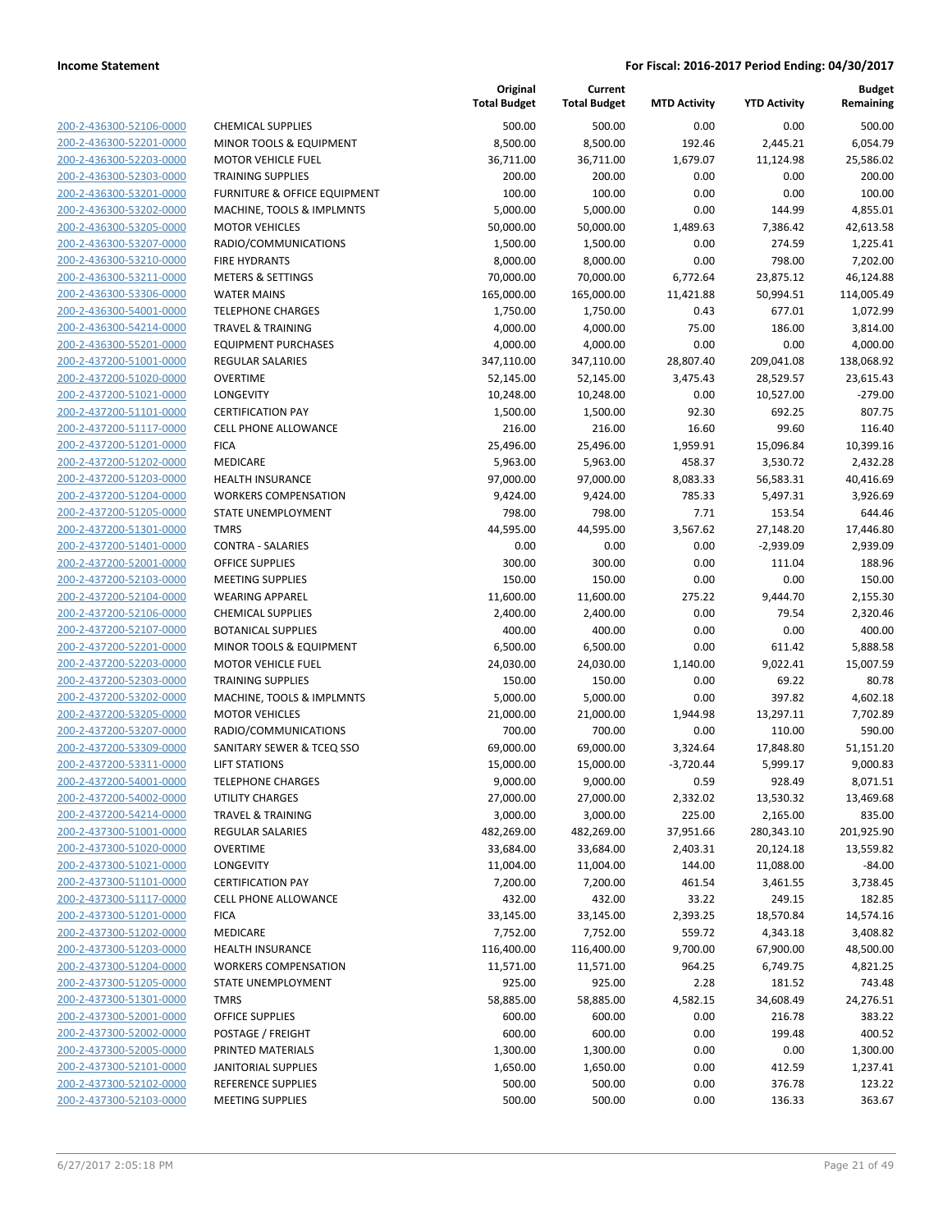| 200-2-436300-52106-0000                                   |
|-----------------------------------------------------------|
| 200-2-436300-52201-0000                                   |
| 200-2-436300-52203-0000                                   |
| 200-2-436300-52303-0000                                   |
| 200-2-436300-53201-0000                                   |
| 200-2-436300-53202-0000                                   |
| 200-2-436300-53205-0000                                   |
| 200-2-436300-53207-0000                                   |
| 200-2-436300-53210-0000                                   |
|                                                           |
| 200-2-436300-53211-0000                                   |
| 200-2-436300-53306-0000                                   |
| 200-2-436300-54001-0000                                   |
| 200-2-436300-54214-0000                                   |
| 200-2-436300-55201-0000                                   |
| 200-2-437200-51001-0000                                   |
| 200-2-437200-51020-0000                                   |
| 200-2-437200-51021-0000                                   |
| 200-2-437200-51101-0000                                   |
| 200-2-437200-51117-0000                                   |
| 200-2-437200-51201-0000                                   |
|                                                           |
| 200-2-437200-51202-0000                                   |
| 200-2-437200-51203-0000                                   |
| 200-2-437200-51204-0000                                   |
| 200-2-437200-51205-0000                                   |
| 200-2-437200-51301-0000                                   |
| 200-2-437200-51401-0000                                   |
| 200-2-437200-52001-0000                                   |
| 200-2-437200-52103-0000                                   |
| 200-2-437200-52104-0000                                   |
| 200-2-437200-52106-0000                                   |
| 200-2-437200-52107-0000                                   |
| 200-2-437200-52201-0000                                   |
|                                                           |
| 200-2-437200-52203-0000                                   |
| 200-2-437200-52303-0000                                   |
| 200-2-437200-53202-0000                                   |
| 200-2-437200-53205-0000                                   |
| 200-2-437200-53207-0000                                   |
| 200-2-437200-53309-0000                                   |
| 200-2-437200-53311-0000                                   |
| 200-2-437200-54001-0000                                   |
| 200-2-437200-54002-0000                                   |
| <u>200-2-437200-54214-0000</u>                            |
| 200-2-437300-51001-0000                                   |
| 200-2-437300-51020-0000                                   |
|                                                           |
| 200-2-437300-51021-0000                                   |
| 200-2-437300-51101-0000                                   |
| 200-2-437300-51117-0000                                   |
| <u>200-2-437300-51201-0000</u>                            |
| <u>200-2-437300-51202-0000</u>                            |
| 200-2-437300-51203-0000                                   |
| 200-2-437300-51204-0000                                   |
| 200-2-437300-51205-0000                                   |
| 200-2-437300-51301-0000                                   |
| <u>200-2-437300-52001-0000</u>                            |
|                                                           |
|                                                           |
| <u>200-2-437300-52002-0000</u>                            |
| 200-2-437300-52005-0000                                   |
| 200-2-437300-52101-0000                                   |
| <u>200-2-437300-52102-0000</u><br>200-2-437300-52103-0000 |

|                                                    |                                            | Original<br><b>Total Budget</b> | Current<br><b>Total Budget</b> | <b>MTD Activity</b> | <b>YTD Activity</b>   | <b>Budget</b><br>Remaining |
|----------------------------------------------------|--------------------------------------------|---------------------------------|--------------------------------|---------------------|-----------------------|----------------------------|
| 200-2-436300-52106-0000                            | <b>CHEMICAL SUPPLIES</b>                   | 500.00                          | 500.00                         | 0.00                | 0.00                  | 500.00                     |
| 200-2-436300-52201-0000                            | MINOR TOOLS & EQUIPMENT                    | 8,500.00                        | 8,500.00                       | 192.46              | 2,445.21              | 6,054.79                   |
| 200-2-436300-52203-0000                            | <b>MOTOR VEHICLE FUEL</b>                  | 36,711.00                       | 36,711.00                      | 1,679.07            | 11,124.98             | 25,586.02                  |
| 200-2-436300-52303-0000                            | <b>TRAINING SUPPLIES</b>                   | 200.00                          | 200.00                         | 0.00                | 0.00                  | 200.00                     |
| 200-2-436300-53201-0000                            | FURNITURE & OFFICE EQUIPMENT               | 100.00                          | 100.00                         | 0.00                | 0.00                  | 100.00                     |
| 200-2-436300-53202-0000                            | MACHINE, TOOLS & IMPLMNTS                  | 5,000.00                        | 5,000.00                       | 0.00                | 144.99                | 4,855.01                   |
| 200-2-436300-53205-0000                            | <b>MOTOR VEHICLES</b>                      | 50,000.00                       | 50,000.00                      | 1,489.63            | 7,386.42              | 42,613.58                  |
| 200-2-436300-53207-0000                            | RADIO/COMMUNICATIONS                       | 1,500.00                        | 1,500.00                       | 0.00                | 274.59                | 1,225.41                   |
| 200-2-436300-53210-0000                            | <b>FIRE HYDRANTS</b>                       | 8,000.00                        | 8,000.00                       | 0.00                | 798.00                | 7,202.00                   |
| 200-2-436300-53211-0000                            | <b>METERS &amp; SETTINGS</b>               | 70,000.00                       | 70,000.00                      | 6,772.64            | 23,875.12             | 46,124.88                  |
| 200-2-436300-53306-0000                            | <b>WATER MAINS</b>                         | 165,000.00                      | 165,000.00                     | 11,421.88           | 50,994.51             | 114,005.49                 |
| 200-2-436300-54001-0000                            | <b>TELEPHONE CHARGES</b>                   | 1,750.00                        | 1,750.00                       | 0.43                | 677.01                | 1,072.99                   |
| 200-2-436300-54214-0000                            | <b>TRAVEL &amp; TRAINING</b>               | 4,000.00                        | 4,000.00                       | 75.00               | 186.00                | 3,814.00                   |
| 200-2-436300-55201-0000                            | <b>EQUIPMENT PURCHASES</b>                 | 4,000.00                        | 4,000.00                       | 0.00                | 0.00                  | 4,000.00                   |
| 200-2-437200-51001-0000                            | <b>REGULAR SALARIES</b>                    | 347,110.00                      | 347,110.00                     | 28,807.40           | 209,041.08            | 138,068.92                 |
| 200-2-437200-51020-0000                            | <b>OVERTIME</b>                            | 52,145.00                       | 52,145.00                      | 3,475.43            | 28,529.57             | 23,615.43                  |
| 200-2-437200-51021-0000                            | LONGEVITY                                  | 10,248.00                       | 10,248.00                      | 0.00                | 10,527.00             | $-279.00$                  |
| 200-2-437200-51101-0000                            | <b>CERTIFICATION PAY</b>                   | 1,500.00                        | 1,500.00                       | 92.30               | 692.25                | 807.75                     |
| 200-2-437200-51117-0000<br>200-2-437200-51201-0000 | <b>CELL PHONE ALLOWANCE</b><br><b>FICA</b> | 216.00<br>25,496.00             | 216.00<br>25,496.00            | 16.60<br>1,959.91   | 99.60<br>15,096.84    | 116.40<br>10,399.16        |
| 200-2-437200-51202-0000                            | MEDICARE                                   | 5,963.00                        | 5,963.00                       | 458.37              | 3,530.72              | 2,432.28                   |
| 200-2-437200-51203-0000                            | <b>HEALTH INSURANCE</b>                    | 97,000.00                       | 97,000.00                      | 8,083.33            | 56,583.31             | 40,416.69                  |
| 200-2-437200-51204-0000                            | <b>WORKERS COMPENSATION</b>                | 9,424.00                        | 9,424.00                       | 785.33              | 5,497.31              | 3,926.69                   |
| 200-2-437200-51205-0000                            | STATE UNEMPLOYMENT                         | 798.00                          | 798.00                         | 7.71                | 153.54                | 644.46                     |
| 200-2-437200-51301-0000                            | <b>TMRS</b>                                | 44,595.00                       | 44,595.00                      | 3,567.62            | 27,148.20             | 17,446.80                  |
| 200-2-437200-51401-0000                            | <b>CONTRA - SALARIES</b>                   | 0.00                            | 0.00                           | 0.00                | $-2,939.09$           | 2,939.09                   |
| 200-2-437200-52001-0000                            | <b>OFFICE SUPPLIES</b>                     | 300.00                          | 300.00                         | 0.00                | 111.04                | 188.96                     |
| 200-2-437200-52103-0000                            | <b>MEETING SUPPLIES</b>                    | 150.00                          | 150.00                         | 0.00                | 0.00                  | 150.00                     |
| 200-2-437200-52104-0000                            | <b>WEARING APPAREL</b>                     | 11,600.00                       | 11,600.00                      | 275.22              | 9,444.70              | 2,155.30                   |
| 200-2-437200-52106-0000                            | <b>CHEMICAL SUPPLIES</b>                   | 2,400.00                        | 2,400.00                       | 0.00                | 79.54                 | 2,320.46                   |
| 200-2-437200-52107-0000                            | <b>BOTANICAL SUPPLIES</b>                  | 400.00                          | 400.00                         | 0.00                | 0.00                  | 400.00                     |
| 200-2-437200-52201-0000                            | MINOR TOOLS & EQUIPMENT                    | 6,500.00                        | 6,500.00                       | 0.00                | 611.42                | 5,888.58                   |
| 200-2-437200-52203-0000                            | <b>MOTOR VEHICLE FUEL</b>                  | 24,030.00                       | 24,030.00                      | 1,140.00            | 9,022.41              | 15,007.59                  |
| 200-2-437200-52303-0000                            | <b>TRAINING SUPPLIES</b>                   | 150.00                          | 150.00                         | 0.00                | 69.22                 | 80.78                      |
| 200-2-437200-53202-0000                            | MACHINE, TOOLS & IMPLMNTS                  | 5,000.00                        | 5,000.00                       | 0.00                | 397.82                | 4,602.18                   |
| 200-2-437200-53205-0000                            | <b>MOTOR VEHICLES</b>                      | 21,000.00                       | 21,000.00                      | 1,944.98            | 13,297.11             | 7,702.89                   |
| 200-2-437200-53207-0000                            | RADIO/COMMUNICATIONS                       | 700.00                          | 700.00                         | 0.00                | 110.00                | 590.00                     |
| 200-2-437200-53309-0000                            | SANITARY SEWER & TCEQ SSO                  | 69,000.00                       | 69,000.00                      | 3,324.64            | 17,848.80             | 51,151.20                  |
| 200-2-437200-53311-0000                            | <b>LIFT STATIONS</b>                       | 15,000.00                       | 15,000.00                      | $-3,720.44$         | 5,999.17              | 9,000.83                   |
| 200-2-437200-54001-0000                            | <b>TELEPHONE CHARGES</b>                   | 9,000.00                        | 9,000.00                       | 0.59                | 928.49                | 8,071.51                   |
| 200-2-437200-54002-0000                            | UTILITY CHARGES                            | 27,000.00                       | 27,000.00                      | 2,332.02            | 13,530.32             | 13,469.68                  |
| 200-2-437200-54214-0000                            | <b>TRAVEL &amp; TRAINING</b>               | 3,000.00                        | 3,000.00                       | 225.00              | 2,165.00              | 835.00                     |
| 200-2-437300-51001-0000                            | <b>REGULAR SALARIES</b>                    | 482,269.00                      | 482,269.00                     | 37,951.66           | 280,343.10            | 201,925.90                 |
| 200-2-437300-51020-0000                            | <b>OVERTIME</b>                            | 33,684.00                       | 33,684.00                      | 2,403.31            | 20,124.18             | 13,559.82                  |
| 200-2-437300-51021-0000                            | LONGEVITY<br><b>CERTIFICATION PAY</b>      | 11,004.00                       | 11,004.00                      | 144.00              | 11,088.00             | $-84.00$                   |
| 200-2-437300-51101-0000                            |                                            | 7,200.00                        | 7,200.00                       | 461.54              | 3,461.55              | 3,738.45                   |
| 200-2-437300-51117-0000<br>200-2-437300-51201-0000 | CELL PHONE ALLOWANCE<br><b>FICA</b>        | 432.00<br>33,145.00             | 432.00                         | 33.22               | 249.15                | 182.85<br>14,574.16        |
| 200-2-437300-51202-0000                            | <b>MEDICARE</b>                            | 7,752.00                        | 33,145.00<br>7,752.00          | 2,393.25<br>559.72  | 18,570.84<br>4,343.18 | 3,408.82                   |
| 200-2-437300-51203-0000                            | HEALTH INSURANCE                           | 116,400.00                      | 116,400.00                     | 9,700.00            | 67,900.00             | 48,500.00                  |
| 200-2-437300-51204-0000                            | <b>WORKERS COMPENSATION</b>                | 11,571.00                       | 11,571.00                      | 964.25              | 6,749.75              | 4,821.25                   |
| 200-2-437300-51205-0000                            | STATE UNEMPLOYMENT                         | 925.00                          | 925.00                         | 2.28                | 181.52                | 743.48                     |
| 200-2-437300-51301-0000                            | <b>TMRS</b>                                | 58,885.00                       | 58,885.00                      | 4,582.15            | 34,608.49             | 24,276.51                  |
| 200-2-437300-52001-0000                            | <b>OFFICE SUPPLIES</b>                     | 600.00                          | 600.00                         | 0.00                | 216.78                | 383.22                     |
| 200-2-437300-52002-0000                            | POSTAGE / FREIGHT                          | 600.00                          | 600.00                         | 0.00                | 199.48                | 400.52                     |
| 200-2-437300-52005-0000                            | PRINTED MATERIALS                          | 1,300.00                        | 1,300.00                       | 0.00                | 0.00                  | 1,300.00                   |
| 200-2-437300-52101-0000                            | <b>JANITORIAL SUPPLIES</b>                 | 1,650.00                        | 1,650.00                       | 0.00                | 412.59                | 1,237.41                   |
| 200-2-437300-52102-0000                            | <b>REFERENCE SUPPLIES</b>                  | 500.00                          | 500.00                         | 0.00                | 376.78                | 123.22                     |
| 200-2-437300-52103-0000                            | <b>MEETING SUPPLIES</b>                    | 500.00                          | 500.00                         | 0.00                | 136.33                | 363.67                     |
|                                                    |                                            |                                 |                                |                     |                       |                            |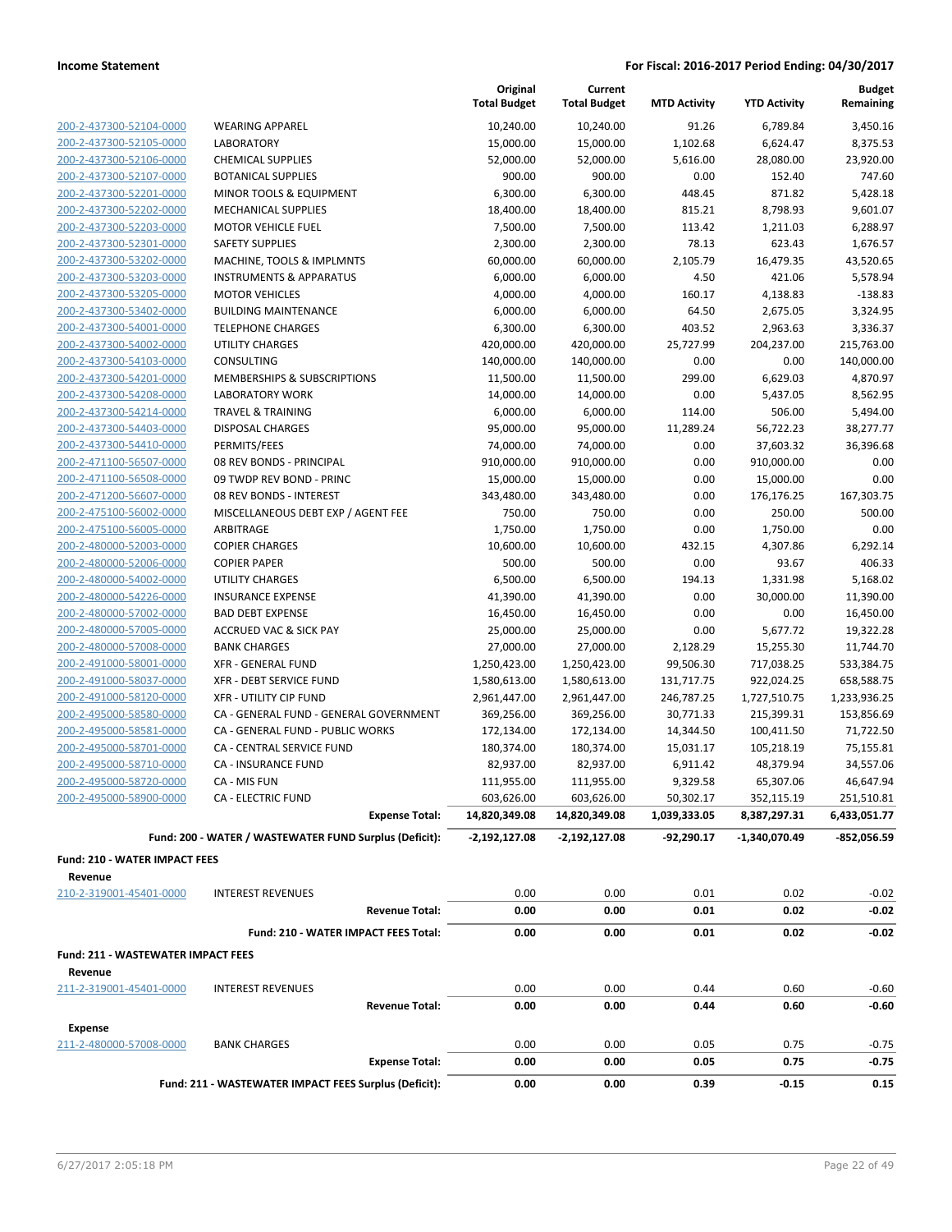|                                                 |                                                        | Original<br><b>Total Budget</b> | Current<br><b>Total Budget</b> | <b>MTD Activity</b> | <b>YTD Activity</b> | <b>Budget</b><br>Remaining |
|-------------------------------------------------|--------------------------------------------------------|---------------------------------|--------------------------------|---------------------|---------------------|----------------------------|
| 200-2-437300-52104-0000                         | <b>WEARING APPAREL</b>                                 | 10,240.00                       | 10,240.00                      | 91.26               | 6,789.84            | 3,450.16                   |
| 200-2-437300-52105-0000                         | LABORATORY                                             | 15,000.00                       | 15,000.00                      | 1,102.68            | 6,624.47            | 8,375.53                   |
| 200-2-437300-52106-0000                         | <b>CHEMICAL SUPPLIES</b>                               | 52,000.00                       | 52,000.00                      | 5,616.00            | 28,080.00           | 23,920.00                  |
| 200-2-437300-52107-0000                         | <b>BOTANICAL SUPPLIES</b>                              | 900.00                          | 900.00                         | 0.00                | 152.40              | 747.60                     |
| 200-2-437300-52201-0000                         | MINOR TOOLS & EQUIPMENT                                | 6,300.00                        | 6,300.00                       | 448.45              | 871.82              | 5,428.18                   |
| 200-2-437300-52202-0000                         | <b>MECHANICAL SUPPLIES</b>                             | 18,400.00                       | 18,400.00                      | 815.21              | 8,798.93            | 9,601.07                   |
| 200-2-437300-52203-0000                         | <b>MOTOR VEHICLE FUEL</b>                              | 7,500.00                        | 7,500.00                       | 113.42              | 1,211.03            | 6,288.97                   |
| 200-2-437300-52301-0000                         | <b>SAFETY SUPPLIES</b>                                 | 2,300.00                        | 2,300.00                       | 78.13               | 623.43              | 1,676.57                   |
| 200-2-437300-53202-0000                         | MACHINE, TOOLS & IMPLMNTS                              | 60,000.00                       | 60,000.00                      | 2,105.79            | 16,479.35           | 43,520.65                  |
| 200-2-437300-53203-0000                         | <b>INSTRUMENTS &amp; APPARATUS</b>                     | 6,000.00                        | 6,000.00                       | 4.50                | 421.06              | 5,578.94                   |
| 200-2-437300-53205-0000                         | <b>MOTOR VEHICLES</b>                                  | 4,000.00                        | 4,000.00                       | 160.17              | 4,138.83            | $-138.83$                  |
| 200-2-437300-53402-0000                         | <b>BUILDING MAINTENANCE</b>                            | 6,000.00                        | 6,000.00                       | 64.50               | 2,675.05            | 3,324.95                   |
| 200-2-437300-54001-0000                         | <b>TELEPHONE CHARGES</b>                               | 6,300.00                        | 6,300.00                       | 403.52              | 2,963.63            | 3,336.37                   |
| 200-2-437300-54002-0000                         | UTILITY CHARGES                                        | 420,000.00                      | 420,000.00                     | 25,727.99           | 204,237.00          | 215,763.00                 |
| 200-2-437300-54103-0000                         | CONSULTING                                             | 140,000.00                      | 140,000.00                     | 0.00                | 0.00                | 140,000.00                 |
| 200-2-437300-54201-0000                         | MEMBERSHIPS & SUBSCRIPTIONS                            | 11,500.00                       | 11,500.00                      | 299.00              | 6,629.03            | 4,870.97                   |
| 200-2-437300-54208-0000                         | <b>LABORATORY WORK</b>                                 | 14,000.00                       | 14,000.00                      | 0.00                | 5,437.05            | 8,562.95                   |
| 200-2-437300-54214-0000                         | <b>TRAVEL &amp; TRAINING</b>                           | 6,000.00                        | 6,000.00                       | 114.00              | 506.00              | 5,494.00                   |
| 200-2-437300-54403-0000                         | <b>DISPOSAL CHARGES</b>                                | 95,000.00                       | 95,000.00                      | 11,289.24           | 56,722.23           | 38,277.77                  |
| 200-2-437300-54410-0000                         | PERMITS/FEES                                           | 74,000.00                       | 74,000.00                      | 0.00                | 37,603.32           | 36.396.68                  |
| 200-2-471100-56507-0000                         | 08 REV BONDS - PRINCIPAL                               | 910,000.00                      | 910,000.00                     | 0.00                | 910,000.00          | 0.00                       |
| 200-2-471100-56508-0000                         | 09 TWDP REV BOND - PRINC                               | 15,000.00                       | 15,000.00                      | 0.00                | 15,000.00           | 0.00                       |
| 200-2-471200-56607-0000                         | 08 REV BONDS - INTEREST                                | 343,480.00                      | 343,480.00                     | 0.00                | 176,176.25          | 167,303.75                 |
| 200-2-475100-56002-0000                         | MISCELLANEOUS DEBT EXP / AGENT FEE                     | 750.00                          | 750.00                         | 0.00                | 250.00              | 500.00                     |
| 200-2-475100-56005-0000                         | ARBITRAGE                                              | 1,750.00                        | 1,750.00                       | 0.00                | 1,750.00            | 0.00                       |
| 200-2-480000-52003-0000                         | <b>COPIER CHARGES</b>                                  | 10,600.00                       | 10,600.00                      | 432.15              | 4,307.86            | 6,292.14                   |
| 200-2-480000-52006-0000                         | <b>COPIER PAPER</b>                                    | 500.00                          | 500.00                         | 0.00                | 93.67               | 406.33                     |
| 200-2-480000-54002-0000                         | <b>UTILITY CHARGES</b>                                 | 6,500.00                        | 6,500.00                       | 194.13              | 1,331.98            | 5,168.02                   |
| 200-2-480000-54226-0000                         | <b>INSURANCE EXPENSE</b>                               | 41,390.00                       | 41,390.00                      | 0.00                | 30,000.00           | 11,390.00                  |
| 200-2-480000-57002-0000                         | <b>BAD DEBT EXPENSE</b>                                | 16,450.00                       | 16,450.00                      | 0.00                | 0.00                | 16,450.00                  |
| 200-2-480000-57005-0000                         | <b>ACCRUED VAC &amp; SICK PAY</b>                      | 25,000.00                       | 25,000.00                      | 0.00                | 5,677.72            | 19,322.28                  |
| 200-2-480000-57008-0000                         | <b>BANK CHARGES</b>                                    | 27,000.00                       | 27,000.00                      | 2,128.29            | 15,255.30           | 11,744.70                  |
| 200-2-491000-58001-0000                         | <b>XFR - GENERAL FUND</b>                              | 1,250,423.00                    | 1,250,423.00                   | 99,506.30           | 717,038.25          | 533,384.75                 |
| 200-2-491000-58037-0000                         | XFR - DEBT SERVICE FUND                                | 1,580,613.00                    | 1,580,613.00                   | 131,717.75          | 922,024.25          | 658,588.75                 |
| 200-2-491000-58120-0000                         | <b>XFR - UTILITY CIP FUND</b>                          | 2,961,447.00                    | 2,961,447.00                   | 246,787.25          | 1,727,510.75        | 1,233,936.25               |
| 200-2-495000-58580-0000                         | CA - GENERAL FUND - GENERAL GOVERNMENT                 | 369,256.00                      | 369,256.00                     | 30,771.33           | 215,399.31          | 153,856.69                 |
| 200-2-495000-58581-0000                         | CA - GENERAL FUND - PUBLIC WORKS                       | 172,134.00                      | 172,134.00                     | 14,344.50           | 100,411.50          | 71,722.50                  |
| 200-2-495000-58701-0000                         | CA - CENTRAL SERVICE FUND                              | 180,374.00                      | 180,374.00                     | 15,031.17           | 105,218.19          | 75,155.81                  |
| 200-2-495000-58710-0000                         | <b>CA - INSURANCE FUND</b>                             | 82,937.00                       | 82,937.00                      | 6,911.42            | 48,379.94           | 34,557.06                  |
| 200-2-495000-58720-0000                         | CA - MIS FUN                                           | 111,955.00                      | 111,955.00                     | 9,329.58            | 65,307.06           | 46,647.94                  |
| 200-2-495000-58900-0000                         | <b>CA - ELECTRIC FUND</b>                              | 603,626.00                      | 603,626.00                     | 50,302.17           | 352,115.19          | 251,510.81                 |
|                                                 | <b>Expense Total:</b>                                  | 14,820,349.08                   | 14,820,349.08                  | 1,039,333.05        | 8,387,297.31        | 6,433,051.77               |
|                                                 | Fund: 200 - WATER / WASTEWATER FUND Surplus (Deficit): | $-2,192,127.08$                 | $-2,192,127.08$                | $-92,290.17$        | -1,340,070.49       | $-852,056.59$              |
|                                                 |                                                        |                                 |                                |                     |                     |                            |
| <b>Fund: 210 - WATER IMPACT FEES</b><br>Revenue |                                                        |                                 |                                |                     |                     |                            |
| 210-2-319001-45401-0000                         | <b>INTEREST REVENUES</b>                               | 0.00                            | 0.00                           | 0.01                | 0.02                | $-0.02$                    |
|                                                 | <b>Revenue Total:</b>                                  | 0.00                            | 0.00                           | 0.01                | 0.02                | $-0.02$                    |
|                                                 | Fund: 210 - WATER IMPACT FEES Total:                   | 0.00                            | 0.00                           | 0.01                | 0.02                | $-0.02$                    |
|                                                 |                                                        |                                 |                                |                     |                     |                            |
| Fund: 211 - WASTEWATER IMPACT FEES<br>Revenue   |                                                        |                                 |                                |                     |                     |                            |
| 211-2-319001-45401-0000                         | <b>INTEREST REVENUES</b>                               | 0.00                            | 0.00                           | 0.44                | 0.60                | $-0.60$                    |
|                                                 | <b>Revenue Total:</b>                                  | 0.00                            | 0.00                           | 0.44                | 0.60                | -0.60                      |
| <b>Expense</b>                                  |                                                        |                                 |                                |                     |                     |                            |
| 211-2-480000-57008-0000                         | <b>BANK CHARGES</b>                                    | 0.00                            | 0.00                           | 0.05                | 0.75                | $-0.75$                    |
|                                                 | <b>Expense Total:</b>                                  | 0.00                            | 0.00                           | 0.05                | 0.75                | $-0.75$                    |
|                                                 |                                                        |                                 |                                |                     |                     |                            |
|                                                 | Fund: 211 - WASTEWATER IMPACT FEES Surplus (Deficit):  | 0.00                            | 0.00                           | 0.39                | $-0.15$             | 0.15                       |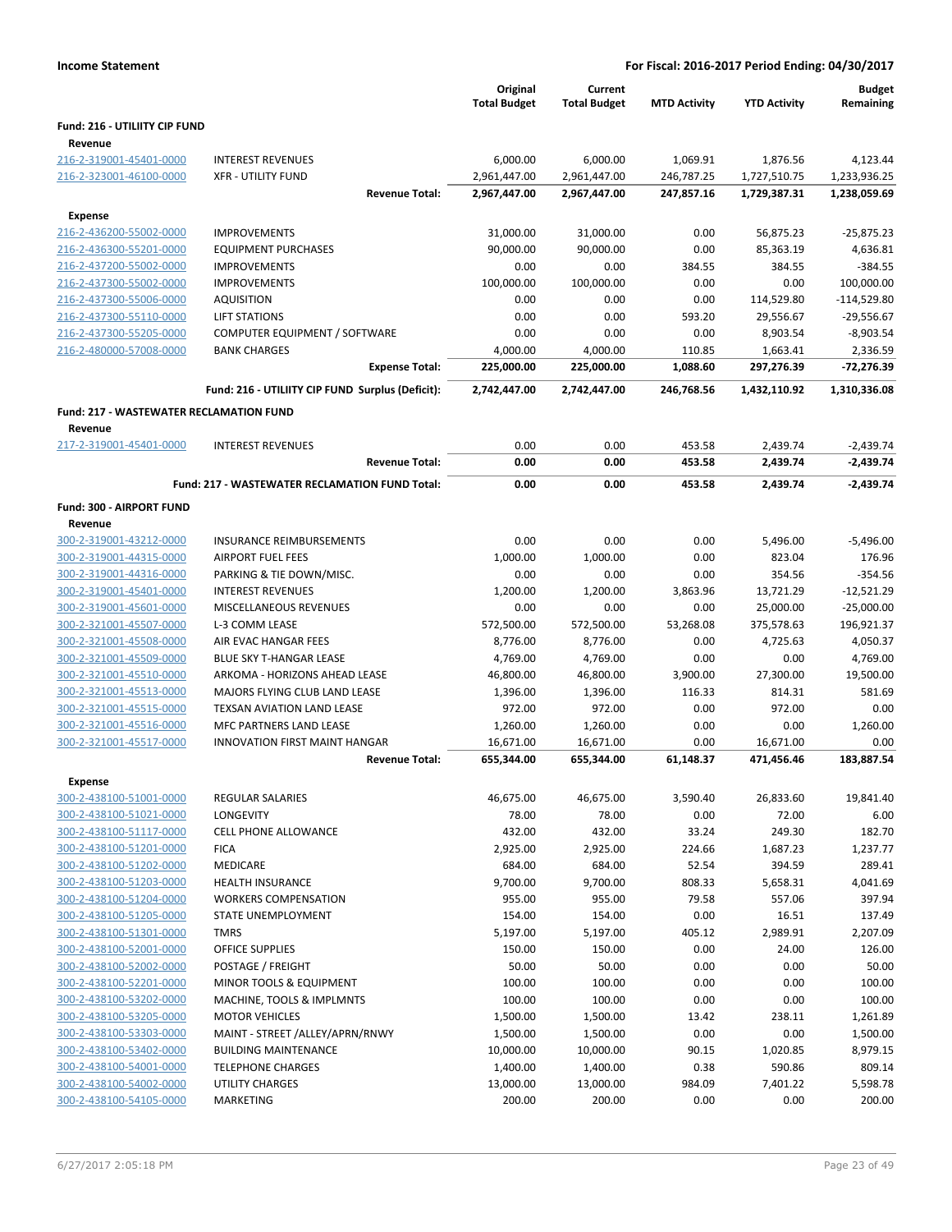| <b>Income Statement</b>                            | For Fiscal: 2016-2017 Period Ending: 04/30/2017              |                                 |                                |                     |                     |                            |  |  |
|----------------------------------------------------|--------------------------------------------------------------|---------------------------------|--------------------------------|---------------------|---------------------|----------------------------|--|--|
|                                                    |                                                              | Original<br><b>Total Budget</b> | Current<br><b>Total Budget</b> | <b>MTD Activity</b> | <b>YTD Activity</b> | <b>Budget</b><br>Remaining |  |  |
| Fund: 216 - UTILIITY CIP FUND                      |                                                              |                                 |                                |                     |                     |                            |  |  |
| Revenue                                            |                                                              |                                 |                                |                     |                     |                            |  |  |
| 216-2-319001-45401-0000                            | <b>INTEREST REVENUES</b>                                     | 6,000.00                        | 6,000.00                       | 1,069.91            | 1,876.56            | 4,123.44                   |  |  |
| 216-2-323001-46100-0000                            | <b>XFR - UTILITY FUND</b>                                    | 2,961,447.00                    | 2,961,447.00                   | 246,787.25          | 1,727,510.75        | 1,233,936.25               |  |  |
|                                                    | <b>Revenue Total:</b>                                        | 2,967,447.00                    | 2,967,447.00                   | 247,857.16          | 1,729,387.31        | 1,238,059.69               |  |  |
| <b>Expense</b>                                     |                                                              |                                 |                                |                     |                     |                            |  |  |
| 216-2-436200-55002-0000                            | <b>IMPROVEMENTS</b>                                          | 31,000.00                       | 31,000.00                      | 0.00                | 56,875.23           | $-25,875.23$               |  |  |
| 216-2-436300-55201-0000                            | <b>EQUIPMENT PURCHASES</b>                                   | 90,000.00                       | 90,000.00                      | 0.00                | 85,363.19           | 4,636.81                   |  |  |
| 216-2-437200-55002-0000                            | <b>IMPROVEMENTS</b>                                          | 0.00                            | 0.00                           | 384.55              | 384.55              | $-384.55$                  |  |  |
| 216-2-437300-55002-0000                            | <b>IMPROVEMENTS</b>                                          | 100,000.00                      | 100,000.00                     | 0.00                | 0.00                | 100,000.00                 |  |  |
| 216-2-437300-55006-0000                            | <b>AQUISITION</b>                                            | 0.00                            | 0.00                           | 0.00                | 114,529.80          | $-114,529.80$              |  |  |
| 216-2-437300-55110-0000                            | <b>LIFT STATIONS</b>                                         | 0.00                            | 0.00                           | 593.20              | 29,556.67           | $-29,556.67$               |  |  |
| 216-2-437300-55205-0000                            | COMPUTER EQUIPMENT / SOFTWARE                                | 0.00                            | 0.00                           | 0.00                | 8,903.54            | $-8,903.54$                |  |  |
| 216-2-480000-57008-0000                            | <b>BANK CHARGES</b>                                          | 4,000.00                        | 4,000.00                       | 110.85              | 1,663.41            | 2,336.59                   |  |  |
|                                                    | <b>Expense Total:</b>                                        | 225,000.00                      | 225,000.00                     | 1,088.60            | 297,276.39          | -72,276.39                 |  |  |
|                                                    | Fund: 216 - UTILIITY CIP FUND Surplus (Deficit):             | 2,742,447.00                    | 2,742,447.00                   | 246,768.56          | 1,432,110.92        | 1,310,336.08               |  |  |
| <b>Fund: 217 - WASTEWATER RECLAMATION FUND</b>     |                                                              |                                 |                                |                     |                     |                            |  |  |
| Revenue<br>217-2-319001-45401-0000                 | <b>INTEREST REVENUES</b>                                     | 0.00                            | 0.00                           | 453.58              | 2,439.74            | $-2,439.74$                |  |  |
|                                                    | <b>Revenue Total:</b>                                        | 0.00                            | 0.00                           | 453.58              | 2,439.74            | $-2,439.74$                |  |  |
|                                                    | Fund: 217 - WASTEWATER RECLAMATION FUND Total:               | 0.00                            | 0.00                           | 453.58              | 2,439.74            | $-2,439.74$                |  |  |
| Fund: 300 - AIRPORT FUND                           |                                                              |                                 |                                |                     |                     |                            |  |  |
| Revenue                                            |                                                              |                                 |                                |                     |                     |                            |  |  |
| 300-2-319001-43212-0000                            | INSURANCE REIMBURSEMENTS                                     | 0.00                            | 0.00                           | 0.00                | 5,496.00            | $-5,496.00$                |  |  |
| 300-2-319001-44315-0000                            | <b>AIRPORT FUEL FEES</b>                                     | 1,000.00                        | 1,000.00                       | 0.00                | 823.04              | 176.96                     |  |  |
| 300-2-319001-44316-0000                            | PARKING & TIE DOWN/MISC.                                     | 0.00                            | 0.00                           | 0.00                | 354.56              | $-354.56$                  |  |  |
| 300-2-319001-45401-0000                            | <b>INTEREST REVENUES</b>                                     | 1,200.00                        | 1,200.00                       | 3,863.96            | 13,721.29           | -12,521.29                 |  |  |
| 300-2-319001-45601-0000                            | MISCELLANEOUS REVENUES                                       | 0.00                            | 0.00                           | 0.00                | 25,000.00           | $-25,000.00$               |  |  |
| 300-2-321001-45507-0000                            | L-3 COMM LEASE                                               | 572,500.00                      | 572,500.00                     | 53,268.08           | 375,578.63          | 196,921.37                 |  |  |
| 300-2-321001-45508-0000                            | AIR EVAC HANGAR FEES                                         | 8,776.00                        | 8,776.00                       | 0.00                | 4,725.63            | 4,050.37                   |  |  |
| 300-2-321001-45509-0000                            | <b>BLUE SKY T-HANGAR LEASE</b>                               | 4,769.00                        | 4,769.00                       | 0.00                | 0.00                | 4,769.00                   |  |  |
| 300-2-321001-45510-0000                            | ARKOMA - HORIZONS AHEAD LEASE                                | 46,800.00                       | 46,800.00                      | 3,900.00            | 27,300.00           | 19,500.00                  |  |  |
| 300-2-321001-45513-0000                            | MAJORS FLYING CLUB LAND LEASE                                | 1,396.00                        | 1,396.00                       | 116.33              | 814.31              | 581.69                     |  |  |
| 300-2-321001-45515-0000<br>300-2-321001-45516-0000 | TEXSAN AVIATION LAND LEASE<br><b>MFC PARTNERS LAND LEASE</b> | 972.00<br>1,260.00              | 972.00<br>1,260.00             | 0.00<br>0.00        | 972.00<br>0.00      | 0.00<br>1,260.00           |  |  |
| 300-2-321001-45517-0000                            | <b>INNOVATION FIRST MAINT HANGAR</b>                         | 16,671.00                       | 16,671.00                      | 0.00                | 16,671.00           | 0.00                       |  |  |
|                                                    | Revenue Total:                                               | 655,344.00                      | 655,344.00                     | 61,148.37           | 471,456.46          | 183,887.54                 |  |  |
| <b>Expense</b>                                     |                                                              |                                 |                                |                     |                     |                            |  |  |
| 300-2-438100-51001-0000                            | REGULAR SALARIES                                             | 46,675.00                       | 46,675.00                      | 3,590.40            | 26,833.60           | 19,841.40                  |  |  |
| 300-2-438100-51021-0000                            | <b>LONGEVITY</b>                                             | 78.00                           | 78.00                          | 0.00                | 72.00               | 6.00                       |  |  |
| 300-2-438100-51117-0000                            | <b>CELL PHONE ALLOWANCE</b>                                  | 432.00                          | 432.00                         | 33.24               | 249.30              | 182.70                     |  |  |
| 300-2-438100-51201-0000                            | <b>FICA</b>                                                  | 2,925.00                        | 2,925.00                       | 224.66              | 1,687.23            | 1,237.77                   |  |  |
| 300-2-438100-51202-0000                            | MEDICARE                                                     | 684.00                          | 684.00                         | 52.54               | 394.59              | 289.41                     |  |  |
| 300-2-438100-51203-0000                            | HEALTH INSURANCE                                             | 9,700.00                        | 9,700.00                       | 808.33              | 5,658.31            | 4,041.69                   |  |  |
| 300-2-438100-51204-0000                            | <b>WORKERS COMPENSATION</b>                                  | 955.00                          | 955.00                         | 79.58               | 557.06              | 397.94                     |  |  |
| 300-2-438100-51205-0000                            | <b>STATE UNEMPLOYMENT</b>                                    | 154.00                          | 154.00                         | 0.00                | 16.51               | 137.49                     |  |  |
| 300-2-438100-51301-0000                            | <b>TMRS</b>                                                  | 5,197.00                        | 5,197.00                       | 405.12              | 2,989.91            | 2,207.09                   |  |  |
| 300-2-438100-52001-0000                            | <b>OFFICE SUPPLIES</b>                                       | 150.00                          | 150.00                         | 0.00                | 24.00               | 126.00                     |  |  |
| 300-2-438100-52002-0000                            | POSTAGE / FREIGHT                                            | 50.00                           | 50.00                          | 0.00                | 0.00                | 50.00                      |  |  |
| 300-2-438100-52201-0000                            | MINOR TOOLS & EQUIPMENT                                      | 100.00                          | 100.00                         | 0.00                | 0.00                | 100.00                     |  |  |
| 300-2-438100-53202-0000                            | MACHINE, TOOLS & IMPLMNTS                                    | 100.00                          | 100.00                         | 0.00                | 0.00                | 100.00                     |  |  |
| 300-2-438100-53205-0000                            | <b>MOTOR VEHICLES</b>                                        | 1,500.00                        | 1,500.00                       | 13.42               | 238.11              | 1,261.89                   |  |  |
| 300-2-438100-53303-0000                            | MAINT - STREET / ALLEY/APRN/RNWY                             | 1,500.00                        | 1,500.00                       | 0.00                | 0.00                | 1,500.00                   |  |  |
| 300-2-438100-53402-0000                            | <b>BUILDING MAINTENANCE</b>                                  | 10,000.00                       | 10,000.00                      | 90.15               | 1,020.85            | 8,979.15                   |  |  |
| 300-2-438100-54001-0000                            | <b>TELEPHONE CHARGES</b>                                     | 1,400.00                        | 1,400.00                       | 0.38                | 590.86              | 809.14                     |  |  |
| 300-2-438100-54002-0000<br>300-2-438100-54105-0000 | <b>UTILITY CHARGES</b><br>MARKETING                          | 13,000.00<br>200.00             | 13,000.00<br>200.00            | 984.09<br>0.00      | 7,401.22<br>0.00    | 5,598.78<br>200.00         |  |  |
|                                                    |                                                              |                                 |                                |                     |                     |                            |  |  |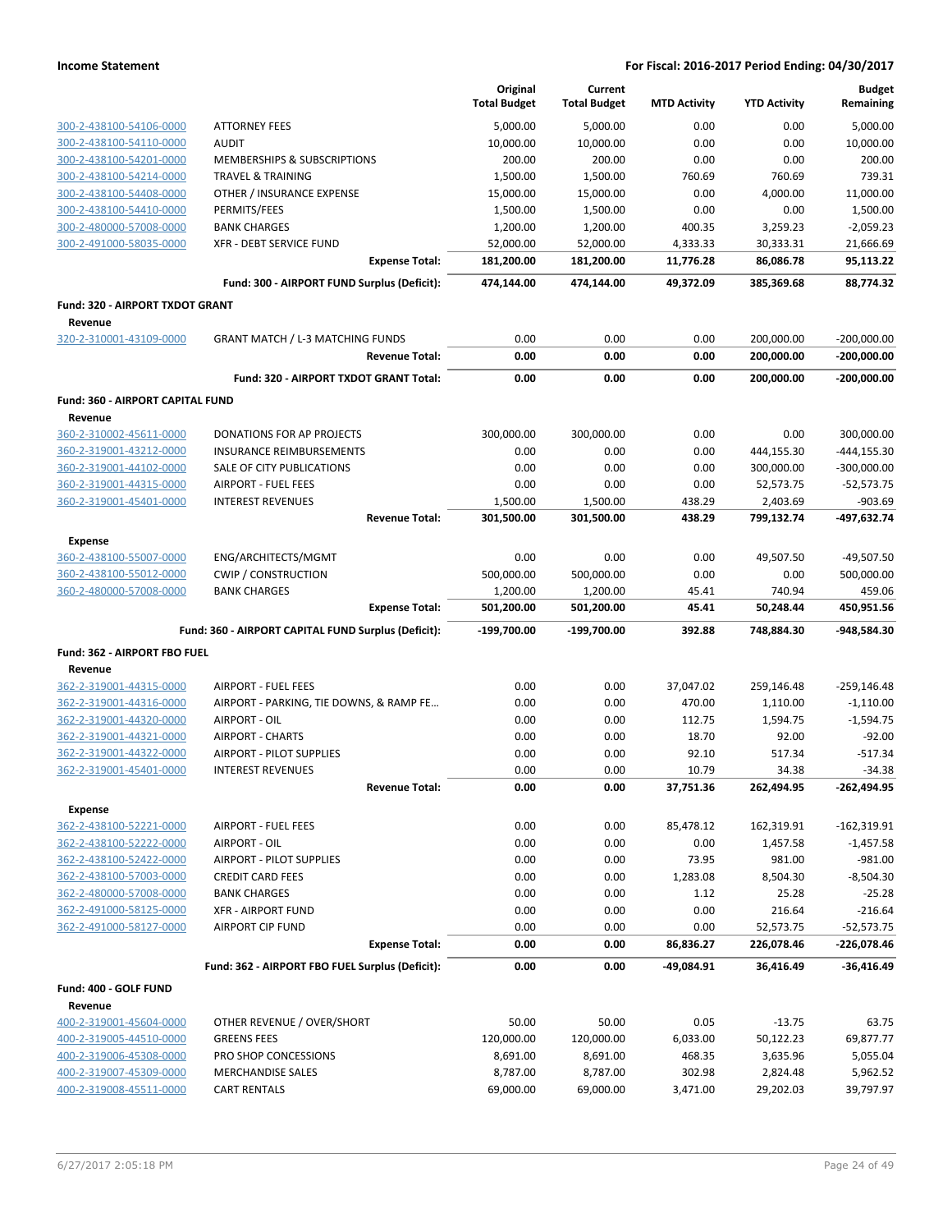|                                                    |                                                                       | Original<br><b>Total Budget</b> | Current<br><b>Total Budget</b> | <b>MTD Activity</b> | <b>YTD Activity</b>   | <b>Budget</b><br>Remaining |
|----------------------------------------------------|-----------------------------------------------------------------------|---------------------------------|--------------------------------|---------------------|-----------------------|----------------------------|
| 300-2-438100-54106-0000                            | <b>ATTORNEY FEES</b>                                                  | 5,000.00                        | 5,000.00                       | 0.00                | 0.00                  | 5,000.00                   |
| 300-2-438100-54110-0000                            | <b>AUDIT</b>                                                          | 10,000.00                       | 10,000.00                      | 0.00                | 0.00                  | 10,000.00                  |
| 300-2-438100-54201-0000                            | MEMBERSHIPS & SUBSCRIPTIONS                                           | 200.00                          | 200.00                         | 0.00                | 0.00                  | 200.00                     |
| 300-2-438100-54214-0000                            | <b>TRAVEL &amp; TRAINING</b>                                          | 1,500.00                        | 1,500.00                       | 760.69              | 760.69                | 739.31                     |
| 300-2-438100-54408-0000                            | OTHER / INSURANCE EXPENSE                                             | 15,000.00                       | 15,000.00                      | 0.00                | 4,000.00              | 11,000.00                  |
| 300-2-438100-54410-0000                            | PERMITS/FEES                                                          | 1,500.00                        | 1,500.00                       | 0.00                | 0.00                  | 1,500.00                   |
| 300-2-480000-57008-0000                            | <b>BANK CHARGES</b>                                                   | 1,200.00                        | 1,200.00                       | 400.35              | 3,259.23              | $-2,059.23$                |
| 300-2-491000-58035-0000                            | XFR - DEBT SERVICE FUND                                               | 52,000.00                       | 52,000.00                      | 4,333.33            | 30,333.31             | 21,666.69                  |
|                                                    | <b>Expense Total:</b>                                                 | 181,200.00                      | 181,200.00                     | 11,776.28           | 86,086.78             | 95,113.22                  |
|                                                    | Fund: 300 - AIRPORT FUND Surplus (Deficit):                           | 474,144.00                      | 474,144.00                     | 49,372.09           | 385,369.68            | 88,774.32                  |
| Fund: 320 - AIRPORT TXDOT GRANT                    |                                                                       |                                 |                                |                     |                       |                            |
| Revenue                                            |                                                                       |                                 |                                |                     |                       |                            |
| 320-2-310001-43109-0000                            | <b>GRANT MATCH / L-3 MATCHING FUNDS</b><br><b>Revenue Total:</b>      | 0.00                            | 0.00<br>0.00                   | 0.00<br>0.00        | 200,000.00            | $-200,000.00$              |
|                                                    |                                                                       | 0.00                            |                                |                     | 200,000.00            | $-200,000.00$              |
|                                                    | Fund: 320 - AIRPORT TXDOT GRANT Total:                                | 0.00                            | 0.00                           | 0.00                | 200,000.00            | $-200,000.00$              |
| Fund: 360 - AIRPORT CAPITAL FUND<br>Revenue        |                                                                       |                                 |                                |                     |                       |                            |
| 360-2-310002-45611-0000                            | <b>DONATIONS FOR AP PROJECTS</b>                                      | 300,000.00                      | 300,000.00                     | 0.00                | 0.00                  | 300,000.00                 |
| 360-2-319001-43212-0000                            | INSURANCE REIMBURSEMENTS                                              | 0.00                            | 0.00                           | 0.00                | 444,155.30            | $-444, 155.30$             |
| 360-2-319001-44102-0000                            | SALE OF CITY PUBLICATIONS                                             | 0.00                            | 0.00                           | 0.00                | 300,000.00            | $-300,000.00$              |
| 360-2-319001-44315-0000                            | <b>AIRPORT - FUEL FEES</b>                                            | 0.00                            | 0.00                           | 0.00                | 52,573.75             | $-52,573.75$               |
| 360-2-319001-45401-0000                            | <b>INTEREST REVENUES</b>                                              | 1,500.00                        | 1,500.00                       | 438.29              | 2,403.69              | $-903.69$                  |
|                                                    | <b>Revenue Total:</b>                                                 | 301,500.00                      | 301,500.00                     | 438.29              | 799,132.74            | -497,632.74                |
| <b>Expense</b>                                     |                                                                       |                                 |                                |                     |                       |                            |
| 360-2-438100-55007-0000                            | ENG/ARCHITECTS/MGMT                                                   | 0.00                            | 0.00                           | 0.00                | 49,507.50             | $-49,507.50$               |
| 360-2-438100-55012-0000                            | <b>CWIP / CONSTRUCTION</b>                                            | 500,000.00                      | 500,000.00                     | 0.00                | 0.00                  | 500,000.00                 |
| 360-2-480000-57008-0000                            | <b>BANK CHARGES</b>                                                   | 1,200.00                        | 1,200.00                       | 45.41               | 740.94                | 459.06                     |
|                                                    | <b>Expense Total:</b>                                                 | 501,200.00                      | 501,200.00                     | 45.41               | 50,248.44             | 450,951.56                 |
|                                                    | Fund: 360 - AIRPORT CAPITAL FUND Surplus (Deficit):                   | $-199,700.00$                   | $-199,700.00$                  | 392.88              | 748,884.30            | -948,584.30                |
| Fund: 362 - AIRPORT FBO FUEL                       |                                                                       |                                 |                                |                     |                       |                            |
| Revenue                                            |                                                                       |                                 |                                |                     |                       |                            |
| 362-2-319001-44315-0000                            | <b>AIRPORT - FUEL FEES</b><br>AIRPORT - PARKING, TIE DOWNS, & RAMP FE | 0.00                            | 0.00                           | 37,047.02           | 259,146.48            | $-259, 146.48$             |
| 362-2-319001-44316-0000<br>362-2-319001-44320-0000 | AIRPORT - OIL                                                         | 0.00<br>0.00                    | 0.00<br>0.00                   | 470.00<br>112.75    | 1,110.00<br>1,594.75  | $-1,110.00$<br>$-1,594.75$ |
| 362-2-319001-44321-0000                            | <b>AIRPORT - CHARTS</b>                                               | 0.00                            | 0.00                           | 18.70               | 92.00                 | $-92.00$                   |
| 362-2-319001-44322-0000                            | AIRPORT - PILOT SUPPLIES                                              | 0.00                            | 0.00                           | 92.10               | 517.34                | $-517.34$                  |
| 362-2-319001-45401-0000                            | <b>INTEREST REVENUES</b>                                              | 0.00                            | 0.00                           | 10.79               | 34.38                 | $-34.38$                   |
|                                                    | <b>Revenue Total:</b>                                                 | 0.00                            | 0.00                           | 37,751.36           | 262,494.95            | -262,494.95                |
| <b>Expense</b>                                     |                                                                       |                                 |                                |                     |                       |                            |
| 362-2-438100-52221-0000                            | <b>AIRPORT - FUEL FEES</b>                                            | 0.00                            | 0.00                           | 85,478.12           | 162,319.91            | $-162,319.91$              |
| 362-2-438100-52222-0000                            | AIRPORT - OIL                                                         | 0.00                            | 0.00                           | 0.00                | 1,457.58              | $-1,457.58$                |
| 362-2-438100-52422-0000                            | AIRPORT - PILOT SUPPLIES                                              | 0.00                            | 0.00                           | 73.95               | 981.00                | $-981.00$                  |
| 362-2-438100-57003-0000                            | <b>CREDIT CARD FEES</b>                                               | 0.00                            | 0.00                           | 1,283.08            | 8,504.30              | $-8,504.30$                |
| 362-2-480000-57008-0000                            | <b>BANK CHARGES</b>                                                   | 0.00                            | 0.00                           | 1.12                | 25.28                 | $-25.28$                   |
| 362-2-491000-58125-0000                            | <b>XFR - AIRPORT FUND</b>                                             | 0.00                            | 0.00                           | 0.00                | 216.64                | $-216.64$                  |
| 362-2-491000-58127-0000                            | <b>AIRPORT CIP FUND</b>                                               | 0.00                            | 0.00                           | 0.00                | 52,573.75             | $-52,573.75$               |
|                                                    | <b>Expense Total:</b>                                                 | 0.00                            | 0.00                           | 86,836.27           | 226,078.46            | -226,078.46                |
|                                                    | Fund: 362 - AIRPORT FBO FUEL Surplus (Deficit):                       | 0.00                            | 0.00                           | -49,084.91          | 36,416.49             | $-36,416.49$               |
| Fund: 400 - GOLF FUND                              |                                                                       |                                 |                                |                     |                       |                            |
| Revenue                                            |                                                                       |                                 |                                |                     |                       |                            |
| 400-2-319001-45604-0000                            | OTHER REVENUE / OVER/SHORT                                            | 50.00                           | 50.00                          | 0.05                | $-13.75$              | 63.75                      |
| 400-2-319005-44510-0000                            | <b>GREENS FEES</b>                                                    | 120,000.00                      | 120,000.00                     | 6,033.00            | 50,122.23             | 69,877.77                  |
| 400-2-319006-45308-0000<br>400-2-319007-45309-0000 | PRO SHOP CONCESSIONS<br><b>MERCHANDISE SALES</b>                      | 8,691.00<br>8,787.00            | 8,691.00<br>8,787.00           | 468.35<br>302.98    | 3,635.96              | 5,055.04<br>5,962.52       |
| 400-2-319008-45511-0000                            | <b>CART RENTALS</b>                                                   | 69,000.00                       | 69,000.00                      | 3,471.00            | 2,824.48<br>29,202.03 | 39,797.97                  |
|                                                    |                                                                       |                                 |                                |                     |                       |                            |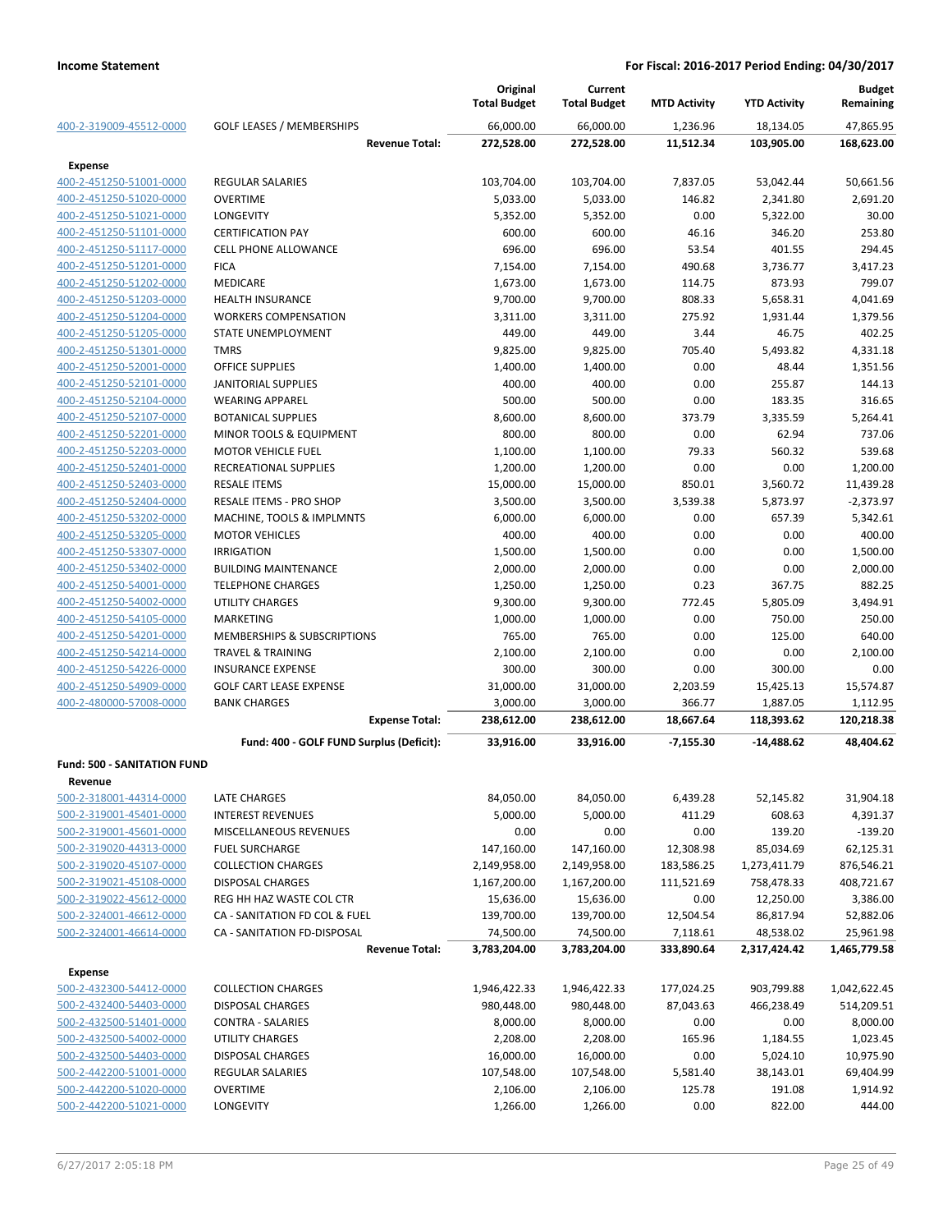|                                           |                                          | Original<br><b>Total Budget</b> | Current<br><b>Total Budget</b> | <b>MTD Activity</b> | <b>YTD Activity</b> | <b>Budget</b><br>Remaining |
|-------------------------------------------|------------------------------------------|---------------------------------|--------------------------------|---------------------|---------------------|----------------------------|
| 400-2-319009-45512-0000                   | <b>GOLF LEASES / MEMBERSHIPS</b>         | 66,000.00                       | 66,000.00                      | 1,236.96            | 18,134.05           | 47,865.95                  |
|                                           | <b>Revenue Total:</b>                    | 272,528.00                      | 272,528.00                     | 11,512.34           | 103,905.00          | 168,623.00                 |
| Expense                                   |                                          |                                 |                                |                     |                     |                            |
| 400-2-451250-51001-0000                   | <b>REGULAR SALARIES</b>                  | 103,704.00                      | 103,704.00                     | 7,837.05            | 53,042.44           | 50,661.56                  |
| 400-2-451250-51020-0000                   | <b>OVERTIME</b>                          | 5,033.00                        | 5,033.00                       | 146.82              | 2,341.80            | 2,691.20                   |
| 400-2-451250-51021-0000                   | LONGEVITY                                | 5,352.00                        | 5,352.00                       | 0.00                | 5,322.00            | 30.00                      |
| 400-2-451250-51101-0000                   | <b>CERTIFICATION PAY</b>                 | 600.00                          | 600.00                         | 46.16               | 346.20              | 253.80                     |
| 400-2-451250-51117-0000                   | <b>CELL PHONE ALLOWANCE</b>              | 696.00                          | 696.00                         | 53.54               | 401.55              | 294.45                     |
| 400-2-451250-51201-0000                   | <b>FICA</b>                              | 7,154.00                        | 7,154.00                       | 490.68              | 3,736.77            | 3,417.23                   |
| 400-2-451250-51202-0000                   | <b>MEDICARE</b>                          | 1,673.00                        | 1,673.00                       | 114.75              | 873.93              | 799.07                     |
| 400-2-451250-51203-0000                   | <b>HEALTH INSURANCE</b>                  | 9,700.00                        | 9,700.00                       | 808.33              | 5,658.31            | 4,041.69                   |
| 400-2-451250-51204-0000                   | <b>WORKERS COMPENSATION</b>              | 3,311.00                        | 3,311.00                       | 275.92              | 1,931.44            | 1,379.56                   |
| 400-2-451250-51205-0000                   | STATE UNEMPLOYMENT                       | 449.00                          | 449.00                         | 3.44                | 46.75               | 402.25                     |
| 400-2-451250-51301-0000                   | <b>TMRS</b>                              | 9,825.00                        | 9,825.00                       | 705.40              | 5,493.82            | 4,331.18                   |
| 400-2-451250-52001-0000                   | <b>OFFICE SUPPLIES</b>                   | 1,400.00                        | 1,400.00                       | 0.00                | 48.44               | 1,351.56                   |
| 400-2-451250-52101-0000                   | <b>JANITORIAL SUPPLIES</b>               | 400.00                          | 400.00                         | 0.00                | 255.87              | 144.13                     |
| 400-2-451250-52104-0000                   | <b>WEARING APPAREL</b>                   | 500.00                          | 500.00                         | 0.00                | 183.35              | 316.65                     |
| 400-2-451250-52107-0000                   | <b>BOTANICAL SUPPLIES</b>                | 8,600.00                        | 8,600.00                       | 373.79              | 3,335.59            | 5,264.41                   |
| 400-2-451250-52201-0000                   | MINOR TOOLS & EQUIPMENT                  | 800.00                          | 800.00                         | 0.00                | 62.94               | 737.06                     |
| 400-2-451250-52203-0000                   | <b>MOTOR VEHICLE FUEL</b>                | 1,100.00                        | 1,100.00                       | 79.33               | 560.32              | 539.68                     |
| 400-2-451250-52401-0000                   | RECREATIONAL SUPPLIES                    | 1,200.00                        | 1,200.00                       | 0.00                | 0.00                | 1,200.00                   |
| 400-2-451250-52403-0000                   | <b>RESALE ITEMS</b>                      | 15,000.00                       | 15,000.00                      | 850.01              | 3,560.72            | 11,439.28                  |
| 400-2-451250-52404-0000                   | RESALE ITEMS - PRO SHOP                  | 3,500.00                        | 3,500.00                       | 3,539.38            | 5,873.97            | $-2,373.97$                |
| 400-2-451250-53202-0000                   | MACHINE, TOOLS & IMPLMNTS                | 6,000.00                        | 6,000.00                       | 0.00                | 657.39              | 5,342.61                   |
| 400-2-451250-53205-0000                   | <b>MOTOR VEHICLES</b>                    | 400.00                          | 400.00                         | 0.00                | 0.00                | 400.00                     |
| 400-2-451250-53307-0000                   | <b>IRRIGATION</b>                        | 1,500.00                        | 1,500.00                       | 0.00                | 0.00                | 1,500.00                   |
| 400-2-451250-53402-0000                   | <b>BUILDING MAINTENANCE</b>              | 2,000.00                        | 2,000.00                       | 0.00                | 0.00                | 2,000.00                   |
| 400-2-451250-54001-0000                   | <b>TELEPHONE CHARGES</b>                 | 1,250.00                        | 1,250.00                       | 0.23                | 367.75              | 882.25                     |
| 400-2-451250-54002-0000                   | <b>UTILITY CHARGES</b>                   | 9,300.00                        | 9,300.00                       | 772.45              | 5,805.09            | 3,494.91                   |
| 400-2-451250-54105-0000                   | <b>MARKETING</b>                         | 1,000.00                        | 1,000.00                       | 0.00                | 750.00              | 250.00                     |
| 400-2-451250-54201-0000                   | MEMBERSHIPS & SUBSCRIPTIONS              | 765.00                          | 765.00                         | 0.00                | 125.00              | 640.00                     |
| 400-2-451250-54214-0000                   | <b>TRAVEL &amp; TRAINING</b>             | 2,100.00                        | 2,100.00                       | 0.00                | 0.00                | 2,100.00                   |
| 400-2-451250-54226-0000                   | <b>INSURANCE EXPENSE</b>                 | 300.00                          | 300.00                         | 0.00                | 300.00              | 0.00                       |
| 400-2-451250-54909-0000                   | <b>GOLF CART LEASE EXPENSE</b>           | 31,000.00                       | 31,000.00                      | 2,203.59            | 15,425.13           | 15,574.87                  |
| 400-2-480000-57008-0000                   | <b>BANK CHARGES</b>                      | 3,000.00                        | 3,000.00                       | 366.77              | 1,887.05            | 1,112.95                   |
|                                           | <b>Expense Total:</b>                    | 238,612.00                      | 238,612.00                     | 18,667.64           | 118,393.62          | 120,218.38                 |
|                                           | Fund: 400 - GOLF FUND Surplus (Deficit): | 33,916.00                       | 33,916.00                      | $-7,155.30$         | $-14,488.62$        | 48,404.62                  |
| <b>Fund: 500 - SANITATION FUND</b>        |                                          |                                 |                                |                     |                     |                            |
| Revenue                                   |                                          |                                 |                                |                     |                     |                            |
| 500-2-318001-44314-0000                   | LATE CHARGES                             | 84,050.00                       | 84,050.00                      | 6,439.28            | 52,145.82           | 31,904.18                  |
| 500-2-319001-45401-0000                   | <b>INTEREST REVENUES</b>                 | 5,000.00                        | 5,000.00                       | 411.29              | 608.63              | 4,391.37                   |
| 500-2-319001-45601-0000                   | MISCELLANEOUS REVENUES                   | 0.00                            | 0.00                           | 0.00                | 139.20              | $-139.20$                  |
| 500-2-319020-44313-0000                   | <b>FUEL SURCHARGE</b>                    | 147,160.00                      | 147,160.00                     | 12,308.98           | 85,034.69           | 62,125.31                  |
| 500-2-319020-45107-0000                   | <b>COLLECTION CHARGES</b>                | 2,149,958.00                    | 2,149,958.00                   | 183,586.25          | 1,273,411.79        | 876,546.21                 |
| 500-2-319021-45108-0000                   | <b>DISPOSAL CHARGES</b>                  | 1,167,200.00                    | 1,167,200.00                   | 111,521.69          | 758,478.33          | 408,721.67                 |
| 500-2-319022-45612-0000                   | REG HH HAZ WASTE COL CTR                 | 15,636.00                       | 15,636.00                      | 0.00                | 12,250.00           | 3,386.00                   |
| 500-2-324001-46612-0000                   | CA - SANITATION FD COL & FUEL            | 139,700.00                      | 139,700.00                     | 12,504.54           | 86,817.94           | 52,882.06                  |
| 500-2-324001-46614-0000                   | CA - SANITATION FD-DISPOSAL              | 74,500.00                       | 74,500.00                      | 7,118.61            | 48,538.02           | 25,961.98                  |
|                                           | <b>Revenue Total:</b>                    | 3,783,204.00                    | 3,783,204.00                   | 333,890.64          | 2,317,424.42        | 1,465,779.58               |
|                                           |                                          |                                 |                                |                     |                     |                            |
| <b>Expense</b><br>500-2-432300-54412-0000 | <b>COLLECTION CHARGES</b>                | 1,946,422.33                    | 1,946,422.33                   | 177,024.25          | 903,799.88          | 1,042,622.45               |
| 500-2-432400-54403-0000                   | <b>DISPOSAL CHARGES</b>                  | 980,448.00                      | 980,448.00                     | 87,043.63           | 466,238.49          | 514,209.51                 |
| 500-2-432500-51401-0000                   | CONTRA - SALARIES                        | 8,000.00                        | 8,000.00                       | 0.00                | 0.00                | 8,000.00                   |
| 500-2-432500-54002-0000                   | UTILITY CHARGES                          | 2,208.00                        | 2,208.00                       | 165.96              | 1,184.55            | 1,023.45                   |
| 500-2-432500-54403-0000                   | <b>DISPOSAL CHARGES</b>                  | 16,000.00                       | 16,000.00                      | 0.00                | 5,024.10            | 10,975.90                  |
| 500-2-442200-51001-0000                   | <b>REGULAR SALARIES</b>                  | 107,548.00                      | 107,548.00                     | 5,581.40            | 38,143.01           | 69,404.99                  |
| 500-2-442200-51020-0000                   | <b>OVERTIME</b>                          | 2,106.00                        | 2,106.00                       | 125.78              | 191.08              | 1,914.92                   |
| 500-2-442200-51021-0000                   | LONGEVITY                                | 1,266.00                        | 1,266.00                       | 0.00                | 822.00              | 444.00                     |
|                                           |                                          |                                 |                                |                     |                     |                            |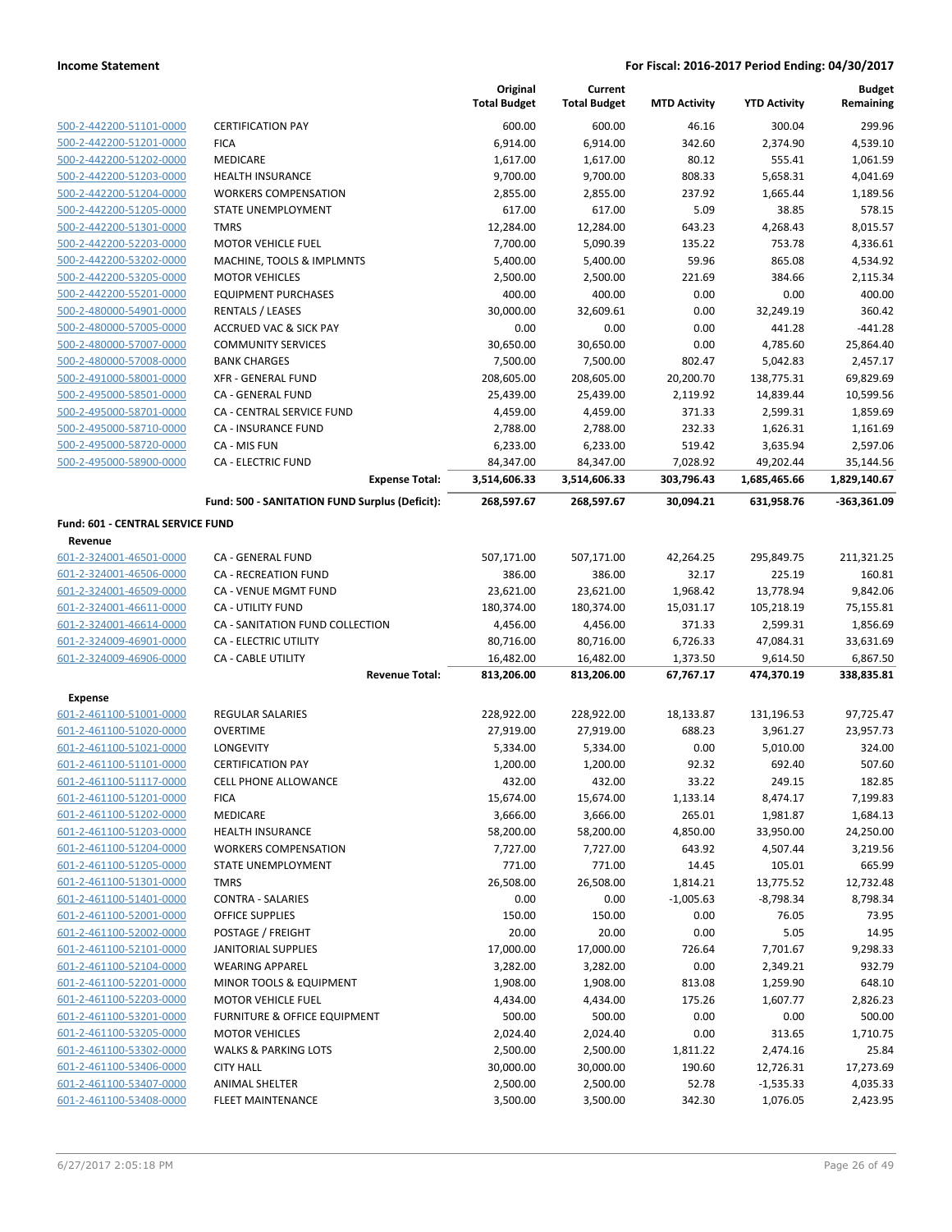|                                  |                                                | Original<br><b>Total Budget</b> | Current<br><b>Total Budget</b> | <b>MTD Activity</b>   | <b>YTD Activity</b>    | <b>Budget</b><br>Remaining |
|----------------------------------|------------------------------------------------|---------------------------------|--------------------------------|-----------------------|------------------------|----------------------------|
| 500-2-442200-51101-0000          | <b>CERTIFICATION PAY</b>                       | 600.00                          | 600.00                         | 46.16                 | 300.04                 | 299.96                     |
| 500-2-442200-51201-0000          | <b>FICA</b>                                    | 6,914.00                        | 6,914.00                       | 342.60                | 2,374.90               | 4,539.10                   |
| 500-2-442200-51202-0000          | MEDICARE                                       | 1,617.00                        | 1,617.00                       | 80.12                 | 555.41                 | 1,061.59                   |
| 500-2-442200-51203-0000          | HEALTH INSURANCE                               | 9,700.00                        | 9,700.00                       | 808.33                | 5,658.31               | 4,041.69                   |
| 500-2-442200-51204-0000          | <b>WORKERS COMPENSATION</b>                    | 2,855.00                        | 2,855.00                       | 237.92                | 1,665.44               | 1,189.56                   |
| 500-2-442200-51205-0000          | STATE UNEMPLOYMENT                             | 617.00                          | 617.00                         | 5.09                  | 38.85                  | 578.15                     |
| 500-2-442200-51301-0000          | <b>TMRS</b>                                    | 12,284.00                       | 12,284.00                      | 643.23                | 4,268.43               | 8,015.57                   |
| 500-2-442200-52203-0000          | <b>MOTOR VEHICLE FUEL</b>                      | 7,700.00                        | 5,090.39                       | 135.22                | 753.78                 | 4,336.61                   |
| 500-2-442200-53202-0000          | MACHINE, TOOLS & IMPLMNTS                      | 5,400.00                        | 5,400.00                       | 59.96                 | 865.08                 | 4,534.92                   |
| 500-2-442200-53205-0000          | <b>MOTOR VEHICLES</b>                          | 2,500.00                        | 2,500.00                       | 221.69                | 384.66                 | 2,115.34                   |
| 500-2-442200-55201-0000          | <b>EQUIPMENT PURCHASES</b>                     | 400.00                          | 400.00                         | 0.00                  | 0.00                   | 400.00                     |
| 500-2-480000-54901-0000          | RENTALS / LEASES                               | 30,000.00                       | 32,609.61                      | 0.00                  | 32,249.19              | 360.42                     |
| 500-2-480000-57005-0000          | <b>ACCRUED VAC &amp; SICK PAY</b>              | 0.00                            | 0.00                           | 0.00                  | 441.28                 | $-441.28$                  |
| 500-2-480000-57007-0000          | <b>COMMUNITY SERVICES</b>                      | 30,650.00                       | 30,650.00                      | 0.00                  | 4,785.60               | 25,864.40                  |
| 500-2-480000-57008-0000          | <b>BANK CHARGES</b>                            | 7,500.00                        | 7,500.00                       | 802.47                | 5,042.83               | 2,457.17                   |
| 500-2-491000-58001-0000          | XFR - GENERAL FUND                             | 208,605.00                      | 208,605.00                     | 20,200.70             | 138,775.31             | 69,829.69                  |
| 500-2-495000-58501-0000          | CA - GENERAL FUND                              | 25,439.00                       | 25,439.00                      | 2,119.92              | 14,839.44              | 10,599.56                  |
| 500-2-495000-58701-0000          | CA - CENTRAL SERVICE FUND                      | 4,459.00                        | 4,459.00                       | 371.33                | 2,599.31               | 1,859.69                   |
| 500-2-495000-58710-0000          | CA - INSURANCE FUND                            | 2,788.00                        | 2,788.00                       | 232.33                | 1,626.31               | 1,161.69                   |
| 500-2-495000-58720-0000          | CA - MIS FUN                                   | 6,233.00                        | 6,233.00                       | 519.42                | 3,635.94               | 2,597.06                   |
| 500-2-495000-58900-0000          | <b>CA - ELECTRIC FUND</b>                      | 84,347.00                       | 84,347.00                      | 7,028.92              | 49,202.44              | 35,144.56                  |
|                                  | <b>Expense Total:</b>                          | 3,514,606.33                    | 3,514,606.33                   | 303,796.43            | 1,685,465.66           | 1,829,140.67               |
|                                  | Fund: 500 - SANITATION FUND Surplus (Deficit): | 268,597.67                      | 268,597.67                     | 30,094.21             | 631,958.76             | -363,361.09                |
| Fund: 601 - CENTRAL SERVICE FUND |                                                |                                 |                                |                       |                        |                            |
| Revenue                          |                                                |                                 |                                |                       |                        |                            |
| 601-2-324001-46501-0000          | CA - GENERAL FUND                              | 507,171.00                      | 507,171.00                     | 42,264.25             | 295,849.75             | 211,321.25                 |
| 601-2-324001-46506-0000          | <b>CA - RECREATION FUND</b>                    | 386.00                          | 386.00                         | 32.17                 | 225.19                 | 160.81                     |
| 601-2-324001-46509-0000          | CA - VENUE MGMT FUND                           | 23,621.00                       | 23,621.00                      | 1,968.42              | 13,778.94              | 9,842.06                   |
| 601-2-324001-46611-0000          | CA - UTILITY FUND                              | 180,374.00                      | 180,374.00                     | 15,031.17             | 105,218.19             | 75,155.81                  |
| 601-2-324001-46614-0000          | CA - SANITATION FUND COLLECTION                | 4,456.00                        | 4,456.00                       | 371.33                | 2,599.31               | 1,856.69                   |
| 601-2-324009-46901-0000          | CA - ELECTRIC UTILITY                          | 80,716.00                       | 80,716.00                      | 6,726.33              | 47,084.31              | 33,631.69                  |
| 601-2-324009-46906-0000          | CA - CABLE UTILITY<br><b>Revenue Total:</b>    | 16,482.00<br>813,206.00         | 16,482.00<br>813,206.00        | 1,373.50<br>67,767.17 | 9,614.50<br>474,370.19 | 6,867.50<br>338,835.81     |
| <b>Expense</b>                   |                                                |                                 |                                |                       |                        |                            |
| 601-2-461100-51001-0000          | REGULAR SALARIES                               | 228,922.00                      | 228,922.00                     | 18,133.87             | 131,196.53             | 97,725.47                  |
| 601-2-461100-51020-0000          | <b>OVERTIME</b>                                | 27,919.00                       | 27,919.00                      | 688.23                | 3,961.27               | 23,957.73                  |
| 601-2-461100-51021-0000          | LONGEVITY                                      | 5,334.00                        | 5,334.00                       | 0.00                  | 5,010.00               | 324.00                     |
| 601-2-461100-51101-0000          | <b>CERTIFICATION PAY</b>                       | 1,200.00                        | 1,200.00                       | 92.32                 | 692.40                 | 507.60                     |
| 601-2-461100-51117-0000          | CELL PHONE ALLOWANCE                           | 432.00                          | 432.00                         | 33.22                 | 249.15                 | 182.85                     |
| 601-2-461100-51201-0000          | <b>FICA</b>                                    | 15,674.00                       | 15,674.00                      | 1,133.14              | 8,474.17               | 7,199.83                   |
| 601-2-461100-51202-0000          | <b>MEDICARE</b>                                | 3,666.00                        | 3,666.00                       | 265.01                | 1,981.87               | 1,684.13                   |
| 601-2-461100-51203-0000          | <b>HEALTH INSURANCE</b>                        | 58,200.00                       | 58,200.00                      | 4,850.00              | 33,950.00              | 24,250.00                  |
| 601-2-461100-51204-0000          | <b>WORKERS COMPENSATION</b>                    | 7,727.00                        | 7,727.00                       | 643.92                | 4,507.44               | 3,219.56                   |
| 601-2-461100-51205-0000          | <b>STATE UNEMPLOYMENT</b>                      | 771.00                          | 771.00                         | 14.45                 | 105.01                 | 665.99                     |
| 601-2-461100-51301-0000          | <b>TMRS</b>                                    | 26,508.00                       | 26,508.00                      | 1,814.21              | 13,775.52              | 12,732.48                  |
| 601-2-461100-51401-0000          | <b>CONTRA - SALARIES</b>                       | 0.00                            | 0.00                           | $-1,005.63$           | $-8,798.34$            | 8,798.34                   |
| 601-2-461100-52001-0000          | OFFICE SUPPLIES                                | 150.00                          | 150.00                         | 0.00                  | 76.05                  | 73.95                      |
| 601-2-461100-52002-0000          | POSTAGE / FREIGHT                              | 20.00                           | 20.00                          | 0.00                  | 5.05                   | 14.95                      |
| 601-2-461100-52101-0000          | <b>JANITORIAL SUPPLIES</b>                     | 17,000.00                       | 17,000.00                      | 726.64                | 7,701.67               | 9,298.33                   |
| 601-2-461100-52104-0000          | <b>WEARING APPAREL</b>                         | 3,282.00                        | 3,282.00                       | 0.00                  | 2,349.21               | 932.79                     |
| 601-2-461100-52201-0000          | MINOR TOOLS & EQUIPMENT                        | 1,908.00                        | 1,908.00                       | 813.08                | 1,259.90               | 648.10                     |
| 601-2-461100-52203-0000          | <b>MOTOR VEHICLE FUEL</b>                      | 4,434.00                        | 4,434.00                       | 175.26                | 1,607.77               | 2,826.23                   |
| 601-2-461100-53201-0000          | FURNITURE & OFFICE EQUIPMENT                   | 500.00                          | 500.00                         | 0.00                  | 0.00                   | 500.00                     |
| 601-2-461100-53205-0000          | <b>MOTOR VEHICLES</b>                          | 2,024.40                        | 2,024.40                       | 0.00                  | 313.65                 | 1,710.75                   |
| 601-2-461100-53302-0000          | <b>WALKS &amp; PARKING LOTS</b>                | 2,500.00                        | 2,500.00                       | 1,811.22              | 2,474.16               | 25.84                      |
| 601-2-461100-53406-0000          | <b>CITY HALL</b>                               | 30,000.00                       | 30,000.00                      | 190.60                | 12,726.31              | 17,273.69                  |
| 601-2-461100-53407-0000          | <b>ANIMAL SHELTER</b>                          | 2,500.00                        | 2,500.00                       | 52.78                 | $-1,535.33$            | 4,035.33                   |
| 601-2-461100-53408-0000          | FLEET MAINTENANCE                              | 3,500.00                        | 3,500.00                       | 342.30                | 1,076.05               | 2,423.95                   |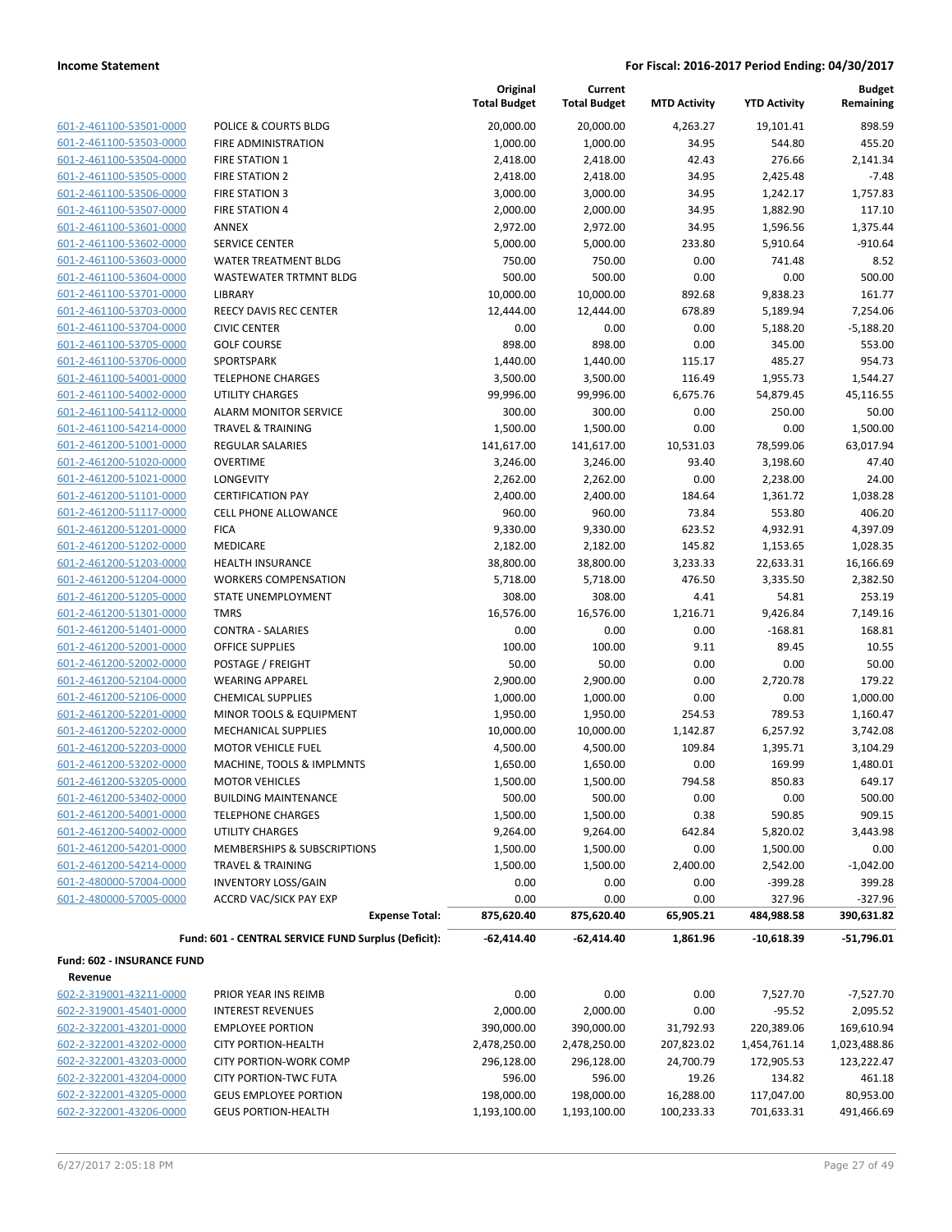| 601-2-461100-53501-0000        |
|--------------------------------|
| 601-2-461100-53503-0000        |
| 601-2-461100-53504-0000        |
| 601-2-461100-53505-0000        |
| 601-2-461100-53506-0000        |
| 601-2-461100-53507-0000        |
| 601-2-461100-53601-0000        |
| 601-2-461100-53602-0000        |
| 601-2-461100-53603-0000        |
| 601-2-461100-53604-0000        |
| 601-2-461100-53701-0000        |
| 601-2-461100-53703-0000        |
| 601-2-461100-53704-0000        |
| 601-2-461100-53705-0000        |
| 601-2-461100-53706-0000        |
| 601-2-461100-54001-0000        |
| 601-2-461100-54002-0000        |
| 601-2-461100-54112-0000        |
| 601-2-461100-54214-0000        |
| 601-2-461200-51001-0000        |
| 601-2-461200-51020-0000        |
| 601-2-461200-51021-0000        |
| 601-2-461200-51101-0000        |
| 601-2-461200-51117-0000        |
| 601-2-461200-51201-0000        |
| 601-2-461200-51202-0000        |
| 601-2-461200-51203-0000        |
| 601-2-461200-51204-0000        |
|                                |
| 601-2-461200-51205-0000        |
| 601-2-461200-51301-0000        |
| 601-2-461200-51401-0000        |
| 601-2-461200-52001-0000        |
| 601-2-461200-52002-0000        |
| 601-2-461200-52104-0000        |
| 601-2-461200-52106-0000        |
| 601-2-461200-52201-0000        |
| 601-2-461200-52202-0000        |
| 601-2-461200-52203-0000        |
| 601-2-461200-53202-0000        |
| 601-2-461200-53205-0000        |
| 601-2-461200-53402-0000        |
| 601-2-461200-54001-0000        |
| 601-2-461200-54002-0000        |
| 601-2-461200-54201-0000        |
| 601-2-461200-54214-0000        |
| 2-480000-57004-0000<br>$601 -$ |
| 601-2-480000-57005-0000        |
|                                |

|                                                    |                                                     | Original<br><b>Total Budget</b> | Current<br><b>Total Budget</b> | <b>MTD Activity</b> | <b>YTD Activity</b> | <b>Budget</b><br>Remaining |
|----------------------------------------------------|-----------------------------------------------------|---------------------------------|--------------------------------|---------------------|---------------------|----------------------------|
| 601-2-461100-53501-0000                            | POLICE & COURTS BLDG                                | 20,000.00                       | 20,000.00                      | 4,263.27            | 19,101.41           | 898.59                     |
| 601-2-461100-53503-0000                            | FIRE ADMINISTRATION                                 | 1,000.00                        | 1,000.00                       | 34.95               | 544.80              | 455.20                     |
| 601-2-461100-53504-0000                            | <b>FIRE STATION 1</b>                               | 2,418.00                        | 2,418.00                       | 42.43               | 276.66              | 2,141.34                   |
| 601-2-461100-53505-0000                            | <b>FIRE STATION 2</b>                               | 2,418.00                        | 2,418.00                       | 34.95               | 2,425.48            | $-7.48$                    |
| 601-2-461100-53506-0000                            | <b>FIRE STATION 3</b>                               | 3,000.00                        | 3,000.00                       | 34.95               | 1,242.17            | 1,757.83                   |
| 601-2-461100-53507-0000                            | <b>FIRE STATION 4</b>                               | 2,000.00                        | 2,000.00                       | 34.95               | 1,882.90            | 117.10                     |
| 601-2-461100-53601-0000                            | ANNEX                                               | 2,972.00                        | 2,972.00                       | 34.95               | 1,596.56            | 1,375.44                   |
| 601-2-461100-53602-0000                            | <b>SERVICE CENTER</b>                               | 5,000.00                        | 5,000.00                       | 233.80              | 5,910.64            | $-910.64$                  |
| 601-2-461100-53603-0000                            | <b>WATER TREATMENT BLDG</b>                         | 750.00                          | 750.00                         | 0.00                | 741.48              | 8.52                       |
| 601-2-461100-53604-0000                            | <b>WASTEWATER TRTMNT BLDG</b>                       | 500.00                          | 500.00                         | 0.00                | 0.00                | 500.00                     |
| 601-2-461100-53701-0000                            | LIBRARY                                             | 10,000.00                       | 10,000.00                      | 892.68              | 9,838.23            | 161.77                     |
| 601-2-461100-53703-0000                            | <b>REECY DAVIS REC CENTER</b>                       | 12,444.00                       | 12,444.00                      | 678.89              | 5,189.94            | 7,254.06                   |
| 601-2-461100-53704-0000                            | <b>CIVIC CENTER</b>                                 | 0.00                            | 0.00                           | 0.00                | 5,188.20            | $-5,188.20$                |
| 601-2-461100-53705-0000                            | <b>GOLF COURSE</b>                                  | 898.00                          | 898.00                         | 0.00                | 345.00              | 553.00                     |
| 601-2-461100-53706-0000                            | SPORTSPARK                                          | 1,440.00                        | 1,440.00                       | 115.17              | 485.27              | 954.73                     |
| 601-2-461100-54001-0000                            | <b>TELEPHONE CHARGES</b>                            | 3,500.00                        | 3,500.00                       | 116.49              | 1,955.73            | 1,544.27                   |
| 601-2-461100-54002-0000                            | <b>UTILITY CHARGES</b>                              | 99,996.00                       | 99,996.00                      | 6,675.76            | 54,879.45           | 45,116.55                  |
| 601-2-461100-54112-0000                            | <b>ALARM MONITOR SERVICE</b>                        | 300.00                          | 300.00                         | 0.00                | 250.00              | 50.00                      |
| 601-2-461100-54214-0000                            | <b>TRAVEL &amp; TRAINING</b>                        | 1,500.00                        | 1,500.00                       | 0.00                | 0.00                | 1,500.00                   |
| 601-2-461200-51001-0000                            | REGULAR SALARIES                                    | 141,617.00                      | 141,617.00                     | 10,531.03           | 78,599.06           | 63,017.94                  |
| 601-2-461200-51020-0000                            | <b>OVERTIME</b>                                     | 3,246.00                        | 3,246.00                       | 93.40               | 3,198.60            | 47.40                      |
| 601-2-461200-51021-0000                            | LONGEVITY                                           | 2,262.00                        | 2,262.00                       | 0.00                | 2,238.00            | 24.00                      |
| 601-2-461200-51101-0000                            | <b>CERTIFICATION PAY</b>                            | 2,400.00                        | 2,400.00                       | 184.64              | 1,361.72            | 1,038.28                   |
| 601-2-461200-51117-0000                            | <b>CELL PHONE ALLOWANCE</b>                         | 960.00                          | 960.00                         | 73.84               | 553.80              | 406.20                     |
| 601-2-461200-51201-0000                            | <b>FICA</b>                                         | 9,330.00                        | 9,330.00                       | 623.52              | 4,932.91            | 4,397.09                   |
| 601-2-461200-51202-0000                            | MEDICARE                                            | 2,182.00                        | 2,182.00                       | 145.82              | 1,153.65            | 1,028.35                   |
| 601-2-461200-51203-0000                            | <b>HEALTH INSURANCE</b>                             | 38,800.00                       | 38,800.00                      | 3,233.33            | 22,633.31           | 16,166.69                  |
| 601-2-461200-51204-0000                            | <b>WORKERS COMPENSATION</b>                         | 5,718.00                        | 5,718.00                       | 476.50              | 3,335.50            | 2,382.50                   |
| 601-2-461200-51205-0000                            | STATE UNEMPLOYMENT                                  | 308.00                          | 308.00                         | 4.41                | 54.81               | 253.19                     |
| 601-2-461200-51301-0000                            | <b>TMRS</b>                                         | 16,576.00                       | 16,576.00                      | 1,216.71            | 9,426.84            | 7,149.16                   |
| 601-2-461200-51401-0000                            | <b>CONTRA - SALARIES</b>                            | 0.00                            | 0.00                           | 0.00                | $-168.81$           | 168.81                     |
| 601-2-461200-52001-0000                            | <b>OFFICE SUPPLIES</b>                              | 100.00                          | 100.00                         | 9.11                | 89.45               | 10.55                      |
| 601-2-461200-52002-0000<br>601-2-461200-52104-0000 | POSTAGE / FREIGHT<br><b>WEARING APPAREL</b>         | 50.00                           | 50.00                          | 0.00<br>0.00        | 0.00                | 50.00                      |
| 601-2-461200-52106-0000                            | <b>CHEMICAL SUPPLIES</b>                            | 2,900.00<br>1,000.00            | 2,900.00<br>1,000.00           | 0.00                | 2,720.78<br>0.00    | 179.22<br>1,000.00         |
| 601-2-461200-52201-0000                            | MINOR TOOLS & EQUIPMENT                             | 1,950.00                        | 1,950.00                       | 254.53              | 789.53              | 1,160.47                   |
| 601-2-461200-52202-0000                            | <b>MECHANICAL SUPPLIES</b>                          | 10,000.00                       | 10,000.00                      | 1,142.87            | 6,257.92            | 3,742.08                   |
| 601-2-461200-52203-0000                            | <b>MOTOR VEHICLE FUEL</b>                           | 4,500.00                        | 4,500.00                       | 109.84              | 1,395.71            | 3,104.29                   |
| 601-2-461200-53202-0000                            | MACHINE, TOOLS & IMPLMNTS                           | 1,650.00                        | 1,650.00                       | 0.00                | 169.99              | 1,480.01                   |
| 601-2-461200-53205-0000                            | <b>MOTOR VEHICLES</b>                               | 1,500.00                        | 1,500.00                       | 794.58              | 850.83              | 649.17                     |
| 601-2-461200-53402-0000                            | <b>BUILDING MAINTENANCE</b>                         | 500.00                          | 500.00                         | 0.00                | 0.00                | 500.00                     |
| 601-2-461200-54001-0000                            | <b>TELEPHONE CHARGES</b>                            | 1,500.00                        | 1,500.00                       | 0.38                | 590.85              | 909.15                     |
| 601-2-461200-54002-0000                            | UTILITY CHARGES                                     | 9,264.00                        | 9,264.00                       | 642.84              | 5,820.02            | 3,443.98                   |
| 601-2-461200-54201-0000                            | MEMBERSHIPS & SUBSCRIPTIONS                         | 1,500.00                        | 1,500.00                       | 0.00                | 1,500.00            | 0.00                       |
| 601-2-461200-54214-0000                            | <b>TRAVEL &amp; TRAINING</b>                        | 1,500.00                        | 1,500.00                       | 2,400.00            | 2,542.00            | $-1,042.00$                |
| 601-2-480000-57004-0000                            | <b>INVENTORY LOSS/GAIN</b>                          | 0.00                            | 0.00                           | 0.00                | $-399.28$           | 399.28                     |
| 601-2-480000-57005-0000                            | ACCRD VAC/SICK PAY EXP                              | 0.00                            | 0.00                           | 0.00                | 327.96              | $-327.96$                  |
|                                                    | <b>Expense Total:</b>                               | 875,620.40                      | 875,620.40                     | 65,905.21           | 484,988.58          | 390,631.82                 |
|                                                    | Fund: 601 - CENTRAL SERVICE FUND Surplus (Deficit): | $-62,414.40$                    | $-62,414.40$                   | 1,861.96            | $-10,618.39$        | $-51,796.01$               |
| Fund: 602 - INSURANCE FUND                         |                                                     |                                 |                                |                     |                     |                            |
| Revenue                                            |                                                     |                                 |                                |                     |                     |                            |
| 602-2-319001-43211-0000                            | PRIOR YEAR INS REIMB                                | 0.00                            | 0.00                           | 0.00                | 7,527.70            | $-7,527.70$                |
| 602-2-319001-45401-0000                            | <b>INTEREST REVENUES</b>                            | 2,000.00                        | 2,000.00                       | 0.00                | $-95.52$            | 2,095.52                   |
| 602-2-322001-43201-0000                            | <b>EMPLOYEE PORTION</b>                             | 390,000.00                      | 390,000.00                     | 31,792.93           | 220,389.06          | 169,610.94                 |
| 602-2-322001-43202-0000                            | <b>CITY PORTION-HEALTH</b>                          | 2,478,250.00                    | 2,478,250.00                   | 207,823.02          | 1,454,761.14        | 1,023,488.86               |
| 602-2-322001-43203-0000                            | <b>CITY PORTION-WORK COMP</b>                       | 296,128.00                      | 296,128.00                     | 24,700.79           | 172,905.53          | 123,222.47                 |
| 602-2-322001-43204-0000                            | <b>CITY PORTION-TWC FUTA</b>                        | 596.00                          | 596.00                         | 19.26               | 134.82              | 461.18                     |
| 602-2-322001-43205-0000                            | <b>GEUS EMPLOYEE PORTION</b>                        | 198,000.00                      | 198,000.00                     | 16,288.00           | 117,047.00          | 80,953.00                  |

602-2-322001-43206-0000 GEUS PORTION-HEALTH 1,193,100.00 1,193,100.00 100,233.33 701,633.31 491,466.69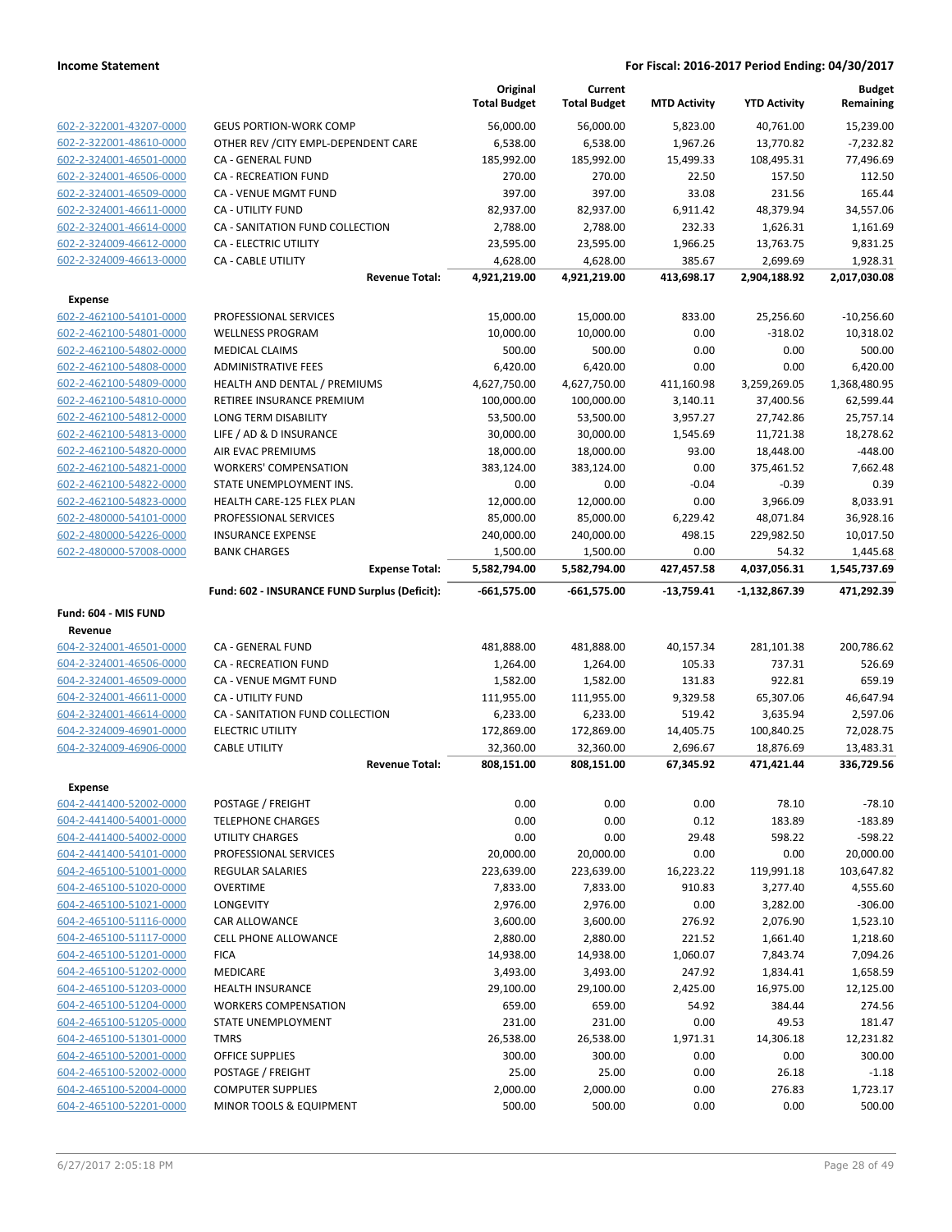|                                                    |                                                 | Original<br><b>Total Budget</b> | Current<br><b>Total Budget</b> | <b>MTD Activity</b>   | <b>YTD Activity</b>     | <b>Budget</b><br>Remaining |
|----------------------------------------------------|-------------------------------------------------|---------------------------------|--------------------------------|-----------------------|-------------------------|----------------------------|
| 602-2-322001-43207-0000                            | <b>GEUS PORTION-WORK COMP</b>                   | 56,000.00                       | 56,000.00                      | 5,823.00              | 40,761.00               | 15,239.00                  |
| 602-2-322001-48610-0000                            | OTHER REV / CITY EMPL-DEPENDENT CARE            | 6,538.00                        | 6,538.00                       | 1,967.26              | 13,770.82               | $-7,232.82$                |
| 602-2-324001-46501-0000                            | CA - GENERAL FUND                               | 185,992.00                      | 185,992.00                     | 15,499.33             | 108,495.31              | 77,496.69                  |
| 602-2-324001-46506-0000                            | <b>CA - RECREATION FUND</b>                     | 270.00                          | 270.00                         | 22.50                 | 157.50                  | 112.50                     |
| 602-2-324001-46509-0000                            | CA - VENUE MGMT FUND                            | 397.00                          | 397.00                         | 33.08                 | 231.56                  | 165.44                     |
| 602-2-324001-46611-0000                            | CA - UTILITY FUND                               | 82,937.00                       | 82,937.00                      | 6,911.42              | 48,379.94               | 34,557.06                  |
| 602-2-324001-46614-0000                            | CA - SANITATION FUND COLLECTION                 | 2,788.00                        | 2,788.00                       | 232.33                | 1,626.31                | 1,161.69                   |
| 602-2-324009-46612-0000                            | CA - ELECTRIC UTILITY                           | 23,595.00                       | 23,595.00                      | 1,966.25              | 13,763.75               | 9,831.25                   |
| 602-2-324009-46613-0000                            | CA - CABLE UTILITY                              | 4,628.00                        | 4,628.00                       | 385.67                | 2,699.69                | 1,928.31                   |
|                                                    | <b>Revenue Total:</b>                           | 4,921,219.00                    | 4,921,219.00                   | 413,698.17            | 2,904,188.92            | 2,017,030.08               |
| <b>Expense</b>                                     |                                                 |                                 |                                |                       |                         |                            |
| 602-2-462100-54101-0000                            | PROFESSIONAL SERVICES                           | 15,000.00                       | 15,000.00                      | 833.00                | 25,256.60               | $-10,256.60$               |
| 602-2-462100-54801-0000                            | <b>WELLNESS PROGRAM</b>                         | 10,000.00                       | 10,000.00                      | 0.00                  | $-318.02$               | 10,318.02                  |
| 602-2-462100-54802-0000                            | <b>MEDICAL CLAIMS</b>                           | 500.00                          | 500.00                         | 0.00                  | 0.00                    | 500.00                     |
| 602-2-462100-54808-0000                            | <b>ADMINISTRATIVE FEES</b>                      | 6,420.00                        | 6,420.00                       | 0.00                  | 0.00                    | 6,420.00                   |
| 602-2-462100-54809-0000                            | HEALTH AND DENTAL / PREMIUMS                    | 4,627,750.00                    | 4,627,750.00                   | 411,160.98            | 3,259,269.05            | 1,368,480.95               |
| 602-2-462100-54810-0000                            | RETIREE INSURANCE PREMIUM                       | 100,000.00                      | 100,000.00                     | 3,140.11              | 37,400.56               | 62,599.44                  |
| 602-2-462100-54812-0000                            | LONG TERM DISABILITY                            | 53,500.00                       | 53,500.00                      | 3,957.27              | 27,742.86               | 25,757.14                  |
| 602-2-462100-54813-0000                            | LIFE / AD & D INSURANCE                         | 30,000.00                       | 30,000.00                      | 1,545.69              | 11,721.38               | 18,278.62                  |
| 602-2-462100-54820-0000                            | AIR EVAC PREMIUMS                               | 18,000.00                       | 18,000.00                      | 93.00                 | 18,448.00               | $-448.00$                  |
| 602-2-462100-54821-0000                            | <b>WORKERS' COMPENSATION</b>                    | 383,124.00                      | 383,124.00                     | 0.00                  | 375,461.52              | 7,662.48                   |
| 602-2-462100-54822-0000                            | STATE UNEMPLOYMENT INS.                         | 0.00                            | 0.00                           | $-0.04$               | $-0.39$                 | 0.39                       |
| 602-2-462100-54823-0000                            | HEALTH CARE-125 FLEX PLAN                       | 12,000.00                       | 12,000.00                      | 0.00                  | 3,966.09                | 8,033.91                   |
| 602-2-480000-54101-0000                            | PROFESSIONAL SERVICES                           | 85,000.00                       | 85,000.00                      | 6,229.42              | 48,071.84               | 36,928.16                  |
| 602-2-480000-54226-0000                            | <b>INSURANCE EXPENSE</b>                        | 240,000.00                      | 240,000.00                     | 498.15                | 229,982.50              | 10,017.50                  |
| 602-2-480000-57008-0000                            | <b>BANK CHARGES</b><br><b>Expense Total:</b>    | 1,500.00<br>5,582,794.00        | 1,500.00<br>5,582,794.00       | 0.00<br>427,457.58    | 54.32<br>4,037,056.31   | 1,445.68                   |
|                                                    | Fund: 602 - INSURANCE FUND Surplus (Deficit):   | $-661,575.00$                   | $-661,575.00$                  | $-13,759.41$          | -1,132,867.39           | 1,545,737.69<br>471,292.39 |
|                                                    |                                                 |                                 |                                |                       |                         |                            |
| Fund: 604 - MIS FUND                               |                                                 |                                 |                                |                       |                         |                            |
| Revenue                                            |                                                 |                                 |                                |                       |                         |                            |
| 604-2-324001-46501-0000                            | CA - GENERAL FUND                               | 481,888.00                      | 481,888.00                     | 40,157.34             | 281,101.38              | 200,786.62                 |
| 604-2-324001-46506-0000                            | <b>CA - RECREATION FUND</b>                     | 1,264.00                        | 1,264.00                       | 105.33                | 737.31                  | 526.69                     |
| 604-2-324001-46509-0000                            | CA - VENUE MGMT FUND                            | 1,582.00                        | 1,582.00                       | 131.83                | 922.81                  | 659.19                     |
| 604-2-324001-46611-0000                            | CA - UTILITY FUND                               | 111,955.00                      | 111,955.00                     | 9,329.58              | 65,307.06               | 46,647.94                  |
| 604-2-324001-46614-0000                            | CA - SANITATION FUND COLLECTION                 | 6,233.00                        | 6,233.00                       | 519.42                | 3,635.94                | 2,597.06                   |
| 604-2-324009-46901-0000<br>604-2-324009-46906-0000 | <b>ELECTRIC UTILITY</b><br><b>CABLE UTILITY</b> | 172,869.00                      | 172,869.00<br>32,360.00        | 14,405.75             | 100,840.25              | 72,028.75<br>13,483.31     |
|                                                    | <b>Revenue Total:</b>                           | 32,360.00<br>808,151.00         | 808,151.00                     | 2,696.67<br>67,345.92 | 18,876.69<br>471,421.44 | 336,729.56                 |
|                                                    |                                                 |                                 |                                |                       |                         |                            |
| <b>Expense</b>                                     |                                                 |                                 |                                |                       |                         |                            |
| 604-2-441400-52002-0000                            | POSTAGE / FREIGHT                               | 0.00                            | 0.00                           | 0.00                  | 78.10                   | $-78.10$                   |
| 604-2-441400-54001-0000                            | <b>TELEPHONE CHARGES</b>                        | 0.00                            | 0.00                           | 0.12                  | 183.89                  | $-183.89$                  |
| 604-2-441400-54002-0000                            | UTILITY CHARGES                                 | 0.00                            | 0.00                           | 29.48                 | 598.22                  | -598.22                    |
| 604-2-441400-54101-0000                            | PROFESSIONAL SERVICES                           | 20,000.00                       | 20,000.00                      | 0.00                  | 0.00                    | 20,000.00                  |
| 604-2-465100-51001-0000                            | <b>REGULAR SALARIES</b>                         | 223,639.00                      | 223,639.00                     | 16,223.22             | 119,991.18              | 103,647.82                 |
| 604-2-465100-51020-0000                            | <b>OVERTIME</b>                                 | 7,833.00                        | 7,833.00                       | 910.83                | 3,277.40                | 4,555.60                   |
| 604-2-465100-51021-0000                            | LONGEVITY                                       | 2,976.00                        | 2,976.00                       | 0.00                  | 3,282.00                | $-306.00$                  |
| 604-2-465100-51116-0000                            | CAR ALLOWANCE                                   | 3,600.00                        | 3,600.00                       | 276.92                | 2,076.90                | 1,523.10                   |
| 604-2-465100-51117-0000                            | CELL PHONE ALLOWANCE                            | 2,880.00                        | 2,880.00                       | 221.52                | 1,661.40                | 1,218.60                   |
| 604-2-465100-51201-0000                            | <b>FICA</b>                                     | 14,938.00                       | 14,938.00                      | 1,060.07              | 7,843.74                | 7,094.26                   |
| 604-2-465100-51202-0000                            | <b>MEDICARE</b>                                 | 3,493.00                        | 3,493.00                       | 247.92                | 1,834.41                | 1,658.59                   |
| 604-2-465100-51203-0000                            | <b>HEALTH INSURANCE</b>                         | 29,100.00                       | 29,100.00                      | 2,425.00              | 16,975.00               | 12,125.00                  |
| 604-2-465100-51204-0000                            | <b>WORKERS COMPENSATION</b>                     | 659.00                          | 659.00                         | 54.92                 | 384.44                  | 274.56                     |
| 604-2-465100-51205-0000                            | STATE UNEMPLOYMENT                              | 231.00                          | 231.00                         | 0.00                  | 49.53                   | 181.47                     |
| 604-2-465100-51301-0000                            | <b>TMRS</b>                                     | 26,538.00                       | 26,538.00                      | 1,971.31              | 14,306.18               | 12,231.82                  |
| 604-2-465100-52001-0000                            | <b>OFFICE SUPPLIES</b>                          | 300.00                          | 300.00                         | 0.00                  | 0.00                    | 300.00                     |
| 604-2-465100-52002-0000                            | POSTAGE / FREIGHT                               | 25.00                           | 25.00                          | 0.00                  | 26.18                   | $-1.18$                    |
| 604-2-465100-52004-0000                            | <b>COMPUTER SUPPLIES</b>                        | 2,000.00                        | 2,000.00                       | 0.00                  | 276.83                  | 1,723.17                   |
| 604-2-465100-52201-0000                            | MINOR TOOLS & EQUIPMENT                         | 500.00                          | 500.00                         | 0.00                  | 0.00                    | 500.00                     |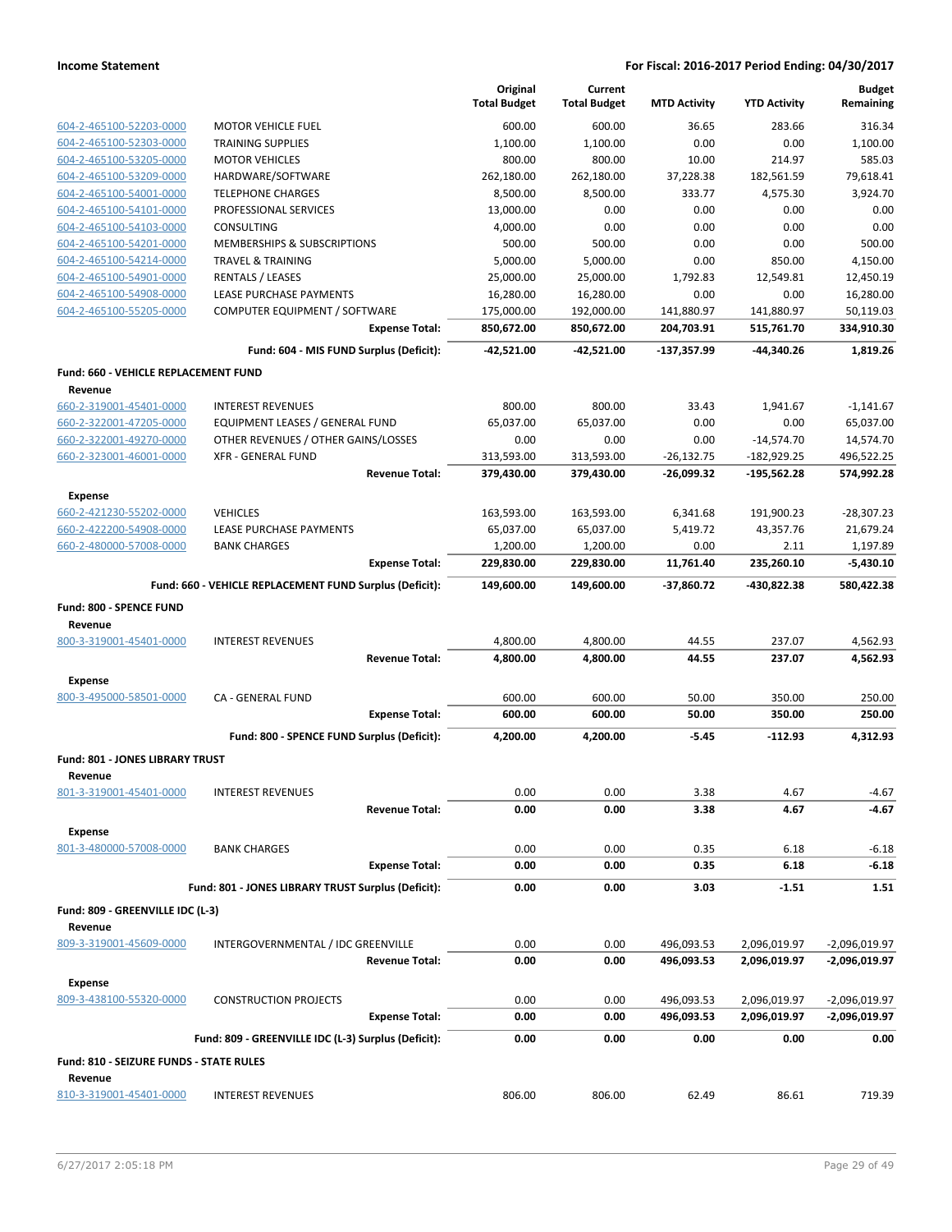|                                             |                                                         | Original                 | Current                  |                          |                          | <b>Budget</b>           |
|---------------------------------------------|---------------------------------------------------------|--------------------------|--------------------------|--------------------------|--------------------------|-------------------------|
|                                             |                                                         | <b>Total Budget</b>      | <b>Total Budget</b>      | <b>MTD Activity</b>      | <b>YTD Activity</b>      | Remaining               |
| 604-2-465100-52203-0000                     | <b>MOTOR VEHICLE FUEL</b>                               | 600.00                   | 600.00                   | 36.65                    | 283.66                   | 316.34                  |
| 604-2-465100-52303-0000                     | <b>TRAINING SUPPLIES</b>                                | 1,100.00                 | 1,100.00                 | 0.00                     | 0.00                     | 1,100.00                |
| 604-2-465100-53205-0000                     | <b>MOTOR VEHICLES</b>                                   | 800.00                   | 800.00                   | 10.00                    | 214.97                   | 585.03                  |
| 604-2-465100-53209-0000                     | HARDWARE/SOFTWARE                                       | 262,180.00               | 262,180.00               | 37,228.38                | 182,561.59               | 79,618.41               |
| 604-2-465100-54001-0000                     | <b>TELEPHONE CHARGES</b>                                | 8,500.00                 | 8,500.00                 | 333.77                   | 4,575.30                 | 3,924.70                |
| 604-2-465100-54101-0000                     | PROFESSIONAL SERVICES                                   | 13,000.00                | 0.00                     | 0.00                     | 0.00                     | 0.00                    |
| 604-2-465100-54103-0000                     | CONSULTING                                              | 4,000.00                 | 0.00                     | 0.00                     | 0.00                     | 0.00                    |
| 604-2-465100-54201-0000                     | MEMBERSHIPS & SUBSCRIPTIONS                             | 500.00                   | 500.00                   | 0.00                     | 0.00                     | 500.00                  |
| 604-2-465100-54214-0000                     | <b>TRAVEL &amp; TRAINING</b>                            | 5,000.00                 | 5,000.00                 | 0.00                     | 850.00                   | 4,150.00                |
| 604-2-465100-54901-0000                     | <b>RENTALS / LEASES</b>                                 | 25,000.00                | 25,000.00                | 1,792.83                 | 12,549.81                | 12,450.19               |
| 604-2-465100-54908-0000                     | LEASE PURCHASE PAYMENTS                                 | 16,280.00                | 16,280.00                | 0.00                     | 0.00                     | 16,280.00               |
| 604-2-465100-55205-0000                     | COMPUTER EQUIPMENT / SOFTWARE<br><b>Expense Total:</b>  | 175,000.00<br>850,672.00 | 192,000.00<br>850,672.00 | 141,880.97<br>204,703.91 | 141,880.97<br>515,761.70 | 50,119.03<br>334,910.30 |
|                                             |                                                         |                          |                          |                          |                          |                         |
|                                             | Fund: 604 - MIS FUND Surplus (Deficit):                 | -42,521.00               | $-42,521.00$             | -137,357.99              | -44,340.26               | 1,819.26                |
| <b>Fund: 660 - VEHICLE REPLACEMENT FUND</b> |                                                         |                          |                          |                          |                          |                         |
| Revenue                                     |                                                         |                          |                          |                          |                          |                         |
| 660-2-319001-45401-0000                     | <b>INTEREST REVENUES</b>                                | 800.00                   | 800.00                   | 33.43                    | 1,941.67                 | $-1,141.67$             |
| 660-2-322001-47205-0000                     | EQUIPMENT LEASES / GENERAL FUND                         | 65,037.00                | 65,037.00                | 0.00                     | 0.00                     | 65,037.00               |
| 660-2-322001-49270-0000                     | OTHER REVENUES / OTHER GAINS/LOSSES                     | 0.00                     | 0.00                     | 0.00                     | $-14,574.70$             | 14,574.70               |
| 660-2-323001-46001-0000                     | <b>XFR - GENERAL FUND</b>                               | 313,593.00               | 313,593.00               | $-26,132.75$             | $-182,929.25$            | 496,522.25              |
|                                             | <b>Revenue Total:</b>                                   | 379,430.00               | 379,430.00               | -26,099.32               | -195,562.28              | 574,992.28              |
| <b>Expense</b>                              |                                                         |                          |                          |                          |                          |                         |
| 660-2-421230-55202-0000                     | <b>VEHICLES</b>                                         | 163,593.00               | 163,593.00               | 6,341.68                 | 191,900.23               | $-28,307.23$            |
| 660-2-422200-54908-0000                     | LEASE PURCHASE PAYMENTS                                 | 65,037.00                | 65,037.00                | 5,419.72                 | 43,357.76                | 21,679.24               |
| 660-2-480000-57008-0000                     | <b>BANK CHARGES</b>                                     | 1,200.00                 | 1,200.00                 | 0.00                     | 2.11                     | 1,197.89                |
|                                             | <b>Expense Total:</b>                                   | 229,830.00               | 229,830.00               | 11,761.40                | 235,260.10               | $-5,430.10$             |
|                                             | Fund: 660 - VEHICLE REPLACEMENT FUND Surplus (Deficit): | 149,600.00               | 149,600.00               | -37,860.72               | -430,822.38              | 580,422.38              |
| Fund: 800 - SPENCE FUND                     |                                                         |                          |                          |                          |                          |                         |
| Revenue                                     |                                                         |                          |                          |                          |                          |                         |
| 800-3-319001-45401-0000                     | <b>INTEREST REVENUES</b>                                | 4,800.00                 | 4,800.00                 | 44.55                    | 237.07                   | 4,562.93                |
|                                             | <b>Revenue Total:</b>                                   | 4,800.00                 | 4,800.00                 | 44.55                    | 237.07                   | 4,562.93                |
| Expense                                     |                                                         |                          |                          |                          |                          |                         |
| 800-3-495000-58501-0000                     | CA - GENERAL FUND                                       | 600.00                   | 600.00                   | 50.00                    | 350.00                   | 250.00                  |
|                                             | <b>Expense Total:</b>                                   | 600.00                   | 600.00                   | 50.00                    | 350.00                   | 250.00                  |
|                                             | Fund: 800 - SPENCE FUND Surplus (Deficit):              |                          |                          | $-5.45$                  | $-112.93$                | 4,312.93                |
|                                             |                                                         | 4,200.00                 | 4,200.00                 |                          |                          |                         |
| Fund: 801 - JONES LIBRARY TRUST             |                                                         |                          |                          |                          |                          |                         |
| Revenue                                     |                                                         |                          |                          |                          |                          |                         |
| 801-3-319001-45401-0000                     | <b>INTEREST REVENUES</b>                                | 0.00                     | 0.00                     | 3.38                     | 4.67                     | $-4.67$                 |
|                                             | <b>Revenue Total:</b>                                   | 0.00                     | 0.00                     | 3.38                     | 4.67                     | $-4.67$                 |
| Expense                                     |                                                         |                          |                          |                          |                          |                         |
| 801-3-480000-57008-0000                     | <b>BANK CHARGES</b>                                     | 0.00                     | 0.00                     | 0.35                     | 6.18                     | $-6.18$                 |
|                                             | <b>Expense Total:</b>                                   | 0.00                     | 0.00                     | 0.35                     | 6.18                     | $-6.18$                 |
|                                             | Fund: 801 - JONES LIBRARY TRUST Surplus (Deficit):      | 0.00                     | 0.00                     | 3.03                     | $-1.51$                  | 1.51                    |
| Fund: 809 - GREENVILLE IDC (L-3)            |                                                         |                          |                          |                          |                          |                         |
| Revenue                                     |                                                         |                          |                          |                          |                          |                         |
| 809-3-319001-45609-0000                     | INTERGOVERNMENTAL / IDC GREENVILLE                      | 0.00                     | 0.00                     | 496,093.53               | 2,096,019.97             | $-2,096,019.97$         |
|                                             | <b>Revenue Total:</b>                                   | 0.00                     | 0.00                     | 496,093.53               | 2,096,019.97             | -2,096,019.97           |
| Expense                                     |                                                         |                          |                          |                          |                          |                         |
| 809-3-438100-55320-0000                     | <b>CONSTRUCTION PROJECTS</b>                            | 0.00                     | 0.00                     | 496,093.53               | 2,096,019.97             | $-2,096,019.97$         |
|                                             | <b>Expense Total:</b>                                   | 0.00                     | 0.00                     | 496,093.53               | 2,096,019.97             | -2,096,019.97           |
|                                             |                                                         |                          |                          |                          |                          |                         |
|                                             | Fund: 809 - GREENVILLE IDC (L-3) Surplus (Deficit):     | 0.00                     | 0.00                     | 0.00                     | 0.00                     | 0.00                    |
| Fund: 810 - SEIZURE FUNDS - STATE RULES     |                                                         |                          |                          |                          |                          |                         |
| Revenue                                     |                                                         |                          |                          |                          |                          |                         |
| 810-3-319001-45401-0000                     | <b>INTEREST REVENUES</b>                                | 806.00                   | 806.00                   | 62.49                    | 86.61                    | 719.39                  |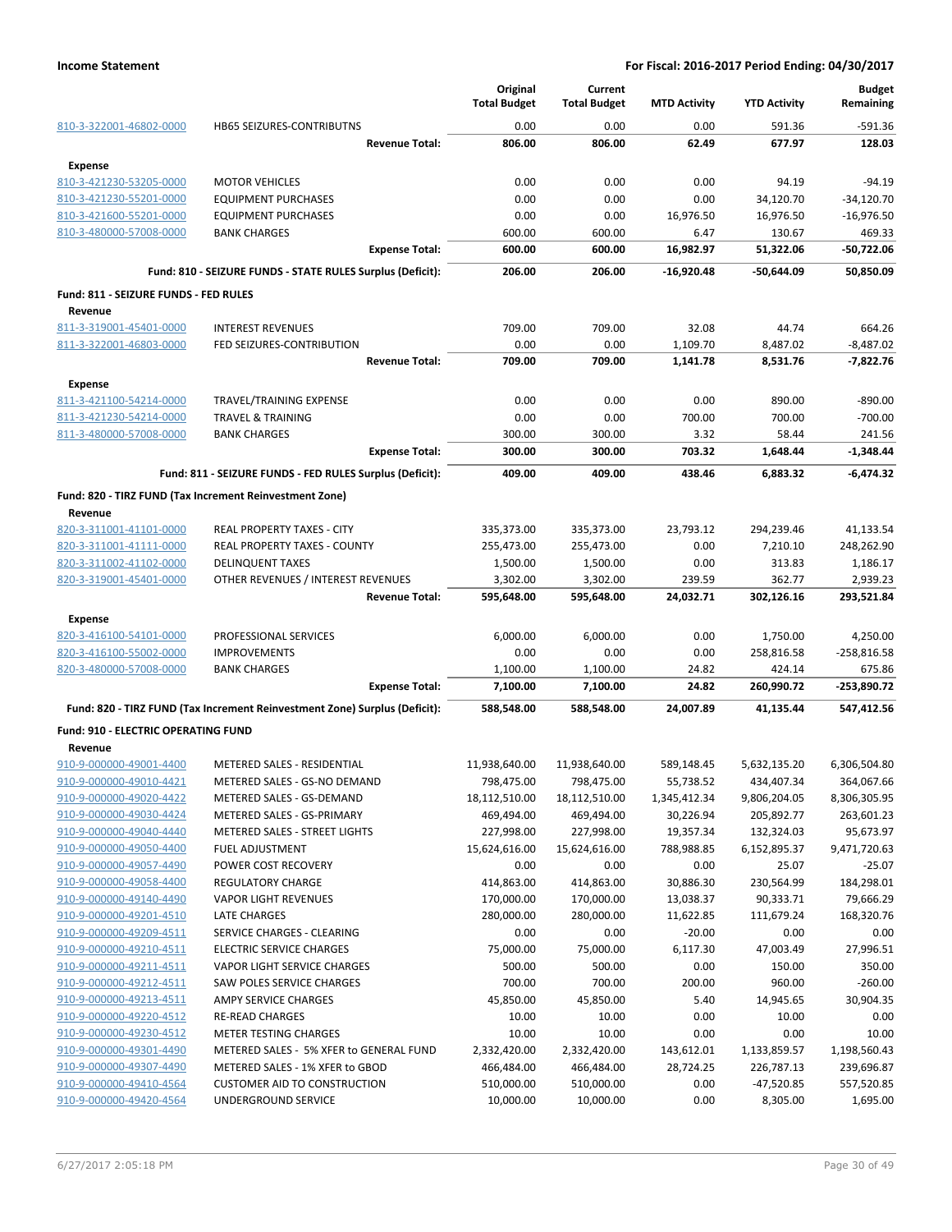|                                                    |                                                                            | Original<br><b>Total Budget</b> | Current<br><b>Total Budget</b> | <b>MTD Activity</b>     | <b>YTD Activity</b>        | <b>Budget</b><br>Remaining |
|----------------------------------------------------|----------------------------------------------------------------------------|---------------------------------|--------------------------------|-------------------------|----------------------------|----------------------------|
| 810-3-322001-46802-0000                            | HB65 SEIZURES-CONTRIBUTNS                                                  | 0.00                            | 0.00                           | 0.00                    | 591.36                     | $-591.36$                  |
|                                                    | <b>Revenue Total:</b>                                                      | 806.00                          | 806.00                         | 62.49                   | 677.97                     | 128.03                     |
| <b>Expense</b>                                     |                                                                            |                                 |                                |                         |                            |                            |
| 810-3-421230-53205-0000                            | <b>MOTOR VEHICLES</b>                                                      | 0.00                            | 0.00                           | 0.00                    | 94.19                      | $-94.19$                   |
| 810-3-421230-55201-0000                            | <b>EQUIPMENT PURCHASES</b>                                                 | 0.00                            | 0.00                           | 0.00                    | 34,120.70                  | $-34,120.70$               |
| 810-3-421600-55201-0000                            | <b>EQUIPMENT PURCHASES</b>                                                 | 0.00                            | 0.00                           | 16,976.50               | 16,976.50                  | $-16,976.50$               |
| 810-3-480000-57008-0000                            | <b>BANK CHARGES</b>                                                        | 600.00                          | 600.00                         | 6.47                    | 130.67                     | 469.33                     |
|                                                    | <b>Expense Total:</b>                                                      | 600.00                          | 600.00                         | 16,982.97               | 51,322.06                  | $-50,722.06$               |
|                                                    | Fund: 810 - SEIZURE FUNDS - STATE RULES Surplus (Deficit):                 | 206.00                          | 206.00                         | $-16.920.48$            | -50,644.09                 | 50,850.09                  |
| Fund: 811 - SEIZURE FUNDS - FED RULES              |                                                                            |                                 |                                |                         |                            |                            |
| Revenue                                            |                                                                            |                                 |                                |                         |                            |                            |
| 811-3-319001-45401-0000                            | <b>INTEREST REVENUES</b>                                                   | 709.00                          | 709.00                         | 32.08                   | 44.74                      | 664.26                     |
| 811-3-322001-46803-0000                            | FED SEIZURES-CONTRIBUTION                                                  | 0.00                            | 0.00                           | 1,109.70                | 8,487.02                   | $-8,487.02$                |
|                                                    | <b>Revenue Total:</b>                                                      | 709.00                          | 709.00                         | 1,141.78                | 8,531.76                   | -7,822.76                  |
| <b>Expense</b>                                     |                                                                            |                                 |                                |                         |                            |                            |
| 811-3-421100-54214-0000                            | TRAVEL/TRAINING EXPENSE                                                    | 0.00                            | 0.00                           | 0.00                    | 890.00                     | $-890.00$                  |
| 811-3-421230-54214-0000                            | <b>TRAVEL &amp; TRAINING</b>                                               | 0.00                            | 0.00                           | 700.00                  | 700.00                     | $-700.00$                  |
| 811-3-480000-57008-0000                            | <b>BANK CHARGES</b><br><b>Expense Total:</b>                               | 300.00<br>300.00                | 300.00<br>300.00               | 3.32<br>703.32          | 58.44<br>1,648.44          | 241.56<br>$-1,348.44$      |
|                                                    | Fund: 811 - SEIZURE FUNDS - FED RULES Surplus (Deficit):                   | 409.00                          | 409.00                         | 438.46                  | 6.883.32                   | $-6.474.32$                |
|                                                    |                                                                            |                                 |                                |                         |                            |                            |
| Revenue                                            | Fund: 820 - TIRZ FUND (Tax Increment Reinvestment Zone)                    |                                 |                                |                         |                            |                            |
| 820-3-311001-41101-0000                            | REAL PROPERTY TAXES - CITY                                                 | 335,373.00                      | 335,373.00                     | 23,793.12               | 294,239.46                 | 41,133.54                  |
| 820-3-311001-41111-0000                            | REAL PROPERTY TAXES - COUNTY                                               | 255,473.00                      | 255,473.00                     | 0.00                    | 7,210.10                   | 248,262.90                 |
| 820-3-311002-41102-0000                            | <b>DELINQUENT TAXES</b>                                                    | 1,500.00                        | 1,500.00                       | 0.00                    | 313.83                     | 1,186.17                   |
| 820-3-319001-45401-0000                            | OTHER REVENUES / INTEREST REVENUES                                         | 3,302.00                        | 3,302.00                       | 239.59                  | 362.77                     | 2,939.23                   |
|                                                    | <b>Revenue Total:</b>                                                      | 595,648.00                      | 595,648.00                     | 24,032.71               | 302,126.16                 | 293,521.84                 |
| <b>Expense</b>                                     |                                                                            |                                 |                                |                         |                            |                            |
| 820-3-416100-54101-0000                            | PROFESSIONAL SERVICES                                                      | 6,000.00                        | 6,000.00                       | 0.00                    | 1,750.00                   | 4,250.00                   |
| 820-3-416100-55002-0000                            | <b>IMPROVEMENTS</b>                                                        | 0.00                            | 0.00                           | 0.00                    | 258,816.58                 | $-258,816.58$              |
| 820-3-480000-57008-0000                            | <b>BANK CHARGES</b>                                                        | 1,100.00                        | 1,100.00                       | 24.82                   | 424.14                     | 675.86                     |
|                                                    | <b>Expense Total:</b>                                                      | 7,100.00                        | 7,100.00                       | 24.82                   | 260,990.72                 | -253,890.72                |
|                                                    | Fund: 820 - TIRZ FUND (Tax Increment Reinvestment Zone) Surplus (Deficit): | 588,548.00                      | 588,548.00                     | 24,007.89               | 41,135.44                  | 547,412.56                 |
| Fund: 910 - ELECTRIC OPERATING FUND                |                                                                            |                                 |                                |                         |                            |                            |
| Revenue                                            |                                                                            |                                 |                                |                         |                            |                            |
| 910-9-000000-49001-4400<br>910-9-000000-49010-4421 | METERED SALES - RESIDENTIAL<br>METERED SALES - GS-NO DEMAND                | 11,938,640.00<br>798,475.00     | 11,938,640.00<br>798,475.00    | 589,148.45<br>55,738.52 | 5,632,135.20<br>434,407.34 | 6,306,504.80<br>364,067.66 |
| 910-9-000000-49020-4422                            | METERED SALES - GS-DEMAND                                                  | 18,112,510.00                   | 18,112,510.00                  | 1,345,412.34            | 9,806,204.05               | 8,306,305.95               |
| 910-9-000000-49030-4424                            | METERED SALES - GS-PRIMARY                                                 | 469,494.00                      | 469,494.00                     | 30,226.94               | 205,892.77                 | 263,601.23                 |
| 910-9-000000-49040-4440                            | METERED SALES - STREET LIGHTS                                              | 227,998.00                      | 227,998.00                     | 19,357.34               | 132,324.03                 | 95,673.97                  |
| 910-9-000000-49050-4400                            | <b>FUEL ADJUSTMENT</b>                                                     | 15,624,616.00                   | 15,624,616.00                  | 788,988.85              | 6,152,895.37               | 9,471,720.63               |
| 910-9-000000-49057-4490                            | POWER COST RECOVERY                                                        | 0.00                            | 0.00                           | 0.00                    | 25.07                      | $-25.07$                   |
| 910-9-000000-49058-4400                            | <b>REGULATORY CHARGE</b>                                                   | 414,863.00                      | 414,863.00                     | 30,886.30               | 230,564.99                 | 184,298.01                 |
| 910-9-000000-49140-4490                            | <b>VAPOR LIGHT REVENUES</b>                                                | 170,000.00                      | 170,000.00                     | 13,038.37               | 90,333.71                  | 79,666.29                  |
| 910-9-000000-49201-4510                            | LATE CHARGES                                                               | 280,000.00                      | 280,000.00                     | 11,622.85               | 111,679.24                 | 168,320.76                 |
| 910-9-000000-49209-4511                            | SERVICE CHARGES - CLEARING                                                 | 0.00                            | 0.00                           | $-20.00$                | 0.00                       | 0.00                       |
| 910-9-000000-49210-4511                            | <b>ELECTRIC SERVICE CHARGES</b>                                            | 75,000.00                       | 75,000.00                      | 6,117.30                | 47,003.49                  | 27,996.51                  |
| 910-9-000000-49211-4511                            | VAPOR LIGHT SERVICE CHARGES                                                | 500.00                          | 500.00                         | 0.00                    | 150.00                     | 350.00                     |
| 910-9-000000-49212-4511                            | SAW POLES SERVICE CHARGES                                                  | 700.00                          | 700.00                         | 200.00                  | 960.00                     | $-260.00$                  |
| 910-9-000000-49213-4511                            | AMPY SERVICE CHARGES                                                       | 45,850.00                       | 45,850.00                      | 5.40                    | 14,945.65                  | 30,904.35                  |
| 910-9-000000-49220-4512                            | <b>RE-READ CHARGES</b>                                                     | 10.00                           | 10.00                          | 0.00                    | 10.00                      | 0.00                       |
| 910-9-000000-49230-4512                            | METER TESTING CHARGES                                                      | 10.00                           | 10.00                          | 0.00                    | 0.00                       | 10.00                      |
| 910-9-000000-49301-4490                            | METERED SALES - 5% XFER to GENERAL FUND                                    | 2,332,420.00                    | 2,332,420.00                   | 143,612.01              | 1,133,859.57               | 1,198,560.43               |
| 910-9-000000-49307-4490                            | METERED SALES - 1% XFER to GBOD                                            | 466,484.00                      | 466,484.00                     | 28,724.25               | 226,787.13                 | 239,696.87                 |
| 910-9-000000-49410-4564                            | <b>CUSTOMER AID TO CONSTRUCTION</b>                                        | 510,000.00                      | 510,000.00                     | 0.00                    | $-47,520.85$               | 557,520.85                 |
| 910-9-000000-49420-4564                            | UNDERGROUND SERVICE                                                        | 10,000.00                       | 10,000.00                      | 0.00                    | 8,305.00                   | 1,695.00                   |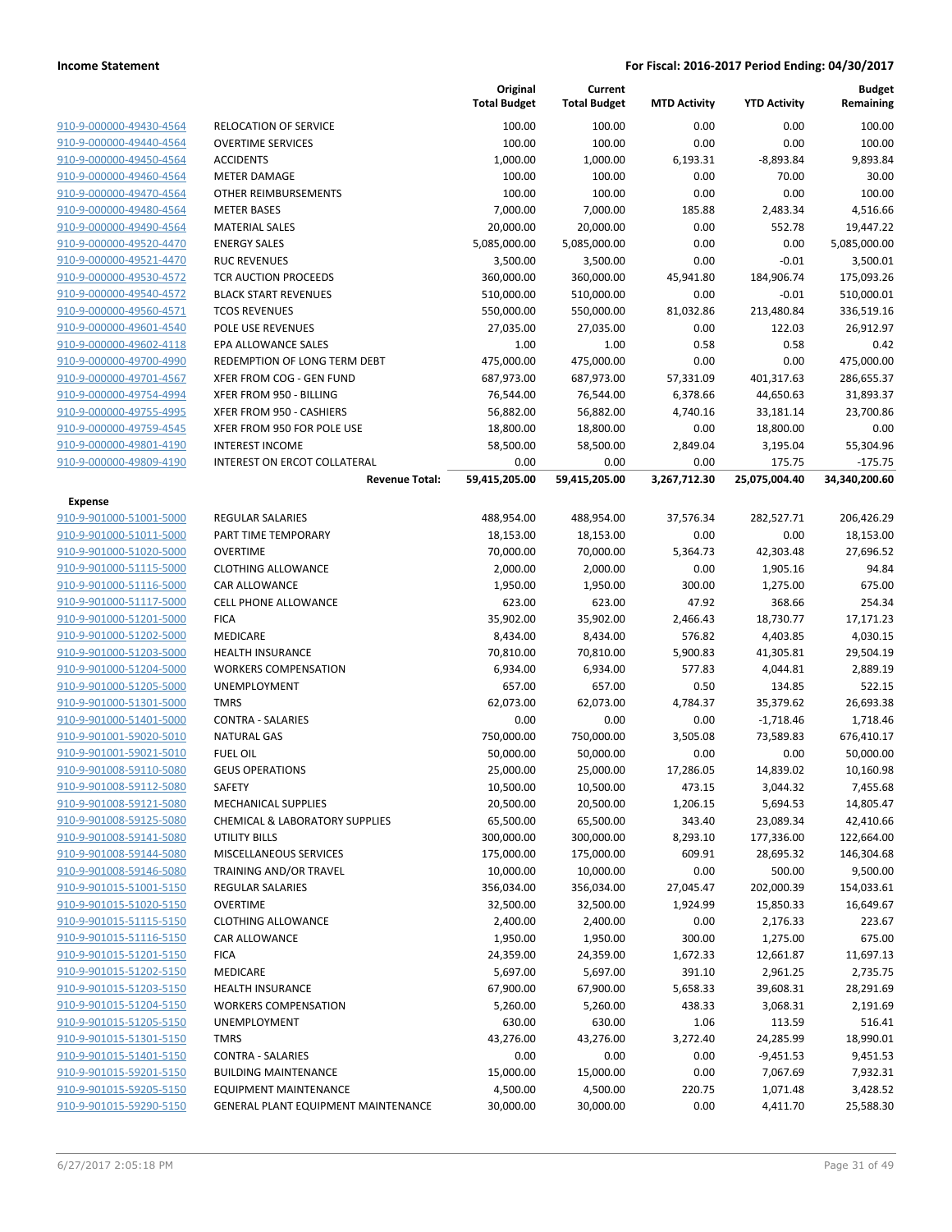|                                                    |                                     | Original<br><b>Total Budget</b> | Current<br><b>Total Budget</b> | <b>MTD Activity</b> | <b>YTD Activity</b> | Budget<br>Remaining |
|----------------------------------------------------|-------------------------------------|---------------------------------|--------------------------------|---------------------|---------------------|---------------------|
| 910-9-000000-49430-4564                            | <b>RELOCATION OF SERVICE</b>        | 100.00                          | 100.00                         | 0.00                | 0.00                | 100.00              |
| 910-9-000000-49440-4564                            | <b>OVERTIME SERVICES</b>            | 100.00                          | 100.00                         | 0.00                | 0.00                | 100.00              |
| 910-9-000000-49450-4564                            | <b>ACCIDENTS</b>                    | 1,000.00                        | 1,000.00                       | 6,193.31            | $-8,893.84$         | 9,893.84            |
| 910-9-000000-49460-4564                            | <b>METER DAMAGE</b>                 | 100.00                          | 100.00                         | 0.00                | 70.00               | 30.00               |
| 910-9-000000-49470-4564                            | <b>OTHER REIMBURSEMENTS</b>         | 100.00                          | 100.00                         | 0.00                | 0.00                | 100.00              |
| 910-9-000000-49480-4564                            | <b>METER BASES</b>                  | 7,000.00                        | 7,000.00                       | 185.88              | 2,483.34            | 4,516.66            |
| 910-9-000000-49490-4564                            | <b>MATERIAL SALES</b>               | 20,000.00                       | 20,000.00                      | 0.00                | 552.78              | 19,447.22           |
| 910-9-000000-49520-4470                            | <b>ENERGY SALES</b>                 | 5,085,000.00                    | 5,085,000.00                   | 0.00                | 0.00                | 5,085,000.00        |
| 910-9-000000-49521-4470                            | <b>RUC REVENUES</b>                 | 3,500.00                        | 3,500.00                       | 0.00                | $-0.01$             | 3,500.01            |
| 910-9-000000-49530-4572                            | TCR AUCTION PROCEEDS                | 360,000.00                      | 360,000.00                     | 45,941.80           | 184,906.74          | 175,093.26          |
| 910-9-000000-49540-4572                            | <b>BLACK START REVENUES</b>         | 510,000.00                      | 510,000.00                     | 0.00                | $-0.01$             | 510,000.01          |
| 910-9-000000-49560-4571                            | <b>TCOS REVENUES</b>                | 550,000.00                      | 550,000.00                     | 81,032.86           | 213,480.84          | 336,519.16          |
| 910-9-000000-49601-4540                            | POLE USE REVENUES                   | 27,035.00                       | 27,035.00                      | 0.00                | 122.03              | 26,912.97           |
| 910-9-000000-49602-4118                            | EPA ALLOWANCE SALES                 | 1.00                            | 1.00                           | 0.58                | 0.58                | 0.42                |
| 910-9-000000-49700-4990                            | REDEMPTION OF LONG TERM DEBT        | 475,000.00                      | 475,000.00                     | 0.00                | 0.00                | 475,000.00          |
| 910-9-000000-49701-4567                            | XFER FROM COG - GEN FUND            | 687,973.00                      | 687,973.00                     | 57,331.09           | 401,317.63          | 286,655.37          |
| 910-9-000000-49754-4994                            | XFER FROM 950 - BILLING             | 76,544.00                       | 76,544.00                      | 6,378.66            | 44,650.63           | 31,893.37           |
| 910-9-000000-49755-4995                            | XFER FROM 950 - CASHIERS            | 56,882.00                       | 56,882.00                      | 4,740.16            | 33,181.14           | 23,700.86           |
| 910-9-000000-49759-4545                            | XFER FROM 950 FOR POLE USE          | 18,800.00                       | 18,800.00                      | 0.00                | 18,800.00           | 0.00                |
| 910-9-000000-49801-4190                            | <b>INTEREST INCOME</b>              | 58,500.00                       | 58,500.00                      | 2,849.04            | 3,195.04            | 55,304.96           |
| 910-9-000000-49809-4190                            | INTEREST ON ERCOT COLLATERAL        | 0.00                            | 0.00                           | 0.00                | 175.75              | $-175.75$           |
|                                                    | <b>Revenue Total:</b>               | 59,415,205.00                   | 59,415,205.00                  | 3,267,712.30        | 25,075,004.40       | 34,340,200.60       |
| <b>Expense</b>                                     |                                     |                                 |                                |                     |                     |                     |
| 910-9-901000-51001-5000                            | <b>REGULAR SALARIES</b>             | 488,954.00                      | 488,954.00                     | 37,576.34           | 282,527.71          | 206,426.29          |
| 910-9-901000-51011-5000                            | PART TIME TEMPORARY                 | 18,153.00                       | 18,153.00                      | 0.00                | 0.00                | 18,153.00           |
| 910-9-901000-51020-5000                            | <b>OVERTIME</b>                     | 70,000.00                       | 70,000.00                      | 5,364.73            | 42,303.48           | 27,696.52           |
| 910-9-901000-51115-5000                            | <b>CLOTHING ALLOWANCE</b>           | 2,000.00                        | 2,000.00                       | 0.00                | 1,905.16            | 94.84               |
| 910-9-901000-51116-5000                            | CAR ALLOWANCE                       | 1,950.00                        | 1,950.00                       | 300.00              | 1,275.00            | 675.00              |
| 910-9-901000-51117-5000                            | <b>CELL PHONE ALLOWANCE</b>         | 623.00                          | 623.00                         | 47.92               | 368.66              | 254.34              |
| 910-9-901000-51201-5000                            | <b>FICA</b>                         | 35,902.00                       | 35,902.00                      | 2,466.43            | 18,730.77           | 17,171.23           |
| 910-9-901000-51202-5000                            | MEDICARE                            | 8,434.00                        | 8,434.00                       | 576.82              | 4,403.85            | 4,030.15            |
| 910-9-901000-51203-5000                            | <b>HEALTH INSURANCE</b>             | 70,810.00                       | 70,810.00                      | 5,900.83            | 41,305.81           | 29,504.19           |
| 910-9-901000-51204-5000                            | <b>WORKERS COMPENSATION</b>         | 6,934.00                        | 6,934.00                       | 577.83              | 4,044.81            | 2,889.19            |
| 910-9-901000-51205-5000                            | UNEMPLOYMENT                        | 657.00                          | 657.00                         | 0.50                | 134.85              | 522.15              |
| 910-9-901000-51301-5000                            | <b>TMRS</b>                         | 62,073.00                       | 62,073.00                      | 4,784.37            | 35,379.62           | 26,693.38           |
| 910-9-901000-51401-5000                            | <b>CONTRA - SALARIES</b>            | 0.00                            | 0.00                           | 0.00                | $-1,718.46$         | 1,718.46            |
| 910-9-901001-59020-5010                            | <b>NATURAL GAS</b>                  | 750,000.00                      | 750,000.00                     | 3,505.08            | 73,589.83           | 676,410.17          |
| 910-9-901001-59021-5010                            | <b>FUEL OIL</b>                     | 50,000.00                       | 50,000.00                      | 0.00                | 0.00                | 50,000.00           |
| 910-9-901008-59110-5080                            | <b>GEUS OPERATIONS</b>              | 25,000.00                       | 25,000.00                      | 17,286.05           | 14,839.02           | 10,160.98           |
| 910-9-901008-59112-5080                            | SAFETY                              | 10,500.00                       | 10,500.00                      | 473.15              | 3,044.32            | 7,455.68            |
| 910-9-901008-59121-5080                            | <b>MECHANICAL SUPPLIES</b>          | 20,500.00                       | 20,500.00                      | 1,206.15            | 5,694.53            | 14,805.47           |
| 910-9-901008-59125-5080                            | CHEMICAL & LABORATORY SUPPLIES      | 65,500.00                       | 65,500.00                      | 343.40              | 23,089.34           | 42,410.66           |
| 910-9-901008-59141-5080                            | <b>UTILITY BILLS</b>                | 300,000.00                      | 300,000.00                     | 8,293.10            | 177,336.00          | 122,664.00          |
| 910-9-901008-59144-5080                            | MISCELLANEOUS SERVICES              | 175,000.00                      | 175,000.00                     | 609.91              | 28,695.32           | 146,304.68          |
| 910-9-901008-59146-5080                            | <b>TRAINING AND/OR TRAVEL</b>       | 10,000.00                       | 10,000.00                      | 0.00                | 500.00              | 9,500.00            |
| 910-9-901015-51001-5150                            | REGULAR SALARIES                    | 356,034.00                      | 356,034.00                     | 27,045.47           | 202,000.39          | 154,033.61          |
| 910-9-901015-51020-5150                            | <b>OVERTIME</b>                     | 32,500.00                       | 32,500.00                      | 1,924.99            | 15,850.33           | 16,649.67           |
| 910-9-901015-51115-5150                            | <b>CLOTHING ALLOWANCE</b>           | 2,400.00                        | 2,400.00                       | 0.00                | 2,176.33            | 223.67              |
| 910-9-901015-51116-5150                            | CAR ALLOWANCE                       | 1,950.00                        | 1,950.00                       | 300.00              | 1,275.00            | 675.00              |
| 910-9-901015-51201-5150                            | <b>FICA</b>                         | 24,359.00                       | 24,359.00                      | 1,672.33            | 12,661.87           | 11,697.13           |
| 910-9-901015-51202-5150                            | MEDICARE                            | 5,697.00                        | 5,697.00                       | 391.10              | 2,961.25            | 2,735.75            |
| 910-9-901015-51203-5150<br>910-9-901015-51204-5150 | <b>HEALTH INSURANCE</b>             | 67,900.00                       | 67,900.00                      | 5,658.33            | 39,608.31           | 28,291.69           |
|                                                    | <b>WORKERS COMPENSATION</b>         | 5,260.00                        | 5,260.00                       | 438.33              | 3,068.31            | 2,191.69            |
| 910-9-901015-51205-5150                            | UNEMPLOYMENT                        | 630.00                          | 630.00                         | 1.06                | 113.59              | 516.41              |
| 910-9-901015-51301-5150                            | <b>TMRS</b>                         | 43,276.00                       | 43,276.00                      | 3,272.40            | 24,285.99           | 18,990.01           |
| 910-9-901015-51401-5150                            | <b>CONTRA - SALARIES</b>            | 0.00                            | 0.00                           | 0.00                | $-9,451.53$         | 9,451.53            |
| 910-9-901015-59201-5150                            | <b>BUILDING MAINTENANCE</b>         | 15,000.00                       | 15,000.00                      | 0.00                | 7,067.69            | 7,932.31            |
| 910-9-901015-59205-5150<br>910-9-901015-59290-5150 | <b>EQUIPMENT MAINTENANCE</b>        | 4,500.00                        | 4,500.00                       | 220.75              | 1,071.48            | 3,428.52            |
|                                                    | GENERAL PLANT EQUIPMENT MAINTENANCE | 30,000.00                       | 30,000.00                      | 0.00                | 4,411.70            | 25,588.30           |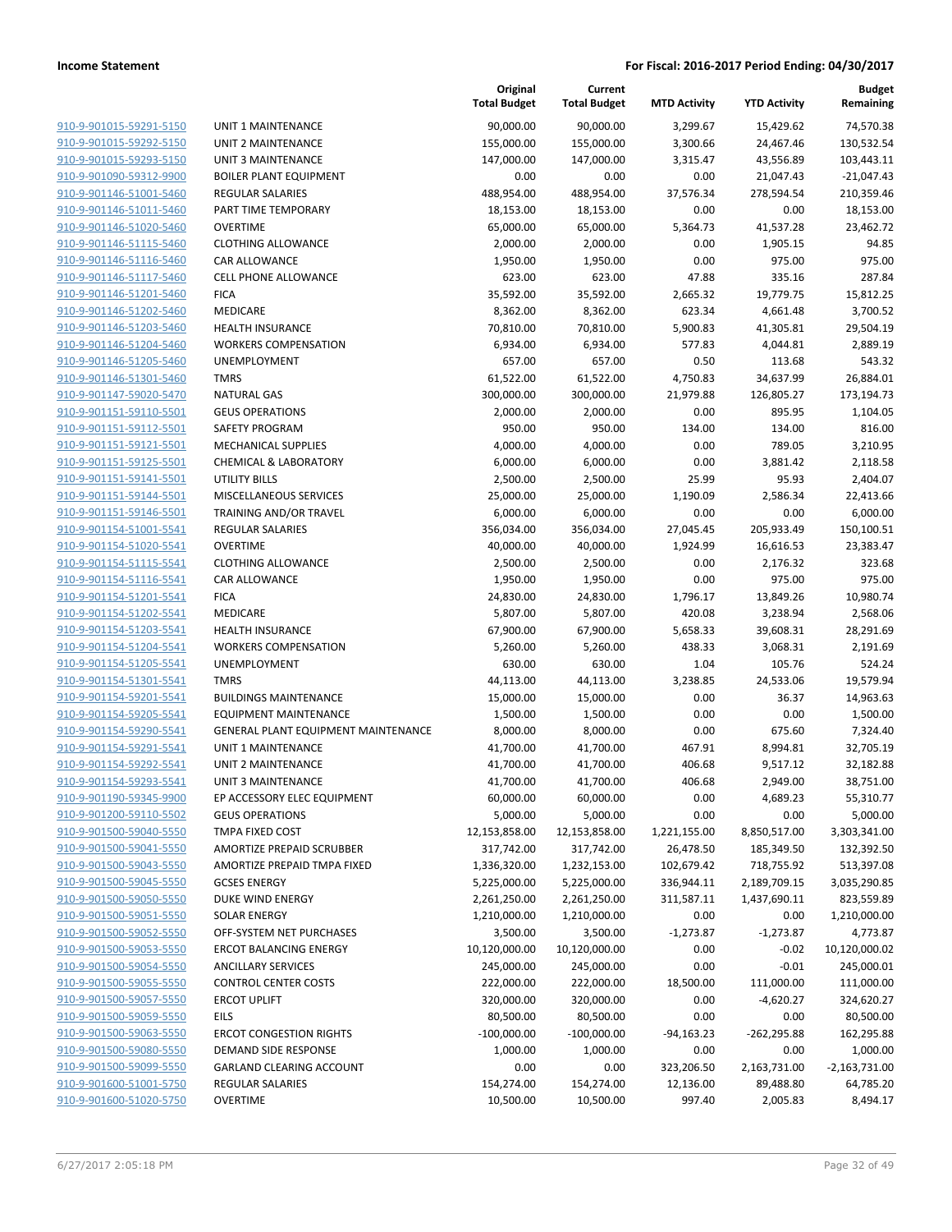| 910-9-901015-59291-5150                            |
|----------------------------------------------------|
| 910-9-901015-59292-5150                            |
| 910-9-901015-59293-5150                            |
| 910-9-901090-59312-9900                            |
| 910-9-901146-51001-5460                            |
| 910-9-901146-51011-5460                            |
| 910-9-901146-51020-5460                            |
| 910-9-901146-51115-5460                            |
|                                                    |
| 910-9-901146-51116-5460                            |
| 910-9-901146-51117-5460                            |
| 910-9-901146-51201-5460                            |
| 910-9-901146-51202-5460                            |
| 910-9-901146-51203-5460                            |
| 910-9-901146-51204-5460                            |
| 910-9-901146-51205-5460                            |
| 910-9-901146-51301-5460                            |
| 910-9-901147-59020-5470                            |
| 910-9-901151-59110-5501                            |
| 910-9-901151-59112-5501                            |
|                                                    |
| 910-9-901151-59121-5501                            |
| 910-9-901151-59125-5501                            |
| 910-9-901151-59141-5501                            |
| 910-9-901151-59144-5501                            |
| 910-9-901151-59146-5501                            |
| 910-9-901154-51001-5541                            |
| 910-9-901154-51020-5541                            |
| 910-9-901154-51115-5541                            |
| 910-9-901154-51116-5541                            |
| 910-9-901154-51201 <sup>.</sup><br>-55 <u>41</u>   |
| 910-9-901154-51202-5541                            |
| 910-9-901154-51203-5541                            |
|                                                    |
| 910-9-901154-51204-5541                            |
| 910-9-901154-51205-5541                            |
| 910-9-901154-51301-5541                            |
| 910-9-901154-59201-5541                            |
| 910-9-901154-59205-5541                            |
| 910-9-901154-59290-5541                            |
| 910-9-901154-59291-5541                            |
| 910-9-901154-59292-5541                            |
| 910-9-901154-59293-5541                            |
| 910-9-901190-59345-9900                            |
| <u>910-9-901200-59110-5502</u>                     |
| 910-9-901500-59040-5550                            |
|                                                    |
|                                                    |
| 910-9-901500-59041-5550                            |
| 910-9-901500-59043-5550                            |
| 910-9-901500-59045-5550                            |
| 910-9-901500-59050-5550                            |
| 910-9-901500-59051-5550                            |
| 910-9-901500-59052-5550                            |
| 910-9-901500-59053-5550                            |
| 910-9-901500-59054-5550                            |
| 910-9-901500-59055-5550                            |
| 910-9-901500-59057-5550                            |
| 910-9-901500-59059-5550                            |
| 910-9-901500-59063-5550                            |
|                                                    |
| 910-9-901500-59080-5550                            |
| 910-9-901500-59099-5550                            |
| 910-9-901600-51001-5750<br>910-9-901600-51020-5750 |

| JNIT 1 MAINTENANCE                                       |
|----------------------------------------------------------|
| JNIT 2 MAINTENANCE                                       |
| JNIT 3 MAINTENANCE                                       |
| OILER PLANT EQUIPMENT                                    |
| REGULAR SALARIES                                         |
| ART TIME TEMPORARY!                                      |
| )VERTIME                                                 |
| LOTHING ALLOWANCE                                        |
| AR ALLOWANCE                                             |
| ELL PHONE ALLOWANCE:                                     |
| <b>ICA</b><br><i><b>AEDICARE</b></i>                     |
| IEALTH INSURANCE                                         |
| VORKERS COMPENSATION                                     |
| JNEMPLOYMENT                                             |
| <b>MRS</b>                                               |
| JATURAL GAS                                              |
| <b>GEUS OPERATIONS</b>                                   |
| <b>AFETY PROGRAM</b>                                     |
| AECHANICAL SUPPLIES                                      |
| <b>HEMICAL &amp; LABORATORY</b>                          |
| JTILITY BILLS                                            |
| <i><b>AISCELLANEOUS SERVICES</b></i>                     |
| <b>RAINING AND/OR TRAVEL</b>                             |
| REGULAR SALARIES                                         |
| <b>OVERTIME</b>                                          |
| LOTHING ALLOWANCE                                        |
| CAR ALLOWANCE<br><b>ICA</b>                              |
| <b><i>AEDICARE</i></b>                                   |
| IEALTH INSURANCE                                         |
| VORKERS COMPENSATION                                     |
| <b>JNEMPLOYMENT</b>                                      |
| <b>MRS</b>                                               |
| BUILDINGS MAINTENANCE                                    |
| QUIPMENT MAINTENANCE                                     |
| GENERAL PLANT EQUIPMENT MAINTENANCE                      |
| JNIT 1 MAINTENANCE                                       |
| <b>JNIT 2 MAINTENANCE</b>                                |
| JNIT 3 MAINTENANCE                                       |
| P ACCESSORY ELEC EQUIPMENT                               |
| <b>GEUS OPERATIONS</b>                                   |
| <b>MPA FIXED COST</b>                                    |
| <b>MORTIZE PREPAID SCRUBBER</b>                          |
| <b>MORTIZE PREPAID TMPA FIXED</b><br><b>GCSES ENERGY</b> |
| <b>DUKE WIND ENERGY</b>                                  |
| OLAR ENERGY                                              |
| <b>DFF-SYSTEM NET PURCHASES</b>                          |
| RCOT BALANCING ENERGY                                    |
| <b>NOILLARY SERVICES</b>                                 |
| <b>CONTROL CENTER COSTS</b>                              |
| <b>RCOT UPLIFT</b>                                       |
| :ILS                                                     |
| <b>RCOT CONGESTION RIGHTS</b>                            |
| <b>DEMAND SIDE RESPONSE</b>                              |
| GARLAND CLEARING ACCOUNT                                 |
| <b>REGULAR SALARIES</b>                                  |
| <b>OVERTIME</b>                                          |

|                                                    |                                                          | Original<br><b>Total Budget</b> | Current<br><b>Total Budget</b> | <b>MTD Activity</b> | <b>YTD Activity</b> | <b>Budget</b><br>Remaining |
|----------------------------------------------------|----------------------------------------------------------|---------------------------------|--------------------------------|---------------------|---------------------|----------------------------|
| 910-9-901015-59291-5150                            | UNIT 1 MAINTENANCE                                       | 90,000.00                       | 90,000.00                      | 3,299.67            | 15,429.62           | 74,570.38                  |
| 910-9-901015-59292-5150                            | UNIT 2 MAINTENANCE                                       | 155,000.00                      | 155,000.00                     | 3,300.66            | 24,467.46           | 130,532.54                 |
| 910-9-901015-59293-5150                            | UNIT 3 MAINTENANCE                                       | 147,000.00                      | 147,000.00                     | 3,315.47            | 43,556.89           | 103,443.11                 |
| 910-9-901090-59312-9900                            | <b>BOILER PLANT EQUIPMENT</b>                            | 0.00                            | 0.00                           | 0.00                | 21,047.43           | $-21,047.43$               |
| 910-9-901146-51001-5460                            | <b>REGULAR SALARIES</b>                                  | 488,954.00                      | 488,954.00                     | 37,576.34           | 278,594.54          | 210,359.46                 |
| 910-9-901146-51011-5460                            | PART TIME TEMPORARY                                      | 18,153.00                       | 18,153.00                      | 0.00                | 0.00                | 18,153.00                  |
| 910-9-901146-51020-5460                            | <b>OVERTIME</b>                                          | 65,000.00                       | 65,000.00                      | 5,364.73            | 41,537.28           | 23,462.72                  |
| 910-9-901146-51115-5460                            | <b>CLOTHING ALLOWANCE</b>                                | 2,000.00                        | 2,000.00                       | 0.00                | 1,905.15            | 94.85                      |
| 910-9-901146-51116-5460                            | CAR ALLOWANCE                                            | 1,950.00                        | 1,950.00                       | 0.00                | 975.00              | 975.00                     |
| 910-9-901146-51117-5460                            | CELL PHONE ALLOWANCE                                     | 623.00                          | 623.00                         | 47.88               | 335.16              | 287.84                     |
| 910-9-901146-51201-5460                            | <b>FICA</b>                                              | 35,592.00                       | 35,592.00                      | 2,665.32            | 19,779.75           | 15,812.25                  |
| 910-9-901146-51202-5460                            | <b>MEDICARE</b>                                          | 8,362.00                        | 8,362.00                       | 623.34              | 4,661.48            | 3,700.52                   |
| 910-9-901146-51203-5460                            | <b>HEALTH INSURANCE</b>                                  | 70,810.00                       | 70,810.00                      | 5,900.83            | 41,305.81           | 29,504.19                  |
| 910-9-901146-51204-5460                            | <b>WORKERS COMPENSATION</b>                              | 6,934.00                        | 6,934.00                       | 577.83              | 4,044.81            | 2,889.19                   |
| 910-9-901146-51205-5460                            | UNEMPLOYMENT                                             | 657.00                          | 657.00                         | 0.50                | 113.68              | 543.32                     |
| 910-9-901146-51301-5460                            | <b>TMRS</b>                                              | 61,522.00                       | 61,522.00                      | 4,750.83            | 34,637.99           | 26,884.01                  |
| 910-9-901147-59020-5470                            | <b>NATURAL GAS</b>                                       | 300,000.00                      | 300,000.00                     | 21,979.88           | 126,805.27          | 173,194.73                 |
| 910-9-901151-59110-5501                            | <b>GEUS OPERATIONS</b>                                   | 2,000.00                        | 2,000.00                       | 0.00                | 895.95              | 1,104.05                   |
| 910-9-901151-59112-5501                            | SAFETY PROGRAM                                           | 950.00                          | 950.00                         | 134.00              | 134.00              | 816.00                     |
| 910-9-901151-59121-5501                            | <b>MECHANICAL SUPPLIES</b>                               | 4,000.00                        | 4,000.00                       | 0.00                | 789.05              | 3,210.95                   |
| 910-9-901151-59125-5501                            | <b>CHEMICAL &amp; LABORATORY</b>                         | 6,000.00                        | 6,000.00                       | 0.00                | 3,881.42            | 2,118.58                   |
| 910-9-901151-59141-5501                            | UTILITY BILLS                                            | 2,500.00                        | 2,500.00                       | 25.99               | 95.93               | 2,404.07                   |
| 910-9-901151-59144-5501                            | MISCELLANEOUS SERVICES                                   | 25,000.00                       | 25,000.00                      | 1,190.09            | 2,586.34            | 22,413.66                  |
| 910-9-901151-59146-5501                            | <b>TRAINING AND/OR TRAVEL</b>                            | 6,000.00                        | 6,000.00                       | 0.00                | 0.00                | 6,000.00                   |
| 910-9-901154-51001-5541                            | <b>REGULAR SALARIES</b>                                  | 356,034.00                      | 356,034.00                     | 27,045.45           | 205,933.49          | 150,100.51                 |
| 910-9-901154-51020-5541                            | <b>OVERTIME</b>                                          | 40,000.00                       | 40,000.00                      | 1,924.99            | 16,616.53           | 23,383.47                  |
| 910-9-901154-51115-5541                            | <b>CLOTHING ALLOWANCE</b>                                | 2,500.00                        | 2,500.00                       | 0.00                | 2,176.32            | 323.68                     |
| 910-9-901154-51116-5541                            | CAR ALLOWANCE                                            | 1,950.00                        | 1,950.00                       | 0.00                | 975.00              | 975.00                     |
| 910-9-901154-51201-5541                            | <b>FICA</b>                                              | 24,830.00                       | 24,830.00                      | 1,796.17            | 13,849.26           | 10,980.74                  |
| 910-9-901154-51202-5541                            | MEDICARE                                                 | 5,807.00                        | 5,807.00                       | 420.08              | 3,238.94            | 2,568.06                   |
| 910-9-901154-51203-5541                            | <b>HEALTH INSURANCE</b>                                  | 67,900.00                       | 67,900.00                      | 5,658.33            | 39,608.31           | 28,291.69                  |
| 910-9-901154-51204-5541                            | <b>WORKERS COMPENSATION</b>                              | 5,260.00                        | 5,260.00                       | 438.33              | 3,068.31            | 2,191.69                   |
| 910-9-901154-51205-5541                            | UNEMPLOYMENT                                             | 630.00                          | 630.00                         | 1.04                | 105.76              | 524.24                     |
| 910-9-901154-51301-5541                            | <b>TMRS</b>                                              | 44,113.00                       | 44,113.00                      | 3,238.85            | 24,533.06           | 19,579.94                  |
| 910-9-901154-59201-5541                            | <b>BUILDINGS MAINTENANCE</b>                             | 15,000.00                       | 15,000.00                      | 0.00                | 36.37               | 14,963.63                  |
| 910-9-901154-59205-5541                            | EQUIPMENT MAINTENANCE                                    | 1,500.00                        | 1,500.00                       | 0.00                | 0.00                | 1,500.00                   |
| 910-9-901154-59290-5541                            | GENERAL PLANT EQUIPMENT MAINTENANCE                      | 8,000.00                        | 8,000.00                       | 0.00                | 675.60              | 7,324.40                   |
| 910-9-901154-59291-5541                            | UNIT 1 MAINTENANCE                                       | 41,700.00                       | 41,700.00                      | 467.91              | 8,994.81            | 32,705.19                  |
| 910-9-901154-59292-5541                            | UNIT 2 MAINTENANCE                                       | 41,700.00                       | 41,700.00                      | 406.68              | 9,517.12            | 32,182.88                  |
| 910-9-901154-59293-5541                            | UNIT 3 MAINTENANCE                                       | 41,700.00                       | 41,700.00                      | 406.68              | 2,949.00            | 38,751.00                  |
| 910-9-901190-59345-9900                            | EP ACCESSORY ELEC EQUIPMENT                              | 60,000.00                       | 60,000.00                      | 0.00                | 4,689.23            | 55,310.77                  |
| 910-9-901200-59110-5502                            | <b>GEUS OPERATIONS</b>                                   | 5,000.00                        | 5,000.00                       | 0.00                | 0.00                | 5,000.00                   |
| 910-9-901500-59040-5550                            | TMPA FIXED COST                                          | 12,153,858.00                   | 12,153,858.00                  | 1,221,155.00        | 8,850,517.00        | 3,303,341.00               |
| 910-9-901500-59041-5550                            | AMORTIZE PREPAID SCRUBBER                                | 317,742.00                      | 317,742.00                     | 26,478.50           | 185,349.50          | 132,392.50                 |
| 910-9-901500-59043-5550                            | AMORTIZE PREPAID TMPA FIXED                              | 1,336,320.00                    | 1,232,153.00                   | 102,679.42          | 718,755.92          | 513,397.08                 |
| 910-9-901500-59045-5550                            | <b>GCSES ENERGY</b>                                      | 5,225,000.00                    | 5,225,000.00                   | 336,944.11          | 2,189,709.15        | 3,035,290.85               |
| 910-9-901500-59050-5550                            | DUKE WIND ENERGY                                         | 2,261,250.00                    | 2,261,250.00                   | 311,587.11          | 1,437,690.11        | 823,559.89                 |
| 910-9-901500-59051-5550                            | <b>SOLAR ENERGY</b>                                      | 1,210,000.00                    | 1,210,000.00                   | 0.00                | 0.00                | 1,210,000.00               |
| 910-9-901500-59052-5550                            | OFF-SYSTEM NET PURCHASES                                 | 3,500.00                        | 3,500.00                       | $-1,273.87$         | $-1,273.87$         | 4,773.87                   |
| 910-9-901500-59053-5550                            | <b>ERCOT BALANCING ENERGY</b>                            | 10,120,000.00                   | 10,120,000.00                  | 0.00                | $-0.02$             | 10,120,000.02              |
| 910-9-901500-59054-5550<br>910-9-901500-59055-5550 | <b>ANCILLARY SERVICES</b><br><b>CONTROL CENTER COSTS</b> | 245,000.00                      | 245,000.00                     | 0.00                | $-0.01$             | 245,000.01<br>111,000.00   |
|                                                    |                                                          | 222,000.00                      | 222,000.00                     | 18,500.00           | 111,000.00          |                            |
| 910-9-901500-59057-5550                            | <b>ERCOT UPLIFT</b>                                      | 320,000.00                      | 320,000.00                     | 0.00                | $-4,620.27$         | 324,620.27                 |
| 910-9-901500-59059-5550                            | <b>EILS</b>                                              | 80,500.00                       | 80,500.00                      | 0.00                | 0.00                | 80,500.00                  |
| 910-9-901500-59063-5550<br>910-9-901500-59080-5550 | <b>ERCOT CONGESTION RIGHTS</b>                           | $-100,000.00$                   | $-100,000.00$                  | $-94,163.23$        | $-262,295.88$       | 162,295.88                 |
|                                                    | DEMAND SIDE RESPONSE                                     | 1,000.00                        | 1,000.00                       | 0.00                | 0.00                | 1,000.00                   |
| 910-9-901500-59099-5550                            | GARLAND CLEARING ACCOUNT                                 | 0.00                            | 0.00                           | 323,206.50          | 2,163,731.00        | $-2,163,731.00$            |
| 910-9-901600-51001-5750<br>910-9-901600-51020-5750 | <b>REGULAR SALARIES</b>                                  | 154,274.00                      | 154,274.00                     | 12,136.00           | 89,488.80           | 64,785.20                  |
|                                                    | <b>OVERTIME</b>                                          | 10,500.00                       | 10,500.00                      | 997.40              | 2,005.83            | 8,494.17                   |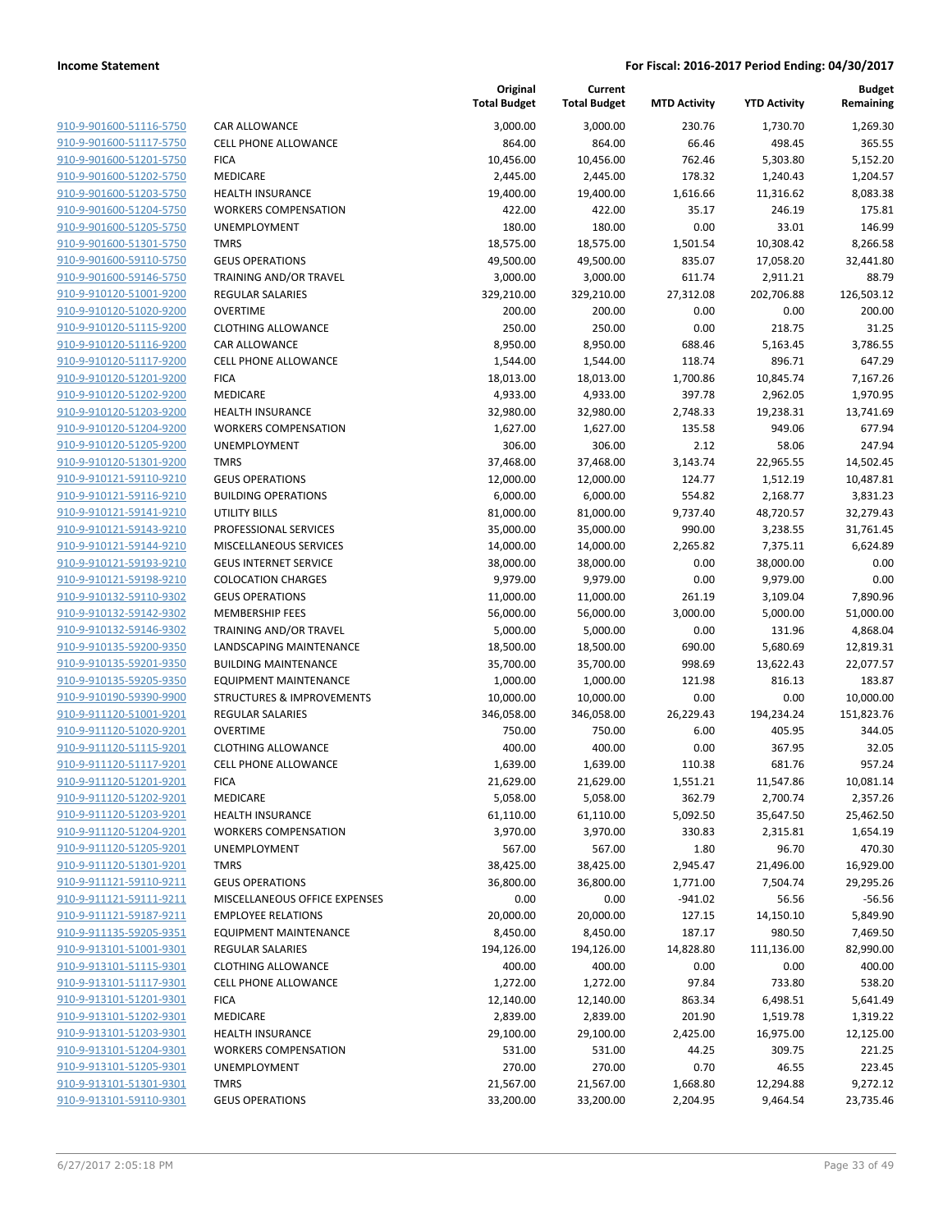| 910-9-901600-51116-5750        |
|--------------------------------|
| 910-9-901600-51117-5750        |
| 910-9-901600-51201-5750        |
| 910-9-901600-51202-5750        |
| <u>910-9-901600-51203-5750</u> |
| 910-9-901600-51204-5750        |
| 910-9-901600-51205-5750        |
|                                |
| 910-9-901600-51301-5750        |
| 910-9-901600-59110-5750        |
| <u>910-9-901600-59146-5750</u> |
| 910-9-910120-51001-9200        |
| 910-9-910120-51020-9200        |
| 910-9-910120-51115-9200        |
| 910-9-910120-51116-9200        |
| <u>910-9-910120-51117-9200</u> |
| 910-9-910120-51201-9200        |
| 910-9-910120-51202-9200        |
| 910-9-910120-51203-9200        |
|                                |
| 910-9-910120-51204-9200        |
| 910-9-910120-51205-9200        |
| 910-9-910120-51301-9200        |
| 910-9-910121-59110-9210        |
| 910-9-910121-59116-9210        |
| <u>910-9-910121-59141-9210</u> |
| <u>910-9-910121-59143-9210</u> |
| 910-9-910121-59144-9210        |
| 910-9-910121-59193-9210        |
| 910-9-910121-59198-9210        |
| <u>910-9-910132-59110-9302</u> |
|                                |
| <u>910-9-910132-59142-9302</u> |
| 910-9-910132-59146-9302        |
| 910-9-910135-59200-9350        |
| 910-9-910135-59201-9350        |
| <u>910-9-910135-59205-9350</u> |
| <u>910-9-910190-59390-9900</u> |
| 910-9-911120-51001-9201        |
| 910-9-911120-51020-9201        |
| 910-9-911120-51115-9201        |
| 910-9-911120-51117-9201        |
| 910-9-911120-51201-9201        |
| 910-9-911120-51202-9201        |
|                                |
| 910-9-911120-51203-9201        |
| 910-9-911120-51204-9201        |
| 910-9-911120-51205-9201        |
| <u>910-9-911120-51301-9201</u> |
| 910-9-911121-59110-9211        |
| 910-9-911121-59111-9211        |
| 910-9-911121-59187-9211        |
| 910-9-911135-59205-9351        |
| 910-9-913101-51001-9301        |
| 910-9-913101-51115-9301        |
| 910-9-913101-51117-9301        |
| 910-9-913101-51201-9301        |
| <u>910-9-913101-51202-9301</u> |
|                                |
| 910-9-913101-51203-9301        |
| 910-9-913101-51204-9301        |
| 910-9-913101-51205-9301        |
| 910-9-913101-51301-9301        |
| 910-9-913101-59110-9301        |
|                                |

| <b>CAR ALLOWANCE</b>          |
|-------------------------------|
| <b>CELL PHONE ALLOWANCE</b>   |
| <b>FICA</b>                   |
|                               |
| <b>MEDICARE</b>               |
| HEALTH INSURANCE              |
| <b>WORKERS COMPENSATION</b>   |
| UNEMPLOYMENT                  |
| <b>TMRS</b>                   |
| <b>GEUS OPERATIONS</b>        |
|                               |
| TRAINING AND/OR TRAVEL        |
| <b>REGULAR SALARIES</b>       |
| <b>OVERTIME</b>               |
| <b>CLOTHING ALLOWANCE</b>     |
| <b>CAR ALLOWANCE</b>          |
| <b>CELL PHONE ALLOWANCE</b>   |
| FICA                          |
|                               |
| <b>MEDICARE</b>               |
| <b>HEALTH INSURANCE</b>       |
| <b>WORKERS COMPENSATION</b>   |
| UNEMPLOYMENT                  |
| TMRS                          |
| <b>GEUS OPERATIONS</b>        |
| BUILDING OPERATIONS           |
|                               |
| UTILITY BILLS                 |
| <b>PROFESSIONAL SERVICES</b>  |
| MISCELLANEOUS SERVICES        |
| <b>GEUS INTERNET SERVICE</b>  |
| <b>COLOCATION CHARGES</b>     |
| <b>GEUS OPERATIONS</b>        |
| MEMBERSHIP FEES               |
| TRAINING AND/OR TRAVEL        |
| LANDSCAPING MAINTENANCE       |
|                               |
| <b>BUILDING MAINTENANCE</b>   |
| <b>EQUIPMENT MAINTENANCE</b>  |
| STRUCTURES & IMPROVEMENTS     |
| <b>REGULAR SALARIES</b>       |
| <b>OVERTIME</b>               |
| <b>CLOTHING ALLOWANCE</b>     |
| <b>CELL PHONE ALLOWANCE</b>   |
|                               |
| FICA                          |
| <b>MEDICARE</b>               |
| <b>HEALTH INSURANCE</b>       |
| <b>WORKERS COMPENSATION</b>   |
| <b>UNEMPLOYMENT</b>           |
| <b>TMRS</b>                   |
| <b>GEUS OPERATIONS</b>        |
| MISCELLANEOUS OFFICE EXPENSES |
| <b>EMPLOYEE RELATIONS</b>     |
|                               |
| <b>EQUIPMENT MAINTENANCE</b>  |
| <b>REGULAR SALARIES</b>       |
| <b>CLOTHING ALLOWANCE</b>     |
| <b>CELL PHONE ALLOWANCE</b>   |
| <b>FICA</b>                   |
| MEDICARE                      |
| <b>HEALTH INSURANCE</b>       |
|                               |
| <b>WORKERS COMPENSATION</b>   |
| <b>UNEMPLOYMENT</b>           |
| <b>TMRS</b>                   |
| <b>GEUS OPERATIONS</b>        |

|                                                    |                                                      | Original<br><b>Total Budget</b> | Current<br><b>Total Budget</b> | <b>MTD Activity</b> | <b>YTD Activity</b>   | <b>Budget</b><br>Remaining |
|----------------------------------------------------|------------------------------------------------------|---------------------------------|--------------------------------|---------------------|-----------------------|----------------------------|
| 910-9-901600-51116-5750                            | CAR ALLOWANCE                                        | 3,000.00                        | 3,000.00                       | 230.76              | 1,730.70              | 1,269.30                   |
| 910-9-901600-51117-5750                            | <b>CELL PHONE ALLOWANCE</b>                          | 864.00                          | 864.00                         | 66.46               | 498.45                | 365.55                     |
| 910-9-901600-51201-5750                            | <b>FICA</b>                                          | 10,456.00                       | 10,456.00                      | 762.46              | 5,303.80              | 5,152.20                   |
| 910-9-901600-51202-5750                            | MEDICARE                                             | 2,445.00                        | 2,445.00                       | 178.32              | 1,240.43              | 1,204.57                   |
| 910-9-901600-51203-5750                            | <b>HEALTH INSURANCE</b>                              | 19,400.00                       | 19,400.00                      | 1,616.66            | 11,316.62             | 8,083.38                   |
| 910-9-901600-51204-5750                            | <b>WORKERS COMPENSATION</b>                          | 422.00                          | 422.00                         | 35.17               | 246.19                | 175.81                     |
| 910-9-901600-51205-5750                            | UNEMPLOYMENT                                         | 180.00                          | 180.00                         | 0.00                | 33.01                 | 146.99                     |
| 910-9-901600-51301-5750                            | <b>TMRS</b>                                          | 18,575.00                       | 18,575.00                      | 1,501.54            | 10,308.42             | 8,266.58                   |
| 910-9-901600-59110-5750                            | <b>GEUS OPERATIONS</b>                               | 49,500.00                       | 49,500.00                      | 835.07              | 17,058.20             | 32,441.80                  |
| 910-9-901600-59146-5750                            | TRAINING AND/OR TRAVEL                               | 3,000.00                        | 3,000.00                       | 611.74              | 2,911.21              | 88.79                      |
| 910-9-910120-51001-9200                            | <b>REGULAR SALARIES</b>                              | 329,210.00                      | 329,210.00                     | 27,312.08           | 202,706.88            | 126,503.12                 |
| 910-9-910120-51020-9200                            | <b>OVERTIME</b>                                      | 200.00                          | 200.00                         | 0.00                | 0.00                  | 200.00                     |
| 910-9-910120-51115-9200                            | <b>CLOTHING ALLOWANCE</b>                            | 250.00                          | 250.00                         | 0.00                | 218.75                | 31.25                      |
| 910-9-910120-51116-9200                            | <b>CAR ALLOWANCE</b>                                 | 8,950.00                        | 8,950.00                       | 688.46              | 5,163.45              | 3,786.55                   |
| 910-9-910120-51117-9200                            | <b>CELL PHONE ALLOWANCE</b>                          | 1,544.00                        | 1,544.00                       | 118.74              | 896.71                | 647.29                     |
| 910-9-910120-51201-9200                            | <b>FICA</b>                                          | 18,013.00                       | 18,013.00                      | 1,700.86            | 10,845.74             | 7,167.26                   |
| 910-9-910120-51202-9200                            | MEDICARE                                             | 4,933.00                        | 4,933.00                       | 397.78              | 2,962.05              | 1,970.95                   |
| 910-9-910120-51203-9200                            | <b>HEALTH INSURANCE</b>                              | 32,980.00                       | 32,980.00                      | 2,748.33            | 19,238.31             | 13,741.69                  |
| 910-9-910120-51204-9200                            | <b>WORKERS COMPENSATION</b>                          | 1,627.00                        | 1,627.00                       | 135.58              | 949.06                | 677.94                     |
| 910-9-910120-51205-9200                            | UNEMPLOYMENT                                         | 306.00                          | 306.00                         | 2.12                | 58.06                 | 247.94                     |
| 910-9-910120-51301-9200                            | <b>TMRS</b>                                          | 37,468.00                       | 37,468.00                      | 3,143.74            | 22,965.55             | 14,502.45                  |
| 910-9-910121-59110-9210                            | <b>GEUS OPERATIONS</b><br><b>BUILDING OPERATIONS</b> | 12,000.00                       | 12,000.00                      | 124.77              | 1,512.19              | 10,487.81                  |
| 910-9-910121-59116-9210<br>910-9-910121-59141-9210 |                                                      | 6,000.00<br>81,000.00           | 6,000.00                       | 554.82              | 2,168.77              | 3,831.23                   |
| 910-9-910121-59143-9210                            | <b>UTILITY BILLS</b><br>PROFESSIONAL SERVICES        | 35,000.00                       | 81,000.00<br>35,000.00         | 9,737.40<br>990.00  | 48,720.57<br>3,238.55 | 32,279.43<br>31,761.45     |
| 910-9-910121-59144-9210                            | MISCELLANEOUS SERVICES                               | 14,000.00                       | 14,000.00                      | 2,265.82            | 7,375.11              | 6,624.89                   |
| 910-9-910121-59193-9210                            | <b>GEUS INTERNET SERVICE</b>                         | 38,000.00                       | 38,000.00                      | 0.00                | 38,000.00             | 0.00                       |
| 910-9-910121-59198-9210                            | <b>COLOCATION CHARGES</b>                            | 9,979.00                        | 9,979.00                       | 0.00                | 9,979.00              | 0.00                       |
| 910-9-910132-59110-9302                            | <b>GEUS OPERATIONS</b>                               | 11,000.00                       | 11,000.00                      | 261.19              | 3,109.04              | 7,890.96                   |
| 910-9-910132-59142-9302                            | <b>MEMBERSHIP FEES</b>                               | 56,000.00                       | 56,000.00                      | 3,000.00            | 5,000.00              | 51,000.00                  |
| 910-9-910132-59146-9302                            | TRAINING AND/OR TRAVEL                               | 5,000.00                        | 5,000.00                       | 0.00                | 131.96                | 4,868.04                   |
| 910-9-910135-59200-9350                            | LANDSCAPING MAINTENANCE                              | 18,500.00                       | 18,500.00                      | 690.00              | 5,680.69              | 12,819.31                  |
| 910-9-910135-59201-9350                            | <b>BUILDING MAINTENANCE</b>                          | 35,700.00                       | 35,700.00                      | 998.69              | 13,622.43             | 22,077.57                  |
| 910-9-910135-59205-9350                            | <b>EQUIPMENT MAINTENANCE</b>                         | 1,000.00                        | 1,000.00                       | 121.98              | 816.13                | 183.87                     |
| 910-9-910190-59390-9900                            | <b>STRUCTURES &amp; IMPROVEMENTS</b>                 | 10,000.00                       | 10,000.00                      | 0.00                | 0.00                  | 10,000.00                  |
| 910-9-911120-51001-9201                            | <b>REGULAR SALARIES</b>                              | 346,058.00                      | 346,058.00                     | 26,229.43           | 194,234.24            | 151,823.76                 |
| 910-9-911120-51020-9201                            | <b>OVERTIME</b>                                      | 750.00                          | 750.00                         | 6.00                | 405.95                | 344.05                     |
| 910-9-911120-51115-9201                            | <b>CLOTHING ALLOWANCE</b>                            | 400.00                          | 400.00                         | 0.00                | 367.95                | 32.05                      |
| 910-9-911120-51117-9201                            | <b>CELL PHONE ALLOWANCE</b>                          | 1,639.00                        | 1,639.00                       | 110.38              | 681.76                | 957.24                     |
| 910-9-911120-51201-9201                            | <b>FICA</b>                                          | 21,629.00                       | 21,629.00                      | 1,551.21            | 11,547.86             | 10,081.14                  |
| 910-9-911120-51202-9201                            | MEDICARE                                             | 5,058.00                        | 5,058.00                       | 362.79              | 2,700.74              | 2,357.26                   |
| 910-9-911120-51203-9201                            | <b>HEALTH INSURANCE</b>                              | 61,110.00                       | 61,110.00                      | 5,092.50            | 35,647.50             | 25,462.50                  |
| 910-9-911120-51204-9201                            | <b>WORKERS COMPENSATION</b>                          | 3,970.00                        | 3,970.00                       | 330.83              | 2,315.81              | 1,654.19                   |
| 910-9-911120-51205-9201                            | UNEMPLOYMENT                                         | 567.00                          | 567.00                         | 1.80                | 96.70                 | 470.30                     |
| 910-9-911120-51301-9201                            | <b>TMRS</b>                                          | 38,425.00                       | 38,425.00                      | 2,945.47            | 21,496.00             | 16,929.00                  |
| 910-9-911121-59110-9211                            | <b>GEUS OPERATIONS</b>                               | 36,800.00                       | 36,800.00                      | 1,771.00            | 7,504.74              | 29,295.26                  |
| 910-9-911121-59111-9211                            | MISCELLANEOUS OFFICE EXPENSES                        | 0.00                            | 0.00                           | $-941.02$           | 56.56                 | $-56.56$                   |
| 910-9-911121-59187-9211                            | <b>EMPLOYEE RELATIONS</b>                            | 20,000.00                       | 20,000.00                      | 127.15              | 14,150.10             | 5,849.90                   |
| 910-9-911135-59205-9351                            | <b>EQUIPMENT MAINTENANCE</b>                         | 8,450.00                        | 8,450.00                       | 187.17              | 980.50                | 7,469.50                   |
| 910-9-913101-51001-9301                            | <b>REGULAR SALARIES</b>                              | 194,126.00                      | 194,126.00                     | 14,828.80           | 111,136.00            | 82,990.00                  |
| 910-9-913101-51115-9301                            | <b>CLOTHING ALLOWANCE</b>                            | 400.00                          | 400.00                         | 0.00                | 0.00                  | 400.00                     |
| 910-9-913101-51117-9301                            | <b>CELL PHONE ALLOWANCE</b><br><b>FICA</b>           | 1,272.00                        | 1,272.00                       | 97.84               | 733.80                | 538.20                     |
| 910-9-913101-51201-9301                            |                                                      | 12,140.00                       | 12,140.00                      | 863.34              | 6,498.51              | 5,641.49                   |
| 910-9-913101-51202-9301<br>910-9-913101-51203-9301 | MEDICARE<br><b>HEALTH INSURANCE</b>                  | 2,839.00<br>29,100.00           | 2,839.00                       | 201.90<br>2,425.00  | 1,519.78              | 1,319.22<br>12,125.00      |
| 910-9-913101-51204-9301                            | <b>WORKERS COMPENSATION</b>                          |                                 | 29,100.00                      |                     | 16,975.00             | 221.25                     |
| 910-9-913101-51205-9301                            | UNEMPLOYMENT                                         | 531.00<br>270.00                | 531.00<br>270.00               | 44.25<br>0.70       | 309.75<br>46.55       | 223.45                     |
| 910-9-913101-51301-9301                            | <b>TMRS</b>                                          | 21,567.00                       | 21,567.00                      | 1,668.80            | 12,294.88             | 9,272.12                   |
| 910-9-913101-59110-9301                            | <b>GEUS OPERATIONS</b>                               | 33,200.00                       | 33,200.00                      | 2,204.95            | 9,464.54              | 23,735.46                  |
|                                                    |                                                      |                                 |                                |                     |                       |                            |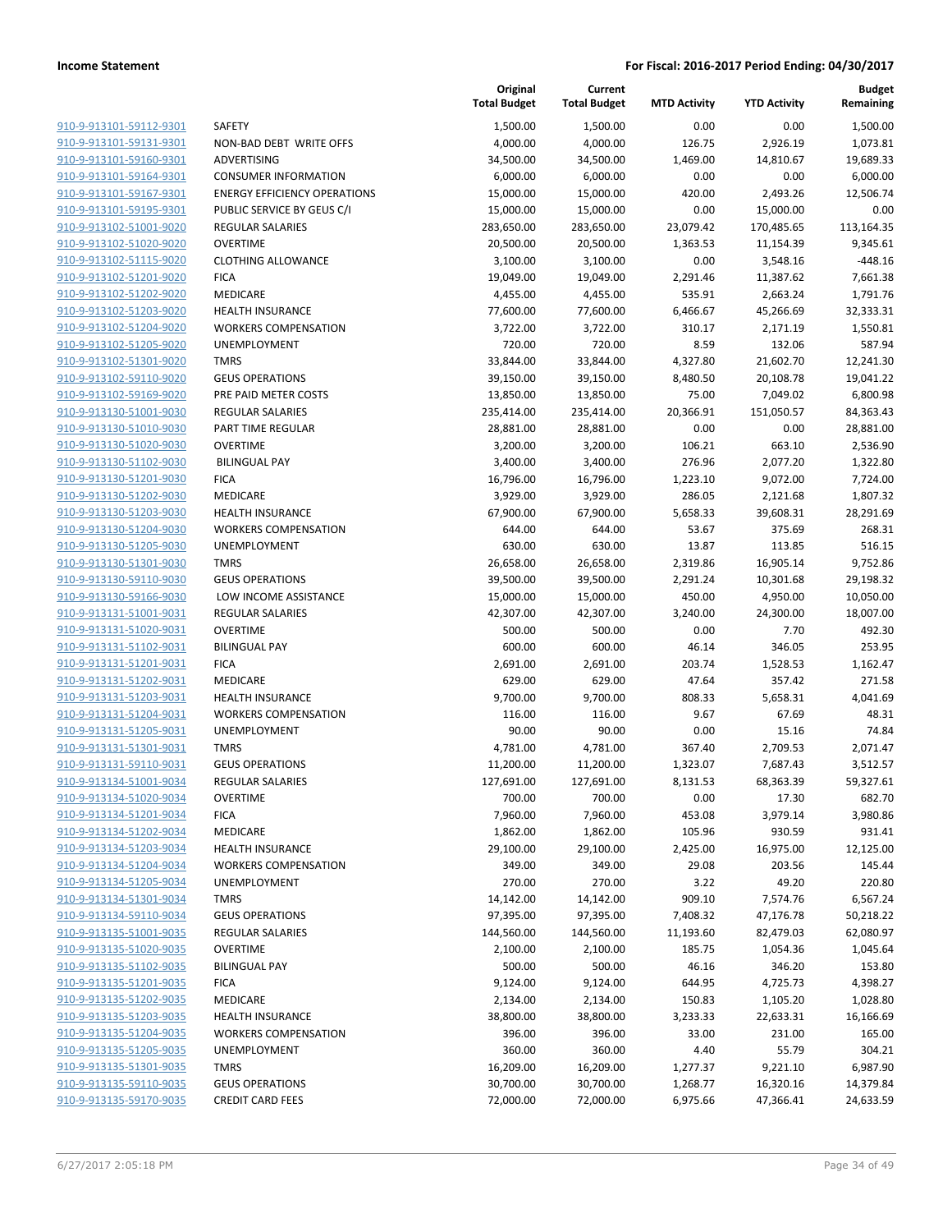**Current**

**Original**

**Budget Remaining**

|                                |                                     | <b>Total Budget</b> | <b>Total Budget</b> | <b>MTD Activity</b> | <b>YTD Activity</b> | Remaining  |
|--------------------------------|-------------------------------------|---------------------|---------------------|---------------------|---------------------|------------|
| 910-9-913101-59112-9301        | SAFETY                              | 1,500.00            | 1,500.00            | 0.00                | 0.00                | 1,500.00   |
| 910-9-913101-59131-9301        | NON-BAD DEBT WRITE OFFS             | 4,000.00            | 4,000.00            | 126.75              | 2,926.19            | 1,073.81   |
| 910-9-913101-59160-9301        | ADVERTISING                         | 34,500.00           | 34,500.00           | 1,469.00            | 14,810.67           | 19,689.33  |
| 910-9-913101-59164-9301        | <b>CONSUMER INFORMATION</b>         | 6,000.00            | 6,000.00            | 0.00                | 0.00                | 6,000.00   |
| 910-9-913101-59167-9301        | <b>ENERGY EFFICIENCY OPERATIONS</b> | 15,000.00           | 15,000.00           | 420.00              | 2,493.26            | 12,506.74  |
| 910-9-913101-59195-9301        | PUBLIC SERVICE BY GEUS C/I          | 15,000.00           | 15,000.00           | 0.00                | 15,000.00           | 0.00       |
| 910-9-913102-51001-9020        | <b>REGULAR SALARIES</b>             | 283,650.00          | 283,650.00          | 23,079.42           | 170,485.65          | 113,164.35 |
| 910-9-913102-51020-9020        | <b>OVERTIME</b>                     | 20,500.00           | 20,500.00           | 1,363.53            | 11,154.39           | 9,345.61   |
| 910-9-913102-51115-9020        | <b>CLOTHING ALLOWANCE</b>           | 3,100.00            | 3,100.00            | 0.00                | 3,548.16            | $-448.16$  |
| 910-9-913102-51201-9020        | <b>FICA</b>                         | 19,049.00           | 19,049.00           | 2,291.46            | 11,387.62           | 7,661.38   |
| 910-9-913102-51202-9020        | MEDICARE                            | 4,455.00            | 4,455.00            | 535.91              | 2,663.24            | 1,791.76   |
| 910-9-913102-51203-9020        | <b>HEALTH INSURANCE</b>             | 77,600.00           | 77,600.00           | 6,466.67            | 45,266.69           | 32,333.31  |
| 910-9-913102-51204-9020        | <b>WORKERS COMPENSATION</b>         | 3,722.00            | 3,722.00            | 310.17              | 2,171.19            | 1,550.81   |
| 910-9-913102-51205-9020        | UNEMPLOYMENT                        | 720.00              | 720.00              | 8.59                | 132.06              | 587.94     |
| 910-9-913102-51301-9020        | <b>TMRS</b>                         | 33,844.00           | 33,844.00           | 4,327.80            | 21,602.70           | 12,241.30  |
| 910-9-913102-59110-9020        | <b>GEUS OPERATIONS</b>              | 39,150.00           | 39,150.00           | 8,480.50            | 20,108.78           | 19,041.22  |
| 910-9-913102-59169-9020        | PRE PAID METER COSTS                | 13,850.00           | 13,850.00           | 75.00               | 7,049.02            | 6,800.98   |
| 910-9-913130-51001-9030        | <b>REGULAR SALARIES</b>             | 235,414.00          | 235,414.00          | 20,366.91           | 151,050.57          | 84,363.43  |
| 910-9-913130-51010-9030        | PART TIME REGULAR                   | 28,881.00           | 28,881.00           | 0.00                | 0.00                | 28,881.00  |
| 910-9-913130-51020-9030        | <b>OVERTIME</b>                     | 3,200.00            | 3,200.00            | 106.21              | 663.10              | 2,536.90   |
| 910-9-913130-51102-9030        | <b>BILINGUAL PAY</b>                | 3,400.00            | 3,400.00            | 276.96              | 2,077.20            | 1,322.80   |
| 910-9-913130-51201-9030        | <b>FICA</b>                         | 16,796.00           | 16,796.00           | 1,223.10            | 9,072.00            | 7,724.00   |
| 910-9-913130-51202-9030        | <b>MEDICARE</b>                     | 3,929.00            | 3,929.00            | 286.05              | 2,121.68            | 1,807.32   |
| 910-9-913130-51203-9030        | <b>HEALTH INSURANCE</b>             | 67,900.00           | 67,900.00           | 5,658.33            | 39,608.31           | 28,291.69  |
| 910-9-913130-51204-9030        | <b>WORKERS COMPENSATION</b>         | 644.00              | 644.00              | 53.67               | 375.69              | 268.31     |
| 910-9-913130-51205-9030        | UNEMPLOYMENT                        | 630.00              | 630.00              | 13.87               | 113.85              | 516.15     |
| 910-9-913130-51301-9030        | <b>TMRS</b>                         | 26,658.00           | 26,658.00           | 2,319.86            | 16,905.14           | 9,752.86   |
| 910-9-913130-59110-9030        | <b>GEUS OPERATIONS</b>              | 39,500.00           | 39,500.00           | 2,291.24            | 10,301.68           | 29,198.32  |
| 910-9-913130-59166-9030        | LOW INCOME ASSISTANCE               | 15,000.00           | 15,000.00           | 450.00              | 4,950.00            | 10,050.00  |
| 910-9-913131-51001-9031        | <b>REGULAR SALARIES</b>             | 42,307.00           | 42,307.00           | 3,240.00            | 24,300.00           | 18,007.00  |
| 910-9-913131-51020-9031        | <b>OVERTIME</b>                     | 500.00              | 500.00              | 0.00                | 7.70                | 492.30     |
| 910-9-913131-51102-9031        | <b>BILINGUAL PAY</b>                | 600.00              | 600.00              | 46.14               | 346.05              | 253.95     |
| 910-9-913131-51201-9031        | <b>FICA</b>                         | 2,691.00            | 2,691.00            | 203.74              | 1,528.53            | 1,162.47   |
| 910-9-913131-51202-9031        | MEDICARE                            | 629.00              | 629.00              | 47.64               | 357.42              | 271.58     |
| 910-9-913131-51203-9031        | <b>HEALTH INSURANCE</b>             | 9,700.00            | 9,700.00            | 808.33              | 5,658.31            | 4,041.69   |
| 910-9-913131-51204-9031        | <b>WORKERS COMPENSATION</b>         | 116.00              | 116.00              | 9.67                | 67.69               | 48.31      |
| 910-9-913131-51205-9031        | UNEMPLOYMENT                        | 90.00               | 90.00               | 0.00                | 15.16               | 74.84      |
| 910-9-913131-51301-9031        | <b>TMRS</b>                         | 4,781.00            | 4,781.00            | 367.40              | 2,709.53            | 2,071.47   |
| 910-9-913131-59110-9031        | <b>GEUS OPERATIONS</b>              | 11,200.00           | 11,200.00           | 1,323.07            | 7,687.43            | 3,512.57   |
| 910-9-913134-51001-9034        | <b>REGULAR SALARIES</b>             | 127,691.00          | 127,691.00          | 8,131.53            | 68,363.39           | 59,327.61  |
| <u>910-9-913134-51020-9034</u> | OVERTIME                            | 700.00              | 700.00              | 0.00                | 17.30               | 682.70     |
| 910-9-913134-51201-9034        | <b>FICA</b>                         | 7,960.00            | 7,960.00            | 453.08              | 3,979.14            | 3,980.86   |
| 910-9-913134-51202-9034        | MEDICARE                            | 1,862.00            | 1,862.00            | 105.96              | 930.59              | 931.41     |
| 910-9-913134-51203-9034        | <b>HEALTH INSURANCE</b>             | 29,100.00           | 29,100.00           | 2,425.00            | 16,975.00           | 12,125.00  |
| 910-9-913134-51204-9034        | <b>WORKERS COMPENSATION</b>         | 349.00              | 349.00              | 29.08               | 203.56              | 145.44     |
| 910-9-913134-51205-9034        | <b>UNEMPLOYMENT</b>                 | 270.00              | 270.00              | 3.22                | 49.20               | 220.80     |
| 910-9-913134-51301-9034        | <b>TMRS</b>                         | 14,142.00           | 14,142.00           | 909.10              | 7,574.76            | 6,567.24   |
| 910-9-913134-59110-9034        | <b>GEUS OPERATIONS</b>              | 97,395.00           | 97,395.00           | 7,408.32            | 47,176.78           | 50,218.22  |
| 910-9-913135-51001-9035        | <b>REGULAR SALARIES</b>             | 144,560.00          | 144,560.00          | 11,193.60           | 82,479.03           | 62,080.97  |
| 910-9-913135-51020-9035        | <b>OVERTIME</b>                     | 2,100.00            | 2,100.00            | 185.75              | 1,054.36            | 1,045.64   |
| 910-9-913135-51102-9035        | <b>BILINGUAL PAY</b>                | 500.00              | 500.00              | 46.16               | 346.20              | 153.80     |
| 910-9-913135-51201-9035        | <b>FICA</b>                         | 9,124.00            | 9,124.00            | 644.95              | 4,725.73            | 4,398.27   |
| 910-9-913135-51202-9035        | MEDICARE                            | 2,134.00            | 2,134.00            | 150.83              | 1,105.20            | 1,028.80   |
| 910-9-913135-51203-9035        | <b>HEALTH INSURANCE</b>             | 38,800.00           | 38,800.00           | 3,233.33            | 22,633.31           | 16,166.69  |
| 910-9-913135-51204-9035        | <b>WORKERS COMPENSATION</b>         | 396.00              | 396.00              | 33.00               | 231.00              | 165.00     |
| 910-9-913135-51205-9035        | UNEMPLOYMENT                        | 360.00              | 360.00              | 4.40                | 55.79               | 304.21     |
| 910-9-913135-51301-9035        | <b>TMRS</b>                         | 16,209.00           | 16,209.00           | 1,277.37            | 9,221.10            | 6,987.90   |
| 910-9-913135-59110-9035        | <b>GEUS OPERATIONS</b>              | 30,700.00           | 30,700.00           | 1,268.77            | 16,320.16           | 14,379.84  |
| 910-9-913135-59170-9035        | <b>CREDIT CARD FEES</b>             | 72,000.00           | 72,000.00           | 6,975.66            | 47,366.41           | 24,633.59  |
|                                |                                     |                     |                     |                     |                     |            |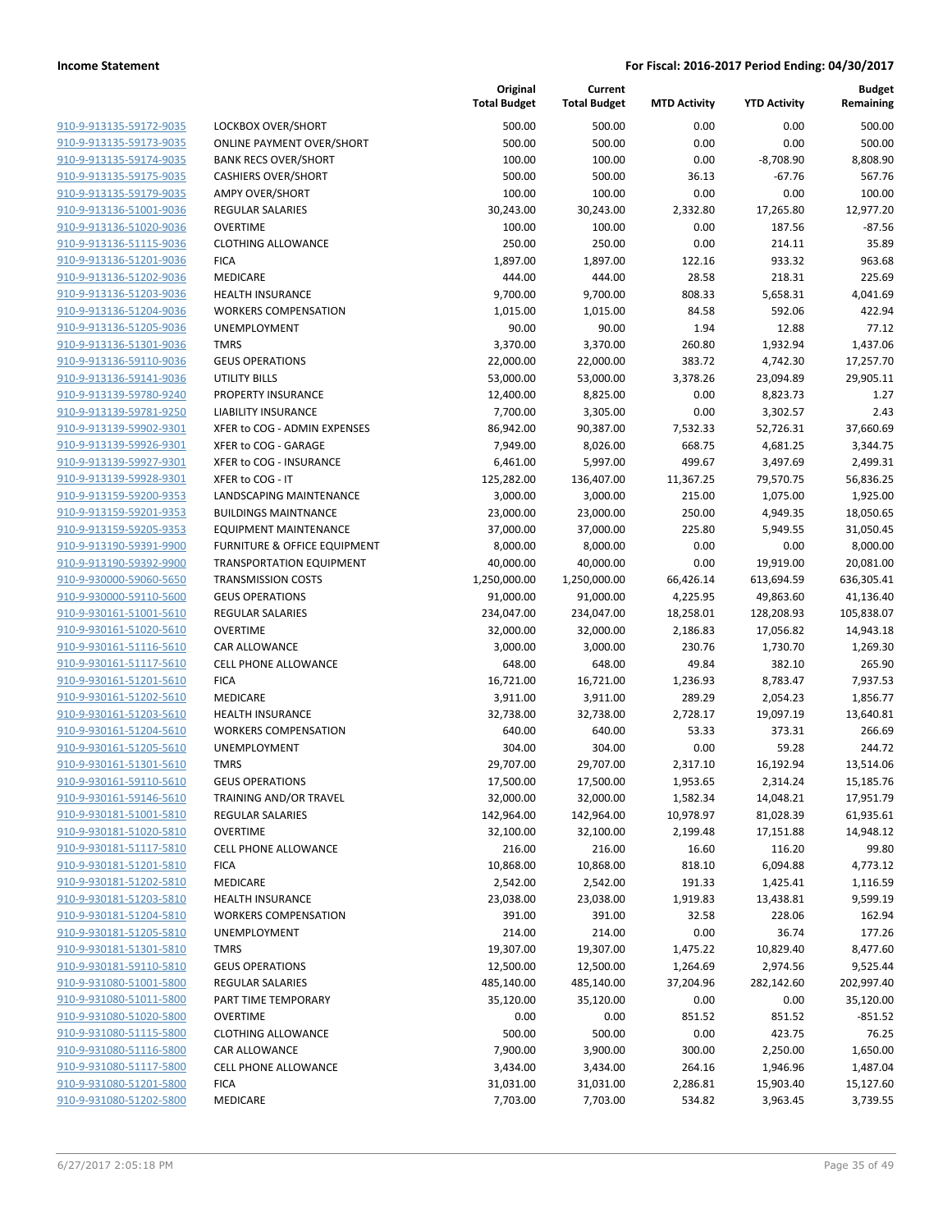| 910-9-913135-59172-9035        |
|--------------------------------|
| 910-9-913135-59173-9035        |
| 910-9-913135-59174-9035        |
| 910-9-913135-59175-9035        |
| <u>910-9-913135-59179-9035</u> |
| 910-9-913136-51001-9036        |
| 910-9-913136-51020-9036        |
| 910-9-913136-51115-9036        |
| 910-9-913136-51201-9036        |
| <u>910-9-913136-51202-9036</u> |
| 910-9-913136-51203-9036        |
| 910-9-913136-51204-9036        |
| 910-9-913136-51205-9036        |
| 910-9-913136-51301-9036        |
| <u>910-9-913136-59110-9036</u> |
| 910-9-913136-59141-9036        |
| 910-9-913139-59780-9240        |
| 910-9-913139-59781-9250        |
| 910-9-913139-59902-9301        |
| <u>910-9-913139-59926-9301</u> |
| 910-9-913139-59927-9301        |
| 910-9-913139-59928-9301        |
| 910-9-913159-59200-9353        |
| 910-9-913159-59201-9353        |
| 910-9-913159-59205-9353        |
| 910-9-913190-59391-9900        |
| 910-9-913190-59392-9900        |
| 910-9-930000-59060-5650        |
| 910-9-930000-59110-5600        |
| <u>910-9-930161-51001-5610</u> |
| 910-9-930161-51020-5610        |
| 910-9-930161-51116-5610        |
| 910-9-930161-51117-5610        |
| 910-9-930161-51201-5610        |
| <u>910-9-930161-51202-5610</u> |
| 910-9-930161-51203-5610        |
| 910-9-930161-51204-5610        |
| 910-9-930161-51205-5610        |
| 910-9-930161-51301-5610        |
| 910-9-930161-59110-5610        |
| 910-9-930161-59146-5610        |
| 910-9-930181-51001-5810        |
| 910-9-930181-51020-5810        |
| 910-9-930181-51117-5810        |
| <u>910-9-930181-51201-5810</u> |
| 910-9-930181-51202-5810        |
| 910-9-930181-51203-5810        |
| 910-9-930181-51204-5810        |
| <u>910-9-930181-51205-5810</u> |
| <u>910-9-930181-51301-5810</u> |
| 910-9-930181-59110-5810        |
| 910-9-931080-51001-5800        |
| 910-9-931080-51011-5800        |
| <u>910-9-931080-51020-5800</u> |
| <u>910-9-931080-51115-5800</u> |
| <u>910-9-931080-51116-5800</u> |
| 910-9-931080-51117-5800        |
| 910-9-931080-51201-5800        |
| 910-9-931080-51202-5800        |

|                                     | <b>Total Budg</b> |
|-------------------------------------|-------------------|
| LOCKBOX OVER/SHORT                  | 500.              |
| <b>ONLINE PAYMENT OVER/SHORT</b>    | 500.              |
| <b>BANK RECS OVER/SHORT</b>         | 100.              |
| <b>CASHIERS OVER/SHORT</b>          | 500               |
| <b>AMPY OVER/SHORT</b>              | 100.              |
| <b>REGULAR SALARIES</b>             | 30,243.           |
| <b>OVERTIME</b>                     | 100.              |
| <b>CLOTHING ALLOWANCE</b>           | 250.              |
| <b>FICA</b>                         | 1,897.            |
| MEDICARE                            | 444               |
| <b>HEALTH INSURANCE</b>             | 9,700.            |
| <b>WORKERS COMPENSATION</b>         | 1,015.            |
| UNEMPLOYMENT                        | 90.               |
| <b>TMRS</b>                         | 3,370.            |
| <b>GEUS OPERATIONS</b>              | 22,000.           |
| UTILITY BILLS                       | 53,000.           |
| PROPERTY INSURANCE                  | 12,400.           |
| <b>LIABILITY INSURANCE</b>          | 7,700.            |
| XFER to COG - ADMIN EXPENSES        | 86,942.           |
| XFER to COG - GARAGE                | 7,949.            |
| XFER to COG - INSURANCE             | 6,461.            |
| XFER to COG - IT                    | 125,282.          |
| LANDSCAPING MAINTENANCE             | 3,000.            |
| <b>BUILDINGS MAINTNANCE</b>         | 23,000.           |
| <b>EQUIPMENT MAINTENANCE</b>        | 37,000.           |
| FURNITURE & OFFICE EQUIPMENT        | 8,000.            |
| <b>TRANSPORTATION EQUIPMENT</b>     | 40,000.           |
| <b>TRANSMISSION COSTS</b>           | 1,250,000.        |
| <b>GEUS OPERATIONS</b>              | 91,000.           |
| <b>REGULAR SALARIES</b>             | 234,047.          |
| OVERTIME                            | 32,000.           |
| CAR ALLOWANCE                       | 3,000.            |
| <b>CELL PHONE ALLOWANCE</b>         | 648.              |
| <b>FICA</b>                         | 16,721.           |
| <b>MEDICARE</b>                     | 3,911.            |
| <b>HEALTH INSURANCE</b>             | 32,738.           |
| <b>WORKERS COMPENSATION</b>         | 640.              |
| <b>UNEMPLOYMENT</b>                 | 304.              |
| <b>TMRS</b>                         | 29,707.           |
| <b>GEUS OPERATIONS</b>              | 17,500.           |
| TRAINING AND/OR TRAVEL              | 32,000.           |
| <b>REGULAR SALARIES</b>             | 142,964.          |
| <b>OVERTIME</b>                     | 32,100.           |
| CELL PHONE ALLOWANCE<br><b>FICA</b> | 216.              |
| <b>MEDICARE</b>                     | 10,868.<br>2,542. |
| <b>HEALTH INSURANCE</b>             | 23,038.           |
| <b>WORKERS COMPENSATION</b>         | 391.              |
| UNEMPLOYMENT                        | 214               |
| TMRS                                | 19,307.           |
| <b>GEUS OPERATIONS</b>              | 12,500.           |
| <b>REGULAR SALARIES</b>             | 485,140.          |
| PART TIME TEMPORARY                 | 35,120.           |
| <b>OVERTIME</b>                     | 0.                |
| <b>CLOTHING ALLOWANCE</b>           | 500.              |
| CAR ALLOWANCE                       | 7,900.            |
| <b>CELL PHONE ALLOWANCE</b>         | 3,434.            |
| <b>FICA</b>                         | 31,031.           |
|                                     |                   |

|                                                    |                                  | Original<br><b>Total Budget</b> | Current<br><b>Total Budget</b> | <b>MTD Activity</b> | <b>YTD Activity</b>   | <b>Budget</b><br>Remaining |
|----------------------------------------------------|----------------------------------|---------------------------------|--------------------------------|---------------------|-----------------------|----------------------------|
| 910-9-913135-59172-9035                            | LOCKBOX OVER/SHORT               | 500.00                          | 500.00                         | 0.00                | 0.00                  | 500.00                     |
| 910-9-913135-59173-9035                            | <b>ONLINE PAYMENT OVER/SHORT</b> | 500.00                          | 500.00                         | 0.00                | 0.00                  | 500.00                     |
| 910-9-913135-59174-9035                            | <b>BANK RECS OVER/SHORT</b>      | 100.00                          | 100.00                         | 0.00                | $-8,708.90$           | 8,808.90                   |
| 910-9-913135-59175-9035                            | <b>CASHIERS OVER/SHORT</b>       | 500.00                          | 500.00                         | 36.13               | $-67.76$              | 567.76                     |
| 910-9-913135-59179-9035                            | <b>AMPY OVER/SHORT</b>           | 100.00                          | 100.00                         | 0.00                | 0.00                  | 100.00                     |
| 910-9-913136-51001-9036                            | REGULAR SALARIES                 | 30,243.00                       | 30,243.00                      | 2,332.80            | 17,265.80             | 12,977.20                  |
| 910-9-913136-51020-9036                            | <b>OVERTIME</b>                  | 100.00                          | 100.00                         | 0.00                | 187.56                | $-87.56$                   |
| 910-9-913136-51115-9036                            | <b>CLOTHING ALLOWANCE</b>        | 250.00                          | 250.00                         | 0.00                | 214.11                | 35.89                      |
| 910-9-913136-51201-9036                            | <b>FICA</b>                      | 1,897.00                        | 1,897.00                       | 122.16              | 933.32                | 963.68                     |
| 910-9-913136-51202-9036                            | MEDICARE                         | 444.00                          | 444.00                         | 28.58               | 218.31                | 225.69                     |
| 910-9-913136-51203-9036                            | <b>HEALTH INSURANCE</b>          | 9,700.00                        | 9,700.00                       | 808.33              | 5,658.31              | 4,041.69                   |
| 910-9-913136-51204-9036                            | <b>WORKERS COMPENSATION</b>      | 1,015.00                        | 1,015.00                       | 84.58               | 592.06                | 422.94                     |
| 910-9-913136-51205-9036                            | UNEMPLOYMENT                     | 90.00                           | 90.00                          | 1.94                | 12.88                 | 77.12                      |
| 910-9-913136-51301-9036                            | <b>TMRS</b>                      | 3,370.00                        | 3,370.00                       | 260.80              | 1,932.94              | 1,437.06                   |
| 910-9-913136-59110-9036                            | <b>GEUS OPERATIONS</b>           | 22,000.00                       | 22,000.00                      | 383.72              | 4,742.30              | 17,257.70                  |
| 910-9-913136-59141-9036                            | UTILITY BILLS                    | 53,000.00                       | 53,000.00                      | 3,378.26            | 23,094.89             | 29,905.11                  |
| 910-9-913139-59780-9240                            | PROPERTY INSURANCE               | 12,400.00                       | 8,825.00                       | 0.00                | 8,823.73              | 1.27                       |
| 910-9-913139-59781-9250                            | <b>LIABILITY INSURANCE</b>       | 7,700.00                        | 3,305.00                       | 0.00                | 3,302.57              | 2.43                       |
| 910-9-913139-59902-9301                            | XFER to COG - ADMIN EXPENSES     | 86,942.00                       | 90,387.00                      | 7,532.33            | 52,726.31             | 37,660.69                  |
| 910-9-913139-59926-9301                            | XFER to COG - GARAGE             | 7,949.00                        | 8,026.00                       | 668.75              | 4,681.25              | 3,344.75                   |
| 910-9-913139-59927-9301                            | XFER to COG - INSURANCE          | 6,461.00                        | 5,997.00                       | 499.67              | 3,497.69              | 2,499.31                   |
| 910-9-913139-59928-9301                            | XFER to COG - IT                 | 125,282.00                      | 136,407.00                     | 11,367.25           | 79,570.75             | 56,836.25                  |
| 910-9-913159-59200-9353                            | <b>LANDSCAPING MAINTENANCE</b>   | 3,000.00                        | 3,000.00                       | 215.00              | 1,075.00              | 1,925.00                   |
| 910-9-913159-59201-9353                            | <b>BUILDINGS MAINTNANCE</b>      | 23,000.00                       | 23,000.00                      | 250.00              | 4,949.35              | 18,050.65                  |
| 910-9-913159-59205-9353                            | <b>EQUIPMENT MAINTENANCE</b>     | 37,000.00                       | 37,000.00                      | 225.80              | 5,949.55              | 31,050.45                  |
| 910-9-913190-59391-9900                            | FURNITURE & OFFICE EQUIPMENT     | 8,000.00                        | 8,000.00                       | 0.00                | 0.00                  | 8,000.00                   |
| 910-9-913190-59392-9900                            | <b>TRANSPORTATION EQUIPMENT</b>  | 40,000.00                       | 40,000.00                      | 0.00                | 19,919.00             | 20,081.00                  |
| 910-9-930000-59060-5650                            | <b>TRANSMISSION COSTS</b>        | 1,250,000.00                    | 1,250,000.00                   | 66,426.14           | 613,694.59            | 636,305.41                 |
| 910-9-930000-59110-5600                            | <b>GEUS OPERATIONS</b>           | 91,000.00                       | 91,000.00                      | 4,225.95            | 49,863.60             | 41,136.40                  |
| 910-9-930161-51001-5610                            | <b>REGULAR SALARIES</b>          | 234,047.00                      | 234,047.00                     | 18,258.01           | 128,208.93            | 105,838.07                 |
| 910-9-930161-51020-5610                            | <b>OVERTIME</b>                  | 32,000.00                       | 32,000.00                      | 2,186.83            | 17,056.82             | 14,943.18                  |
| 910-9-930161-51116-5610                            | CAR ALLOWANCE                    | 3,000.00                        | 3,000.00                       | 230.76              | 1,730.70              | 1,269.30                   |
| 910-9-930161-51117-5610<br>910-9-930161-51201-5610 | CELL PHONE ALLOWANCE             | 648.00                          | 648.00                         | 49.84               | 382.10                | 265.90                     |
| 910-9-930161-51202-5610                            | <b>FICA</b><br>MEDICARE          | 16,721.00                       | 16,721.00<br>3,911.00          | 1,236.93<br>289.29  | 8,783.47              | 7,937.53                   |
| 910-9-930161-51203-5610                            | <b>HEALTH INSURANCE</b>          | 3,911.00<br>32,738.00           | 32,738.00                      | 2,728.17            | 2,054.23<br>19,097.19 | 1,856.77<br>13,640.81      |
| 910-9-930161-51204-5610                            | <b>WORKERS COMPENSATION</b>      | 640.00                          | 640.00                         | 53.33               | 373.31                | 266.69                     |
| 910-9-930161-51205-5610                            | <b>UNEMPLOYMENT</b>              | 304.00                          | 304.00                         | 0.00                | 59.28                 | 244.72                     |
| 910-9-930161-51301-5610                            | <b>TMRS</b>                      | 29,707.00                       | 29,707.00                      | 2,317.10            | 16,192.94             | 13,514.06                  |
| 910-9-930161-59110-5610                            | <b>GEUS OPERATIONS</b>           | 17,500.00                       | 17,500.00                      | 1,953.65            | 2,314.24              | 15,185.76                  |
| 910-9-930161-59146-5610                            | TRAINING AND/OR TRAVEL           | 32,000.00                       | 32,000.00                      | 1,582.34            | 14,048.21             | 17,951.79                  |
| 910-9-930181-51001-5810                            | <b>REGULAR SALARIES</b>          | 142,964.00                      | 142,964.00                     | 10,978.97           | 81,028.39             | 61,935.61                  |
| 910-9-930181-51020-5810                            | <b>OVERTIME</b>                  | 32,100.00                       | 32,100.00                      | 2,199.48            | 17,151.88             | 14,948.12                  |
| 910-9-930181-51117-5810                            | CELL PHONE ALLOWANCE             | 216.00                          | 216.00                         | 16.60               | 116.20                | 99.80                      |
| 910-9-930181-51201-5810                            | <b>FICA</b>                      | 10,868.00                       | 10,868.00                      | 818.10              | 6,094.88              | 4,773.12                   |
| 910-9-930181-51202-5810                            | MEDICARE                         | 2,542.00                        | 2,542.00                       | 191.33              | 1,425.41              | 1,116.59                   |
| 910-9-930181-51203-5810                            | <b>HEALTH INSURANCE</b>          | 23,038.00                       | 23,038.00                      | 1,919.83            | 13,438.81             | 9,599.19                   |
| 910-9-930181-51204-5810                            | <b>WORKERS COMPENSATION</b>      | 391.00                          | 391.00                         | 32.58               | 228.06                | 162.94                     |
| 910-9-930181-51205-5810                            | UNEMPLOYMENT                     | 214.00                          | 214.00                         | 0.00                | 36.74                 | 177.26                     |
| 910-9-930181-51301-5810                            | <b>TMRS</b>                      | 19,307.00                       | 19,307.00                      | 1,475.22            | 10,829.40             | 8,477.60                   |
| 910-9-930181-59110-5810                            | <b>GEUS OPERATIONS</b>           | 12,500.00                       | 12,500.00                      | 1,264.69            | 2,974.56              | 9,525.44                   |
| 910-9-931080-51001-5800                            | REGULAR SALARIES                 | 485,140.00                      | 485,140.00                     | 37,204.96           | 282,142.60            | 202,997.40                 |
| 910-9-931080-51011-5800                            | PART TIME TEMPORARY              | 35,120.00                       | 35,120.00                      | 0.00                | 0.00                  | 35,120.00                  |
| 910-9-931080-51020-5800                            | <b>OVERTIME</b>                  | 0.00                            | 0.00                           | 851.52              | 851.52                | $-851.52$                  |
| 910-9-931080-51115-5800                            | <b>CLOTHING ALLOWANCE</b>        | 500.00                          | 500.00                         | 0.00                | 423.75                | 76.25                      |
| 910-9-931080-51116-5800                            | CAR ALLOWANCE                    | 7,900.00                        | 3,900.00                       | 300.00              | 2,250.00              | 1,650.00                   |
| 910-9-931080-51117-5800                            | <b>CELL PHONE ALLOWANCE</b>      | 3,434.00                        | 3,434.00                       | 264.16              | 1,946.96              | 1,487.04                   |
| 910-9-931080-51201-5800                            | <b>FICA</b>                      | 31,031.00                       | 31,031.00                      | 2,286.81            | 15,903.40             | 15,127.60                  |
| 910-9-931080-51202-5800                            | MEDICARE                         | 7,703.00                        | 7,703.00                       | 534.82              | 3,963.45              | 3,739.55                   |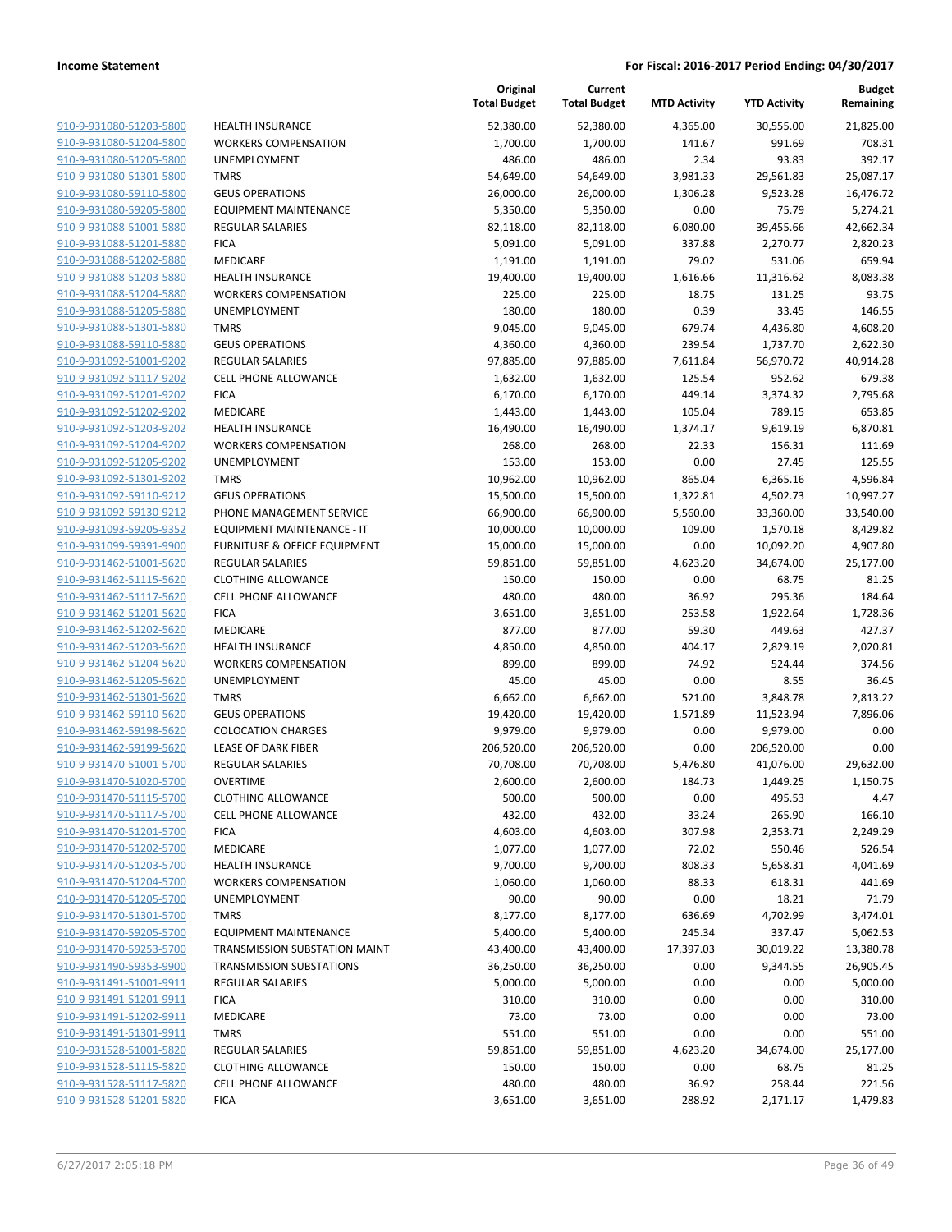| 910-9-931080-51203-5800<br>910-9-931080-51204-5800 | <b>HEALTH INSURANCE</b><br><b>WORKERS COMPENSATION</b> |
|----------------------------------------------------|--------------------------------------------------------|
| 910-9-931080-51205-5800                            | <b>UNEMPLOYMENT</b>                                    |
| 910-9-931080-51301-5800                            | <b>TMRS</b>                                            |
| 910-9-931080-59110-5800                            | <b>GEUS OPERATIONS</b>                                 |
| 910-9-931080-59205-5800                            | <b>EQUIPMENT MAINTENANCE</b>                           |
| 910-9-931088-51001-5880                            | <b>REGULAR SALARIES</b>                                |
|                                                    | <b>FICA</b>                                            |
| 910-9-931088-51201-5880<br>910-9-931088-51202-5880 | <b>MEDICARE</b>                                        |
| 910-9-931088-51203-5880                            | <b>HEALTH INSURANCE</b>                                |
| 910-9-931088-51204-5880                            | <b>WORKERS COMPENSATION</b>                            |
| 910-9-931088-51205-5880                            | <b>UNEMPLOYMENT</b>                                    |
| 910-9-931088-51301-5880                            | <b>TMRS</b>                                            |
| 910-9-931088-59110-5880                            | <b>GEUS OPERATIONS</b>                                 |
| 910-9-931092-51001-9202                            | <b>REGULAR SALARIES</b>                                |
| 910-9-931092-51117-9202                            | <b>CELL PHONE ALLOWANCE</b>                            |
| 910-9-931092-51201-9202                            | <b>FICA</b>                                            |
| 910-9-931092-51202-9202                            | <b>MEDICARE</b>                                        |
| 910-9-931092-51203-9202                            | <b>HEALTH INSURANCE</b>                                |
| 910-9-931092-51204-9202                            | WORKERS COMPENSATION                                   |
| 910-9-931092-51205-9202                            | <b>UNEMPLOYMENT</b>                                    |
| 910-9-931092-51301-9202                            | <b>TMRS</b>                                            |
| 910-9-931092-59110-9212                            | <b>GEUS OPERATIONS</b>                                 |
| 910-9-931092-59130-9212                            | PHONE MANAGEMENT SERVICE                               |
| 910-9-931093-59205-9352                            | EQUIPMENT MAINTENANCE - IT                             |
| 910-9-931099-59391-9900                            | <b>FURNITURE &amp; OFFICE EQUIPMEN</b>                 |
| 910-9-931462-51001-5620                            | <b>REGULAR SALARIES</b>                                |
| 910-9-931462-51115-5620                            | <b>CLOTHING ALLOWANCE</b>                              |
| 910-9-931462-51117-5620                            | <b>CELL PHONE ALLOWANCE</b>                            |
| 910-9-931462-51201-5620                            | <b>FICA</b>                                            |
| 910-9-931462-51202-5620                            | <b>MEDICARE</b>                                        |
| 910-9-931462-51203-5620                            | <b>HEALTH INSURANCE</b>                                |
| 910-9-931462-51204-5620                            | WORKERS COMPENSATION                                   |
| 910-9-931462-51205-5620                            | <b>UNEMPLOYMENT</b>                                    |
| 910-9-931462-51301-5620                            | TMRS                                                   |
| 910-9-931462-59110-5620                            | <b>GEUS OPERATIONS</b>                                 |
| 910-9-931462-59198-5620                            | <b>COLOCATION CHARGES</b>                              |
| 910-9-931462-59199-5620                            | <b>LEASE OF DARK FIBER</b>                             |
| 910-9-931470-51001-5700                            | <b>REGULAR SALARIES</b>                                |
| 910-9-931470-51020-5700                            | <b>OVERTIME</b>                                        |
| 910-9-931470-51115-5700                            | CLOTHING ALLOWANCE                                     |
| 910-9-931470-51117-5700                            | CELL PHONE ALLOWANCE                                   |
| 910-9-931470-51201-5700<br>910-9-931470-51202-5700 | <b>FICA</b><br><b>MEDICARE</b>                         |
| 910-9-931470-51203-5700                            | <b>HEALTH INSURANCE</b>                                |
| 910-9-931470-51204-5700                            | <b>WORKERS COMPENSATION</b>                            |
| 910-9-931470-51205-5700                            | <b>UNEMPLOYMENT</b>                                    |
| 910-9-931470-51301-5700                            | <b>TMRS</b>                                            |
| 910-9-931470-59205-5700                            | <b>EQUIPMENT MAINTENANCE</b>                           |
| 910-9-931470-59253-5700                            | TRANSMISSION SUBSTATION MA                             |
| 910-9-931490-59353-9900                            | TRANSMISSION SUBSTATIONS                               |
| 910-9-931491-51001-9911                            | <b>REGULAR SALARIES</b>                                |
| 910-9-931491-51201-9911                            | <b>FICA</b>                                            |
| 910-9-931491-51202-9911                            | <b>MEDICARE</b>                                        |
| 910-9-931491-51301-9911                            | <b>TMRS</b>                                            |
| 910-9-931528-51001-5820                            | <b>REGULAR SALARIES</b>                                |
| 910-9-931528-51115-5820                            | <b>CLOTHING ALLOWANCE</b>                              |
| 910-9-931528-51117-5820                            | <b>CELL PHONE ALLOWANCE</b>                            |
| 910-9-931528-51201-5820                            | <b>FICA</b>                                            |
|                                                    |                                                        |

|                         |                                 | Original<br><b>Total Budget</b> | Current<br><b>Total Budget</b> | <b>MTD Activity</b> | <b>YTD Activity</b> | <b>Budget</b><br>Remaining |
|-------------------------|---------------------------------|---------------------------------|--------------------------------|---------------------|---------------------|----------------------------|
| 910-9-931080-51203-5800 | <b>HEALTH INSURANCE</b>         | 52,380.00                       | 52,380.00                      | 4,365.00            | 30,555.00           | 21,825.00                  |
| 910-9-931080-51204-5800 | <b>WORKERS COMPENSATION</b>     | 1,700.00                        | 1,700.00                       | 141.67              | 991.69              | 708.31                     |
| 910-9-931080-51205-5800 | UNEMPLOYMENT                    | 486.00                          | 486.00                         | 2.34                | 93.83               | 392.17                     |
| 910-9-931080-51301-5800 | <b>TMRS</b>                     | 54,649.00                       | 54,649.00                      | 3,981.33            | 29,561.83           | 25,087.17                  |
| 910-9-931080-59110-5800 | <b>GEUS OPERATIONS</b>          | 26,000.00                       | 26,000.00                      | 1,306.28            | 9,523.28            | 16,476.72                  |
| 910-9-931080-59205-5800 | <b>EQUIPMENT MAINTENANCE</b>    | 5,350.00                        | 5,350.00                       | 0.00                | 75.79               | 5,274.21                   |
| 910-9-931088-51001-5880 | <b>REGULAR SALARIES</b>         | 82,118.00                       | 82,118.00                      | 6,080.00            | 39,455.66           | 42,662.34                  |
| 910-9-931088-51201-5880 | <b>FICA</b>                     | 5,091.00                        | 5,091.00                       | 337.88              | 2,270.77            | 2,820.23                   |
| 910-9-931088-51202-5880 | MEDICARE                        | 1,191.00                        | 1,191.00                       | 79.02               | 531.06              | 659.94                     |
| 910-9-931088-51203-5880 | <b>HEALTH INSURANCE</b>         | 19,400.00                       | 19,400.00                      | 1,616.66            | 11,316.62           | 8,083.38                   |
| 910-9-931088-51204-5880 | <b>WORKERS COMPENSATION</b>     | 225.00                          | 225.00                         | 18.75               | 131.25              | 93.75                      |
| 910-9-931088-51205-5880 | UNEMPLOYMENT                    | 180.00                          | 180.00                         | 0.39                | 33.45               | 146.55                     |
| 910-9-931088-51301-5880 | <b>TMRS</b>                     | 9,045.00                        | 9,045.00                       | 679.74              | 4,436.80            | 4,608.20                   |
| 910-9-931088-59110-5880 | <b>GEUS OPERATIONS</b>          | 4,360.00                        | 4,360.00                       | 239.54              | 1,737.70            | 2,622.30                   |
| 910-9-931092-51001-9202 | <b>REGULAR SALARIES</b>         | 97,885.00                       | 97,885.00                      | 7,611.84            | 56,970.72           | 40,914.28                  |
| 910-9-931092-51117-9202 | <b>CELL PHONE ALLOWANCE</b>     | 1,632.00                        | 1,632.00                       | 125.54              | 952.62              | 679.38                     |
| 910-9-931092-51201-9202 | <b>FICA</b>                     | 6,170.00                        | 6,170.00                       | 449.14              | 3,374.32            | 2,795.68                   |
| 910-9-931092-51202-9202 | MEDICARE                        | 1,443.00                        | 1,443.00                       | 105.04              | 789.15              | 653.85                     |
| 910-9-931092-51203-9202 | <b>HEALTH INSURANCE</b>         | 16,490.00                       | 16,490.00                      | 1,374.17            | 9,619.19            | 6,870.81                   |
| 910-9-931092-51204-9202 | <b>WORKERS COMPENSATION</b>     | 268.00                          | 268.00                         | 22.33               | 156.31              | 111.69                     |
| 910-9-931092-51205-9202 | UNEMPLOYMENT                    | 153.00                          | 153.00                         | 0.00                | 27.45               | 125.55                     |
| 910-9-931092-51301-9202 | <b>TMRS</b>                     | 10,962.00                       | 10,962.00                      | 865.04              | 6,365.16            | 4,596.84                   |
| 910-9-931092-59110-9212 | <b>GEUS OPERATIONS</b>          | 15,500.00                       | 15,500.00                      | 1,322.81            | 4,502.73            | 10,997.27                  |
| 910-9-931092-59130-9212 | PHONE MANAGEMENT SERVICE        | 66,900.00                       | 66,900.00                      | 5,560.00            | 33,360.00           | 33,540.00                  |
| 910-9-931093-59205-9352 | EQUIPMENT MAINTENANCE - IT      | 10,000.00                       | 10,000.00                      | 109.00              | 1,570.18            | 8,429.82                   |
| 910-9-931099-59391-9900 | FURNITURE & OFFICE EQUIPMENT    | 15,000.00                       | 15,000.00                      | 0.00                | 10,092.20           | 4,907.80                   |
| 910-9-931462-51001-5620 | <b>REGULAR SALARIES</b>         | 59,851.00                       | 59,851.00                      | 4,623.20            | 34,674.00           | 25,177.00                  |
| 910-9-931462-51115-5620 | <b>CLOTHING ALLOWANCE</b>       | 150.00                          | 150.00                         | 0.00                | 68.75               | 81.25                      |
| 910-9-931462-51117-5620 | <b>CELL PHONE ALLOWANCE</b>     | 480.00                          | 480.00                         | 36.92               | 295.36              | 184.64                     |
| 910-9-931462-51201-5620 | <b>FICA</b>                     | 3,651.00                        | 3,651.00                       | 253.58              | 1,922.64            | 1,728.36                   |
| 910-9-931462-51202-5620 | MEDICARE                        | 877.00                          | 877.00                         | 59.30               | 449.63              | 427.37                     |
| 910-9-931462-51203-5620 | <b>HEALTH INSURANCE</b>         | 4,850.00                        | 4,850.00                       | 404.17              | 2,829.19            | 2,020.81                   |
| 910-9-931462-51204-5620 | <b>WORKERS COMPENSATION</b>     | 899.00                          | 899.00                         | 74.92               | 524.44              | 374.56                     |
| 910-9-931462-51205-5620 | UNEMPLOYMENT                    | 45.00                           | 45.00                          | 0.00                | 8.55                | 36.45                      |
| 910-9-931462-51301-5620 | <b>TMRS</b>                     | 6,662.00                        | 6,662.00                       | 521.00              | 3,848.78            | 2,813.22                   |
| 910-9-931462-59110-5620 | <b>GEUS OPERATIONS</b>          | 19,420.00                       | 19,420.00                      | 1,571.89            | 11,523.94           | 7,896.06                   |
| 910-9-931462-59198-5620 | <b>COLOCATION CHARGES</b>       | 9,979.00                        | 9,979.00                       | 0.00                | 9,979.00            | 0.00                       |
| 910-9-931462-59199-5620 | <b>LEASE OF DARK FIBER</b>      | 206,520.00                      | 206,520.00                     | 0.00                | 206,520.00          | 0.00                       |
| 910-9-931470-51001-5700 | <b>REGULAR SALARIES</b>         | 70,708.00                       | 70,708.00                      | 5,476.80            | 41,076.00           | 29,632.00                  |
| 910-9-931470-51020-5700 | <b>OVERTIME</b>                 | 2,600.00                        | 2,600.00                       | 184.73              | 1,449.25            | 1,150.75                   |
| 910-9-931470-51115-5700 | <b>CLOTHING ALLOWANCE</b>       | 500.00                          | 500.00                         | 0.00                | 495.53              | 4.47                       |
| 910-9-931470-51117-5700 | <b>CELL PHONE ALLOWANCE</b>     | 432.00                          | 432.00                         | 33.24               | 265.90              | 166.10                     |
| 910-9-931470-51201-5700 | <b>FICA</b>                     | 4,603.00                        | 4,603.00                       | 307.98              | 2,353.71            | 2,249.29                   |
| 910-9-931470-51202-5700 | MEDICARE                        | 1,077.00                        | 1,077.00                       | 72.02               | 550.46              | 526.54                     |
| 910-9-931470-51203-5700 | <b>HEALTH INSURANCE</b>         | 9,700.00                        | 9,700.00                       | 808.33              | 5,658.31            | 4,041.69                   |
| 910-9-931470-51204-5700 | <b>WORKERS COMPENSATION</b>     | 1,060.00                        | 1,060.00                       | 88.33               | 618.31              | 441.69                     |
| 910-9-931470-51205-5700 | UNEMPLOYMENT                    | 90.00                           | 90.00                          | 0.00                | 18.21               | 71.79                      |
| 910-9-931470-51301-5700 | <b>TMRS</b>                     | 8,177.00                        | 8,177.00                       | 636.69              | 4,702.99            | 3,474.01                   |
| 910-9-931470-59205-5700 | <b>EQUIPMENT MAINTENANCE</b>    | 5,400.00                        | 5,400.00                       | 245.34              | 337.47              | 5,062.53                   |
| 910-9-931470-59253-5700 | TRANSMISSION SUBSTATION MAINT   | 43,400.00                       | 43,400.00                      | 17,397.03           | 30,019.22           | 13,380.78                  |
| 910-9-931490-59353-9900 | <b>TRANSMISSION SUBSTATIONS</b> | 36,250.00                       | 36,250.00                      | 0.00                | 9,344.55            | 26,905.45                  |
| 910-9-931491-51001-9911 | <b>REGULAR SALARIES</b>         | 5,000.00                        | 5,000.00                       | 0.00                | 0.00                | 5,000.00                   |
| 910-9-931491-51201-9911 | <b>FICA</b>                     | 310.00                          | 310.00                         | 0.00                | 0.00                | 310.00                     |
| 910-9-931491-51202-9911 | MEDICARE                        | 73.00                           | 73.00                          | 0.00                | 0.00                | 73.00                      |
| 910-9-931491-51301-9911 | <b>TMRS</b>                     | 551.00                          | 551.00                         | 0.00                | 0.00                | 551.00                     |
| 910-9-931528-51001-5820 | REGULAR SALARIES                | 59,851.00                       | 59,851.00                      | 4,623.20            | 34,674.00           | 25,177.00                  |
| 910-9-931528-51115-5820 | <b>CLOTHING ALLOWANCE</b>       | 150.00                          | 150.00                         | 0.00                | 68.75               | 81.25                      |
| 910-9-931528-51117-5820 | <b>CELL PHONE ALLOWANCE</b>     | 480.00                          | 480.00                         | 36.92               | 258.44              | 221.56                     |
| 910-9-931528-51201-5820 | <b>FICA</b>                     | 3,651.00                        | 3,651.00                       | 288.92              | 2,171.17            | 1,479.83                   |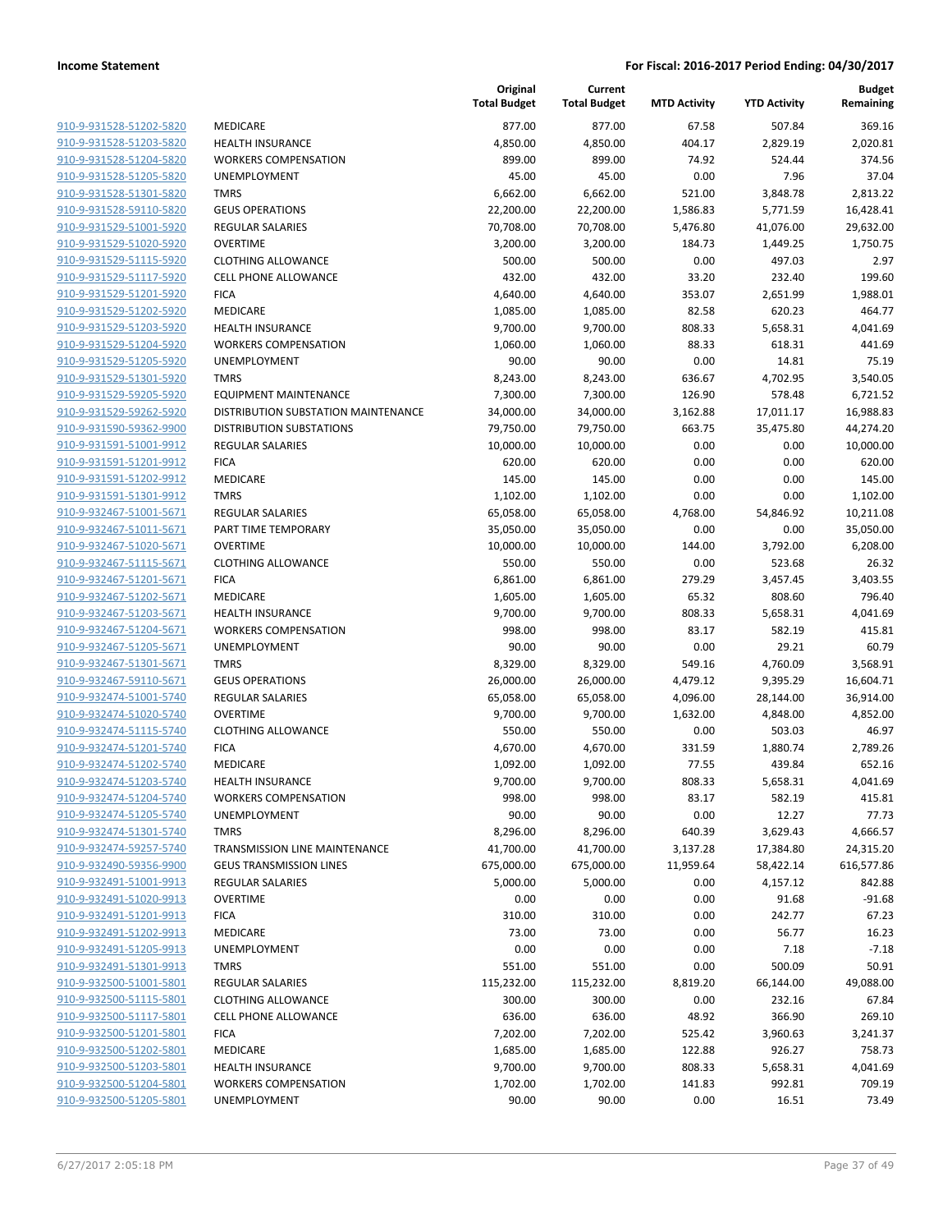| 910-9-931528-51202-5820 | MEDICARE                          |
|-------------------------|-----------------------------------|
| 910-9-931528-51203-5820 | <b>HEALTH INSURANCE</b>           |
| 910-9-931528-51204-5820 | <b>WORKERS COMPENSATION</b>       |
| 910-9-931528-51205-5820 | UNEMPLOYMENT                      |
| 910-9-931528-51301-5820 | <b>TMRS</b>                       |
| 910-9-931528-59110-5820 | <b>GEUS OPERATIONS</b>            |
| 910-9-931529-51001-5920 | <b>REGULAR SALARIES</b>           |
| 910-9-931529-51020-5920 | <b>OVERTIME</b>                   |
| 910-9-931529-51115-5920 | <b>CLOTHING ALLOWANCE</b>         |
| 910-9-931529-51117-5920 | <b>CELL PHONE ALLOWANCE</b>       |
| 910-9-931529-51201-5920 | <b>FICA</b>                       |
| 910-9-931529-51202-5920 | <b>MEDICARE</b>                   |
| 910-9-931529-51203-5920 | <b>HEALTH INSURANCE</b>           |
| 910-9-931529-51204-5920 | <b>WORKERS COMPENSATION</b>       |
| 910-9-931529-51205-5920 | UNEMPLOYMENT                      |
| 910-9-931529-51301-5920 | TMRS                              |
| 910-9-931529-59205-5920 | <b>EQUIPMENT MAINTENANCE</b>      |
| 910-9-931529-59262-5920 | DISTRIBUTION SUBSTATION MA        |
| 910-9-931590-59362-9900 | DISTRIBUTION SUBSTATIONS          |
| 910-9-931591-51001-9912 | <b>REGULAR SALARIES</b>           |
| 910-9-931591-51201-9912 | <b>FICA</b>                       |
| 910-9-931591-51202-9912 | <b>MEDICARE</b>                   |
| 910-9-931591-51301-9912 | <b>TMRS</b>                       |
| 910-9-932467-51001-5671 | <b>REGULAR SALARIES</b>           |
| 910-9-932467-51011-5671 | PART TIME TEMPORARY               |
| 910-9-932467-51020-5671 | OVERTIME                          |
| 910-9-932467-51115-5671 | <b>CLOTHING ALLOWANCE</b>         |
| 910-9-932467-51201-5671 | <b>FICA</b>                       |
| 910-9-932467-51202-5671 | MEDICARE                          |
| 910-9-932467-51203-5671 | <b>HEALTH INSURANCE</b>           |
| 910-9-932467-51204-5671 | <b>WORKERS COMPENSATION</b>       |
| 910-9-932467-51205-5671 | <b>UNEMPLOYMENT</b>               |
| 910-9-932467-51301-5671 | <b>TMRS</b>                       |
| 910-9-932467-59110-5671 | <b>GEUS OPERATIONS</b>            |
| 910-9-932474-51001-5740 | <b>REGULAR SALARIES</b>           |
| 910-9-932474-51020-5740 | OVERTIME                          |
| 910-9-932474-51115-5740 | <b>CLOTHING ALLOWANCE</b>         |
| 910-9-932474-51201-5740 | <b>FICA</b>                       |
| 910-9-932474-51202-5740 | MEDICARE                          |
| 910-9-932474-51203-5740 | <b>HEALTH INSURANCE</b>           |
| 910-9-932474-51204-5740 | <b>WORKERS COMPENSATION</b>       |
| 910-9-932474-51205-5740 | UNEMPLOYMENT                      |
| 910-9-932474-51301-5740 | TMRS                              |
| 910-9-932474-59257-5740 | <b>TRANSMISSION LINE MAINTENA</b> |
| 910-9-932490-59356-9900 | <b>GEUS TRANSMISSION LINES</b>    |
| 910-9-932491-51001-9913 | <b>REGULAR SALARIES</b>           |
| 910-9-932491-51020-9913 | <b>OVERTIME</b>                   |
| 910-9-932491-51201-9913 | <b>FICA</b>                       |
| 910-9-932491-51202-9913 | MEDICARE                          |
| 910-9-932491-51205-9913 | UNEMPLOYMENT                      |
| 910-9-932491-51301-9913 | TMRS                              |
| 910-9-932500-51001-5801 | <b>REGULAR SALARIES</b>           |
| 910-9-932500-51115-5801 | <b>CLOTHING ALLOWANCE</b>         |
| 910-9-932500-51117-5801 | <b>CELL PHONE ALLOWANCE</b>       |
| 910-9-932500-51201-5801 | <b>FICA</b>                       |
| 910-9-932500-51202-5801 | MEDICARE                          |
| 910-9-932500-51203-5801 | <b>HEALTH INSURANCE</b>           |
| 910-9-932500-51204-5801 | <b>WORKERS COMPENSATION</b>       |
| 910-9-932500-51205-5801 | <b>UNEMPLOYMENT</b>               |
|                         |                                   |

|                         |                                      | Original<br><b>Total Budget</b> | Current<br><b>Total Budget</b> | <b>MTD Activity</b> | <b>YTD Activity</b> | <b>Budget</b><br>Remaining |
|-------------------------|--------------------------------------|---------------------------------|--------------------------------|---------------------|---------------------|----------------------------|
| 910-9-931528-51202-5820 | MEDICARE                             | 877.00                          | 877.00                         | 67.58               | 507.84              | 369.16                     |
| 910-9-931528-51203-5820 | <b>HEALTH INSURANCE</b>              | 4,850.00                        | 4,850.00                       | 404.17              | 2,829.19            | 2,020.81                   |
| 910-9-931528-51204-5820 | <b>WORKERS COMPENSATION</b>          | 899.00                          | 899.00                         | 74.92               | 524.44              | 374.56                     |
| 910-9-931528-51205-5820 | UNEMPLOYMENT                         | 45.00                           | 45.00                          | 0.00                | 7.96                | 37.04                      |
| 910-9-931528-51301-5820 | <b>TMRS</b>                          | 6,662.00                        | 6,662.00                       | 521.00              | 3,848.78            | 2,813.22                   |
| 910-9-931528-59110-5820 | <b>GEUS OPERATIONS</b>               | 22,200.00                       | 22,200.00                      | 1,586.83            | 5,771.59            | 16,428.41                  |
| 910-9-931529-51001-5920 | REGULAR SALARIES                     | 70,708.00                       | 70,708.00                      | 5,476.80            | 41,076.00           | 29,632.00                  |
| 910-9-931529-51020-5920 | <b>OVERTIME</b>                      | 3,200.00                        | 3,200.00                       | 184.73              | 1,449.25            | 1,750.75                   |
| 910-9-931529-51115-5920 | <b>CLOTHING ALLOWANCE</b>            | 500.00                          | 500.00                         | 0.00                | 497.03              | 2.97                       |
| 910-9-931529-51117-5920 | <b>CELL PHONE ALLOWANCE</b>          | 432.00                          | 432.00                         | 33.20               | 232.40              | 199.60                     |
| 910-9-931529-51201-5920 | <b>FICA</b>                          | 4,640.00                        | 4,640.00                       | 353.07              | 2,651.99            | 1,988.01                   |
| 910-9-931529-51202-5920 | MEDICARE                             | 1,085.00                        | 1,085.00                       | 82.58               | 620.23              | 464.77                     |
| 910-9-931529-51203-5920 | <b>HEALTH INSURANCE</b>              | 9,700.00                        | 9,700.00                       | 808.33              | 5,658.31            | 4,041.69                   |
| 910-9-931529-51204-5920 | <b>WORKERS COMPENSATION</b>          | 1,060.00                        | 1,060.00                       | 88.33               | 618.31              | 441.69                     |
| 910-9-931529-51205-5920 | UNEMPLOYMENT                         | 90.00                           | 90.00                          | 0.00                | 14.81               | 75.19                      |
| 910-9-931529-51301-5920 | <b>TMRS</b>                          | 8,243.00                        | 8,243.00                       | 636.67              | 4,702.95            | 3,540.05                   |
| 910-9-931529-59205-5920 | <b>EQUIPMENT MAINTENANCE</b>         | 7,300.00                        | 7,300.00                       | 126.90              | 578.48              | 6,721.52                   |
| 910-9-931529-59262-5920 | DISTRIBUTION SUBSTATION MAINTENANCE  | 34,000.00                       | 34,000.00                      | 3,162.88            | 17,011.17           | 16,988.83                  |
| 910-9-931590-59362-9900 | <b>DISTRIBUTION SUBSTATIONS</b>      | 79,750.00                       | 79,750.00                      | 663.75              | 35,475.80           | 44,274.20                  |
| 910-9-931591-51001-9912 | <b>REGULAR SALARIES</b>              | 10,000.00                       | 10,000.00                      | 0.00                | 0.00                | 10,000.00                  |
| 910-9-931591-51201-9912 | <b>FICA</b>                          | 620.00                          | 620.00                         | 0.00                | 0.00                | 620.00                     |
| 910-9-931591-51202-9912 | <b>MEDICARE</b>                      | 145.00                          | 145.00                         | 0.00                | 0.00                | 145.00                     |
| 910-9-931591-51301-9912 | <b>TMRS</b>                          | 1,102.00                        | 1,102.00                       | 0.00                | 0.00                | 1,102.00                   |
| 910-9-932467-51001-5671 | <b>REGULAR SALARIES</b>              | 65,058.00                       | 65,058.00                      | 4,768.00            | 54,846.92           | 10,211.08                  |
| 910-9-932467-51011-5671 | PART TIME TEMPORARY                  | 35,050.00                       | 35,050.00                      | 0.00                | 0.00                | 35,050.00                  |
| 910-9-932467-51020-5671 | <b>OVERTIME</b>                      | 10,000.00                       | 10,000.00                      | 144.00              | 3,792.00            | 6,208.00                   |
| 910-9-932467-51115-5671 | <b>CLOTHING ALLOWANCE</b>            | 550.00                          | 550.00                         | 0.00                | 523.68              | 26.32                      |
| 910-9-932467-51201-5671 | <b>FICA</b>                          | 6,861.00                        | 6,861.00                       | 279.29              | 3,457.45            | 3,403.55                   |
| 910-9-932467-51202-5671 | <b>MEDICARE</b>                      | 1,605.00                        | 1,605.00                       | 65.32               | 808.60              | 796.40                     |
| 910-9-932467-51203-5671 | <b>HEALTH INSURANCE</b>              | 9,700.00                        | 9,700.00                       | 808.33              | 5,658.31            | 4,041.69                   |
| 910-9-932467-51204-5671 | <b>WORKERS COMPENSATION</b>          | 998.00                          | 998.00                         | 83.17               | 582.19              | 415.81                     |
| 910-9-932467-51205-5671 | UNEMPLOYMENT                         | 90.00                           | 90.00                          | 0.00                | 29.21               | 60.79                      |
| 910-9-932467-51301-5671 | <b>TMRS</b>                          | 8,329.00                        | 8,329.00                       | 549.16              | 4,760.09            | 3,568.91                   |
| 910-9-932467-59110-5671 | <b>GEUS OPERATIONS</b>               | 26,000.00                       | 26,000.00                      | 4,479.12            | 9,395.29            | 16,604.71                  |
| 910-9-932474-51001-5740 | <b>REGULAR SALARIES</b>              | 65,058.00                       | 65,058.00                      | 4,096.00            | 28,144.00           | 36,914.00                  |
| 910-9-932474-51020-5740 | <b>OVERTIME</b>                      | 9,700.00                        | 9,700.00                       | 1,632.00            | 4,848.00            | 4,852.00                   |
| 910-9-932474-51115-5740 | <b>CLOTHING ALLOWANCE</b>            | 550.00                          | 550.00                         | 0.00                | 503.03              | 46.97                      |
| 910-9-932474-51201-5740 | <b>FICA</b>                          | 4,670.00                        | 4,670.00                       | 331.59              | 1,880.74            | 2,789.26                   |
| 910-9-932474-51202-5740 | MEDICARE                             | 1,092.00                        | 1,092.00                       | 77.55               | 439.84              | 652.16                     |
| 910-9-932474-51203-5740 | <b>HEALTH INSURANCE</b>              | 9,700.00                        | 9,700.00                       | 808.33              | 5,658.31            | 4,041.69                   |
| 910-9-932474-51204-5740 | <b>WORKERS COMPENSATION</b>          | 998.00                          | 998.00                         | 83.17               | 582.19              | 415.81                     |
| 910-9-932474-51205-5740 | <b>UNEMPLOYMENT</b>                  | 90.00                           | 90.00                          | 0.00                | 12.27               | 77.73                      |
| 910-9-932474-51301-5740 | <b>TMRS</b>                          | 8,296.00                        | 8,296.00                       | 640.39              | 3,629.43            | 4,666.57                   |
| 910-9-932474-59257-5740 | <b>TRANSMISSION LINE MAINTENANCE</b> | 41,700.00                       | 41,700.00                      | 3,137.28            | 17,384.80           | 24,315.20                  |
| 910-9-932490-59356-9900 | <b>GEUS TRANSMISSION LINES</b>       | 675,000.00                      | 675,000.00                     | 11,959.64           | 58,422.14           | 616,577.86                 |
| 910-9-932491-51001-9913 | REGULAR SALARIES                     | 5,000.00                        | 5,000.00                       | 0.00                | 4,157.12            | 842.88                     |
| 910-9-932491-51020-9913 | <b>OVERTIME</b>                      | 0.00                            | 0.00                           | 0.00                | 91.68               | $-91.68$                   |
| 910-9-932491-51201-9913 | <b>FICA</b>                          | 310.00                          | 310.00                         | 0.00                | 242.77              | 67.23                      |
| 910-9-932491-51202-9913 | MEDICARE                             | 73.00                           | 73.00                          | 0.00                | 56.77               | 16.23                      |
| 910-9-932491-51205-9913 | <b>UNEMPLOYMENT</b>                  | 0.00                            | 0.00                           | 0.00                | 7.18                | $-7.18$                    |
| 910-9-932491-51301-9913 | TMRS                                 | 551.00                          | 551.00                         | 0.00                | 500.09              | 50.91                      |
| 910-9-932500-51001-5801 | <b>REGULAR SALARIES</b>              | 115,232.00                      | 115,232.00                     | 8,819.20            | 66,144.00           | 49,088.00                  |
| 910-9-932500-51115-5801 | <b>CLOTHING ALLOWANCE</b>            | 300.00                          | 300.00                         | 0.00                | 232.16              | 67.84                      |
| 910-9-932500-51117-5801 | <b>CELL PHONE ALLOWANCE</b>          | 636.00                          | 636.00                         | 48.92               | 366.90              | 269.10                     |
| 910-9-932500-51201-5801 | <b>FICA</b>                          | 7,202.00                        | 7,202.00                       | 525.42              | 3,960.63            | 3,241.37                   |
| 910-9-932500-51202-5801 | MEDICARE                             | 1,685.00                        | 1,685.00                       | 122.88              | 926.27              | 758.73                     |
| 910-9-932500-51203-5801 | <b>HEALTH INSURANCE</b>              | 9,700.00                        | 9,700.00                       | 808.33              | 5,658.31            | 4,041.69                   |
| 910-9-932500-51204-5801 | <b>WORKERS COMPENSATION</b>          | 1,702.00                        | 1,702.00                       | 141.83              | 992.81              | 709.19                     |
| 910-9-932500-51205-5801 | UNEMPLOYMENT                         | 90.00                           | 90.00                          | 0.00                | 16.51               | 73.49                      |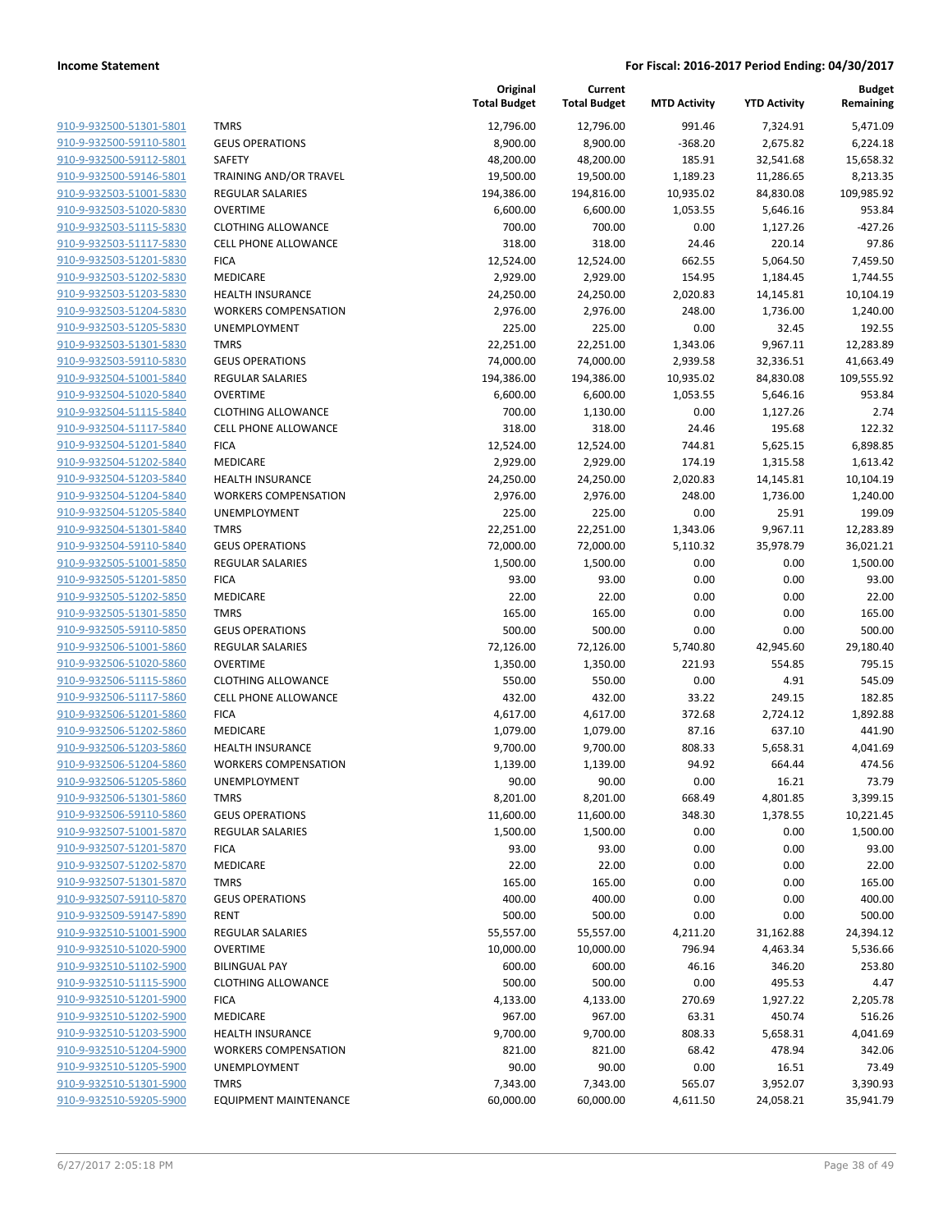| 910-9-932500-51301-5801        |
|--------------------------------|
| 910-9-932500-59110-5801        |
| 910-9-932500-59112-5801        |
| 910-9-932500-59146-5801        |
| <u>910-9-932503-51001-5830</u> |
| 910-9-932503-51020-5830        |
| 910-9-932503-51115-5830        |
| 910-9-932503-51117-5830        |
| 910-9-932503-51201-5830        |
| 910-9-932503-51202-5830        |
| 910-9-932503-51203-5830        |
| 910-9-932503-51204-5830        |
| 910-9-932503-51205-5830        |
| 910-9-932503-51301-5830        |
| <u>910-9-932503-59110-5830</u> |
| 910-9-932504-51001-5840        |
| 910-9-932504-51020-5840        |
| 910-9-932504-51115-5840        |
| 910-9-932504-51117-5840        |
| 910-9-932504-51201-5840        |
| 910-9-932504-51202-5840        |
| 910-9-932504-51203-5840        |
| 910-9-932504-51204-5840        |
| 910-9-932504-51205-5840        |
| 910-9-932504-51301-5840        |
| 910-9-932504-59110-5840        |
| 910-9-932505-51001-5850        |
| 910-9-932505-51201-5850        |
| 910-9-932505-51202-5850        |
| 910-9-932505-51301-5850        |
| 910-9-932505-59110-5850        |
| 910-9-932506-51001-5860        |
| 910-9-932506-51020-5860        |
| 910-9-932506-51115-5860        |
| <u>910-9-932506-51117-5860</u> |
| 910-9-932506-51201-5860        |
| 910-9-932506-51202-5860        |
| 910-9-932506-51203-5860        |
| 910-9-932506-51204-5860        |
| 910-9-932506-51205-5860        |
| 910-9-932506-51301-5860        |
| 910-9-932506-59110-5860        |
| 910-9-932507-51001-5870        |
| 910-9-932507-51201-5870        |
| 910-9-932507-51202-5870        |
| 910-9-932507-51301-5870        |
| 910-9-932507-59110-5870        |
| 910-9-932509-59147-5890        |
| 910-9-932510-51001-5900        |
| <u>910-9-932510-51020-5900</u> |
| 910-9-932510-51102-5900        |
| 910-9-932510-51115-5900        |
| 910-9-932510-51201-5900        |
| 910-9-932510-51202-5900        |
| 910-9-932510-51203-5900        |
| 910-9-932510-51204-5900        |
| 910-9-932510-51205-5900        |
| 910-9-932510-51301-5900        |
| 910-9-932510-59205-5900        |
|                                |

|                                                    |                              | Original<br><b>Total Budget</b> | Current<br><b>Total Budget</b> | <b>MTD Activity</b> | <b>YTD Activity</b> | <b>Budget</b><br>Remaining |
|----------------------------------------------------|------------------------------|---------------------------------|--------------------------------|---------------------|---------------------|----------------------------|
| 910-9-932500-51301-5801                            | <b>TMRS</b>                  | 12,796.00                       | 12,796.00                      | 991.46              | 7,324.91            | 5,471.09                   |
| 910-9-932500-59110-5801                            | <b>GEUS OPERATIONS</b>       | 8,900.00                        | 8,900.00                       | $-368.20$           | 2,675.82            | 6,224.18                   |
| 910-9-932500-59112-5801                            | <b>SAFETY</b>                | 48,200.00                       | 48,200.00                      | 185.91              | 32,541.68           | 15,658.32                  |
| 910-9-932500-59146-5801                            | TRAINING AND/OR TRAVEL       | 19,500.00                       | 19,500.00                      | 1,189.23            | 11,286.65           | 8,213.35                   |
| 910-9-932503-51001-5830                            | <b>REGULAR SALARIES</b>      | 194,386.00                      | 194,816.00                     | 10,935.02           | 84,830.08           | 109,985.92                 |
| 910-9-932503-51020-5830                            | <b>OVERTIME</b>              | 6,600.00                        | 6,600.00                       | 1,053.55            | 5,646.16            | 953.84                     |
| 910-9-932503-51115-5830                            | <b>CLOTHING ALLOWANCE</b>    | 700.00                          | 700.00                         | 0.00                | 1,127.26            | $-427.26$                  |
| 910-9-932503-51117-5830                            | <b>CELL PHONE ALLOWANCE</b>  | 318.00                          | 318.00                         | 24.46               | 220.14              | 97.86                      |
| 910-9-932503-51201-5830                            | <b>FICA</b>                  | 12,524.00                       | 12,524.00                      | 662.55              | 5,064.50            | 7,459.50                   |
| 910-9-932503-51202-5830                            | MEDICARE                     | 2,929.00                        | 2,929.00                       | 154.95              | 1,184.45            | 1,744.55                   |
| 910-9-932503-51203-5830                            | <b>HEALTH INSURANCE</b>      | 24,250.00                       | 24,250.00                      | 2,020.83            | 14,145.81           | 10,104.19                  |
| 910-9-932503-51204-5830                            | <b>WORKERS COMPENSATION</b>  | 2,976.00                        | 2,976.00                       | 248.00              | 1,736.00            | 1,240.00                   |
| 910-9-932503-51205-5830                            | <b>UNEMPLOYMENT</b>          | 225.00                          | 225.00                         | 0.00                | 32.45               | 192.55                     |
| 910-9-932503-51301-5830                            | <b>TMRS</b>                  | 22,251.00                       | 22,251.00                      | 1,343.06            | 9,967.11            | 12,283.89                  |
| 910-9-932503-59110-5830                            | <b>GEUS OPERATIONS</b>       | 74,000.00                       | 74,000.00                      | 2,939.58            | 32,336.51           | 41,663.49                  |
| 910-9-932504-51001-5840                            | <b>REGULAR SALARIES</b>      | 194,386.00                      | 194,386.00                     | 10,935.02           | 84,830.08           | 109,555.92                 |
| 910-9-932504-51020-5840                            | <b>OVERTIME</b>              | 6,600.00                        | 6,600.00                       | 1,053.55            | 5,646.16            | 953.84                     |
| 910-9-932504-51115-5840                            | <b>CLOTHING ALLOWANCE</b>    | 700.00                          | 1,130.00                       | 0.00                | 1,127.26            | 2.74                       |
| 910-9-932504-51117-5840                            | CELL PHONE ALLOWANCE         | 318.00                          | 318.00                         | 24.46               | 195.68              | 122.32                     |
| 910-9-932504-51201-5840                            | <b>FICA</b>                  | 12,524.00                       | 12,524.00                      | 744.81              | 5,625.15            | 6,898.85                   |
| 910-9-932504-51202-5840                            | MEDICARE                     | 2,929.00                        | 2,929.00                       | 174.19              | 1,315.58            | 1,613.42                   |
| 910-9-932504-51203-5840                            | <b>HEALTH INSURANCE</b>      | 24,250.00                       | 24,250.00                      | 2,020.83            | 14,145.81           | 10,104.19                  |
| 910-9-932504-51204-5840                            | <b>WORKERS COMPENSATION</b>  | 2,976.00                        | 2,976.00                       | 248.00              | 1,736.00            | 1,240.00                   |
| 910-9-932504-51205-5840                            | UNEMPLOYMENT                 | 225.00                          | 225.00                         | 0.00                | 25.91               | 199.09                     |
| 910-9-932504-51301-5840                            | <b>TMRS</b>                  | 22,251.00                       | 22,251.00                      | 1,343.06            | 9,967.11            | 12,283.89                  |
| 910-9-932504-59110-5840                            | <b>GEUS OPERATIONS</b>       | 72,000.00                       | 72,000.00                      | 5,110.32            | 35,978.79           | 36,021.21                  |
| 910-9-932505-51001-5850                            | <b>REGULAR SALARIES</b>      | 1,500.00                        | 1,500.00                       | 0.00                | 0.00                | 1,500.00                   |
| 910-9-932505-51201-5850                            | <b>FICA</b>                  | 93.00                           | 93.00                          | 0.00                | 0.00                | 93.00                      |
| 910-9-932505-51202-5850<br>910-9-932505-51301-5850 | MEDICARE<br><b>TMRS</b>      | 22.00<br>165.00                 | 22.00<br>165.00                | 0.00<br>0.00        | 0.00<br>0.00        | 22.00<br>165.00            |
| 910-9-932505-59110-5850                            | <b>GEUS OPERATIONS</b>       | 500.00                          | 500.00                         | 0.00                | 0.00                | 500.00                     |
| 910-9-932506-51001-5860                            | <b>REGULAR SALARIES</b>      | 72,126.00                       | 72,126.00                      | 5,740.80            | 42,945.60           | 29,180.40                  |
| 910-9-932506-51020-5860                            | <b>OVERTIME</b>              | 1,350.00                        | 1,350.00                       | 221.93              | 554.85              | 795.15                     |
| 910-9-932506-51115-5860                            | <b>CLOTHING ALLOWANCE</b>    | 550.00                          | 550.00                         | 0.00                | 4.91                | 545.09                     |
| 910-9-932506-51117-5860                            | CELL PHONE ALLOWANCE         | 432.00                          | 432.00                         | 33.22               | 249.15              | 182.85                     |
| 910-9-932506-51201-5860                            | <b>FICA</b>                  | 4,617.00                        | 4,617.00                       | 372.68              | 2,724.12            | 1,892.88                   |
| 910-9-932506-51202-5860                            | MEDICARE                     | 1,079.00                        | 1,079.00                       | 87.16               | 637.10              | 441.90                     |
| 910-9-932506-51203-5860                            | HEALTH INSURANCE             | 9,700.00                        | 9,700.00                       | 808.33              | 5,658.31            | 4,041.69                   |
| 910-9-932506-51204-5860                            | <b>WORKERS COMPENSATION</b>  | 1,139.00                        | 1,139.00                       | 94.92               | 664.44              | 474.56                     |
| 910-9-932506-51205-5860                            | UNEMPLOYMENT                 | 90.00                           | 90.00                          | 0.00                | 16.21               | 73.79                      |
| 910-9-932506-51301-5860                            | <b>TMRS</b>                  | 8,201.00                        | 8,201.00                       | 668.49              | 4,801.85            | 3,399.15                   |
| 910-9-932506-59110-5860                            | <b>GEUS OPERATIONS</b>       | 11,600.00                       | 11,600.00                      | 348.30              | 1,378.55            | 10,221.45                  |
| 910-9-932507-51001-5870                            | <b>REGULAR SALARIES</b>      | 1,500.00                        | 1,500.00                       | 0.00                | 0.00                | 1,500.00                   |
| 910-9-932507-51201-5870                            | <b>FICA</b>                  | 93.00                           | 93.00                          | 0.00                | 0.00                | 93.00                      |
| 910-9-932507-51202-5870                            | MEDICARE                     | 22.00                           | 22.00                          | 0.00                | 0.00                | 22.00                      |
| 910-9-932507-51301-5870                            | <b>TMRS</b>                  | 165.00                          | 165.00                         | 0.00                | 0.00                | 165.00                     |
| 910-9-932507-59110-5870                            | <b>GEUS OPERATIONS</b>       | 400.00                          | 400.00                         | 0.00                | 0.00                | 400.00                     |
| 910-9-932509-59147-5890                            | <b>RENT</b>                  | 500.00                          | 500.00                         | 0.00                | 0.00                | 500.00                     |
| 910-9-932510-51001-5900                            | <b>REGULAR SALARIES</b>      | 55,557.00                       | 55,557.00                      | 4,211.20            | 31,162.88           | 24,394.12                  |
| 910-9-932510-51020-5900                            | <b>OVERTIME</b>              | 10,000.00                       | 10,000.00                      | 796.94              | 4,463.34            | 5,536.66                   |
| 910-9-932510-51102-5900                            | <b>BILINGUAL PAY</b>         | 600.00                          | 600.00                         | 46.16               | 346.20              | 253.80                     |
| 910-9-932510-51115-5900                            | <b>CLOTHING ALLOWANCE</b>    | 500.00                          | 500.00                         | 0.00                | 495.53              | 4.47                       |
| 910-9-932510-51201-5900                            | <b>FICA</b>                  | 4,133.00                        | 4,133.00                       | 270.69              | 1,927.22            | 2,205.78                   |
| 910-9-932510-51202-5900                            | MEDICARE                     | 967.00                          | 967.00                         | 63.31               | 450.74              | 516.26                     |
| 910-9-932510-51203-5900                            | HEALTH INSURANCE             | 9,700.00                        | 9,700.00                       | 808.33              | 5,658.31            | 4,041.69                   |
| 910-9-932510-51204-5900                            | <b>WORKERS COMPENSATION</b>  | 821.00                          | 821.00                         | 68.42               | 478.94              | 342.06                     |
| 910-9-932510-51205-5900                            | UNEMPLOYMENT                 | 90.00                           | 90.00                          | 0.00                | 16.51               | 73.49                      |
| 910-9-932510-51301-5900                            | <b>TMRS</b>                  | 7,343.00                        | 7,343.00                       | 565.07              | 3,952.07            | 3,390.93                   |
| 910-9-932510-59205-5900                            | <b>EQUIPMENT MAINTENANCE</b> | 60,000.00                       | 60,000.00                      | 4,611.50            | 24,058.21           | 35,941.79                  |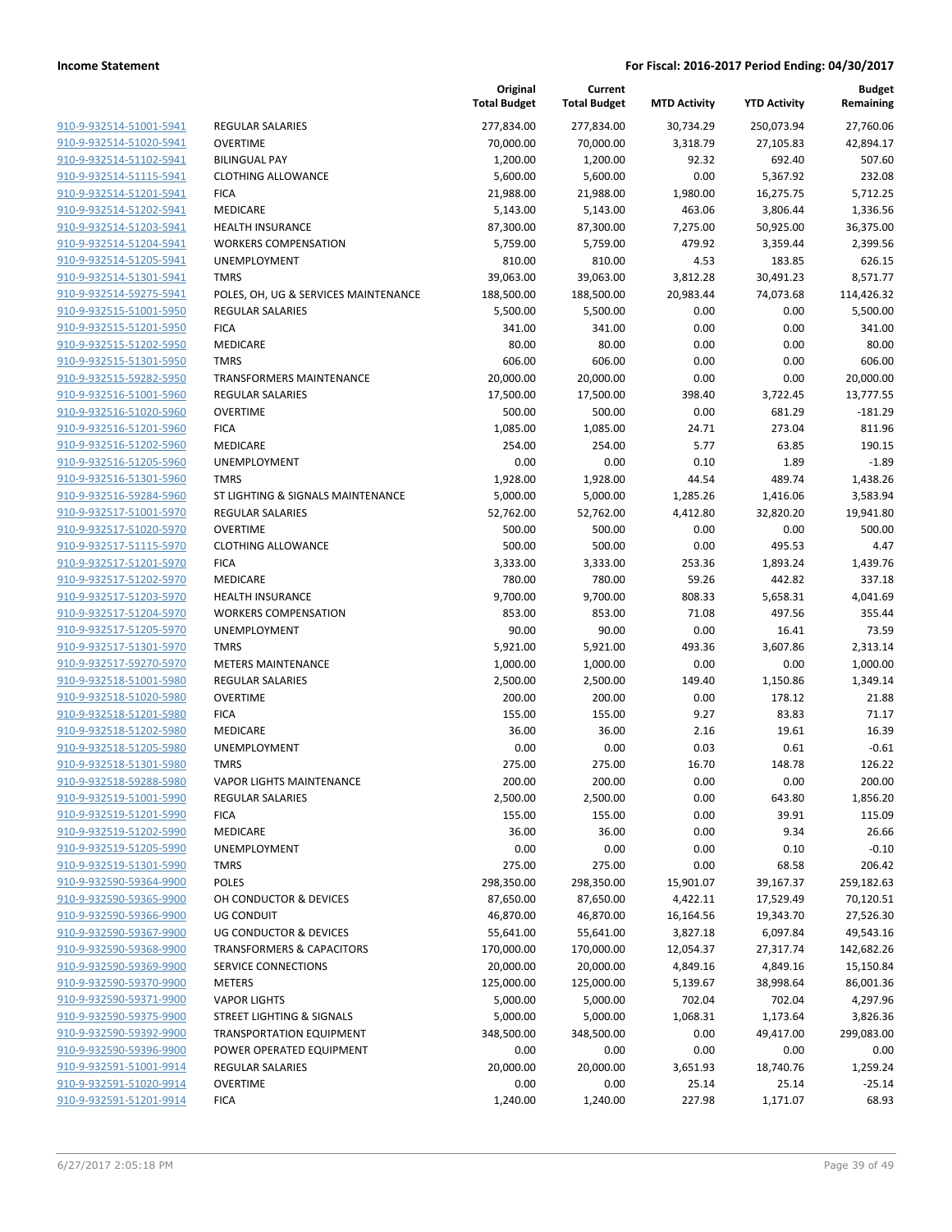|                         |                                      | Original<br><b>Total Budget</b> | Current<br><b>Total Budget</b> | <b>MTD Activity</b> | <b>YTD Activity</b> | <b>Budget</b><br>Remaining |
|-------------------------|--------------------------------------|---------------------------------|--------------------------------|---------------------|---------------------|----------------------------|
| 910-9-932514-51001-5941 | REGULAR SALARIES                     | 277,834.00                      | 277,834.00                     | 30,734.29           | 250,073.94          | 27,760.06                  |
| 910-9-932514-51020-5941 | <b>OVERTIME</b>                      | 70,000.00                       | 70,000.00                      | 3,318.79            | 27,105.83           | 42,894.17                  |
| 910-9-932514-51102-5941 | <b>BILINGUAL PAY</b>                 | 1,200.00                        | 1,200.00                       | 92.32               | 692.40              | 507.60                     |
| 910-9-932514-51115-5941 | <b>CLOTHING ALLOWANCE</b>            | 5,600.00                        | 5,600.00                       | 0.00                | 5,367.92            | 232.08                     |
| 910-9-932514-51201-5941 | <b>FICA</b>                          | 21,988.00                       | 21,988.00                      | 1,980.00            | 16,275.75           | 5,712.25                   |
| 910-9-932514-51202-5941 | MEDICARE                             | 5,143.00                        | 5,143.00                       | 463.06              | 3,806.44            | 1,336.56                   |
| 910-9-932514-51203-5941 | <b>HEALTH INSURANCE</b>              | 87,300.00                       | 87,300.00                      | 7,275.00            | 50,925.00           | 36,375.00                  |
| 910-9-932514-51204-5941 | <b>WORKERS COMPENSATION</b>          | 5,759.00                        | 5,759.00                       | 479.92              | 3,359.44            | 2,399.56                   |
| 910-9-932514-51205-5941 | UNEMPLOYMENT                         | 810.00                          | 810.00                         | 4.53                | 183.85              | 626.15                     |
| 910-9-932514-51301-5941 | <b>TMRS</b>                          | 39,063.00                       | 39,063.00                      | 3,812.28            | 30,491.23           | 8,571.77                   |
| 910-9-932514-59275-5941 | POLES, OH, UG & SERVICES MAINTENANCE | 188,500.00                      | 188,500.00                     | 20,983.44           | 74,073.68           | 114,426.32                 |
| 910-9-932515-51001-5950 | <b>REGULAR SALARIES</b>              | 5,500.00                        | 5,500.00                       | 0.00                | 0.00                | 5,500.00                   |
| 910-9-932515-51201-5950 | <b>FICA</b>                          | 341.00                          | 341.00                         | 0.00                | 0.00                | 341.00                     |
| 910-9-932515-51202-5950 | MEDICARE                             | 80.00                           | 80.00                          | 0.00                | 0.00                | 80.00                      |
| 910-9-932515-51301-5950 | <b>TMRS</b>                          | 606.00                          | 606.00                         | 0.00                | 0.00                | 606.00                     |
| 910-9-932515-59282-5950 | <b>TRANSFORMERS MAINTENANCE</b>      | 20,000.00                       | 20,000.00                      | 0.00                | 0.00                | 20,000.00                  |
| 910-9-932516-51001-5960 | <b>REGULAR SALARIES</b>              | 17,500.00                       | 17,500.00                      | 398.40              | 3,722.45            | 13,777.55                  |
| 910-9-932516-51020-5960 | <b>OVERTIME</b>                      | 500.00                          | 500.00                         | 0.00                | 681.29              | $-181.29$                  |
| 910-9-932516-51201-5960 | <b>FICA</b>                          | 1,085.00                        | 1,085.00                       | 24.71               | 273.04              | 811.96                     |
| 910-9-932516-51202-5960 | MEDICARE                             | 254.00                          | 254.00                         | 5.77                | 63.85               | 190.15                     |
| 910-9-932516-51205-5960 | UNEMPLOYMENT                         | 0.00                            | 0.00                           | 0.10                | 1.89                | $-1.89$                    |
| 910-9-932516-51301-5960 | <b>TMRS</b>                          | 1,928.00                        | 1,928.00                       | 44.54               | 489.74              | 1,438.26                   |
| 910-9-932516-59284-5960 | ST LIGHTING & SIGNALS MAINTENANCE    | 5,000.00                        | 5,000.00                       | 1,285.26            | 1,416.06            | 3,583.94                   |
| 910-9-932517-51001-5970 | <b>REGULAR SALARIES</b>              | 52,762.00                       | 52,762.00                      | 4,412.80            | 32,820.20           | 19,941.80                  |
| 910-9-932517-51020-5970 | <b>OVERTIME</b>                      | 500.00                          | 500.00                         | 0.00                | 0.00                | 500.00                     |
| 910-9-932517-51115-5970 | <b>CLOTHING ALLOWANCE</b>            | 500.00                          | 500.00                         | 0.00                | 495.53              | 4.47                       |
| 910-9-932517-51201-5970 | <b>FICA</b>                          | 3,333.00                        | 3,333.00                       | 253.36              | 1,893.24            | 1,439.76                   |
| 910-9-932517-51202-5970 | MEDICARE                             | 780.00                          | 780.00                         | 59.26               | 442.82              | 337.18                     |
| 910-9-932517-51203-5970 | <b>HEALTH INSURANCE</b>              | 9,700.00                        | 9,700.00                       | 808.33              | 5,658.31            | 4,041.69                   |
| 910-9-932517-51204-5970 | <b>WORKERS COMPENSATION</b>          | 853.00                          | 853.00                         | 71.08               | 497.56              | 355.44                     |
| 910-9-932517-51205-5970 | UNEMPLOYMENT                         | 90.00                           | 90.00                          | 0.00                | 16.41               | 73.59                      |
| 910-9-932517-51301-5970 | <b>TMRS</b>                          | 5,921.00                        | 5,921.00                       | 493.36              | 3,607.86            | 2,313.14                   |
| 910-9-932517-59270-5970 | <b>METERS MAINTENANCE</b>            | 1,000.00                        | 1,000.00                       | 0.00                | 0.00                | 1,000.00                   |
| 910-9-932518-51001-5980 | <b>REGULAR SALARIES</b>              | 2,500.00                        | 2,500.00                       | 149.40              | 1,150.86            | 1,349.14                   |
| 910-9-932518-51020-5980 | <b>OVERTIME</b>                      | 200.00                          | 200.00                         | 0.00                | 178.12              | 21.88                      |
| 910-9-932518-51201-5980 | <b>FICA</b>                          | 155.00                          | 155.00                         | 9.27                | 83.83               | 71.17                      |
| 910-9-932518-51202-5980 | MEDICARE                             | 36.00                           | 36.00                          | 2.16                | 19.61               | 16.39                      |
| 910-9-932518-51205-5980 | UNEMPLOYMENT                         | 0.00                            | 0.00                           | 0.03                | 0.61                | $-0.61$                    |
| 910-9-932518-51301-5980 | <b>TMRS</b>                          | 275.00                          | 275.00                         | 16.70               | 148.78              | 126.22                     |
| 910-9-932518-59288-5980 | <b>VAPOR LIGHTS MAINTENANCE</b>      | 200.00                          | 200.00                         | 0.00                | 0.00                | 200.00                     |
| 910-9-932519-51001-5990 | <b>REGULAR SALARIES</b>              | 2,500.00                        | 2,500.00                       | 0.00                | 643.80              | 1,856.20                   |
| 910-9-932519-51201-5990 | <b>FICA</b>                          | 155.00                          | 155.00                         | 0.00                | 39.91               | 115.09                     |
| 910-9-932519-51202-5990 | MEDICARE                             | 36.00                           | 36.00                          | 0.00                | 9.34                | 26.66                      |
| 910-9-932519-51205-5990 | <b>UNEMPLOYMENT</b>                  | 0.00                            | 0.00                           | 0.00                | 0.10                | $-0.10$                    |
| 910-9-932519-51301-5990 | <b>TMRS</b>                          | 275.00                          | 275.00                         | 0.00                | 68.58               | 206.42                     |
| 910-9-932590-59364-9900 | POLES                                | 298,350.00                      | 298,350.00                     | 15,901.07           | 39,167.37           | 259,182.63                 |
| 910-9-932590-59365-9900 | OH CONDUCTOR & DEVICES               | 87,650.00                       | 87,650.00                      | 4,422.11            | 17,529.49           | 70,120.51                  |
| 910-9-932590-59366-9900 | UG CONDUIT                           | 46,870.00                       | 46,870.00                      | 16,164.56           | 19,343.70           | 27,526.30                  |
| 910-9-932590-59367-9900 | <b>UG CONDUCTOR &amp; DEVICES</b>    | 55,641.00                       | 55,641.00                      | 3,827.18            | 6,097.84            | 49,543.16                  |
| 910-9-932590-59368-9900 | <b>TRANSFORMERS &amp; CAPACITORS</b> | 170,000.00                      | 170,000.00                     | 12,054.37           | 27,317.74           | 142,682.26                 |
| 910-9-932590-59369-9900 | SERVICE CONNECTIONS                  | 20,000.00                       | 20,000.00                      | 4,849.16            | 4,849.16            | 15,150.84                  |
| 910-9-932590-59370-9900 | <b>METERS</b>                        | 125,000.00                      | 125,000.00                     | 5,139.67            | 38,998.64           | 86,001.36                  |
| 910-9-932590-59371-9900 | <b>VAPOR LIGHTS</b>                  | 5,000.00                        | 5,000.00                       | 702.04              | 702.04              | 4,297.96                   |
| 910-9-932590-59375-9900 | STREET LIGHTING & SIGNALS            | 5,000.00                        | 5,000.00                       | 1,068.31            | 1,173.64            | 3,826.36                   |
| 910-9-932590-59392-9900 | <b>TRANSPORTATION EQUIPMENT</b>      | 348,500.00                      | 348,500.00                     | 0.00                | 49,417.00           | 299,083.00                 |
| 910-9-932590-59396-9900 | POWER OPERATED EQUIPMENT             | 0.00                            | 0.00                           | 0.00                | 0.00                | 0.00                       |
| 910-9-932591-51001-9914 | REGULAR SALARIES                     | 20,000.00                       | 20,000.00                      | 3,651.93            | 18,740.76           | 1,259.24                   |
| 910-9-932591-51020-9914 | <b>OVERTIME</b>                      | 0.00                            | 0.00                           | 25.14               | 25.14               | $-25.14$                   |
| 910-9-932591-51201-9914 | <b>FICA</b>                          | 1,240.00                        | 1,240.00                       | 227.98              | 1,171.07            | 68.93                      |
|                         |                                      |                                 |                                |                     |                     |                            |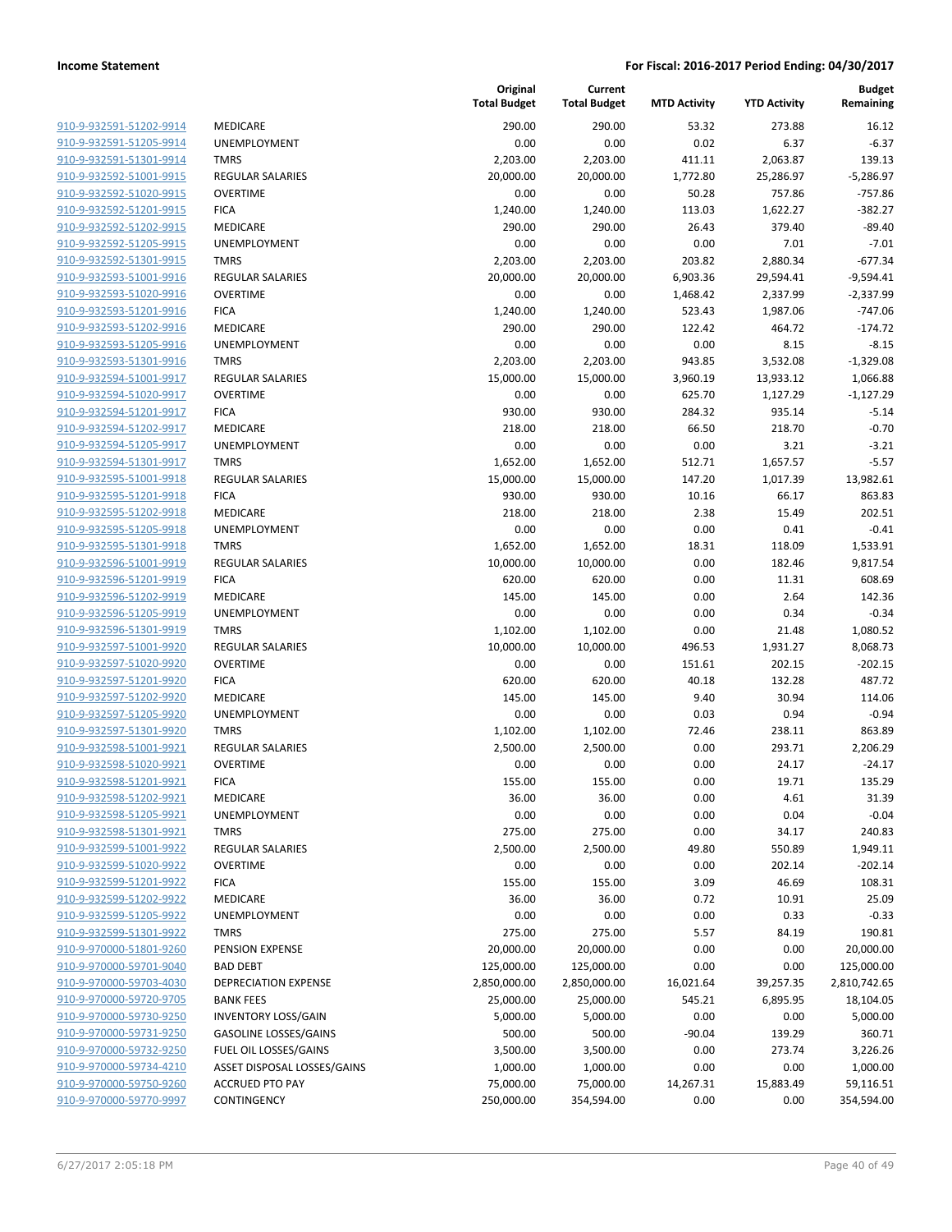| 910-9-932591-51202-9914        |
|--------------------------------|
| 910-9-932591-51205-9914        |
| 910-9-932591-51301-9914        |
| 910-9-932592-51001-9915        |
| 910-9-932592-51020-9915        |
| 910-9-932592-51201-9915        |
| 910-9-932592-51202-9915        |
| 910-9-932592-51205-9915        |
| 910-9-932592-51301-9915        |
| 910-9-932593-51001-9916        |
| 910-9-932593-51020-9916        |
| <u>910-9-932593-51201-9916</u> |
| 910-9-932593-51202-9916        |
| 910-9-932593-51205-9916        |
| 910-9-932593-51301-9916        |
| 910-9-932594-51001-9917        |
| 910-9-932594-51020-9917        |
| 910-9-932594-51201-9917        |
| 910-9-932594-51202-9917        |
| 910-9-932594-51205-9917        |
| 910-9-932594-51301-9917        |
| 910-9-932595-51001-9918        |
| 910-9-932595-51201-9918        |
| 910-9-932595-51202-9918        |
| 910-9-932595-51205-9918        |
| 910-9-932595-51301-9918        |
| 910-9-932596-51001-9919        |
| 910-9-932596-51201-9919        |
| 910-9-932596-51202-9919        |
| 910-9-932596-51205-9919        |
| 910-9-932596-51301-9919        |
| 910-9-932597-51001-9920        |
| 910-9-932597-51020-9920        |
| 910-9-932597-51201-9920        |
| 910-9-932597-51202-9920        |
| 910-9-932597-51205-9920        |
| 910-9-932597-51301-9920        |
| 910-9-932598-51001-9921        |
| 910-9-932598-51020-9921        |
| 910-9-932598-51201-9921        |
| 910-9-932598-51202-9921        |
| 910-9-932598-51205-9921        |
| 910-9-932598-51301-9921        |
| 910-9-932599-51001-9922        |
| 910-9-932599-51020-9922        |
| 910-9-932599-51201-9922        |
| 910-9-932599-51202-9922        |
| 910-9-932599-51205-9922        |
| 910-9-932599-51301-9922        |
| 910-9-970000-51801-9260        |
| 910-9-970000-59701-9040        |
| 910-9-970000-59703-4030        |
| 910-9-970000-59720-9705        |
| 910-9-970000-59730-9250        |
| 910-9-970000-59731-9250        |
| 910-9-970000-59732-9250        |
| 910-9-970000-59734-4210        |
| 910-9-970000-59750-9260        |
| 910-9-970000-59770-9997        |

|                         |                              | Original<br><b>Total Budget</b> | Current<br><b>Total Budget</b> | <b>MTD Activity</b> | <b>YTD Activity</b> | <b>Budget</b><br>Remaining |
|-------------------------|------------------------------|---------------------------------|--------------------------------|---------------------|---------------------|----------------------------|
| 910-9-932591-51202-9914 | MEDICARE                     | 290.00                          | 290.00                         | 53.32               | 273.88              | 16.12                      |
| 910-9-932591-51205-9914 | <b>UNEMPLOYMENT</b>          | 0.00                            | 0.00                           | 0.02                | 6.37                | $-6.37$                    |
| 910-9-932591-51301-9914 | <b>TMRS</b>                  | 2,203.00                        | 2,203.00                       | 411.11              | 2,063.87            | 139.13                     |
| 910-9-932592-51001-9915 | <b>REGULAR SALARIES</b>      | 20,000.00                       | 20,000.00                      | 1,772.80            | 25,286.97           | $-5.286.97$                |
| 910-9-932592-51020-9915 | <b>OVERTIME</b>              | 0.00                            | 0.00                           | 50.28               | 757.86              | $-757.86$                  |
| 910-9-932592-51201-9915 | <b>FICA</b>                  | 1,240.00                        | 1,240.00                       | 113.03              | 1,622.27            | $-382.27$                  |
| 910-9-932592-51202-9915 | MEDICARE                     | 290.00                          | 290.00                         | 26.43               | 379.40              | $-89.40$                   |
| 910-9-932592-51205-9915 | <b>UNEMPLOYMENT</b>          | 0.00                            | 0.00                           | 0.00                | 7.01                | $-7.01$                    |
| 910-9-932592-51301-9915 | <b>TMRS</b>                  | 2,203.00                        | 2,203.00                       | 203.82              | 2,880.34            | $-677.34$                  |
| 910-9-932593-51001-9916 | <b>REGULAR SALARIES</b>      | 20,000.00                       | 20,000.00                      | 6,903.36            | 29,594.41           | $-9,594.41$                |
| 910-9-932593-51020-9916 | <b>OVERTIME</b>              | 0.00                            | 0.00                           | 1,468.42            | 2,337.99            | $-2,337.99$                |
| 910-9-932593-51201-9916 | <b>FICA</b>                  | 1,240.00                        | 1,240.00                       | 523.43              | 1,987.06            | $-747.06$                  |
| 910-9-932593-51202-9916 | MEDICARE                     | 290.00                          | 290.00                         | 122.42              | 464.72              | $-174.72$                  |
| 910-9-932593-51205-9916 | <b>UNEMPLOYMENT</b>          | 0.00                            | 0.00                           | 0.00                | 8.15                | $-8.15$                    |
| 910-9-932593-51301-9916 | <b>TMRS</b>                  | 2,203.00                        | 2,203.00                       | 943.85              | 3,532.08            | $-1,329.08$                |
| 910-9-932594-51001-9917 | REGULAR SALARIES             | 15,000.00                       | 15,000.00                      | 3,960.19            | 13,933.12           | 1,066.88                   |
| 910-9-932594-51020-9917 | <b>OVERTIME</b>              | 0.00                            | 0.00                           | 625.70              | 1,127.29            | $-1,127.29$                |
| 910-9-932594-51201-9917 | <b>FICA</b>                  | 930.00                          | 930.00                         | 284.32              | 935.14              | $-5.14$                    |
| 910-9-932594-51202-9917 | <b>MEDICARE</b>              | 218.00                          | 218.00                         | 66.50               | 218.70              | $-0.70$                    |
| 910-9-932594-51205-9917 | <b>UNEMPLOYMENT</b>          | 0.00                            | 0.00                           | 0.00                | 3.21                | $-3.21$                    |
| 910-9-932594-51301-9917 | <b>TMRS</b>                  | 1,652.00                        | 1,652.00                       | 512.71              | 1,657.57            | $-5.57$                    |
| 910-9-932595-51001-9918 | <b>REGULAR SALARIES</b>      | 15,000.00                       | 15,000.00                      | 147.20              | 1,017.39            | 13,982.61                  |
| 910-9-932595-51201-9918 | <b>FICA</b>                  | 930.00                          | 930.00                         | 10.16               | 66.17               | 863.83                     |
| 910-9-932595-51202-9918 | MEDICARE                     | 218.00                          | 218.00                         | 2.38                | 15.49               | 202.51                     |
| 910-9-932595-51205-9918 | <b>UNEMPLOYMENT</b>          | 0.00                            | 0.00                           | 0.00                | 0.41                | $-0.41$                    |
| 910-9-932595-51301-9918 | <b>TMRS</b>                  | 1,652.00                        | 1,652.00                       | 18.31               | 118.09              | 1,533.91                   |
| 910-9-932596-51001-9919 | REGULAR SALARIES             | 10,000.00                       | 10,000.00                      | 0.00                | 182.46              | 9,817.54                   |
| 910-9-932596-51201-9919 | <b>FICA</b>                  | 620.00                          | 620.00                         | 0.00                | 11.31               | 608.69                     |
| 910-9-932596-51202-9919 | MEDICARE                     | 145.00                          | 145.00                         | 0.00                | 2.64                | 142.36                     |
| 910-9-932596-51205-9919 | <b>UNEMPLOYMENT</b>          | 0.00                            | 0.00                           | 0.00                | 0.34                | $-0.34$                    |
| 910-9-932596-51301-9919 | <b>TMRS</b>                  | 1,102.00                        | 1,102.00                       | 0.00                | 21.48               | 1,080.52                   |
| 910-9-932597-51001-9920 | REGULAR SALARIES             | 10,000.00                       | 10,000.00                      | 496.53              | 1,931.27            | 8,068.73                   |
| 910-9-932597-51020-9920 | <b>OVERTIME</b>              | 0.00                            | 0.00                           | 151.61              | 202.15              | $-202.15$                  |
| 910-9-932597-51201-9920 | <b>FICA</b>                  | 620.00                          | 620.00                         | 40.18               | 132.28              | 487.72                     |
| 910-9-932597-51202-9920 | <b>MEDICARE</b>              | 145.00                          | 145.00                         | 9.40                | 30.94               | 114.06                     |
| 910-9-932597-51205-9920 | UNEMPLOYMENT                 | 0.00                            | 0.00                           | 0.03                | 0.94                | $-0.94$                    |
| 910-9-932597-51301-9920 | <b>TMRS</b>                  | 1,102.00                        | 1,102.00                       | 72.46               | 238.11              | 863.89                     |
| 910-9-932598-51001-9921 | <b>REGULAR SALARIES</b>      | 2,500.00                        | 2,500.00                       | 0.00                | 293.71              | 2,206.29                   |
| 910-9-932598-51020-9921 | <b>OVERTIME</b>              | 0.00                            | 0.00                           | 0.00                | 24.17               | $-24.17$                   |
| 910-9-932598-51201-9921 | <b>FICA</b>                  | 155.00                          | 155.00                         | 0.00                | 19.71               | 135.29                     |
| 910-9-932598-51202-9921 | MEDICARE                     | 36.00                           | 36.00                          | 0.00                | 4.61                | 31.39                      |
| 910-9-932598-51205-9921 | UNEMPLOYMENT                 | 0.00                            | 0.00                           | 0.00                | 0.04                | $-0.04$                    |
| 910-9-932598-51301-9921 | <b>TMRS</b>                  | 275.00                          | 275.00                         | 0.00                | 34.17               | 240.83                     |
| 910-9-932599-51001-9922 | REGULAR SALARIES             | 2,500.00                        | 2,500.00                       | 49.80               | 550.89              | 1,949.11                   |
| 910-9-932599-51020-9922 | <b>OVERTIME</b>              | 0.00                            | 0.00                           | 0.00                | 202.14              | $-202.14$                  |
| 910-9-932599-51201-9922 | <b>FICA</b>                  | 155.00                          | 155.00                         | 3.09                | 46.69               | 108.31                     |
| 910-9-932599-51202-9922 | MEDICARE                     | 36.00                           | 36.00                          | 0.72                | 10.91               | 25.09                      |
| 910-9-932599-51205-9922 | <b>UNEMPLOYMENT</b>          | 0.00                            | 0.00                           | 0.00                | 0.33                | $-0.33$                    |
| 910-9-932599-51301-9922 | <b>TMRS</b>                  | 275.00                          | 275.00                         | 5.57                | 84.19               | 190.81                     |
| 910-9-970000-51801-9260 | PENSION EXPENSE              | 20,000.00                       | 20,000.00                      | 0.00                | 0.00                | 20,000.00                  |
| 910-9-970000-59701-9040 | <b>BAD DEBT</b>              | 125,000.00                      | 125,000.00                     | 0.00                | 0.00                | 125,000.00                 |
| 910-9-970000-59703-4030 | DEPRECIATION EXPENSE         | 2,850,000.00                    | 2,850,000.00                   | 16,021.64           | 39,257.35           | 2,810,742.65               |
| 910-9-970000-59720-9705 | <b>BANK FEES</b>             | 25,000.00                       | 25,000.00                      | 545.21              | 6,895.95            | 18,104.05                  |
| 910-9-970000-59730-9250 | <b>INVENTORY LOSS/GAIN</b>   | 5,000.00                        | 5,000.00                       | 0.00                | 0.00                | 5,000.00                   |
| 910-9-970000-59731-9250 | <b>GASOLINE LOSSES/GAINS</b> | 500.00                          | 500.00                         | $-90.04$            | 139.29              | 360.71                     |
| 910-9-970000-59732-9250 | FUEL OIL LOSSES/GAINS        | 3,500.00                        | 3,500.00                       | 0.00                | 273.74              | 3,226.26                   |
| 910-9-970000-59734-4210 | ASSET DISPOSAL LOSSES/GAINS  | 1,000.00                        | 1,000.00                       | 0.00                | 0.00                | 1,000.00                   |
| 910-9-970000-59750-9260 | <b>ACCRUED PTO PAY</b>       | 75,000.00                       | 75,000.00                      | 14,267.31           | 15,883.49           | 59,116.51                  |
| 910-9-970000-59770-9997 | CONTINGENCY                  | 250,000.00                      | 354,594.00                     | 0.00                | 0.00                | 354,594.00                 |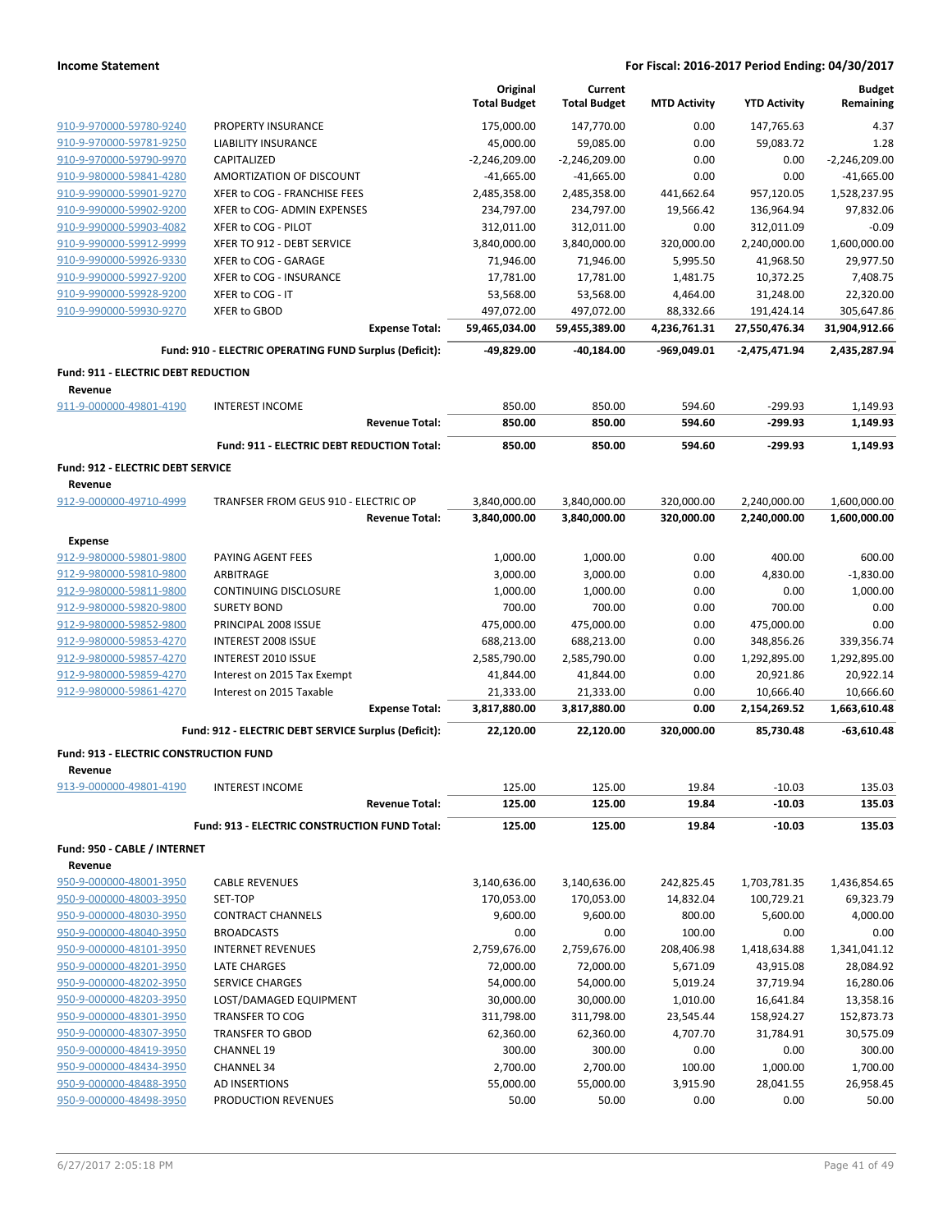|                                                       |                                                        |                       | Original            | Current             |                     |                     | <b>Budget</b>   |
|-------------------------------------------------------|--------------------------------------------------------|-----------------------|---------------------|---------------------|---------------------|---------------------|-----------------|
|                                                       |                                                        |                       | <b>Total Budget</b> | <b>Total Budget</b> | <b>MTD Activity</b> | <b>YTD Activity</b> | Remaining       |
| 910-9-970000-59780-9240                               | PROPERTY INSURANCE                                     |                       | 175,000.00          | 147,770.00          | 0.00                | 147,765.63          | 4.37            |
| 910-9-970000-59781-9250                               | <b>LIABILITY INSURANCE</b>                             |                       | 45,000.00           | 59,085.00           | 0.00                | 59,083.72           | 1.28            |
| 910-9-970000-59790-9970                               | CAPITALIZED                                            |                       | $-2,246,209.00$     | $-2,246,209.00$     | 0.00                | 0.00                | $-2,246,209.00$ |
| 910-9-980000-59841-4280                               | AMORTIZATION OF DISCOUNT                               |                       | $-41,665.00$        | $-41,665.00$        | 0.00                | 0.00                | $-41,665.00$    |
| 910-9-990000-59901-9270                               | XFER to COG - FRANCHISE FEES                           |                       | 2,485,358.00        | 2,485,358.00        | 441,662.64          | 957,120.05          | 1,528,237.95    |
| 910-9-990000-59902-9200                               | XFER to COG- ADMIN EXPENSES                            |                       | 234,797.00          | 234,797.00          | 19,566.42           | 136,964.94          | 97,832.06       |
| 910-9-990000-59903-4082                               | XFER to COG - PILOT                                    |                       | 312,011.00          | 312,011.00          | 0.00                | 312,011.09          | $-0.09$         |
| 910-9-990000-59912-9999                               | XFER TO 912 - DEBT SERVICE                             |                       | 3,840,000.00        | 3,840,000.00        | 320,000.00          | 2,240,000.00        | 1,600,000.00    |
| 910-9-990000-59926-9330                               | XFER to COG - GARAGE                                   |                       | 71,946.00           | 71,946.00           | 5,995.50            | 41,968.50           | 29,977.50       |
| 910-9-990000-59927-9200                               | XFER to COG - INSURANCE                                |                       | 17,781.00           | 17,781.00           | 1,481.75            | 10,372.25           | 7,408.75        |
| 910-9-990000-59928-9200                               | XFER to COG - IT                                       |                       | 53,568.00           | 53,568.00           | 4,464.00            | 31,248.00           | 22,320.00       |
| 910-9-990000-59930-9270                               | XFER to GBOD                                           |                       | 497,072.00          | 497,072.00          | 88,332.66           | 191,424.14          | 305,647.86      |
|                                                       |                                                        | <b>Expense Total:</b> | 59,465,034.00       | 59,455,389.00       | 4,236,761.31        | 27,550,476.34       | 31,904,912.66   |
|                                                       | Fund: 910 - ELECTRIC OPERATING FUND Surplus (Deficit): |                       | -49,829.00          | $-40,184.00$        | -969,049.01         | -2,475,471.94       | 2,435,287.94    |
| <b>Fund: 911 - ELECTRIC DEBT REDUCTION</b><br>Revenue |                                                        |                       |                     |                     |                     |                     |                 |
| 911-9-000000-49801-4190                               | <b>INTEREST INCOME</b>                                 |                       | 850.00              | 850.00              | 594.60              | $-299.93$           | 1,149.93        |
|                                                       |                                                        | <b>Revenue Total:</b> | 850.00              | 850.00              | 594.60              | -299.93             | 1,149.93        |
|                                                       | Fund: 911 - ELECTRIC DEBT REDUCTION Total:             |                       | 850.00              | 850.00              | 594.60              | -299.93             | 1,149.93        |
| Fund: 912 - ELECTRIC DEBT SERVICE                     |                                                        |                       |                     |                     |                     |                     |                 |
| Revenue<br>912-9-000000-49710-4999                    | TRANFSER FROM GEUS 910 - ELECTRIC OP                   |                       | 3,840,000.00        | 3,840,000.00        | 320,000.00          | 2,240,000.00        | 1,600,000.00    |
|                                                       |                                                        | <b>Revenue Total:</b> | 3,840,000.00        | 3,840,000.00        | 320,000.00          | 2,240,000.00        | 1,600,000.00    |
|                                                       |                                                        |                       |                     |                     |                     |                     |                 |
| <b>Expense</b><br>912-9-980000-59801-9800             | PAYING AGENT FEES                                      |                       | 1,000.00            | 1,000.00            | 0.00                | 400.00              | 600.00          |
| 912-9-980000-59810-9800                               | ARBITRAGE                                              |                       | 3,000.00            | 3,000.00            | 0.00                | 4,830.00            | $-1,830.00$     |
| 912-9-980000-59811-9800                               | <b>CONTINUING DISCLOSURE</b>                           |                       | 1,000.00            | 1,000.00            | 0.00                | 0.00                | 1,000.00        |
| 912-9-980000-59820-9800                               | <b>SURETY BOND</b>                                     |                       | 700.00              | 700.00              | 0.00                | 700.00              | 0.00            |
| 912-9-980000-59852-9800                               | PRINCIPAL 2008 ISSUE                                   |                       | 475,000.00          | 475,000.00          | 0.00                | 475,000.00          | 0.00            |
| 912-9-980000-59853-4270                               | <b>INTEREST 2008 ISSUE</b>                             |                       | 688,213.00          | 688,213.00          | 0.00                | 348,856.26          | 339,356.74      |
| 912-9-980000-59857-4270                               | INTEREST 2010 ISSUE                                    |                       | 2,585,790.00        | 2,585,790.00        | 0.00                | 1,292,895.00        | 1,292,895.00    |
| 912-9-980000-59859-4270                               | Interest on 2015 Tax Exempt                            |                       | 41,844.00           | 41,844.00           | 0.00                | 20,921.86           | 20,922.14       |
| 912-9-980000-59861-4270                               | Interest on 2015 Taxable                               |                       | 21,333.00           | 21,333.00           | 0.00                | 10,666.40           | 10,666.60       |
|                                                       |                                                        | <b>Expense Total:</b> | 3,817,880.00        | 3,817,880.00        | 0.00                | 2,154,269.52        | 1,663,610.48    |
|                                                       | Fund: 912 - ELECTRIC DEBT SERVICE Surplus (Deficit):   |                       | 22,120.00           | 22,120.00           | 320,000.00          | 85,730.48           | $-63,610.48$    |
| Fund: 913 - ELECTRIC CONSTRUCTION FUND                |                                                        |                       |                     |                     |                     |                     |                 |
| Revenue                                               |                                                        |                       |                     |                     |                     |                     |                 |
| 913-9-000000-49801-4190                               | <b>INTEREST INCOME</b>                                 |                       | 125.00              | 125.00              | 19.84               | $-10.03$            | 135.03          |
|                                                       |                                                        | <b>Revenue Total:</b> | 125.00              | 125.00              | 19.84               | $-10.03$            | 135.03          |
|                                                       | Fund: 913 - ELECTRIC CONSTRUCTION FUND Total:          |                       | 125.00              | 125.00              | 19.84               | $-10.03$            | 135.03          |
| Fund: 950 - CABLE / INTERNET                          |                                                        |                       |                     |                     |                     |                     |                 |
| Revenue                                               |                                                        |                       |                     |                     |                     |                     |                 |
| 950-9-000000-48001-3950                               | <b>CABLE REVENUES</b>                                  |                       | 3,140,636.00        | 3,140,636.00        | 242,825.45          | 1,703,781.35        | 1,436,854.65    |
| 950-9-000000-48003-3950                               | SET-TOP                                                |                       | 170,053.00          | 170,053.00          | 14,832.04           | 100,729.21          | 69,323.79       |
| 950-9-000000-48030-3950                               | <b>CONTRACT CHANNELS</b>                               |                       | 9,600.00            | 9,600.00            | 800.00              | 5,600.00            | 4,000.00        |
| 950-9-000000-48040-3950                               | <b>BROADCASTS</b>                                      |                       | 0.00                | 0.00                | 100.00              | 0.00                | 0.00            |
| 950-9-000000-48101-3950                               | <b>INTERNET REVENUES</b>                               |                       | 2,759,676.00        | 2,759,676.00        | 208,406.98          | 1,418,634.88        | 1,341,041.12    |
| 950-9-000000-48201-3950                               | LATE CHARGES                                           |                       | 72,000.00           | 72,000.00           | 5,671.09            | 43,915.08           | 28,084.92       |
| 950-9-000000-48202-3950                               | <b>SERVICE CHARGES</b>                                 |                       | 54,000.00           | 54,000.00           | 5,019.24            | 37,719.94           | 16,280.06       |
| 950-9-000000-48203-3950                               | LOST/DAMAGED EQUIPMENT                                 |                       | 30,000.00           | 30,000.00           | 1,010.00            | 16,641.84           | 13,358.16       |
| 950-9-000000-48301-3950                               | <b>TRANSFER TO COG</b>                                 |                       | 311,798.00          | 311,798.00          | 23,545.44           | 158,924.27          | 152,873.73      |
| 950-9-000000-48307-3950                               | <b>TRANSFER TO GBOD</b>                                |                       | 62,360.00           | 62,360.00           | 4,707.70            | 31,784.91           | 30,575.09       |
| 950-9-000000-48419-3950                               | <b>CHANNEL 19</b>                                      |                       | 300.00              | 300.00              | 0.00                | 0.00                | 300.00          |
| 950-9-000000-48434-3950                               | <b>CHANNEL 34</b>                                      |                       | 2,700.00            | 2,700.00            | 100.00              | 1,000.00            | 1,700.00        |
| 950-9-000000-48488-3950                               | AD INSERTIONS                                          |                       | 55,000.00           | 55,000.00           | 3,915.90            | 28,041.55           | 26,958.45       |
| 950-9-000000-48498-3950                               | PRODUCTION REVENUES                                    |                       | 50.00               | 50.00               | 0.00                | 0.00                | 50.00           |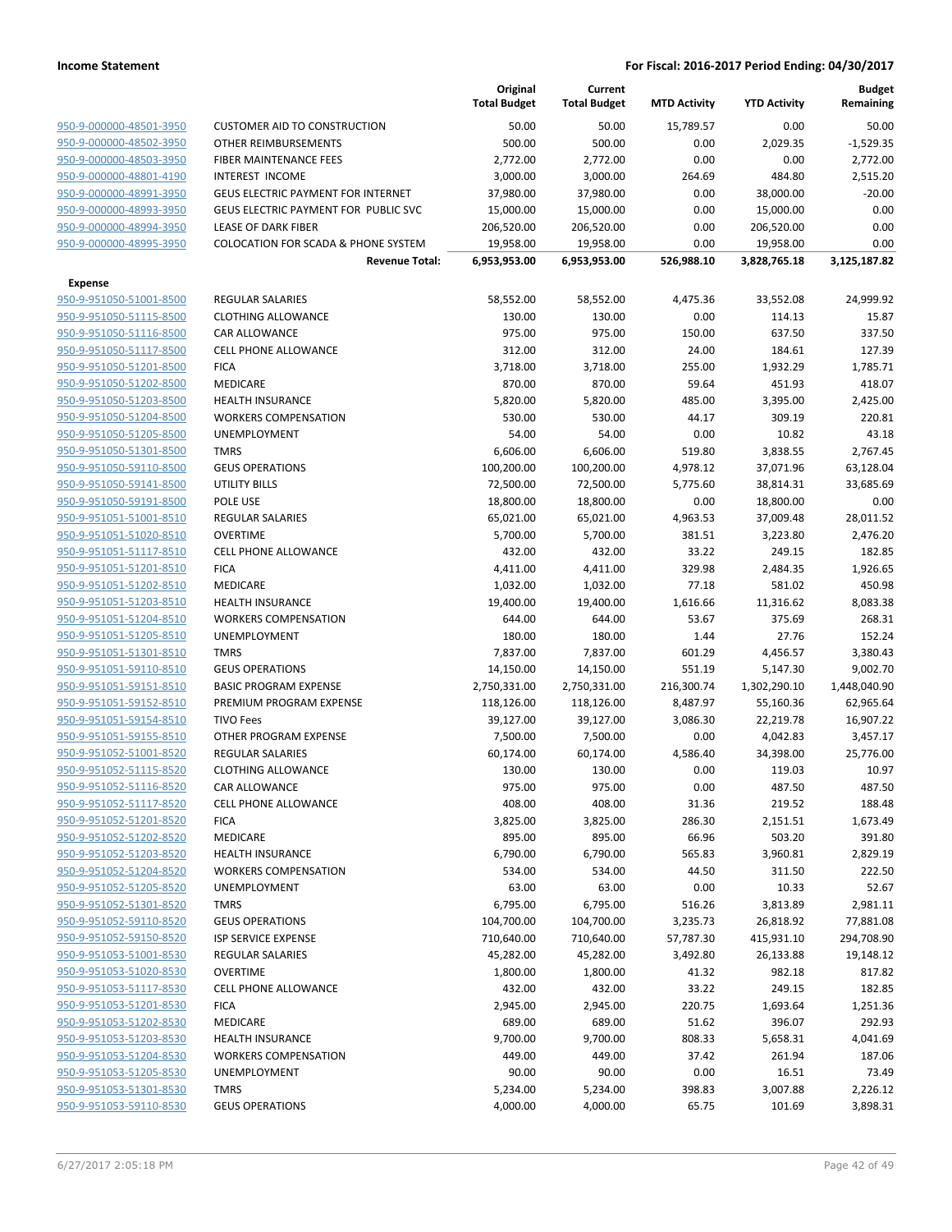|                         |                                                | Original<br><b>Total Budget</b> | Current<br><b>Total Budget</b> | <b>MTD Activity</b> | <b>YTD Activity</b> | <b>Budget</b><br>Remaining |
|-------------------------|------------------------------------------------|---------------------------------|--------------------------------|---------------------|---------------------|----------------------------|
| 950-9-000000-48501-3950 | <b>CUSTOMER AID TO CONSTRUCTION</b>            | 50.00                           | 50.00                          | 15,789.57           | 0.00                | 50.00                      |
| 950-9-000000-48502-3950 | OTHER REIMBURSEMENTS                           | 500.00                          | 500.00                         | 0.00                | 2,029.35            | $-1,529.35$                |
| 950-9-000000-48503-3950 | FIBER MAINTENANCE FEES                         | 2,772.00                        | 2,772.00                       | 0.00                | 0.00                | 2,772.00                   |
| 950-9-000000-48801-4190 | <b>INTEREST INCOME</b>                         | 3,000.00                        | 3,000.00                       | 264.69              | 484.80              | 2,515.20                   |
| 950-9-000000-48991-3950 | <b>GEUS ELECTRIC PAYMENT FOR INTERNET</b>      | 37,980.00                       | 37,980.00                      | 0.00                | 38,000.00           | $-20.00$                   |
| 950-9-000000-48993-3950 | GEUS ELECTRIC PAYMENT FOR PUBLIC SVC           | 15,000.00                       | 15,000.00                      | 0.00                | 15,000.00           | 0.00                       |
| 950-9-000000-48994-3950 | LEASE OF DARK FIBER                            | 206,520.00                      | 206,520.00                     | 0.00                | 206,520.00          | 0.00                       |
| 950-9-000000-48995-3950 | <b>COLOCATION FOR SCADA &amp; PHONE SYSTEM</b> | 19,958.00                       | 19,958.00                      | 0.00                | 19,958.00           | 0.00                       |
|                         | <b>Revenue Total:</b>                          | 6,953,953.00                    | 6,953,953.00                   | 526,988.10          | 3,828,765.18        | 3,125,187.82               |
| <b>Expense</b>          |                                                |                                 |                                |                     |                     |                            |
| 950-9-951050-51001-8500 | <b>REGULAR SALARIES</b>                        | 58,552.00                       | 58,552.00                      | 4,475.36            | 33,552.08           | 24,999.92                  |
| 950-9-951050-51115-8500 | <b>CLOTHING ALLOWANCE</b>                      | 130.00                          | 130.00                         | 0.00                | 114.13              | 15.87                      |
| 950-9-951050-51116-8500 | CAR ALLOWANCE                                  | 975.00                          | 975.00                         | 150.00              | 637.50              | 337.50                     |
| 950-9-951050-51117-8500 | <b>CELL PHONE ALLOWANCE</b>                    | 312.00                          | 312.00                         | 24.00               | 184.61              | 127.39                     |
| 950-9-951050-51201-8500 | <b>FICA</b>                                    | 3,718.00                        | 3,718.00                       | 255.00              | 1,932.29            | 1,785.71                   |
| 950-9-951050-51202-8500 | MEDICARE                                       | 870.00                          | 870.00                         | 59.64               | 451.93              | 418.07                     |
| 950-9-951050-51203-8500 | <b>HEALTH INSURANCE</b>                        | 5,820.00                        | 5,820.00                       | 485.00              | 3,395.00            | 2,425.00                   |
| 950-9-951050-51204-8500 | <b>WORKERS COMPENSATION</b>                    | 530.00                          | 530.00                         | 44.17               | 309.19              | 220.81                     |
| 950-9-951050-51205-8500 | <b>UNEMPLOYMENT</b>                            | 54.00                           | 54.00                          | 0.00                | 10.82               | 43.18                      |
| 950-9-951050-51301-8500 | <b>TMRS</b>                                    | 6,606.00                        | 6,606.00                       | 519.80              | 3,838.55            | 2,767.45                   |
| 950-9-951050-59110-8500 | <b>GEUS OPERATIONS</b>                         | 100,200.00                      | 100,200.00                     | 4,978.12            | 37,071.96           | 63,128.04                  |
| 950-9-951050-59141-8500 | <b>UTILITY BILLS</b>                           | 72,500.00                       | 72,500.00                      | 5,775.60            | 38,814.31           | 33,685.69                  |
| 950-9-951050-59191-8500 | POLE USE                                       | 18,800.00                       | 18,800.00                      | 0.00                | 18,800.00           | 0.00                       |
| 950-9-951051-51001-8510 | <b>REGULAR SALARIES</b>                        | 65,021.00                       | 65,021.00                      | 4,963.53            | 37,009.48           | 28,011.52                  |
| 950-9-951051-51020-8510 | <b>OVERTIME</b>                                | 5,700.00                        | 5,700.00                       | 381.51              | 3,223.80            | 2,476.20                   |
| 950-9-951051-51117-8510 | <b>CELL PHONE ALLOWANCE</b>                    | 432.00                          | 432.00                         | 33.22               | 249.15              | 182.85                     |
| 950-9-951051-51201-8510 | <b>FICA</b>                                    | 4,411.00                        | 4,411.00                       | 329.98              | 2,484.35            | 1,926.65                   |
| 950-9-951051-51202-8510 | MEDICARE                                       | 1,032.00                        | 1,032.00                       | 77.18               | 581.02              | 450.98                     |
| 950-9-951051-51203-8510 | <b>HEALTH INSURANCE</b>                        | 19,400.00                       | 19,400.00                      | 1,616.66            | 11,316.62           | 8,083.38                   |
| 950-9-951051-51204-8510 | <b>WORKERS COMPENSATION</b>                    | 644.00                          | 644.00                         | 53.67               | 375.69              | 268.31                     |
| 950-9-951051-51205-8510 | <b>UNEMPLOYMENT</b>                            | 180.00                          | 180.00                         | 1.44                | 27.76               | 152.24                     |
| 950-9-951051-51301-8510 | <b>TMRS</b>                                    | 7,837.00                        | 7,837.00                       | 601.29              | 4,456.57            | 3,380.43                   |
| 950-9-951051-59110-8510 | <b>GEUS OPERATIONS</b>                         | 14,150.00                       | 14,150.00                      | 551.19              | 5,147.30            | 9,002.70                   |
| 950-9-951051-59151-8510 | <b>BASIC PROGRAM EXPENSE</b>                   | 2,750,331.00                    | 2,750,331.00                   | 216,300.74          | 1,302,290.10        | 1,448,040.90               |
| 950-9-951051-59152-8510 | PREMIUM PROGRAM EXPENSE                        | 118,126.00                      | 118,126.00                     | 8,487.97            | 55,160.36           | 62,965.64                  |
| 950-9-951051-59154-8510 | <b>TIVO Fees</b>                               | 39,127.00                       | 39,127.00                      | 3,086.30            | 22,219.78           | 16,907.22                  |
| 950-9-951051-59155-8510 | OTHER PROGRAM EXPENSE                          | 7,500.00                        | 7,500.00                       | 0.00                | 4,042.83            | 3,457.17                   |
| 950-9-951052-51001-8520 | REGULAR SALARIES                               | 60,174.00                       | 60,174.00                      | 4,586.40            | 34,398.00           | 25,776.00                  |
| 950-9-951052-51115-8520 | <b>CLOTHING ALLOWANCE</b>                      | 130.00                          | 130.00                         | 0.00                | 119.03              | 10.97                      |
| 950-9-951052-51116-8520 | CAR ALLOWANCE                                  | 975.00                          | 975.00                         | 0.00                | 487.50              | 487.50                     |
| 950-9-951052-51117-8520 | <b>CELL PHONE ALLOWANCE</b>                    | 408.00                          | 408.00                         | 31.36               | 219.52              | 188.48                     |
| 950-9-951052-51201-8520 | <b>FICA</b>                                    | 3,825.00                        | 3,825.00                       | 286.30              | 2,151.51            | 1,673.49                   |
| 950-9-951052-51202-8520 | MEDICARE                                       | 895.00                          | 895.00                         | 66.96               | 503.20              | 391.80                     |
| 950-9-951052-51203-8520 | <b>HEALTH INSURANCE</b>                        | 6,790.00                        | 6,790.00                       | 565.83              | 3,960.81            | 2,829.19                   |
| 950-9-951052-51204-8520 | <b>WORKERS COMPENSATION</b>                    | 534.00                          | 534.00                         | 44.50               | 311.50              | 222.50                     |
| 950-9-951052-51205-8520 | <b>UNEMPLOYMENT</b>                            | 63.00                           | 63.00                          | 0.00                | 10.33               | 52.67                      |
| 950-9-951052-51301-8520 | <b>TMRS</b>                                    | 6,795.00                        | 6,795.00                       | 516.26              | 3,813.89            | 2,981.11                   |
| 950-9-951052-59110-8520 | <b>GEUS OPERATIONS</b>                         | 104,700.00                      | 104,700.00                     | 3,235.73            | 26,818.92           | 77,881.08                  |
| 950-9-951052-59150-8520 | ISP SERVICE EXPENSE                            | 710,640.00                      | 710,640.00                     | 57,787.30           | 415,931.10          | 294,708.90                 |
| 950-9-951053-51001-8530 | REGULAR SALARIES                               | 45,282.00                       | 45,282.00                      | 3,492.80            | 26,133.88           | 19,148.12                  |
| 950-9-951053-51020-8530 | <b>OVERTIME</b>                                | 1,800.00                        | 1,800.00                       | 41.32               | 982.18              | 817.82                     |
| 950-9-951053-51117-8530 | <b>CELL PHONE ALLOWANCE</b>                    | 432.00                          | 432.00                         | 33.22               | 249.15              | 182.85                     |
| 950-9-951053-51201-8530 | <b>FICA</b>                                    | 2,945.00                        | 2,945.00                       | 220.75              | 1,693.64            | 1,251.36                   |
| 950-9-951053-51202-8530 | MEDICARE                                       | 689.00                          | 689.00                         | 51.62               | 396.07              | 292.93                     |
| 950-9-951053-51203-8530 | <b>HEALTH INSURANCE</b>                        | 9,700.00                        | 9,700.00                       | 808.33              | 5,658.31            | 4,041.69                   |
| 950-9-951053-51204-8530 | <b>WORKERS COMPENSATION</b>                    | 449.00                          | 449.00                         | 37.42               | 261.94              | 187.06                     |
| 950-9-951053-51205-8530 | <b>UNEMPLOYMENT</b>                            | 90.00                           | 90.00                          | 0.00                | 16.51               | 73.49                      |
| 950-9-951053-51301-8530 | <b>TMRS</b>                                    | 5,234.00                        | 5,234.00                       | 398.83              | 3,007.88            | 2,226.12                   |
| 950-9-951053-59110-8530 | <b>GEUS OPERATIONS</b>                         | 4,000.00                        | 4,000.00                       | 65.75               | 101.69              | 3,898.31                   |
|                         |                                                |                                 |                                |                     |                     |                            |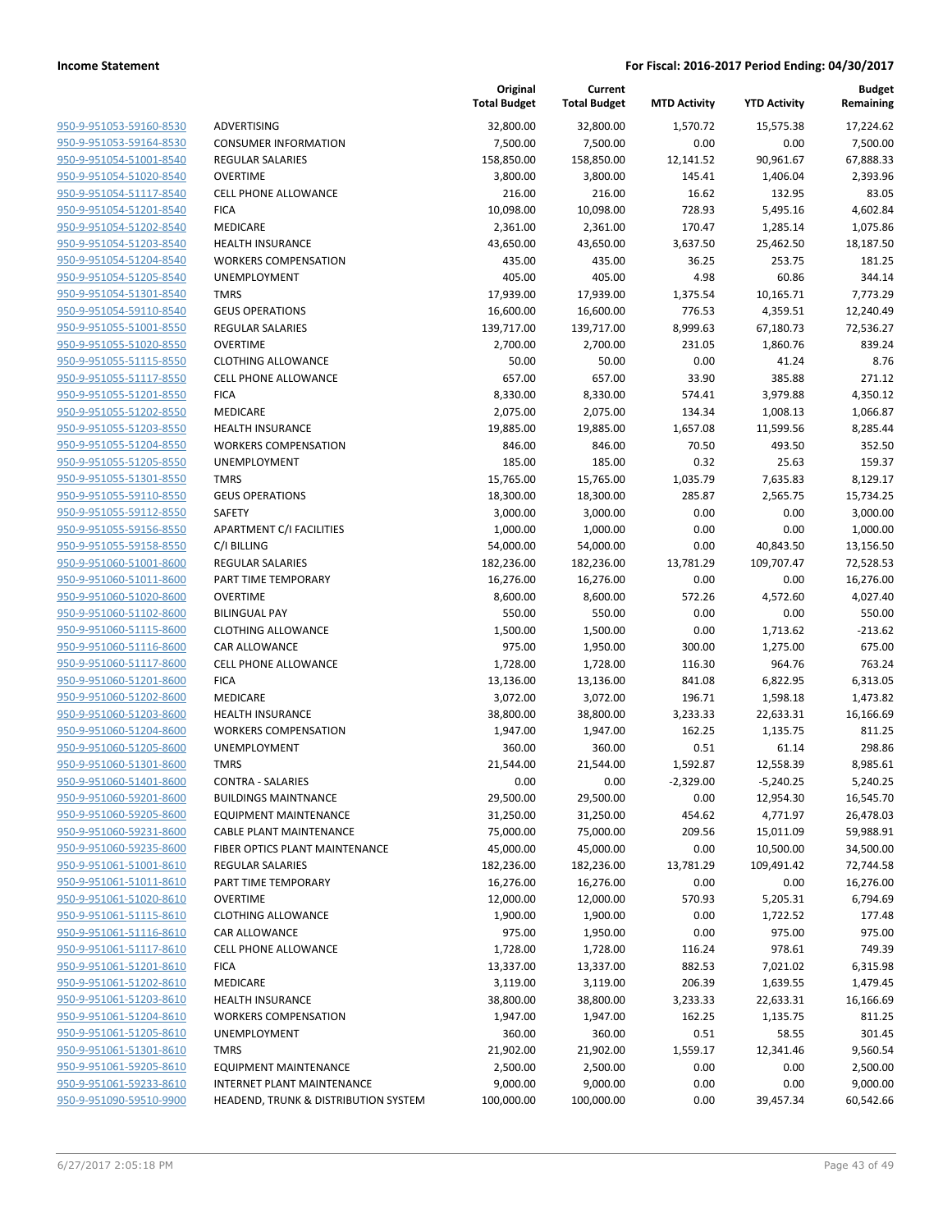| 950-9-951053-59160-8530        |
|--------------------------------|
| 950-9-951053-59164-8530        |
| 950-9-951054-51001-8540        |
| <u>950-9-951054-51020-8540</u> |
| <u>950-9-951054-51117-8540</u> |
| 950-9-951054-51201-8540        |
| 950-9-951054-51202-8540        |
| <u>950-9-951054-51203-8540</u> |
| <u>950-9-951054-51204-8540</u> |
| <u>950-9-951054-51205-8540</u> |
| 950-9-951054-51301-8540        |
| 950-9-951054-59110-8540        |
| <u>950-9-951055-51001-8550</u> |
| <u>950-9-951055-51020-8550</u> |
| <u>950-9-951055-51115-8550</u> |
| 950-9-951055-51117-8550        |
| 950-9-951055-51201-8550        |
| <u>950-9-951055-51202-8550</u> |
| 950-9-951055-51203-8550        |
| <u>950-9-951055-51204-8550</u> |
| 950-9-951055-51205-8550        |
| 950-9-951055-51301-8550        |
| <u>950-9-951055-59110-8550</u> |
| <u>950-9-951055-59112-8550</u> |
| 950-9-951055-59156-8550        |
| 950-9-951055-59158-8550        |
| 950-9-951060-51001-8600        |
| 950-9-951060-51011-8600        |
| <u>950-9-951060-51020-8600</u> |
| <u>950-9-951060-51102-8600</u> |
| 950-9-951060-51115-8600        |
| 950-9-951060-51116-8600        |
| 950-9-951060-51117-8600        |
| <u>950-9-951060-51201-8600</u> |
| <u>950-9-951060-51202-8600</u> |
| 950-9-951060-51203-8600        |
| 950-9-951060-51204-8600        |
| 950-9-951060-51205-8600        |
| <u>950-9-951060-51301-8600</u> |
| <u>950-9-951060-51401-8600</u> |
| 950-9-951060-59201-8600        |
| 950-9-951060-59205-8600        |
| 950-9-951060-59231-8600        |
| <u>950-9-951060-59235-8600</u> |
| <u>950-9-951061-51001-8610</u> |
| 950-9-951061-51011-8610        |
| 950-9-951061-51020-8610        |
| <u>950-9-951061-51115-8610</u> |
| <u>950-9-951061-51116-8610</u> |
| 950-9-951061-51117-8610        |
| 950-9-951061-51201-8610        |
| 950-9-951061-51202-8610        |
| 950-9-951061-51203-8610        |
| <u>950-9-951061-51204-8610</u> |
| 950-9-951061-51205-8610        |
| 950-9-951061-51301-8610        |
| 950-9-951061-59205-8610        |
| <u>950-9-951061-59233-8610</u> |
| <u>950-9-951090-59510-9900</u> |
|                                |

|                         |                                      | Original<br><b>Total Budget</b> | Current<br><b>Total Budget</b> | <b>MTD Activity</b> | <b>YTD Activity</b> | <b>Budget</b><br>Remaining |
|-------------------------|--------------------------------------|---------------------------------|--------------------------------|---------------------|---------------------|----------------------------|
| 950-9-951053-59160-8530 | ADVERTISING                          | 32,800.00                       | 32,800.00                      | 1,570.72            | 15,575.38           | 17,224.62                  |
| 950-9-951053-59164-8530 | <b>CONSUMER INFORMATION</b>          | 7,500.00                        | 7,500.00                       | 0.00                | 0.00                | 7,500.00                   |
| 950-9-951054-51001-8540 | REGULAR SALARIES                     | 158,850.00                      | 158,850.00                     | 12,141.52           | 90,961.67           | 67,888.33                  |
| 950-9-951054-51020-8540 | <b>OVERTIME</b>                      | 3,800.00                        | 3,800.00                       | 145.41              | 1,406.04            | 2,393.96                   |
| 950-9-951054-51117-8540 | <b>CELL PHONE ALLOWANCE</b>          | 216.00                          | 216.00                         | 16.62               | 132.95              | 83.05                      |
| 950-9-951054-51201-8540 | <b>FICA</b>                          | 10,098.00                       | 10,098.00                      | 728.93              | 5,495.16            | 4,602.84                   |
| 950-9-951054-51202-8540 | MEDICARE                             | 2,361.00                        | 2,361.00                       | 170.47              | 1,285.14            | 1,075.86                   |
| 950-9-951054-51203-8540 | <b>HEALTH INSURANCE</b>              | 43,650.00                       | 43,650.00                      | 3,637.50            | 25,462.50           | 18,187.50                  |
| 950-9-951054-51204-8540 | <b>WORKERS COMPENSATION</b>          | 435.00                          | 435.00                         | 36.25               | 253.75              | 181.25                     |
| 950-9-951054-51205-8540 | UNEMPLOYMENT                         | 405.00                          | 405.00                         | 4.98                | 60.86               | 344.14                     |
| 950-9-951054-51301-8540 | <b>TMRS</b>                          | 17,939.00                       | 17,939.00                      | 1,375.54            | 10,165.71           | 7,773.29                   |
| 950-9-951054-59110-8540 | <b>GEUS OPERATIONS</b>               | 16,600.00                       | 16,600.00                      | 776.53              | 4,359.51            | 12,240.49                  |
| 950-9-951055-51001-8550 | REGULAR SALARIES                     | 139,717.00                      | 139,717.00                     | 8,999.63            | 67,180.73           | 72,536.27                  |
| 950-9-951055-51020-8550 | <b>OVERTIME</b>                      | 2,700.00                        | 2,700.00                       | 231.05              | 1,860.76            | 839.24                     |
| 950-9-951055-51115-8550 | <b>CLOTHING ALLOWANCE</b>            | 50.00                           | 50.00                          | 0.00                | 41.24               | 8.76                       |
| 950-9-951055-51117-8550 | <b>CELL PHONE ALLOWANCE</b>          | 657.00                          | 657.00                         | 33.90               | 385.88              | 271.12                     |
| 950-9-951055-51201-8550 | <b>FICA</b>                          | 8,330.00                        | 8,330.00                       | 574.41              | 3,979.88            | 4,350.12                   |
| 950-9-951055-51202-8550 | <b>MEDICARE</b>                      | 2,075.00                        | 2,075.00                       | 134.34              | 1,008.13            | 1,066.87                   |
| 950-9-951055-51203-8550 | HEALTH INSURANCE                     | 19,885.00                       | 19,885.00                      | 1,657.08            | 11,599.56           | 8,285.44                   |
| 950-9-951055-51204-8550 | <b>WORKERS COMPENSATION</b>          | 846.00                          | 846.00                         | 70.50               | 493.50              | 352.50                     |
| 950-9-951055-51205-8550 | <b>UNEMPLOYMENT</b>                  | 185.00                          | 185.00                         | 0.32                | 25.63               | 159.37                     |
| 950-9-951055-51301-8550 | <b>TMRS</b>                          | 15,765.00                       | 15,765.00                      | 1,035.79            | 7,635.83            | 8,129.17                   |
| 950-9-951055-59110-8550 | <b>GEUS OPERATIONS</b>               | 18,300.00                       | 18,300.00                      | 285.87              | 2,565.75            | 15,734.25                  |
| 950-9-951055-59112-8550 | SAFETY                               | 3,000.00                        | 3,000.00                       | 0.00                | 0.00                | 3,000.00                   |
| 950-9-951055-59156-8550 | APARTMENT C/I FACILITIES             | 1,000.00                        | 1,000.00                       | 0.00                | 0.00                | 1,000.00                   |
| 950-9-951055-59158-8550 | C/I BILLING                          | 54,000.00                       | 54,000.00                      | 0.00                | 40,843.50           | 13,156.50                  |
| 950-9-951060-51001-8600 | <b>REGULAR SALARIES</b>              | 182,236.00                      | 182,236.00                     | 13,781.29           | 109,707.47          | 72,528.53                  |
| 950-9-951060-51011-8600 | PART TIME TEMPORARY                  | 16,276.00                       | 16,276.00                      | 0.00                | 0.00                | 16,276.00                  |
| 950-9-951060-51020-8600 | <b>OVERTIME</b>                      | 8,600.00                        | 8,600.00                       | 572.26              | 4,572.60            | 4,027.40                   |
| 950-9-951060-51102-8600 | <b>BILINGUAL PAY</b>                 | 550.00                          | 550.00                         | 0.00                | 0.00                | 550.00                     |
| 950-9-951060-51115-8600 | <b>CLOTHING ALLOWANCE</b>            | 1,500.00                        | 1,500.00                       | 0.00                | 1,713.62            | $-213.62$                  |
| 950-9-951060-51116-8600 | CAR ALLOWANCE                        | 975.00                          | 1,950.00                       | 300.00              | 1,275.00            | 675.00                     |
| 950-9-951060-51117-8600 | CELL PHONE ALLOWANCE                 | 1,728.00                        | 1,728.00                       | 116.30              | 964.76              | 763.24                     |
| 950-9-951060-51201-8600 | <b>FICA</b>                          | 13,136.00                       | 13,136.00                      | 841.08              | 6,822.95            | 6,313.05                   |
| 950-9-951060-51202-8600 | MEDICARE                             | 3,072.00                        | 3,072.00                       | 196.71              | 1,598.18            | 1,473.82                   |
| 950-9-951060-51203-8600 | <b>HEALTH INSURANCE</b>              | 38,800.00                       | 38,800.00                      | 3,233.33            | 22,633.31           | 16,166.69                  |
| 950-9-951060-51204-8600 | <b>WORKERS COMPENSATION</b>          | 1,947.00                        | 1,947.00                       | 162.25              | 1,135.75            | 811.25                     |
| 950-9-951060-51205-8600 | <b>UNEMPLOYMENT</b>                  | 360.00                          | 360.00                         | 0.51                | 61.14               | 298.86                     |
| 950-9-951060-51301-8600 | <b>TMRS</b>                          | 21,544.00                       | 21,544.00                      | 1,592.87            | 12,558.39           | 8,985.61                   |
| 950-9-951060-51401-8600 | <b>CONTRA - SALARIES</b>             | 0.00                            | 0.00                           | $-2,329.00$         | $-5,240.25$         | 5,240.25                   |
| 950-9-951060-59201-8600 | <b>BUILDINGS MAINTNANCE</b>          | 29,500.00                       | 29,500.00                      | 0.00                | 12,954.30           | 16,545.70                  |
| 950-9-951060-59205-8600 | <b>EQUIPMENT MAINTENANCE</b>         | 31,250.00                       | 31,250.00                      | 454.62              | 4,771.97            | 26,478.03                  |
| 950-9-951060-59231-8600 | <b>CABLE PLANT MAINTENANCE</b>       | 75,000.00                       | 75,000.00                      | 209.56              | 15,011.09           | 59,988.91                  |
| 950-9-951060-59235-8600 | FIBER OPTICS PLANT MAINTENANCE       | 45,000.00                       | 45,000.00                      | 0.00                | 10,500.00           | 34,500.00                  |
| 950-9-951061-51001-8610 | REGULAR SALARIES                     | 182,236.00                      | 182,236.00                     | 13,781.29           | 109,491.42          | 72,744.58                  |
| 950-9-951061-51011-8610 | PART TIME TEMPORARY                  | 16,276.00                       | 16,276.00                      | 0.00                | 0.00                | 16,276.00                  |
| 950-9-951061-51020-8610 | <b>OVERTIME</b>                      | 12,000.00                       | 12,000.00                      | 570.93              | 5,205.31            | 6,794.69                   |
| 950-9-951061-51115-8610 | <b>CLOTHING ALLOWANCE</b>            | 1,900.00                        | 1,900.00                       | 0.00                | 1,722.52            | 177.48                     |
| 950-9-951061-51116-8610 | CAR ALLOWANCE                        | 975.00                          | 1,950.00                       | 0.00                | 975.00              | 975.00                     |
| 950-9-951061-51117-8610 | <b>CELL PHONE ALLOWANCE</b>          | 1,728.00                        | 1,728.00                       | 116.24              | 978.61              | 749.39                     |
| 950-9-951061-51201-8610 | <b>FICA</b>                          | 13,337.00                       | 13,337.00                      | 882.53              | 7,021.02            | 6,315.98                   |
| 950-9-951061-51202-8610 | MEDICARE                             | 3,119.00                        | 3,119.00                       | 206.39              | 1,639.55            | 1,479.45                   |
| 950-9-951061-51203-8610 | <b>HEALTH INSURANCE</b>              | 38,800.00                       | 38,800.00                      | 3,233.33            | 22,633.31           | 16,166.69                  |
| 950-9-951061-51204-8610 | <b>WORKERS COMPENSATION</b>          | 1,947.00                        | 1,947.00                       | 162.25              | 1,135.75            | 811.25                     |
| 950-9-951061-51205-8610 | <b>UNEMPLOYMENT</b>                  | 360.00                          | 360.00                         | 0.51                | 58.55               | 301.45                     |
| 950-9-951061-51301-8610 | <b>TMRS</b>                          | 21,902.00                       | 21,902.00                      | 1,559.17            | 12,341.46           | 9,560.54                   |
| 950-9-951061-59205-8610 | <b>EQUIPMENT MAINTENANCE</b>         | 2,500.00                        | 2,500.00                       | 0.00                | 0.00                | 2,500.00                   |
| 950-9-951061-59233-8610 | <b>INTERNET PLANT MAINTENANCE</b>    | 9,000.00                        | 9,000.00                       | 0.00                | 0.00                | 9,000.00                   |
| 950-9-951090-59510-9900 | HEADEND, TRUNK & DISTRIBUTION SYSTEM | 100,000.00                      | 100,000.00                     | 0.00                | 39,457.34           | 60,542.66                  |
|                         |                                      |                                 |                                |                     |                     |                            |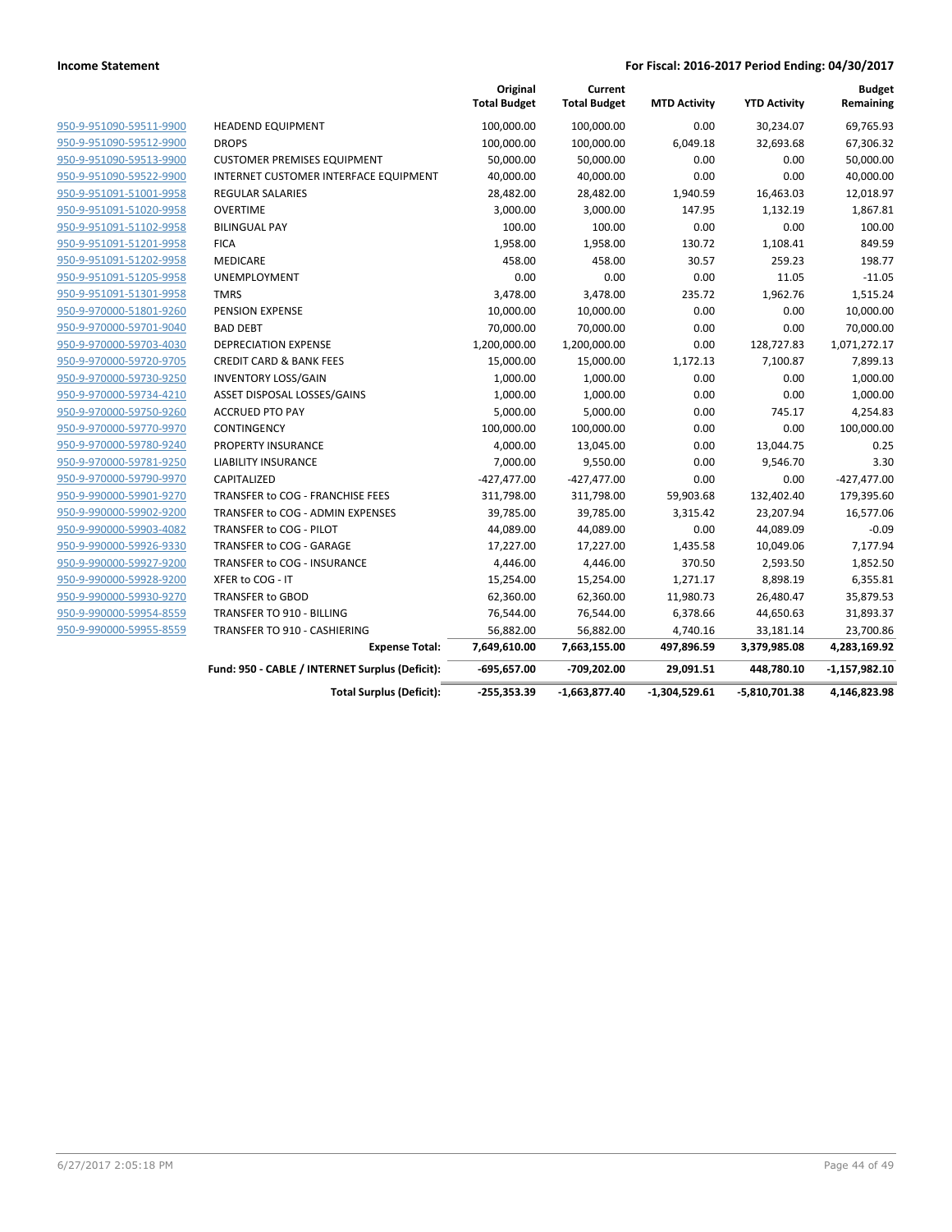|                         |                                                 | Original<br><b>Total Budget</b> | Current<br><b>Total Budget</b> | <b>MTD Activity</b> | <b>YTD Activity</b> | <b>Budget</b><br>Remaining |
|-------------------------|-------------------------------------------------|---------------------------------|--------------------------------|---------------------|---------------------|----------------------------|
| 950-9-951090-59511-9900 | <b>HEADEND EQUIPMENT</b>                        | 100,000.00                      | 100,000.00                     | 0.00                | 30,234.07           | 69,765.93                  |
| 950-9-951090-59512-9900 | <b>DROPS</b>                                    | 100,000.00                      | 100,000.00                     | 6,049.18            | 32,693.68           | 67,306.32                  |
| 950-9-951090-59513-9900 | <b>CUSTOMER PREMISES EQUIPMENT</b>              | 50,000.00                       | 50,000.00                      | 0.00                | 0.00                | 50,000.00                  |
| 950-9-951090-59522-9900 | INTERNET CUSTOMER INTERFACE EQUIPMENT           | 40,000.00                       | 40,000.00                      | 0.00                | 0.00                | 40,000.00                  |
| 950-9-951091-51001-9958 | <b>REGULAR SALARIES</b>                         | 28,482.00                       | 28,482.00                      | 1,940.59            | 16,463.03           | 12,018.97                  |
| 950-9-951091-51020-9958 | <b>OVERTIME</b>                                 | 3,000.00                        | 3,000.00                       | 147.95              | 1,132.19            | 1,867.81                   |
| 950-9-951091-51102-9958 | <b>BILINGUAL PAY</b>                            | 100.00                          | 100.00                         | 0.00                | 0.00                | 100.00                     |
| 950-9-951091-51201-9958 | <b>FICA</b>                                     | 1,958.00                        | 1,958.00                       | 130.72              | 1,108.41            | 849.59                     |
| 950-9-951091-51202-9958 | <b>MEDICARE</b>                                 | 458.00                          | 458.00                         | 30.57               | 259.23              | 198.77                     |
| 950-9-951091-51205-9958 | UNEMPLOYMENT                                    | 0.00                            | 0.00                           | 0.00                | 11.05               | $-11.05$                   |
| 950-9-951091-51301-9958 | <b>TMRS</b>                                     | 3,478.00                        | 3,478.00                       | 235.72              | 1,962.76            | 1,515.24                   |
| 950-9-970000-51801-9260 | PENSION EXPENSE                                 | 10,000.00                       | 10,000.00                      | 0.00                | 0.00                | 10,000.00                  |
| 950-9-970000-59701-9040 | <b>BAD DEBT</b>                                 | 70,000.00                       | 70,000.00                      | 0.00                | 0.00                | 70,000.00                  |
| 950-9-970000-59703-4030 | <b>DEPRECIATION EXPENSE</b>                     | 1,200,000.00                    | 1,200,000.00                   | 0.00                | 128,727.83          | 1,071,272.17               |
| 950-9-970000-59720-9705 | <b>CREDIT CARD &amp; BANK FEES</b>              | 15,000.00                       | 15,000.00                      | 1,172.13            | 7,100.87            | 7,899.13                   |
| 950-9-970000-59730-9250 | <b>INVENTORY LOSS/GAIN</b>                      | 1,000.00                        | 1,000.00                       | 0.00                | 0.00                | 1,000.00                   |
| 950-9-970000-59734-4210 | ASSET DISPOSAL LOSSES/GAINS                     | 1,000.00                        | 1,000.00                       | 0.00                | 0.00                | 1,000.00                   |
| 950-9-970000-59750-9260 | <b>ACCRUED PTO PAY</b>                          | 5,000.00                        | 5,000.00                       | 0.00                | 745.17              | 4,254.83                   |
| 950-9-970000-59770-9970 | CONTINGENCY                                     | 100,000.00                      | 100,000.00                     | 0.00                | 0.00                | 100,000.00                 |
| 950-9-970000-59780-9240 | PROPERTY INSURANCE                              | 4,000.00                        | 13,045.00                      | 0.00                | 13,044.75           | 0.25                       |
| 950-9-970000-59781-9250 | <b>LIABILITY INSURANCE</b>                      | 7,000.00                        | 9,550.00                       | 0.00                | 9,546.70            | 3.30                       |
| 950-9-970000-59790-9970 | CAPITALIZED                                     | $-427,477.00$                   | $-427,477.00$                  | 0.00                | 0.00                | $-427,477.00$              |
| 950-9-990000-59901-9270 | TRANSFER to COG - FRANCHISE FEES                | 311,798.00                      | 311,798.00                     | 59,903.68           | 132,402.40          | 179,395.60                 |
| 950-9-990000-59902-9200 | TRANSFER to COG - ADMIN EXPENSES                | 39,785.00                       | 39,785.00                      | 3,315.42            | 23,207.94           | 16,577.06                  |
| 950-9-990000-59903-4082 | TRANSFER to COG - PILOT                         | 44,089.00                       | 44,089.00                      | 0.00                | 44,089.09           | $-0.09$                    |
| 950-9-990000-59926-9330 | <b>TRANSFER to COG - GARAGE</b>                 | 17,227.00                       | 17,227.00                      | 1,435.58            | 10,049.06           | 7,177.94                   |
| 950-9-990000-59927-9200 | TRANSFER to COG - INSURANCE                     | 4,446.00                        | 4,446.00                       | 370.50              | 2,593.50            | 1,852.50                   |
| 950-9-990000-59928-9200 | XFER to COG - IT                                | 15,254.00                       | 15,254.00                      | 1,271.17            | 8,898.19            | 6,355.81                   |
| 950-9-990000-59930-9270 | <b>TRANSFER to GBOD</b>                         | 62,360.00                       | 62,360.00                      | 11,980.73           | 26,480.47           | 35,879.53                  |
| 950-9-990000-59954-8559 | TRANSFER TO 910 - BILLING                       | 76,544.00                       | 76,544.00                      | 6,378.66            | 44,650.63           | 31,893.37                  |
| 950-9-990000-59955-8559 | TRANSFER TO 910 - CASHIERING                    | 56,882.00                       | 56,882.00                      | 4,740.16            | 33,181.14           | 23,700.86                  |
|                         | <b>Expense Total:</b>                           | 7,649,610.00                    | 7,663,155.00                   | 497,896.59          | 3,379,985.08        | 4,283,169.92               |
|                         | Fund: 950 - CABLE / INTERNET Surplus (Deficit): | $-695,657.00$                   | -709,202.00                    | 29,091.51           | 448,780.10          | $-1,157,982.10$            |
|                         | <b>Total Surplus (Deficit):</b>                 | $-255,353.39$                   | $-1,663,877.40$                | $-1,304,529.61$     | $-5,810,701.38$     | 4,146,823.98               |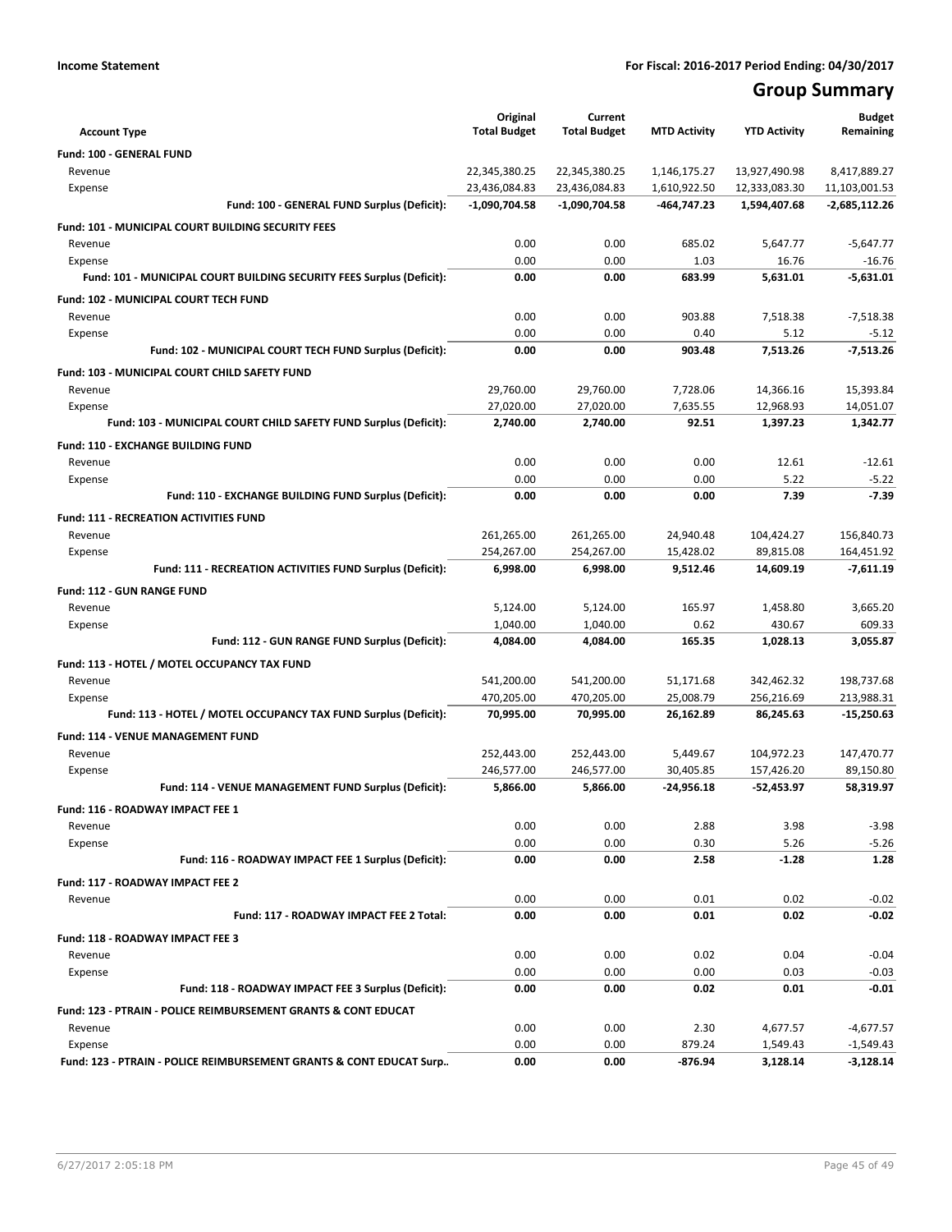# **Group Summary**

| <b>Account Type</b>                                                              | Original<br><b>Total Budget</b> | Current<br><b>Total Budget</b> | <b>MTD Activity</b>          | <b>YTD Activity</b>            | <b>Budget</b><br>Remaining    |
|----------------------------------------------------------------------------------|---------------------------------|--------------------------------|------------------------------|--------------------------------|-------------------------------|
|                                                                                  |                                 |                                |                              |                                |                               |
| <b>Fund: 100 - GENERAL FUND</b>                                                  |                                 |                                |                              |                                |                               |
| Revenue<br>Expense                                                               | 22,345,380.25<br>23,436,084.83  | 22,345,380.25<br>23,436,084.83 | 1,146,175.27<br>1,610,922.50 | 13,927,490.98<br>12,333,083.30 | 8,417,889.27<br>11,103,001.53 |
| Fund: 100 - GENERAL FUND Surplus (Deficit):                                      | $-1,090,704.58$                 | $-1,090,704.58$                | -464,747.23                  | 1,594,407.68                   | $-2,685,112.26$               |
|                                                                                  |                                 |                                |                              |                                |                               |
| <b>Fund: 101 - MUNICIPAL COURT BUILDING SECURITY FEES</b>                        |                                 |                                |                              |                                |                               |
| Revenue                                                                          | 0.00<br>0.00                    | 0.00<br>0.00                   | 685.02<br>1.03               | 5,647.77<br>16.76              | $-5,647.77$                   |
| Expense<br>Fund: 101 - MUNICIPAL COURT BUILDING SECURITY FEES Surplus (Deficit): | 0.00                            | 0.00                           | 683.99                       | 5,631.01                       | $-16.76$<br>$-5,631.01$       |
|                                                                                  |                                 |                                |                              |                                |                               |
| Fund: 102 - MUNICIPAL COURT TECH FUND                                            |                                 |                                |                              |                                |                               |
| Revenue                                                                          | 0.00                            | 0.00                           | 903.88                       | 7,518.38                       | $-7,518.38$                   |
| Expense                                                                          | 0.00                            | 0.00                           | 0.40<br>903.48               | 5.12                           | $-5.12$                       |
| Fund: 102 - MUNICIPAL COURT TECH FUND Surplus (Deficit):                         | 0.00                            | 0.00                           |                              | 7,513.26                       | $-7,513.26$                   |
| Fund: 103 - MUNICIPAL COURT CHILD SAFETY FUND                                    |                                 |                                |                              |                                |                               |
| Revenue                                                                          | 29,760.00                       | 29,760.00                      | 7,728.06                     | 14,366.16                      | 15,393.84                     |
| Expense                                                                          | 27,020.00                       | 27,020.00                      | 7,635.55                     | 12,968.93                      | 14,051.07                     |
| Fund: 103 - MUNICIPAL COURT CHILD SAFETY FUND Surplus (Deficit):                 | 2,740.00                        | 2,740.00                       | 92.51                        | 1,397.23                       | 1,342.77                      |
| Fund: 110 - EXCHANGE BUILDING FUND                                               |                                 |                                |                              |                                |                               |
| Revenue                                                                          | 0.00                            | 0.00                           | 0.00                         | 12.61                          | $-12.61$                      |
| Expense                                                                          | 0.00                            | 0.00                           | 0.00                         | 5.22                           | $-5.22$                       |
| Fund: 110 - EXCHANGE BUILDING FUND Surplus (Deficit):                            | 0.00                            | 0.00                           | 0.00                         | 7.39                           | $-7.39$                       |
| <b>Fund: 111 - RECREATION ACTIVITIES FUND</b>                                    |                                 |                                |                              |                                |                               |
| Revenue                                                                          | 261,265.00                      | 261,265.00                     | 24,940.48                    | 104,424.27                     | 156,840.73                    |
| Expense                                                                          | 254,267.00                      | 254,267.00                     | 15,428.02                    | 89.815.08                      | 164,451.92                    |
| Fund: 111 - RECREATION ACTIVITIES FUND Surplus (Deficit):                        | 6,998.00                        | 6,998.00                       | 9,512.46                     | 14,609.19                      | $-7,611.19$                   |
| <b>Fund: 112 - GUN RANGE FUND</b>                                                |                                 |                                |                              |                                |                               |
| Revenue                                                                          | 5,124.00                        | 5,124.00                       | 165.97                       | 1,458.80                       | 3,665.20                      |
| Expense                                                                          | 1,040.00                        | 1,040.00                       | 0.62                         | 430.67                         | 609.33                        |
| Fund: 112 - GUN RANGE FUND Surplus (Deficit):                                    | 4,084.00                        | 4,084.00                       | 165.35                       | 1,028.13                       | 3,055.87                      |
| Fund: 113 - HOTEL / MOTEL OCCUPANCY TAX FUND                                     |                                 |                                |                              |                                |                               |
| Revenue                                                                          | 541,200.00                      | 541,200.00                     | 51,171.68                    | 342,462.32                     | 198,737.68                    |
| Expense                                                                          | 470,205.00                      | 470,205.00                     | 25,008.79                    | 256,216.69                     | 213,988.31                    |
| Fund: 113 - HOTEL / MOTEL OCCUPANCY TAX FUND Surplus (Deficit):                  | 70,995.00                       | 70,995.00                      | 26,162.89                    | 86,245.63                      | $-15,250.63$                  |
| Fund: 114 - VENUE MANAGEMENT FUND                                                |                                 |                                |                              |                                |                               |
| Revenue                                                                          | 252,443.00                      | 252,443.00                     | 5,449.67                     | 104,972.23                     | 147,470.77                    |
| Expense                                                                          | 246,577.00                      | 246,577.00                     | 30,405.85                    | 157,426.20                     | 89,150.80                     |
| Fund: 114 - VENUE MANAGEMENT FUND Surplus (Deficit):                             | 5,866.00                        | 5,866.00                       | $-24,956.18$                 | $-52,453.97$                   | 58,319.97                     |
| Fund: 116 - ROADWAY IMPACT FEE 1                                                 |                                 |                                |                              |                                |                               |
| Revenue                                                                          | 0.00                            | 0.00                           | 2.88                         | 3.98                           | $-3.98$                       |
| Expense                                                                          | 0.00                            | 0.00                           | 0.30                         | 5.26                           | $-5.26$                       |
| Fund: 116 - ROADWAY IMPACT FEE 1 Surplus (Deficit):                              | 0.00                            | 0.00                           | 2.58                         | $-1.28$                        | 1.28                          |
| Fund: 117 - ROADWAY IMPACT FEE 2                                                 |                                 |                                |                              |                                |                               |
| Revenue                                                                          | 0.00                            | 0.00                           | 0.01                         | 0.02                           | $-0.02$                       |
| Fund: 117 - ROADWAY IMPACT FEE 2 Total:                                          | 0.00                            | 0.00                           | 0.01                         | 0.02                           | $-0.02$                       |
|                                                                                  |                                 |                                |                              |                                |                               |
| Fund: 118 - ROADWAY IMPACT FEE 3                                                 |                                 |                                |                              |                                |                               |
| Revenue                                                                          | 0.00                            | 0.00                           | 0.02                         | 0.04                           | $-0.04$                       |
| Expense<br>Fund: 118 - ROADWAY IMPACT FEE 3 Surplus (Deficit):                   | 0.00<br>0.00                    | 0.00<br>0.00                   | 0.00<br>0.02                 | 0.03<br>0.01                   | $-0.03$<br>-0.01              |
|                                                                                  |                                 |                                |                              |                                |                               |
| Fund: 123 - PTRAIN - POLICE REIMBURSEMENT GRANTS & CONT EDUCAT                   |                                 |                                |                              |                                |                               |
| Revenue                                                                          | 0.00                            | 0.00                           | 2.30                         | 4,677.57                       | $-4,677.57$                   |
| Expense                                                                          | 0.00                            | 0.00                           | 879.24                       | 1,549.43                       | $-1,549.43$                   |
| Fund: 123 - PTRAIN - POLICE REIMBURSEMENT GRANTS & CONT EDUCAT Surp              | 0.00                            | 0.00                           | -876.94                      | 3,128.14                       | $-3,128.14$                   |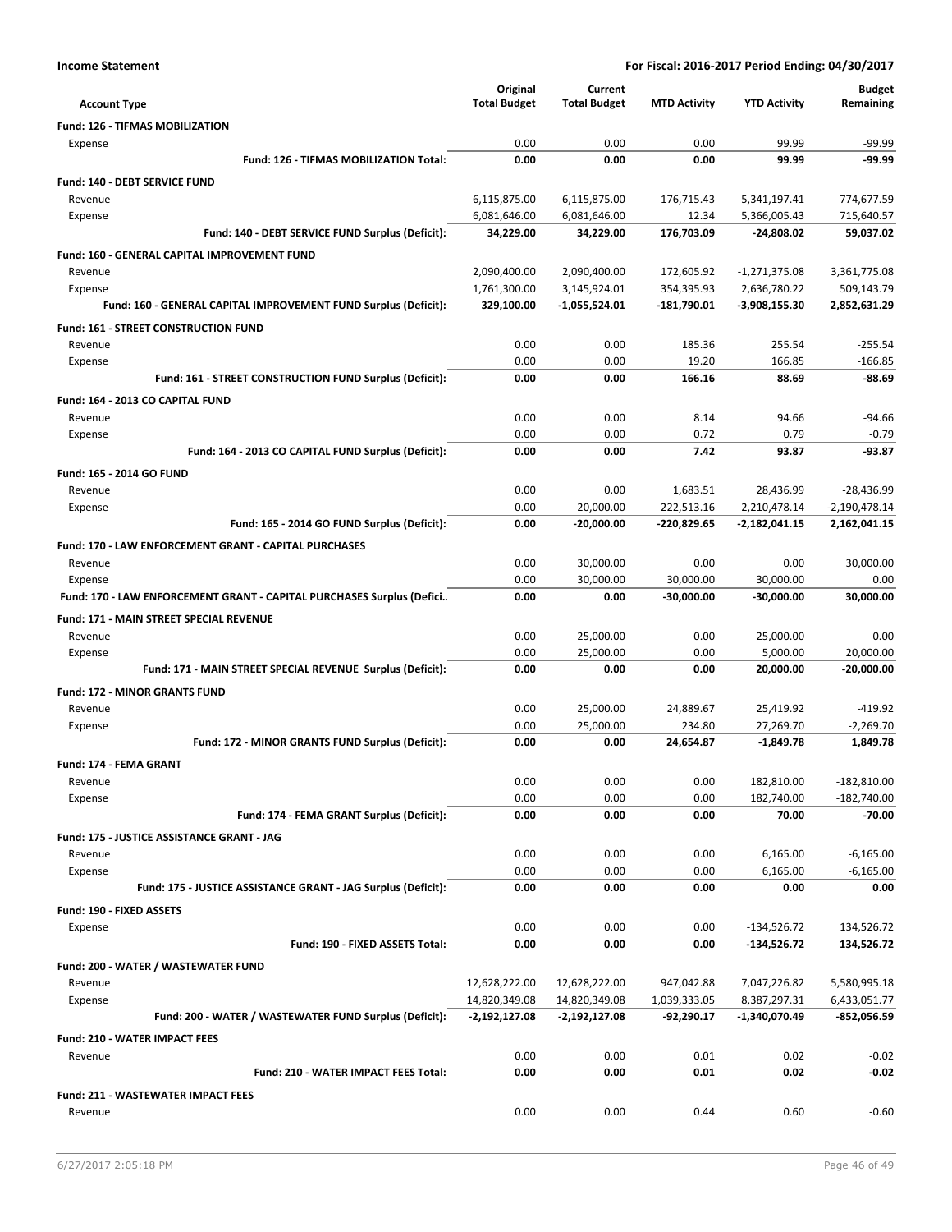| <b>Income Statement</b>                                               |                     |                     |                     | For Fiscal: 2016-2017 Period Ending: 04/30/2017 |                 |
|-----------------------------------------------------------------------|---------------------|---------------------|---------------------|-------------------------------------------------|-----------------|
|                                                                       | Original            | Current             |                     |                                                 | <b>Budget</b>   |
| <b>Account Type</b>                                                   | <b>Total Budget</b> | <b>Total Budget</b> | <b>MTD Activity</b> | <b>YTD Activity</b>                             | Remaining       |
| Fund: 126 - TIFMAS MOBILIZATION                                       |                     |                     |                     |                                                 |                 |
| Expense                                                               | 0.00                | 0.00                | 0.00                | 99.99                                           | $-99.99$        |
| Fund: 126 - TIFMAS MOBILIZATION Total:                                | 0.00                | 0.00                | 0.00                | 99.99                                           | -99.99          |
| Fund: 140 - DEBT SERVICE FUND                                         |                     |                     |                     |                                                 |                 |
| Revenue                                                               | 6,115,875.00        | 6,115,875.00        | 176,715.43          | 5,341,197.41                                    | 774,677.59      |
| Expense                                                               | 6,081,646.00        | 6,081,646.00        | 12.34               | 5,366,005.43                                    | 715,640.57      |
| Fund: 140 - DEBT SERVICE FUND Surplus (Deficit):                      | 34,229.00           | 34,229.00           | 176,703.09          | $-24,808.02$                                    | 59,037.02       |
| <b>Fund: 160 - GENERAL CAPITAL IMPROVEMENT FUND</b>                   |                     |                     |                     |                                                 |                 |
| Revenue                                                               | 2,090,400.00        | 2,090,400.00        | 172,605.92          | $-1,271,375.08$                                 | 3,361,775.08    |
| Expense                                                               | 1,761,300.00        | 3,145,924.01        | 354,395.93          | 2,636,780.22                                    | 509,143.79      |
| Fund: 160 - GENERAL CAPITAL IMPROVEMENT FUND Surplus (Deficit):       | 329,100.00          | $-1,055,524.01$     | -181,790.01         | -3,908,155.30                                   | 2,852,631.29    |
| Fund: 161 - STREET CONSTRUCTION FUND                                  |                     |                     |                     |                                                 |                 |
| Revenue                                                               | 0.00                | 0.00                | 185.36              | 255.54                                          | $-255.54$       |
| Expense                                                               | 0.00                | 0.00                | 19.20               | 166.85                                          | $-166.85$       |
| Fund: 161 - STREET CONSTRUCTION FUND Surplus (Deficit):               | 0.00                | 0.00                | 166.16              | 88.69                                           | $-88.69$        |
| Fund: 164 - 2013 CO CAPITAL FUND                                      |                     |                     |                     |                                                 |                 |
| Revenue                                                               | 0.00                | 0.00                | 8.14                | 94.66                                           | -94.66          |
| Expense                                                               | 0.00                | 0.00                | 0.72                | 0.79                                            | $-0.79$         |
| Fund: 164 - 2013 CO CAPITAL FUND Surplus (Deficit):                   | 0.00                | 0.00                | 7.42                | 93.87                                           | $-93.87$        |
| Fund: 165 - 2014 GO FUND                                              |                     |                     |                     |                                                 |                 |
| Revenue                                                               | 0.00                | 0.00                | 1.683.51            | 28,436.99                                       | $-28,436.99$    |
| Expense                                                               | 0.00                | 20.000.00           | 222,513.16          | 2,210,478.14                                    | $-2,190,478.14$ |
| Fund: 165 - 2014 GO FUND Surplus (Deficit):                           | 0.00                | $-20,000.00$        | -220,829.65         | $-2,182,041.15$                                 | 2,162,041.15    |
| Fund: 170 - LAW ENFORCEMENT GRANT - CAPITAL PURCHASES                 |                     |                     |                     |                                                 |                 |
| Revenue                                                               | 0.00                | 30,000.00           | 0.00                | 0.00                                            | 30,000.00       |
| Expense                                                               | 0.00                | 30,000.00           | 30,000.00           | 30,000.00                                       | 0.00            |
| Fund: 170 - LAW ENFORCEMENT GRANT - CAPITAL PURCHASES Surplus (Defici | 0.00                | 0.00                | $-30,000.00$        | -30,000.00                                      | 30,000.00       |
| Fund: 171 - MAIN STREET SPECIAL REVENUE                               |                     |                     |                     |                                                 |                 |
| Revenue                                                               | 0.00                | 25,000.00           | 0.00                | 25,000.00                                       | 0.00            |
| Expense                                                               | 0.00                | 25,000.00           | 0.00                | 5,000.00                                        | 20,000.00       |
| Fund: 171 - MAIN STREET SPECIAL REVENUE Surplus (Deficit):            | 0.00                | 0.00                | 0.00                | 20,000.00                                       | $-20,000.00$    |
| <b>Fund: 172 - MINOR GRANTS FUND</b>                                  |                     |                     |                     |                                                 |                 |
| Revenue                                                               | 0.00                | 25,000.00           | 24,889.67           | 25,419.92                                       | -419.92         |
| Expense                                                               | 0.00                | 25,000.00           | 234.80              | 27,269.70                                       | $-2,269.70$     |
| Fund: 172 - MINOR GRANTS FUND Surplus (Deficit):                      | 0.00                | 0.00                | 24,654.87           | $-1,849.78$                                     | 1,849.78        |
| Fund: 174 - FEMA GRANT                                                |                     |                     |                     |                                                 |                 |
| Revenue                                                               | 0.00                | 0.00                | 0.00                | 182,810.00                                      | $-182,810.00$   |
| Expense                                                               | 0.00                | 0.00                | 0.00                | 182,740.00                                      | $-182,740.00$   |
| Fund: 174 - FEMA GRANT Surplus (Deficit):                             | 0.00                | 0.00                | 0.00                | 70.00                                           | $-70.00$        |
| Fund: 175 - JUSTICE ASSISTANCE GRANT - JAG                            |                     |                     |                     |                                                 |                 |
| Revenue                                                               | 0.00                | 0.00                | 0.00                | 6,165.00                                        | $-6,165.00$     |
| Expense                                                               | 0.00                | 0.00                | 0.00                | 6,165.00                                        | $-6,165.00$     |
| Fund: 175 - JUSTICE ASSISTANCE GRANT - JAG Surplus (Deficit):         | 0.00                | 0.00                | 0.00                | 0.00                                            | 0.00            |
| Fund: 190 - FIXED ASSETS                                              |                     |                     |                     |                                                 |                 |
| Expense                                                               | 0.00                | 0.00                | 0.00                | $-134,526.72$                                   | 134,526.72      |
| Fund: 190 - FIXED ASSETS Total:                                       | 0.00                | 0.00                | 0.00                | -134,526.72                                     | 134,526.72      |
|                                                                       |                     |                     |                     |                                                 |                 |
| Fund: 200 - WATER / WASTEWATER FUND<br>Revenue                        | 12,628,222.00       | 12,628,222.00       | 947,042.88          | 7,047,226.82                                    | 5,580,995.18    |
| Expense                                                               | 14,820,349.08       | 14,820,349.08       | 1,039,333.05        | 8,387,297.31                                    | 6,433,051.77    |
|                                                                       |                     |                     |                     |                                                 |                 |

|                                      | Fund: 200 - WATER / WASTEWATER FUND Surplus (Deficit): | $-2.192.127.08$ | $-2.192.127.08$ | $-92.290.17$ | -1.340.070.49 | $-852.056.59$ |
|--------------------------------------|--------------------------------------------------------|-----------------|-----------------|--------------|---------------|---------------|
| <b>Fund: 210 - WATER IMPACT FEES</b> |                                                        |                 |                 |              |               |               |
| Revenue                              |                                                        | 0.00            | 0.00            | 0.01         | 0.02          | $-0.02$       |
|                                      | <b>Fund: 210 - WATER IMPACT FEES Total:</b>            | 0.00            | 0.00            | 0.01         | 0.02          | $-0.02$       |
|                                      | <b>Fund: 211 - WASTEWATER IMPACT FEES</b>              |                 |                 |              |               |               |
| Revenue                              |                                                        | 0.00            | 0.00            | 0.44         | 0.60          | $-0.60$       |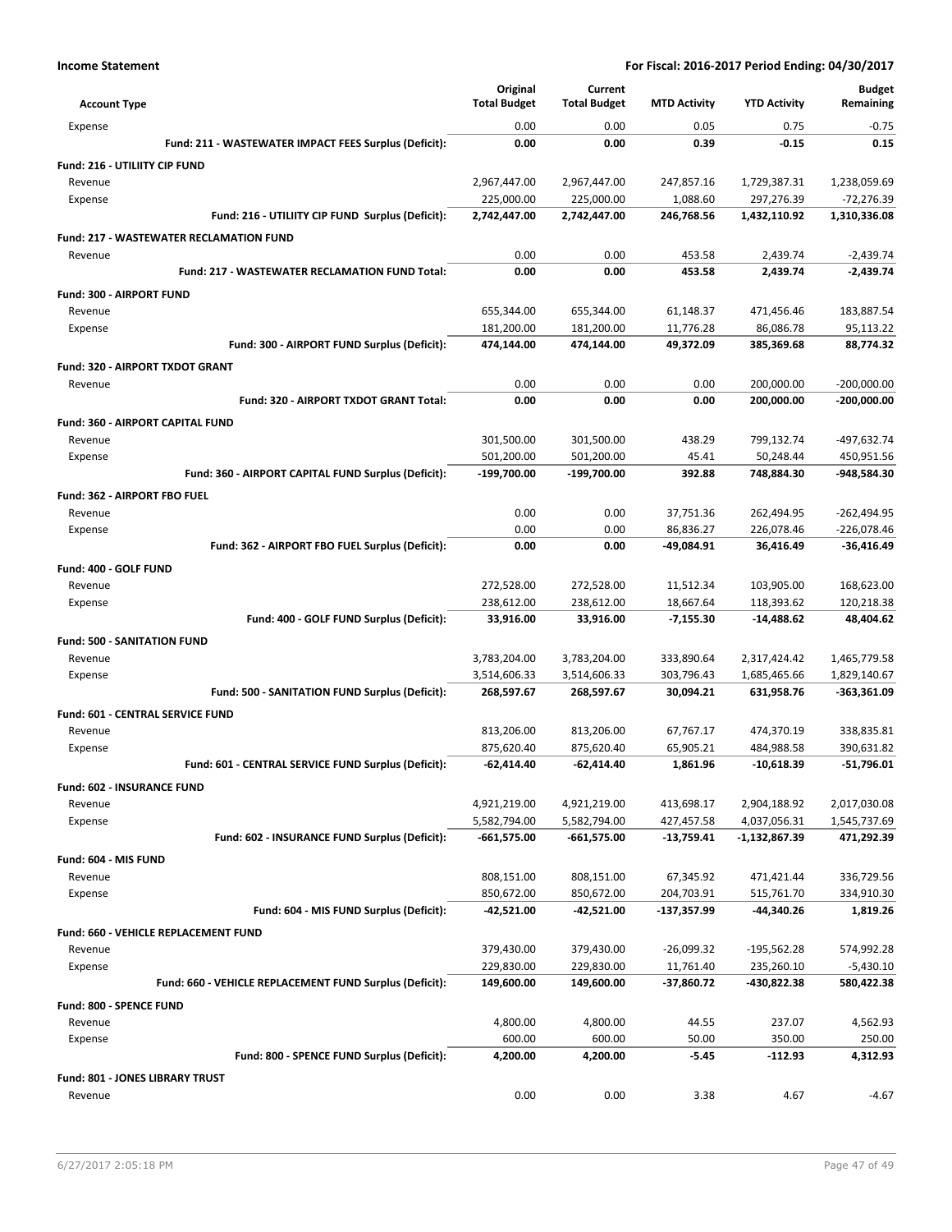| <b>Account Type</b>                                     | Original<br><b>Total Budget</b> | Current<br><b>Total Budget</b> | <b>MTD Activity</b> | <b>YTD Activity</b> | <b>Budget</b><br>Remaining |
|---------------------------------------------------------|---------------------------------|--------------------------------|---------------------|---------------------|----------------------------|
| Expense                                                 | 0.00                            | 0.00                           | 0.05                | 0.75                | $-0.75$                    |
| Fund: 211 - WASTEWATER IMPACT FEES Surplus (Deficit):   | 0.00                            | 0.00                           | 0.39                | $-0.15$             | 0.15                       |
| Fund: 216 - UTILIITY CIP FUND                           |                                 |                                |                     |                     |                            |
| Revenue                                                 | 2,967,447.00                    | 2,967,447.00                   | 247,857.16          | 1,729,387.31        | 1,238,059.69               |
| Expense                                                 | 225,000.00                      | 225,000.00                     | 1,088.60            | 297,276.39          | -72,276.39                 |
| Fund: 216 - UTILIITY CIP FUND Surplus (Deficit):        | 2,742,447.00                    | 2,742,447.00                   | 246,768.56          | 1,432,110.92        | 1,310,336.08               |
| <b>Fund: 217 - WASTEWATER RECLAMATION FUND</b>          |                                 |                                |                     |                     |                            |
| Revenue                                                 | 0.00                            | 0.00                           | 453.58              | 2,439.74            | $-2,439.74$                |
| <b>Fund: 217 - WASTEWATER RECLAMATION FUND Total:</b>   | 0.00                            | 0.00                           | 453.58              | 2,439.74            | $-2,439.74$                |
| Fund: 300 - AIRPORT FUND                                |                                 |                                |                     |                     |                            |
| Revenue                                                 | 655,344.00                      | 655,344.00                     | 61,148.37           | 471,456.46          | 183,887.54                 |
| Expense                                                 | 181,200.00                      | 181,200.00                     | 11,776.28           | 86,086.78           | 95,113.22                  |
| Fund: 300 - AIRPORT FUND Surplus (Deficit):             | 474,144.00                      | 474,144.00                     | 49,372.09           | 385,369.68          | 88,774.32                  |
| Fund: 320 - AIRPORT TXDOT GRANT                         |                                 |                                |                     |                     |                            |
| Revenue                                                 | 0.00                            | 0.00                           | 0.00                | 200,000.00          | $-200,000.00$              |
| Fund: 320 - AIRPORT TXDOT GRANT Total:                  | 0.00                            | 0.00                           | 0.00                | 200,000.00          | $-200,000.00$              |
| <b>Fund: 360 - AIRPORT CAPITAL FUND</b>                 |                                 |                                |                     |                     |                            |
| Revenue                                                 | 301,500.00                      | 301,500.00                     | 438.29              | 799,132.74          | -497,632.74                |
| Expense                                                 | 501,200.00                      | 501,200.00                     | 45.41               | 50,248.44           | 450,951.56                 |
| Fund: 360 - AIRPORT CAPITAL FUND Surplus (Deficit):     | -199,700.00                     | -199,700.00                    | 392.88              | 748,884.30          | -948,584.30                |
| Fund: 362 - AIRPORT FBO FUEL                            |                                 |                                |                     |                     |                            |
| Revenue                                                 | 0.00                            | 0.00                           | 37,751.36           | 262,494.95          | $-262,494.95$              |
| Expense                                                 | 0.00                            | 0.00                           | 86,836.27           | 226,078.46          | -226,078.46                |
| Fund: 362 - AIRPORT FBO FUEL Surplus (Deficit):         | 0.00                            | 0.00                           | -49,084.91          | 36,416.49           | $-36,416.49$               |
| Fund: 400 - GOLF FUND                                   |                                 |                                |                     |                     |                            |
| Revenue                                                 | 272,528.00                      | 272,528.00                     | 11,512.34           | 103,905.00          | 168,623.00                 |
| Expense                                                 | 238,612.00                      | 238,612.00                     | 18,667.64           | 118,393.62          | 120,218.38                 |
| Fund: 400 - GOLF FUND Surplus (Deficit):                | 33,916.00                       | 33,916.00                      | $-7,155.30$         | -14,488.62          | 48,404.62                  |
| <b>Fund: 500 - SANITATION FUND</b>                      |                                 |                                |                     |                     |                            |
| Revenue                                                 | 3,783,204.00                    | 3,783,204.00                   | 333,890.64          | 2,317,424.42        | 1,465,779.58               |
| Expense                                                 | 3,514,606.33                    | 3,514,606.33                   | 303,796.43          | 1,685,465.66        | 1,829,140.67               |
| Fund: 500 - SANITATION FUND Surplus (Deficit):          | 268,597.67                      | 268,597.67                     | 30,094.21           | 631,958.76          | -363,361.09                |
| Fund: 601 - CENTRAL SERVICE FUND                        |                                 |                                |                     |                     |                            |
| Revenue                                                 | 813,206.00                      | 813,206.00                     | 67,767.17           | 474,370.19          | 338,835.81                 |
| Expense                                                 | 875,620.40                      | 875,620.40                     | 65,905.21           | 484,988.58          | 390,631.82                 |
| Fund: 601 - CENTRAL SERVICE FUND Surplus (Deficit):     | $-62,414.40$                    | $-62,414.40$                   | 1,861.96            | $-10,618.39$        | $-51,796.01$               |
| Fund: 602 - INSURANCE FUND                              |                                 |                                |                     |                     |                            |
| Revenue                                                 | 4,921,219.00                    | 4,921,219.00                   | 413,698.17          | 2,904,188.92        | 2,017,030.08               |
| Expense                                                 | 5,582,794.00                    | 5,582,794.00                   | 427,457.58          | 4,037,056.31        | 1,545,737.69               |
| Fund: 602 - INSURANCE FUND Surplus (Deficit):           | $-661,575.00$                   | $-661,575.00$                  | $-13,759.41$        | $-1,132,867.39$     | 471,292.39                 |
| Fund: 604 - MIS FUND                                    |                                 |                                |                     |                     |                            |
| Revenue                                                 | 808,151.00                      | 808,151.00                     | 67,345.92           | 471,421.44          | 336,729.56                 |
| Expense                                                 | 850,672.00                      | 850,672.00                     | 204,703.91          | 515,761.70          | 334,910.30                 |
| Fund: 604 - MIS FUND Surplus (Deficit):                 | $-42,521.00$                    | $-42,521.00$                   | -137,357.99         | -44,340.26          | 1,819.26                   |
| Fund: 660 - VEHICLE REPLACEMENT FUND                    |                                 |                                |                     |                     |                            |
| Revenue                                                 | 379,430.00                      | 379,430.00                     | $-26,099.32$        | $-195,562.28$       | 574,992.28                 |
| Expense                                                 | 229,830.00                      | 229,830.00                     | 11,761.40           | 235,260.10          | -5,430.10                  |
| Fund: 660 - VEHICLE REPLACEMENT FUND Surplus (Deficit): | 149,600.00                      | 149,600.00                     | -37,860.72          | -430,822.38         | 580,422.38                 |
| Fund: 800 - SPENCE FUND                                 |                                 |                                |                     |                     |                            |
| Revenue                                                 | 4,800.00                        | 4,800.00                       | 44.55               | 237.07              | 4,562.93                   |
| Expense                                                 | 600.00                          | 600.00                         | 50.00               | 350.00              | 250.00                     |
| Fund: 800 - SPENCE FUND Surplus (Deficit):              | 4,200.00                        | 4,200.00                       | $-5.45$             | $-112.93$           | 4,312.93                   |
| <b>Fund: 801 - JONES LIBRARY TRUST</b>                  |                                 |                                |                     |                     |                            |
| Revenue                                                 | 0.00                            | 0.00                           | 3.38                | 4.67                | $-4.67$                    |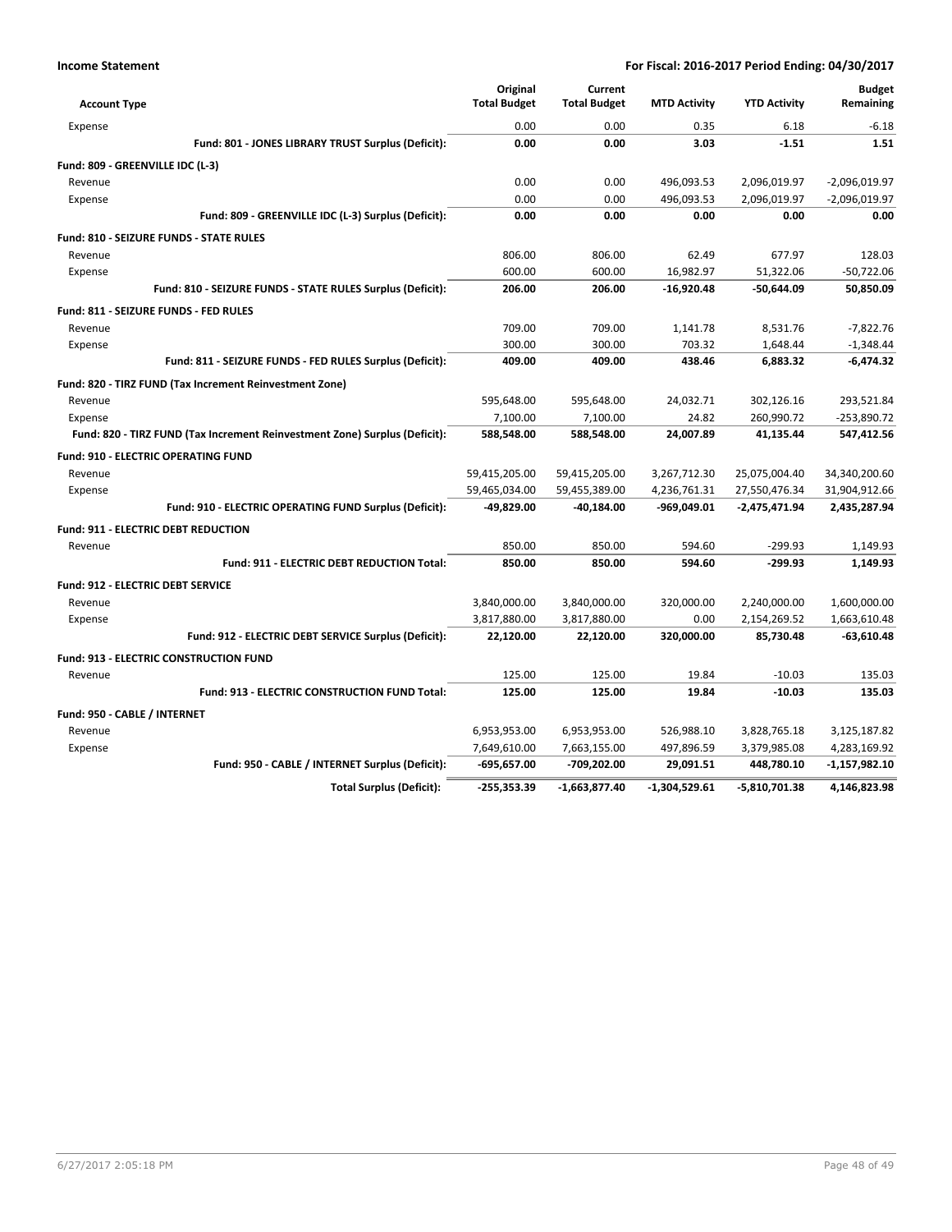| <b>Account Type</b>                                                        |                                                            | Original<br><b>Total Budget</b> | Current<br><b>Total Budget</b> | <b>MTD Activity</b> | <b>YTD Activity</b> | <b>Budget</b><br>Remaining |
|----------------------------------------------------------------------------|------------------------------------------------------------|---------------------------------|--------------------------------|---------------------|---------------------|----------------------------|
| Expense                                                                    |                                                            | 0.00                            | 0.00                           | 0.35                | 6.18                | $-6.18$                    |
|                                                                            | Fund: 801 - JONES LIBRARY TRUST Surplus (Deficit):         | 0.00                            | 0.00                           | 3.03                | $-1.51$             | 1.51                       |
| Fund: 809 - GREENVILLE IDC (L-3)                                           |                                                            |                                 |                                |                     |                     |                            |
| Revenue                                                                    |                                                            | 0.00                            | 0.00                           | 496,093.53          | 2,096,019.97        | $-2,096,019.97$            |
| Expense                                                                    |                                                            | 0.00                            | 0.00                           | 496,093.53          | 2,096,019.97        | $-2,096,019.97$            |
|                                                                            | Fund: 809 - GREENVILLE IDC (L-3) Surplus (Deficit):        | 0.00                            | 0.00                           | 0.00                | 0.00                | 0.00                       |
| <b>Fund: 810 - SEIZURE FUNDS - STATE RULES</b>                             |                                                            |                                 |                                |                     |                     |                            |
| Revenue                                                                    |                                                            | 806.00                          | 806.00                         | 62.49               | 677.97              | 128.03                     |
| Expense                                                                    |                                                            | 600.00                          | 600.00                         | 16,982.97           | 51,322.06           | $-50,722.06$               |
|                                                                            | Fund: 810 - SEIZURE FUNDS - STATE RULES Surplus (Deficit): | 206.00                          | 206.00                         | $-16.920.48$        | -50.644.09          | 50,850.09                  |
| Fund: 811 - SEIZURE FUNDS - FED RULES                                      |                                                            |                                 |                                |                     |                     |                            |
| Revenue                                                                    |                                                            | 709.00                          | 709.00                         | 1,141.78            | 8,531.76            | $-7,822.76$                |
| Expense                                                                    |                                                            | 300.00                          | 300.00                         | 703.32              | 1,648.44            | $-1,348.44$                |
|                                                                            | Fund: 811 - SEIZURE FUNDS - FED RULES Surplus (Deficit):   | 409.00                          | 409.00                         | 438.46              | 6,883.32            | $-6,474.32$                |
| Fund: 820 - TIRZ FUND (Tax Increment Reinvestment Zone)                    |                                                            |                                 |                                |                     |                     |                            |
| Revenue                                                                    |                                                            | 595,648.00                      | 595,648.00                     | 24,032.71           | 302,126.16          | 293,521.84                 |
| Expense                                                                    |                                                            | 7,100.00                        | 7,100.00                       | 24.82               | 260,990.72          | $-253,890.72$              |
| Fund: 820 - TIRZ FUND (Tax Increment Reinvestment Zone) Surplus (Deficit): |                                                            | 588,548.00                      | 588,548.00                     | 24,007.89           | 41,135.44           | 547,412.56                 |
| <b>Fund: 910 - ELECTRIC OPERATING FUND</b>                                 |                                                            |                                 |                                |                     |                     |                            |
| Revenue                                                                    |                                                            | 59,415,205.00                   | 59,415,205.00                  | 3,267,712.30        | 25,075,004.40       | 34,340,200.60              |
| Expense                                                                    |                                                            | 59,465,034.00                   | 59,455,389.00                  | 4,236,761.31        | 27,550,476.34       | 31,904,912.66              |
|                                                                            | Fund: 910 - ELECTRIC OPERATING FUND Surplus (Deficit):     | -49,829.00                      | -40,184.00                     | -969,049.01         | $-2,475,471.94$     | 2,435,287.94               |
| <b>Fund: 911 - ELECTRIC DEBT REDUCTION</b>                                 |                                                            |                                 |                                |                     |                     |                            |
| Revenue                                                                    |                                                            | 850.00                          | 850.00                         | 594.60              | $-299.93$           | 1,149.93                   |
|                                                                            | <b>Fund: 911 - ELECTRIC DEBT REDUCTION Total:</b>          | 850.00                          | 850.00                         | 594.60              | $-299.93$           | 1,149.93                   |
| <b>Fund: 912 - ELECTRIC DEBT SERVICE</b>                                   |                                                            |                                 |                                |                     |                     |                            |
| Revenue                                                                    |                                                            | 3,840,000.00                    | 3,840,000.00                   | 320,000.00          | 2,240,000.00        | 1,600,000.00               |
| Expense                                                                    |                                                            | 3,817,880.00                    | 3,817,880.00                   | 0.00                | 2,154,269.52        | 1,663,610.48               |
|                                                                            | Fund: 912 - ELECTRIC DEBT SERVICE Surplus (Deficit):       | 22,120.00                       | 22,120.00                      | 320,000.00          | 85,730.48           | $-63,610.48$               |
| <b>Fund: 913 - ELECTRIC CONSTRUCTION FUND</b>                              |                                                            |                                 |                                |                     |                     |                            |
| Revenue                                                                    |                                                            | 125.00                          | 125.00                         | 19.84               | $-10.03$            | 135.03                     |
|                                                                            | Fund: 913 - ELECTRIC CONSTRUCTION FUND Total:              | 125.00                          | 125.00                         | 19.84               | $-10.03$            | 135.03                     |
| Fund: 950 - CABLE / INTERNET                                               |                                                            |                                 |                                |                     |                     |                            |
| Revenue                                                                    |                                                            | 6,953,953.00                    | 6,953,953.00                   | 526,988.10          | 3,828,765.18        | 3,125,187.82               |
| Expense                                                                    |                                                            | 7,649,610.00                    | 7,663,155.00                   | 497,896.59          | 3,379,985.08        | 4,283,169.92               |
|                                                                            | Fund: 950 - CABLE / INTERNET Surplus (Deficit):            | $-695,657.00$                   | -709,202.00                    | 29,091.51           | 448,780.10          | $-1,157,982.10$            |
|                                                                            | <b>Total Surplus (Deficit):</b>                            | $-255,353.39$                   | $-1.663.877.40$                | $-1.304.529.61$     | $-5,810,701.38$     | 4,146,823.98               |